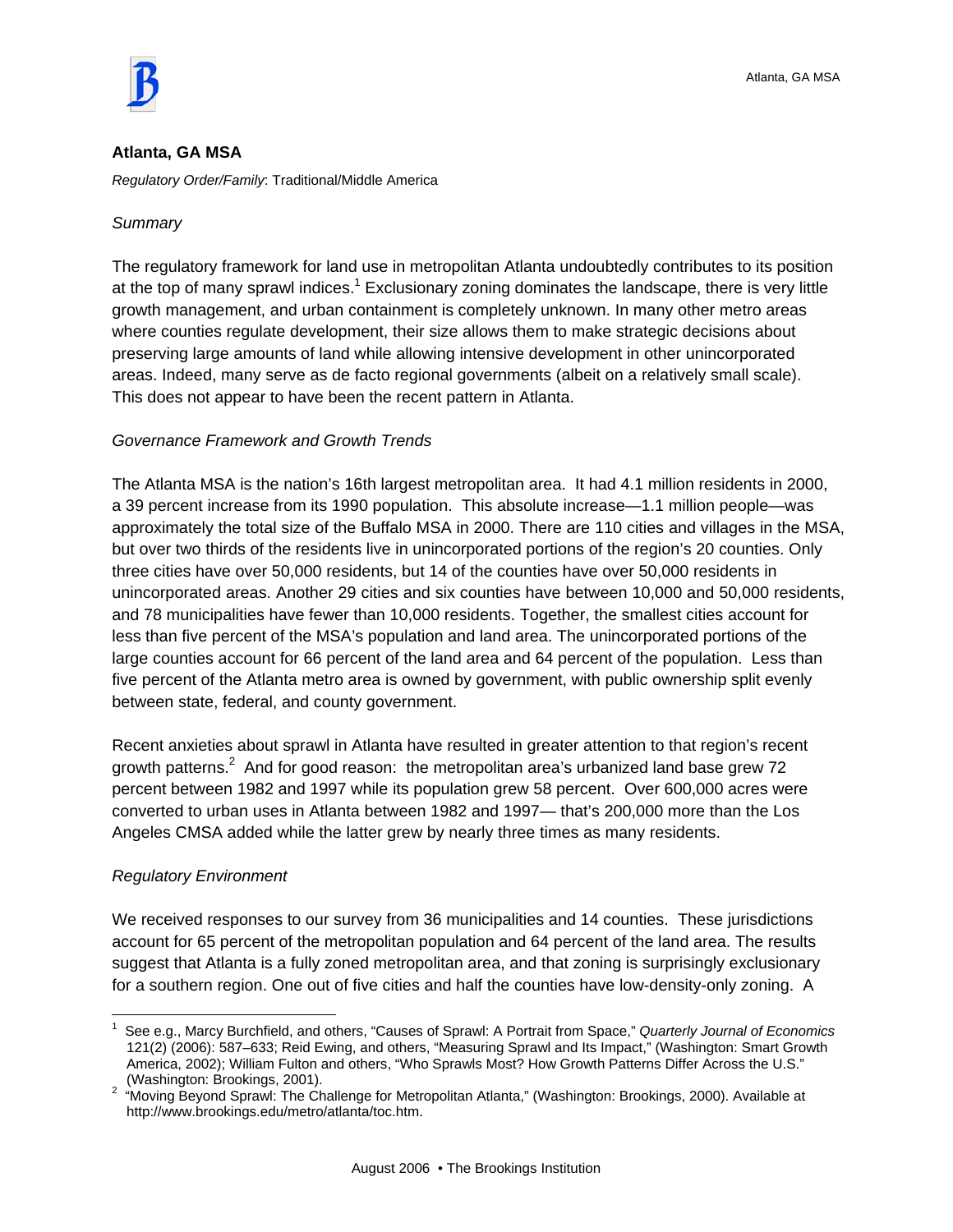

#### **Atlanta, GA MSA**

*Regulatory Order/Family*: Traditional/Middle America

#### *Summary*

The regulatory framework for land use in metropolitan Atlanta undoubtedly contributes to its position at the top of many sprawl indices.<sup>1</sup> Exclusionary zoning dominates the landscape, there is very little growth management, and urban containment is completely unknown. In many other metro areas where counties regulate development, their size allows them to make strategic decisions about preserving large amounts of land while allowing intensive development in other unincorporated areas. Indeed, many serve as de facto regional governments (albeit on a relatively small scale). This does not appear to have been the recent pattern in Atlanta.

#### *Governance Framework and Growth Trends*

The Atlanta MSA is the nation's 16th largest metropolitan area. It had 4.1 million residents in 2000, a 39 percent increase from its 1990 population. This absolute increase—1.1 million people—was approximately the total size of the Buffalo MSA in 2000. There are 110 cities and villages in the MSA, but over two thirds of the residents live in unincorporated portions of the region's 20 counties. Only three cities have over 50,000 residents, but 14 of the counties have over 50,000 residents in unincorporated areas. Another 29 cities and six counties have between 10,000 and 50,000 residents, and 78 municipalities have fewer than 10,000 residents. Together, the smallest cities account for less than five percent of the MSA's population and land area. The unincorporated portions of the large counties account for 66 percent of the land area and 64 percent of the population. Less than five percent of the Atlanta metro area is owned by government, with public ownership split evenly between state, federal, and county government.

Recent anxieties about sprawl in Atlanta have resulted in greater attention to that region's recent growth patterns.<sup>2</sup> And for good reason: the metropolitan area's urbanized land base grew 72 percent between 1982 and 1997 while its population grew 58 percent. Over 600,000 acres were converted to urban uses in Atlanta between 1982 and 1997— that's 200,000 more than the Los Angeles CMSA added while the latter grew by nearly three times as many residents.

#### *Regulatory Environment*

We received responses to our survey from 36 municipalities and 14 counties. These jurisdictions account for 65 percent of the metropolitan population and 64 percent of the land area. The results suggest that Atlanta is a fully zoned metropolitan area, and that zoning is surprisingly exclusionary for a southern region. One out of five cities and half the counties have low-density-only zoning. A

 1 See e.g., Marcy Burchfield, and others, "Causes of Sprawl: A Portrait from Space," *Quarterly Journal of Economics* 121(2) (2006): 587–633; Reid Ewing, and others, "Measuring Sprawl and Its Impact," (Washington: Smart Growth America, 2002); William Fulton and others, "Who Sprawls Most? How Growth Patterns Differ Across the U.S." (Washington: Brookings, 2001). 2 "Moving Beyond Sprawl: The Challenge for Metropolitan Atlanta," (Washington: Brookings, 2000). Available at

http://www.brookings.edu/metro/atlanta/toc.htm.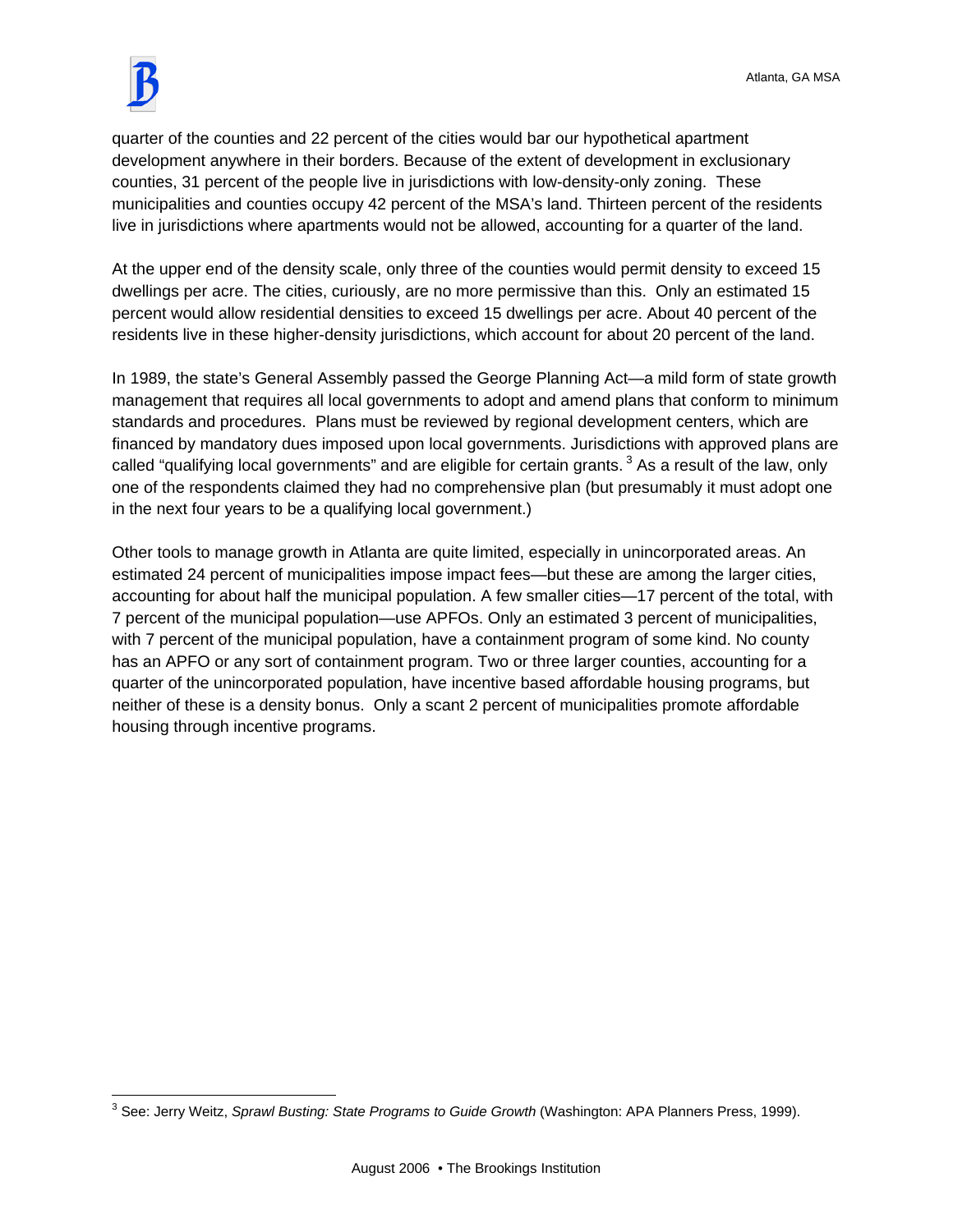

quarter of the counties and 22 percent of the cities would bar our hypothetical apartment development anywhere in their borders. Because of the extent of development in exclusionary counties, 31 percent of the people live in jurisdictions with low-density-only zoning. These municipalities and counties occupy 42 percent of the MSA's land. Thirteen percent of the residents live in jurisdictions where apartments would not be allowed, accounting for a quarter of the land.

At the upper end of the density scale, only three of the counties would permit density to exceed 15 dwellings per acre. The cities, curiously, are no more permissive than this. Only an estimated 15 percent would allow residential densities to exceed 15 dwellings per acre. About 40 percent of the residents live in these higher-density jurisdictions, which account for about 20 percent of the land.

In 1989, the state's General Assembly passed the George Planning Act—a mild form of state growth management that requires all local governments to adopt and amend plans that conform to minimum standards and procedures. Plans must be reviewed by regional development centers, which are financed by mandatory dues imposed upon local governments. Jurisdictions with approved plans are called "qualifying local governments" and are eligible for certain grants.<sup>3</sup> As a result of the law, only one of the respondents claimed they had no comprehensive plan (but presumably it must adopt one in the next four years to be a qualifying local government.)

Other tools to manage growth in Atlanta are quite limited, especially in unincorporated areas. An estimated 24 percent of municipalities impose impact fees—but these are among the larger cities, accounting for about half the municipal population. A few smaller cities—17 percent of the total, with 7 percent of the municipal population—use APFOs. Only an estimated 3 percent of municipalities, with 7 percent of the municipal population, have a containment program of some kind. No county has an APFO or any sort of containment program. Two or three larger counties, accounting for a quarter of the unincorporated population, have incentive based affordable housing programs, but neither of these is a density bonus. Only a scant 2 percent of municipalities promote affordable housing through incentive programs.

 3 See: Jerry Weitz, *Sprawl Busting: State Programs to Guide Growth* (Washington: APA Planners Press, 1999).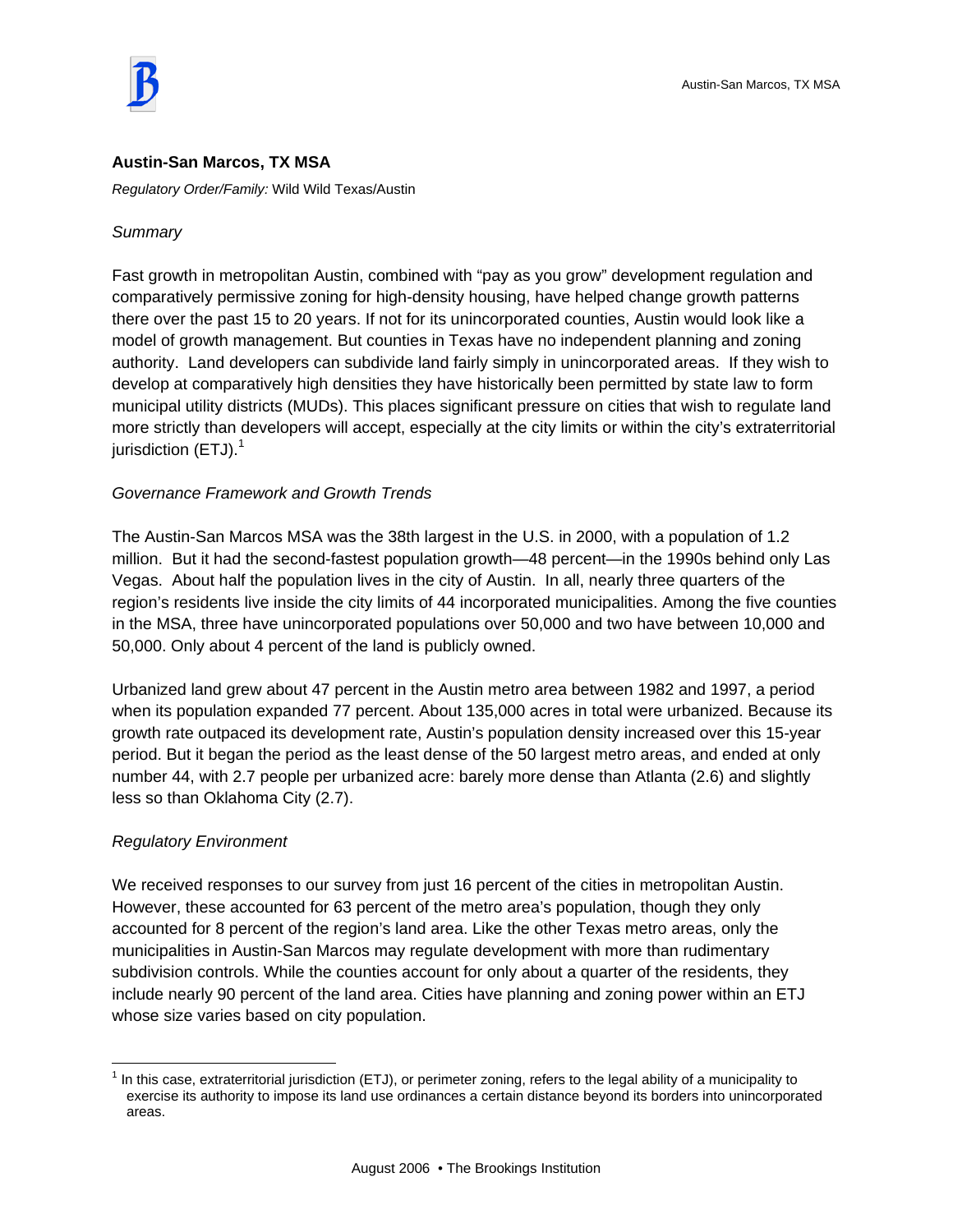

### **Austin-San Marcos, TX MSA**

*Regulatory Order/Family:* Wild Wild Texas/Austin

#### *Summary*

Fast growth in metropolitan Austin, combined with "pay as you grow" development regulation and comparatively permissive zoning for high-density housing, have helped change growth patterns there over the past 15 to 20 years. If not for its unincorporated counties, Austin would look like a model of growth management. But counties in Texas have no independent planning and zoning authority. Land developers can subdivide land fairly simply in unincorporated areas. If they wish to develop at comparatively high densities they have historically been permitted by state law to form municipal utility districts (MUDs). This places significant pressure on cities that wish to regulate land more strictly than developers will accept, especially at the city limits or within the city's extraterritorial jurisdiction  $(ETJ).<sup>1</sup>$ 

#### *Governance Framework and Growth Trends*

The Austin-San Marcos MSA was the 38th largest in the U.S. in 2000, with a population of 1.2 million. But it had the second-fastest population growth—48 percent—in the 1990s behind only Las Vegas. About half the population lives in the city of Austin. In all, nearly three quarters of the region's residents live inside the city limits of 44 incorporated municipalities. Among the five counties in the MSA, three have unincorporated populations over 50,000 and two have between 10,000 and 50,000. Only about 4 percent of the land is publicly owned.

Urbanized land grew about 47 percent in the Austin metro area between 1982 and 1997, a period when its population expanded 77 percent. About 135,000 acres in total were urbanized. Because its growth rate outpaced its development rate, Austin's population density increased over this 15-year period. But it began the period as the least dense of the 50 largest metro areas, and ended at only number 44, with 2.7 people per urbanized acre: barely more dense than Atlanta (2.6) and slightly less so than Oklahoma City (2.7).

#### *Regulatory Environment*

 $\overline{a}$ 

We received responses to our survey from just 16 percent of the cities in metropolitan Austin. However, these accounted for 63 percent of the metro area's population, though they only accounted for 8 percent of the region's land area. Like the other Texas metro areas, only the municipalities in Austin-San Marcos may regulate development with more than rudimentary subdivision controls. While the counties account for only about a quarter of the residents, they include nearly 90 percent of the land area. Cities have planning and zoning power within an ETJ whose size varies based on city population.

 $1$  In this case, extraterritorial jurisdiction (ETJ), or perimeter zoning, refers to the legal ability of a municipality to exercise its authority to impose its land use ordinances a certain distance beyond its borders into unincorporated areas.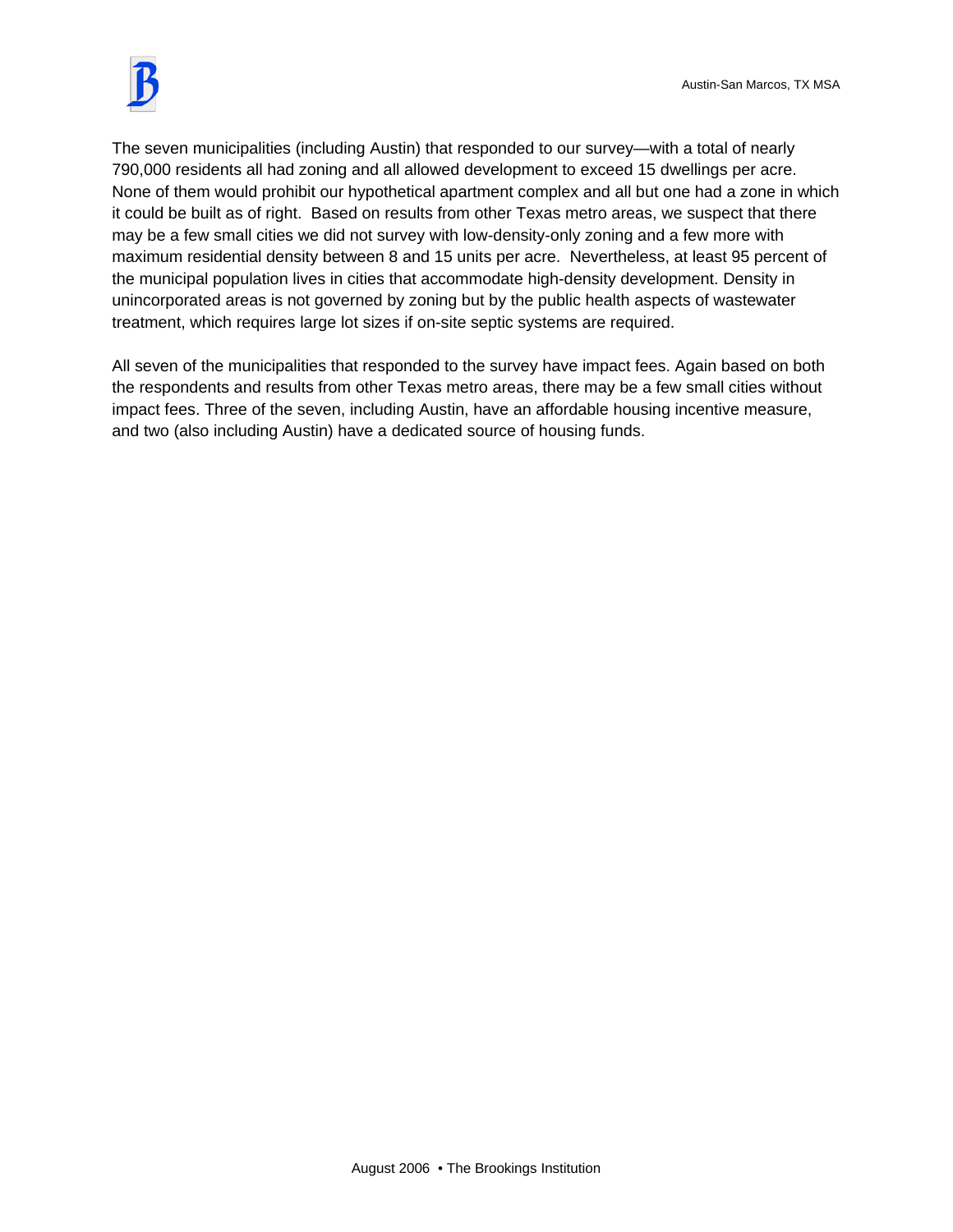

The seven municipalities (including Austin) that responded to our survey—with a total of nearly 790,000 residents all had zoning and all allowed development to exceed 15 dwellings per acre. None of them would prohibit our hypothetical apartment complex and all but one had a zone in which it could be built as of right. Based on results from other Texas metro areas, we suspect that there may be a few small cities we did not survey with low-density-only zoning and a few more with maximum residential density between 8 and 15 units per acre. Nevertheless, at least 95 percent of the municipal population lives in cities that accommodate high-density development. Density in unincorporated areas is not governed by zoning but by the public health aspects of wastewater treatment, which requires large lot sizes if on-site septic systems are required.

All seven of the municipalities that responded to the survey have impact fees. Again based on both the respondents and results from other Texas metro areas, there may be a few small cities without impact fees. Three of the seven, including Austin, have an affordable housing incentive measure, and two (also including Austin) have a dedicated source of housing funds.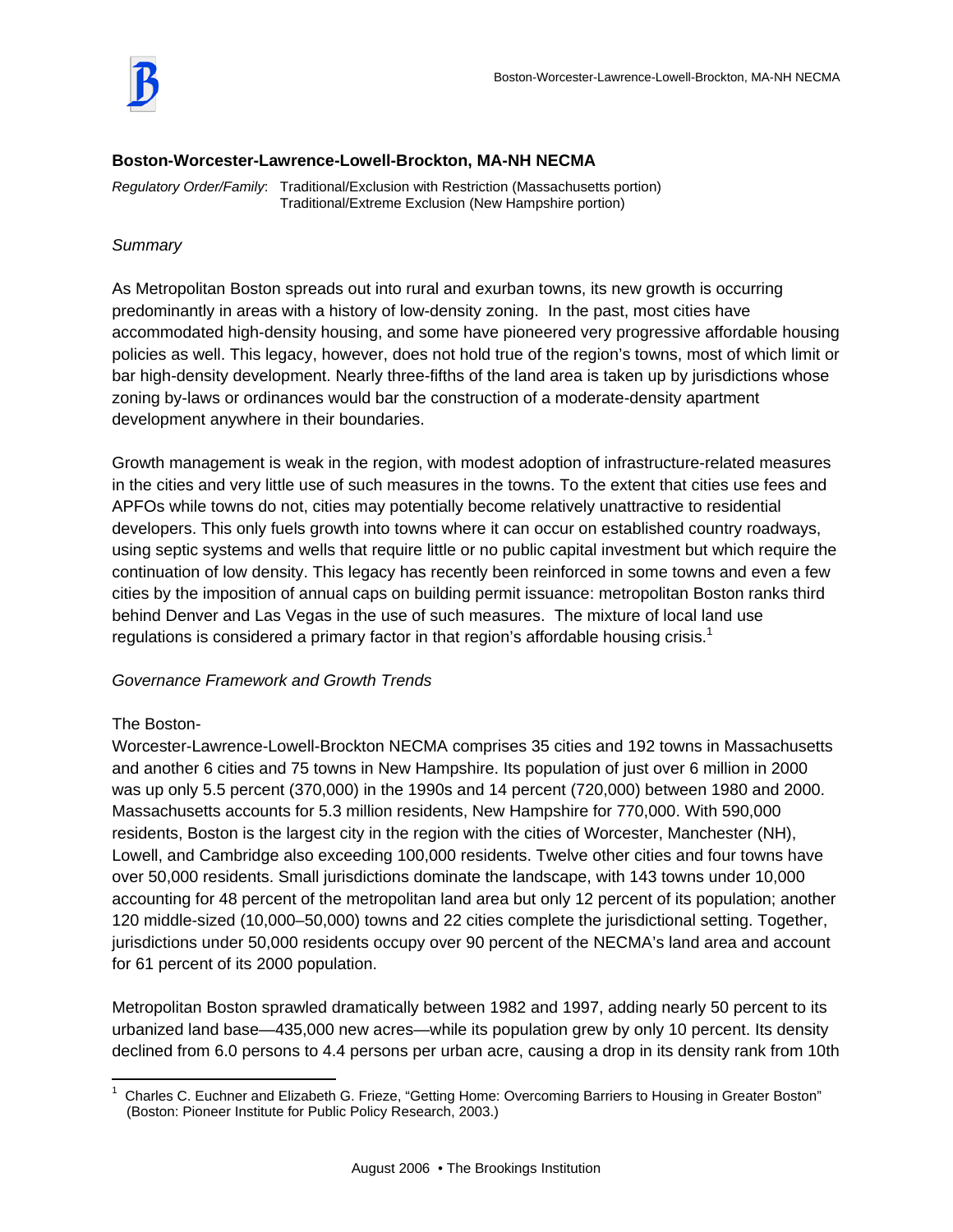

#### **Boston-Worcester-Lawrence-Lowell-Brockton, MA-NH NECMA**

*Regulatory Order/Family*: Traditional/Exclusion with Restriction (Massachusetts portion) Traditional/Extreme Exclusion (New Hampshire portion)

### *Summary*

As Metropolitan Boston spreads out into rural and exurban towns, its new growth is occurring predominantly in areas with a history of low-density zoning. In the past, most cities have accommodated high-density housing, and some have pioneered very progressive affordable housing policies as well. This legacy, however, does not hold true of the region's towns, most of which limit or bar high-density development. Nearly three-fifths of the land area is taken up by jurisdictions whose zoning by-laws or ordinances would bar the construction of a moderate-density apartment development anywhere in their boundaries.

Growth management is weak in the region, with modest adoption of infrastructure-related measures in the cities and very little use of such measures in the towns. To the extent that cities use fees and APFOs while towns do not, cities may potentially become relatively unattractive to residential developers. This only fuels growth into towns where it can occur on established country roadways, using septic systems and wells that require little or no public capital investment but which require the continuation of low density. This legacy has recently been reinforced in some towns and even a few cities by the imposition of annual caps on building permit issuance: metropolitan Boston ranks third behind Denver and Las Vegas in the use of such measures. The mixture of local land use regulations is considered a primary factor in that region's affordable housing crisis.<sup>1</sup>

### *Governance Framework and Growth Trends*

### The Boston-

Worcester-Lawrence-Lowell-Brockton NECMA comprises 35 cities and 192 towns in Massachusetts and another 6 cities and 75 towns in New Hampshire. Its population of just over 6 million in 2000 was up only 5.5 percent (370,000) in the 1990s and 14 percent (720,000) between 1980 and 2000. Massachusetts accounts for 5.3 million residents, New Hampshire for 770,000. With 590,000 residents, Boston is the largest city in the region with the cities of Worcester, Manchester (NH), Lowell, and Cambridge also exceeding 100,000 residents. Twelve other cities and four towns have over 50,000 residents. Small jurisdictions dominate the landscape, with 143 towns under 10,000 accounting for 48 percent of the metropolitan land area but only 12 percent of its population; another 120 middle-sized (10,000–50,000) towns and 22 cities complete the jurisdictional setting. Together, jurisdictions under 50,000 residents occupy over 90 percent of the NECMA's land area and account for 61 percent of its 2000 population.

Metropolitan Boston sprawled dramatically between 1982 and 1997, adding nearly 50 percent to its urbanized land base—435,000 new acres—while its population grew by only 10 percent. Its density declined from 6.0 persons to 4.4 persons per urban acre, causing a drop in its density rank from 10th

 1 Charles C. Euchner and Elizabeth G. Frieze, "Getting Home: Overcoming Barriers to Housing in Greater Boston" (Boston: Pioneer Institute for Public Policy Research, 2003.)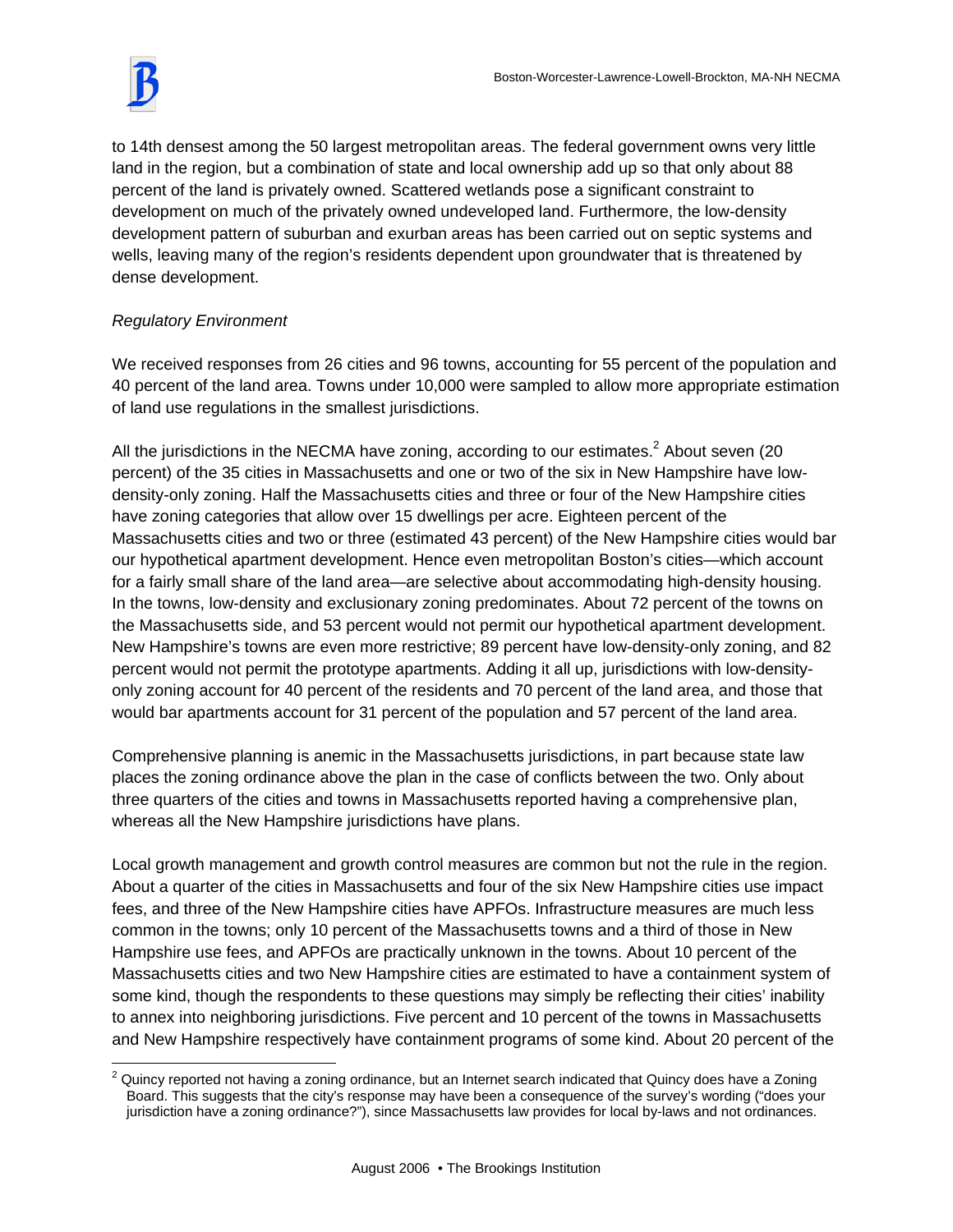to 14th densest among the 50 largest metropolitan areas. The federal government owns very little land in the region, but a combination of state and local ownership add up so that only about 88 percent of the land is privately owned. Scattered wetlands pose a significant constraint to development on much of the privately owned undeveloped land. Furthermore, the low-density development pattern of suburban and exurban areas has been carried out on septic systems and wells, leaving many of the region's residents dependent upon groundwater that is threatened by dense development.

# *Regulatory Environment*

We received responses from 26 cities and 96 towns, accounting for 55 percent of the population and 40 percent of the land area. Towns under 10,000 were sampled to allow more appropriate estimation of land use regulations in the smallest jurisdictions.

All the jurisdictions in the NECMA have zoning, according to our estimates.<sup>2</sup> About seven (20 percent) of the 35 cities in Massachusetts and one or two of the six in New Hampshire have lowdensity-only zoning. Half the Massachusetts cities and three or four of the New Hampshire cities have zoning categories that allow over 15 dwellings per acre. Eighteen percent of the Massachusetts cities and two or three (estimated 43 percent) of the New Hampshire cities would bar our hypothetical apartment development. Hence even metropolitan Boston's cities—which account for a fairly small share of the land area—are selective about accommodating high-density housing. In the towns, low-density and exclusionary zoning predominates. About 72 percent of the towns on the Massachusetts side, and 53 percent would not permit our hypothetical apartment development. New Hampshire's towns are even more restrictive; 89 percent have low-density-only zoning, and 82 percent would not permit the prototype apartments. Adding it all up, jurisdictions with low-densityonly zoning account for 40 percent of the residents and 70 percent of the land area, and those that would bar apartments account for 31 percent of the population and 57 percent of the land area.

Comprehensive planning is anemic in the Massachusetts jurisdictions, in part because state law places the zoning ordinance above the plan in the case of conflicts between the two. Only about three quarters of the cities and towns in Massachusetts reported having a comprehensive plan, whereas all the New Hampshire jurisdictions have plans.

Local growth management and growth control measures are common but not the rule in the region. About a quarter of the cities in Massachusetts and four of the six New Hampshire cities use impact fees, and three of the New Hampshire cities have APFOs. Infrastructure measures are much less common in the towns; only 10 percent of the Massachusetts towns and a third of those in New Hampshire use fees, and APFOs are practically unknown in the towns. About 10 percent of the Massachusetts cities and two New Hampshire cities are estimated to have a containment system of some kind, though the respondents to these questions may simply be reflecting their cities' inability to annex into neighboring jurisdictions. Five percent and 10 percent of the towns in Massachusetts and New Hampshire respectively have containment programs of some kind. About 20 percent of the

 $\overline{a}$  $^2$  Quincy reported not having a zoning ordinance, but an Internet search indicated that Quincy does have a Zoning Board. This suggests that the city's response may have been a consequence of the survey's wording ("does your jurisdiction have a zoning ordinance?"), since Massachusetts law provides for local by-laws and not ordinances.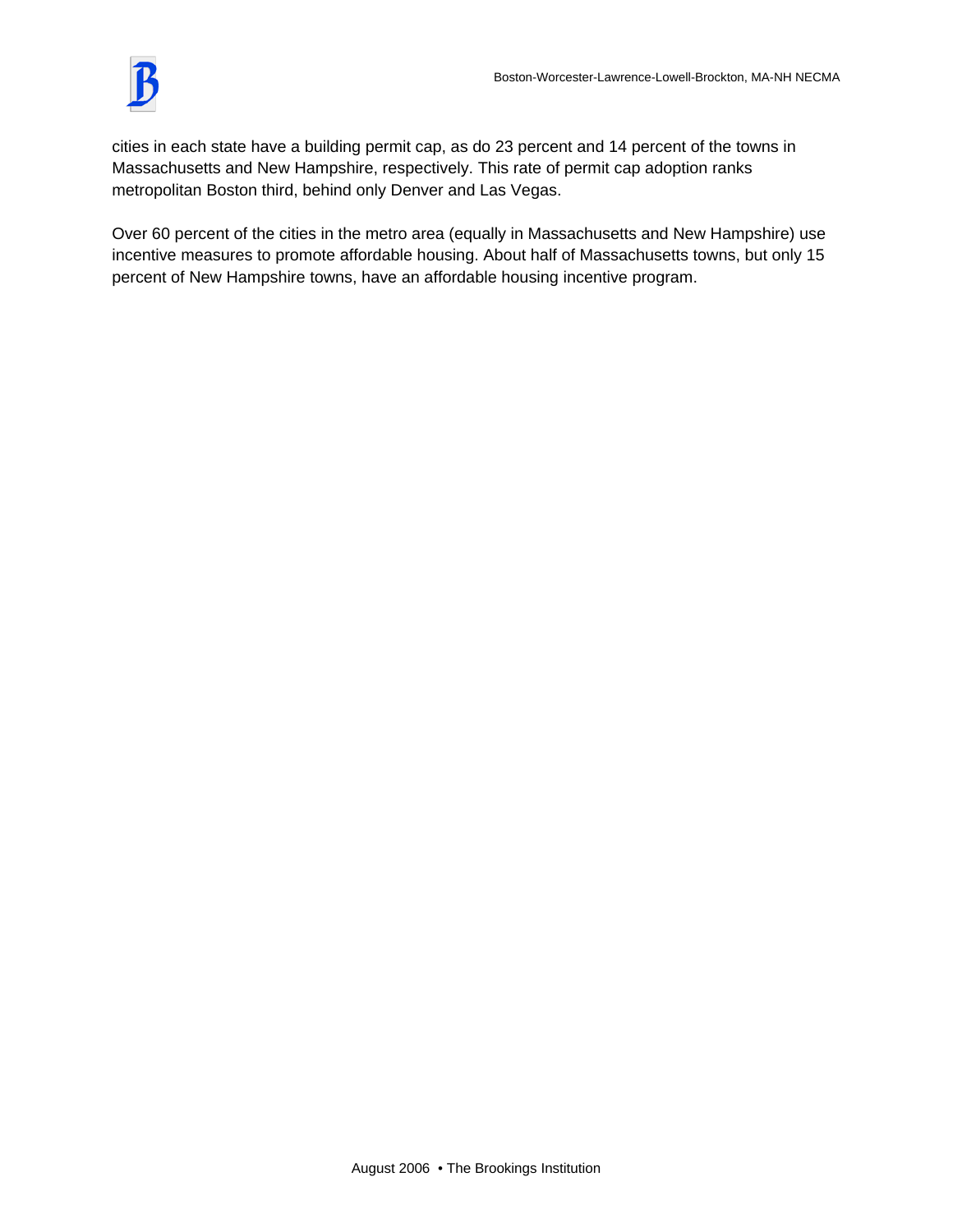

cities in each state have a building permit cap, as do 23 percent and 14 percent of the towns in Massachusetts and New Hampshire, respectively. This rate of permit cap adoption ranks metropolitan Boston third, behind only Denver and Las Vegas.

Over 60 percent of the cities in the metro area (equally in Massachusetts and New Hampshire) use incentive measures to promote affordable housing. About half of Massachusetts towns, but only 15 percent of New Hampshire towns, have an affordable housing incentive program.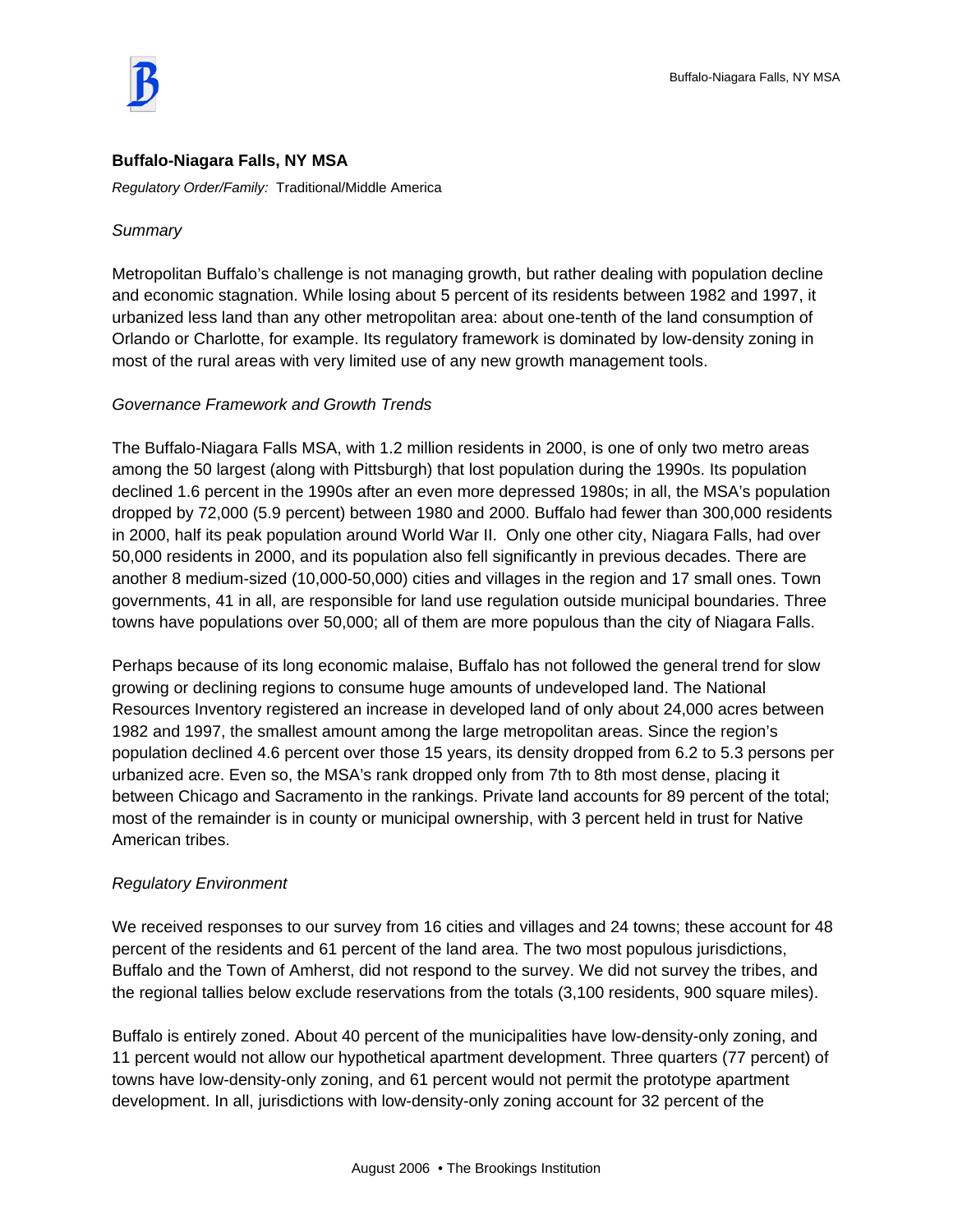

#### **Buffalo-Niagara Falls, NY MSA**

*Regulatory Order/Family:* Traditional/Middle America

#### *Summary*

Metropolitan Buffalo's challenge is not managing growth, but rather dealing with population decline and economic stagnation. While losing about 5 percent of its residents between 1982 and 1997, it urbanized less land than any other metropolitan area: about one-tenth of the land consumption of Orlando or Charlotte, for example. Its regulatory framework is dominated by low-density zoning in most of the rural areas with very limited use of any new growth management tools.

#### *Governance Framework and Growth Trends*

The Buffalo-Niagara Falls MSA, with 1.2 million residents in 2000, is one of only two metro areas among the 50 largest (along with Pittsburgh) that lost population during the 1990s. Its population declined 1.6 percent in the 1990s after an even more depressed 1980s; in all, the MSA's population dropped by 72,000 (5.9 percent) between 1980 and 2000. Buffalo had fewer than 300,000 residents in 2000, half its peak population around World War II. Only one other city, Niagara Falls, had over 50,000 residents in 2000, and its population also fell significantly in previous decades. There are another 8 medium-sized (10,000-50,000) cities and villages in the region and 17 small ones. Town governments, 41 in all, are responsible for land use regulation outside municipal boundaries. Three towns have populations over 50,000; all of them are more populous than the city of Niagara Falls.

Perhaps because of its long economic malaise, Buffalo has not followed the general trend for slow growing or declining regions to consume huge amounts of undeveloped land. The National Resources Inventory registered an increase in developed land of only about 24,000 acres between 1982 and 1997, the smallest amount among the large metropolitan areas. Since the region's population declined 4.6 percent over those 15 years, its density dropped from 6.2 to 5.3 persons per urbanized acre. Even so, the MSA's rank dropped only from 7th to 8th most dense, placing it between Chicago and Sacramento in the rankings. Private land accounts for 89 percent of the total; most of the remainder is in county or municipal ownership, with 3 percent held in trust for Native American tribes.

#### *Regulatory Environment*

We received responses to our survey from 16 cities and villages and 24 towns; these account for 48 percent of the residents and 61 percent of the land area. The two most populous jurisdictions, Buffalo and the Town of Amherst, did not respond to the survey. We did not survey the tribes, and the regional tallies below exclude reservations from the totals (3,100 residents, 900 square miles).

Buffalo is entirely zoned. About 40 percent of the municipalities have low-density-only zoning, and 11 percent would not allow our hypothetical apartment development. Three quarters (77 percent) of towns have low-density-only zoning, and 61 percent would not permit the prototype apartment development. In all, jurisdictions with low-density-only zoning account for 32 percent of the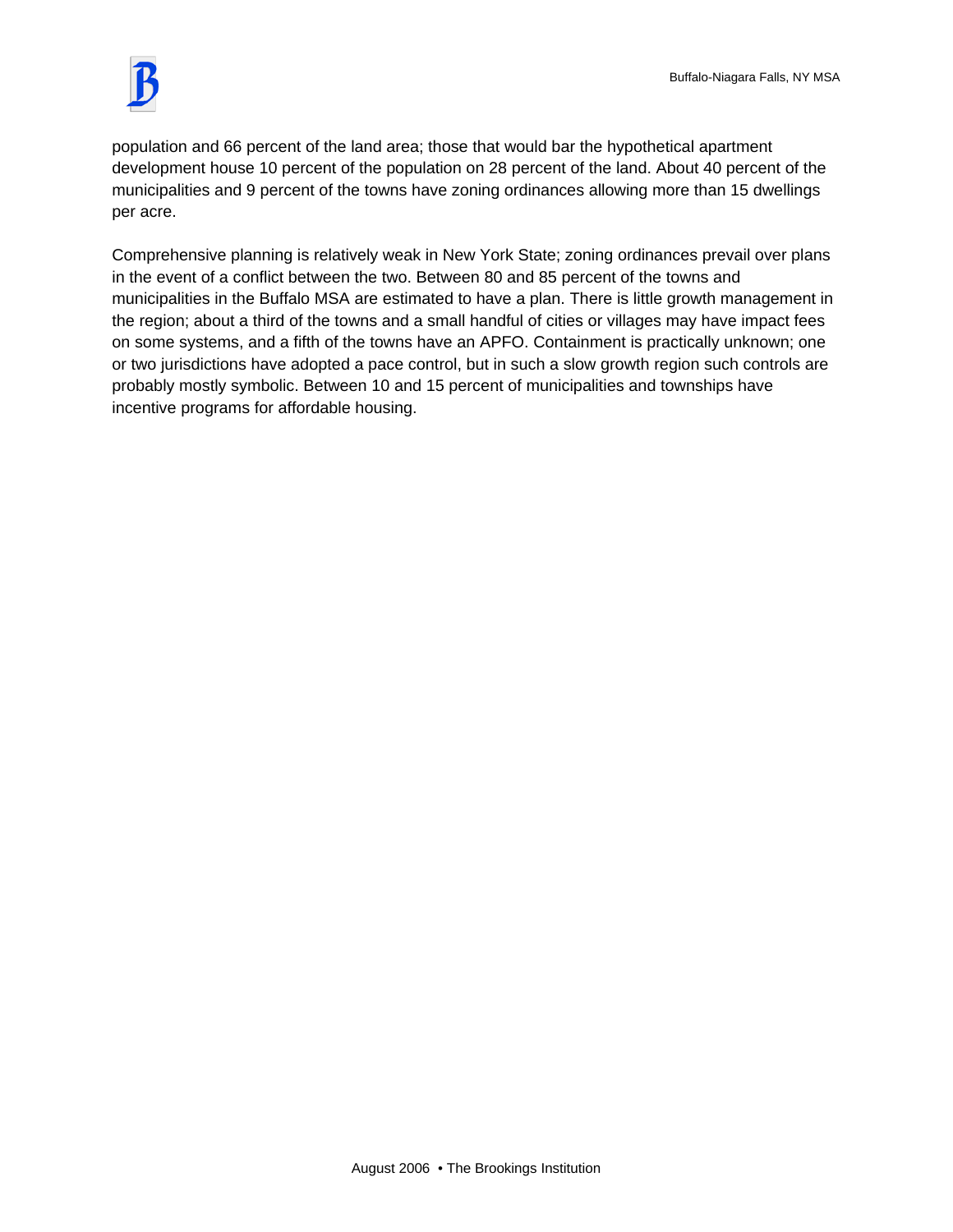

population and 66 percent of the land area; those that would bar the hypothetical apartment development house 10 percent of the population on 28 percent of the land. About 40 percent of the municipalities and 9 percent of the towns have zoning ordinances allowing more than 15 dwellings per acre.

Comprehensive planning is relatively weak in New York State; zoning ordinances prevail over plans in the event of a conflict between the two. Between 80 and 85 percent of the towns and municipalities in the Buffalo MSA are estimated to have a plan. There is little growth management in the region; about a third of the towns and a small handful of cities or villages may have impact fees on some systems, and a fifth of the towns have an APFO. Containment is practically unknown; one or two jurisdictions have adopted a pace control, but in such a slow growth region such controls are probably mostly symbolic. Between 10 and 15 percent of municipalities and townships have incentive programs for affordable housing.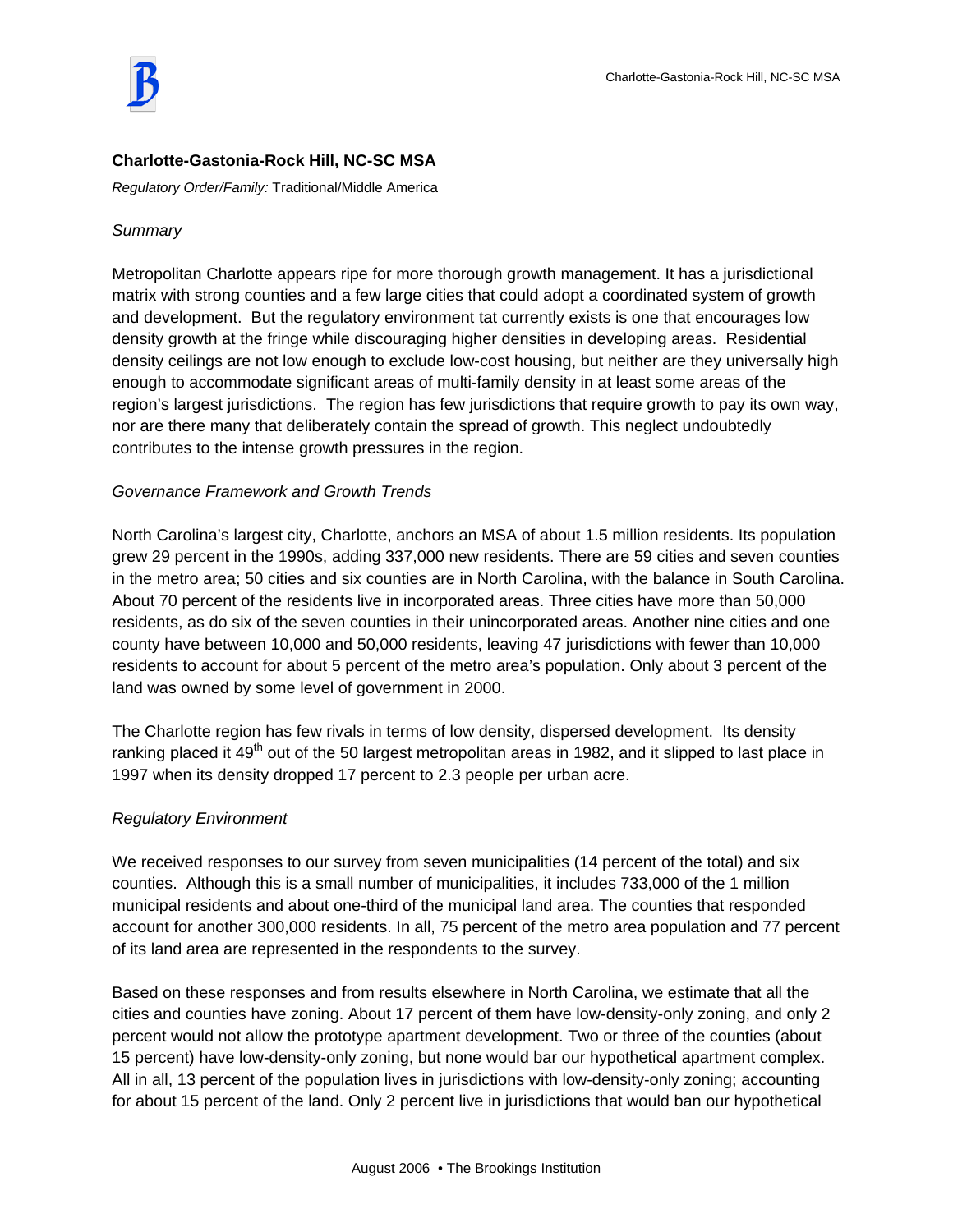## **Charlotte-Gastonia-Rock Hill, NC-SC MSA**

*Regulatory Order/Family:* Traditional/Middle America

### *Summary*

Metropolitan Charlotte appears ripe for more thorough growth management. It has a jurisdictional matrix with strong counties and a few large cities that could adopt a coordinated system of growth and development. But the regulatory environment tat currently exists is one that encourages low density growth at the fringe while discouraging higher densities in developing areas. Residential density ceilings are not low enough to exclude low-cost housing, but neither are they universally high enough to accommodate significant areas of multi-family density in at least some areas of the region's largest jurisdictions. The region has few jurisdictions that require growth to pay its own way, nor are there many that deliberately contain the spread of growth. This neglect undoubtedly contributes to the intense growth pressures in the region.

### *Governance Framework and Growth Trends*

North Carolina's largest city, Charlotte, anchors an MSA of about 1.5 million residents. Its population grew 29 percent in the 1990s, adding 337,000 new residents. There are 59 cities and seven counties in the metro area; 50 cities and six counties are in North Carolina, with the balance in South Carolina. About 70 percent of the residents live in incorporated areas. Three cities have more than 50,000 residents, as do six of the seven counties in their unincorporated areas. Another nine cities and one county have between 10,000 and 50,000 residents, leaving 47 jurisdictions with fewer than 10,000 residents to account for about 5 percent of the metro area's population. Only about 3 percent of the land was owned by some level of government in 2000.

The Charlotte region has few rivals in terms of low density, dispersed development. Its density ranking placed it 49<sup>th</sup> out of the 50 largest metropolitan areas in 1982, and it slipped to last place in 1997 when its density dropped 17 percent to 2.3 people per urban acre.

### *Regulatory Environment*

We received responses to our survey from seven municipalities (14 percent of the total) and six counties. Although this is a small number of municipalities, it includes 733,000 of the 1 million municipal residents and about one-third of the municipal land area. The counties that responded account for another 300,000 residents. In all, 75 percent of the metro area population and 77 percent of its land area are represented in the respondents to the survey.

Based on these responses and from results elsewhere in North Carolina, we estimate that all the cities and counties have zoning. About 17 percent of them have low-density-only zoning, and only 2 percent would not allow the prototype apartment development. Two or three of the counties (about 15 percent) have low-density-only zoning, but none would bar our hypothetical apartment complex. All in all, 13 percent of the population lives in jurisdictions with low-density-only zoning; accounting for about 15 percent of the land. Only 2 percent live in jurisdictions that would ban our hypothetical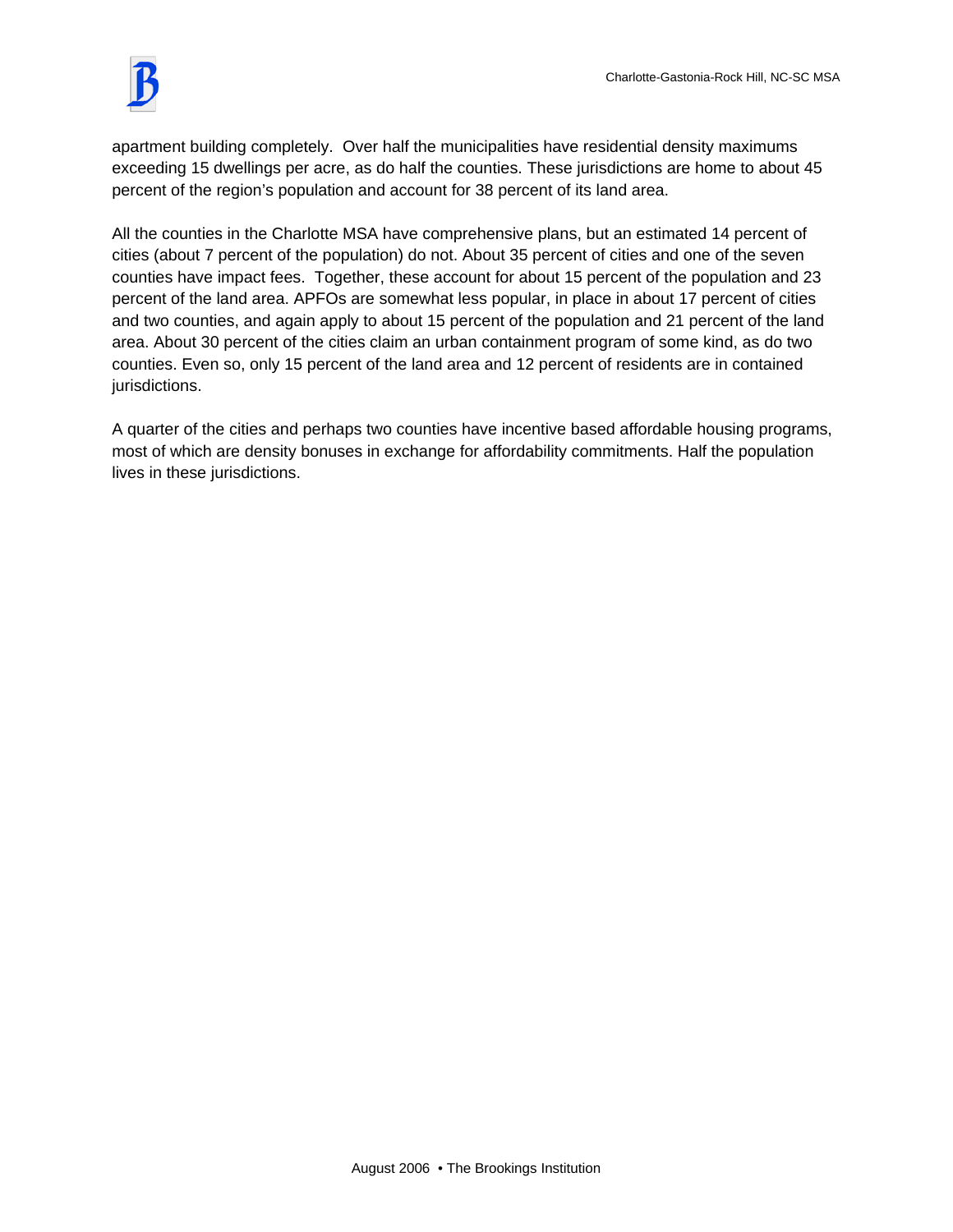

apartment building completely. Over half the municipalities have residential density maximums exceeding 15 dwellings per acre, as do half the counties. These jurisdictions are home to about 45 percent of the region's population and account for 38 percent of its land area.

All the counties in the Charlotte MSA have comprehensive plans, but an estimated 14 percent of cities (about 7 percent of the population) do not. About 35 percent of cities and one of the seven counties have impact fees. Together, these account for about 15 percent of the population and 23 percent of the land area. APFOs are somewhat less popular, in place in about 17 percent of cities and two counties, and again apply to about 15 percent of the population and 21 percent of the land area. About 30 percent of the cities claim an urban containment program of some kind, as do two counties. Even so, only 15 percent of the land area and 12 percent of residents are in contained jurisdictions.

A quarter of the cities and perhaps two counties have incentive based affordable housing programs, most of which are density bonuses in exchange for affordability commitments. Half the population lives in these jurisdictions.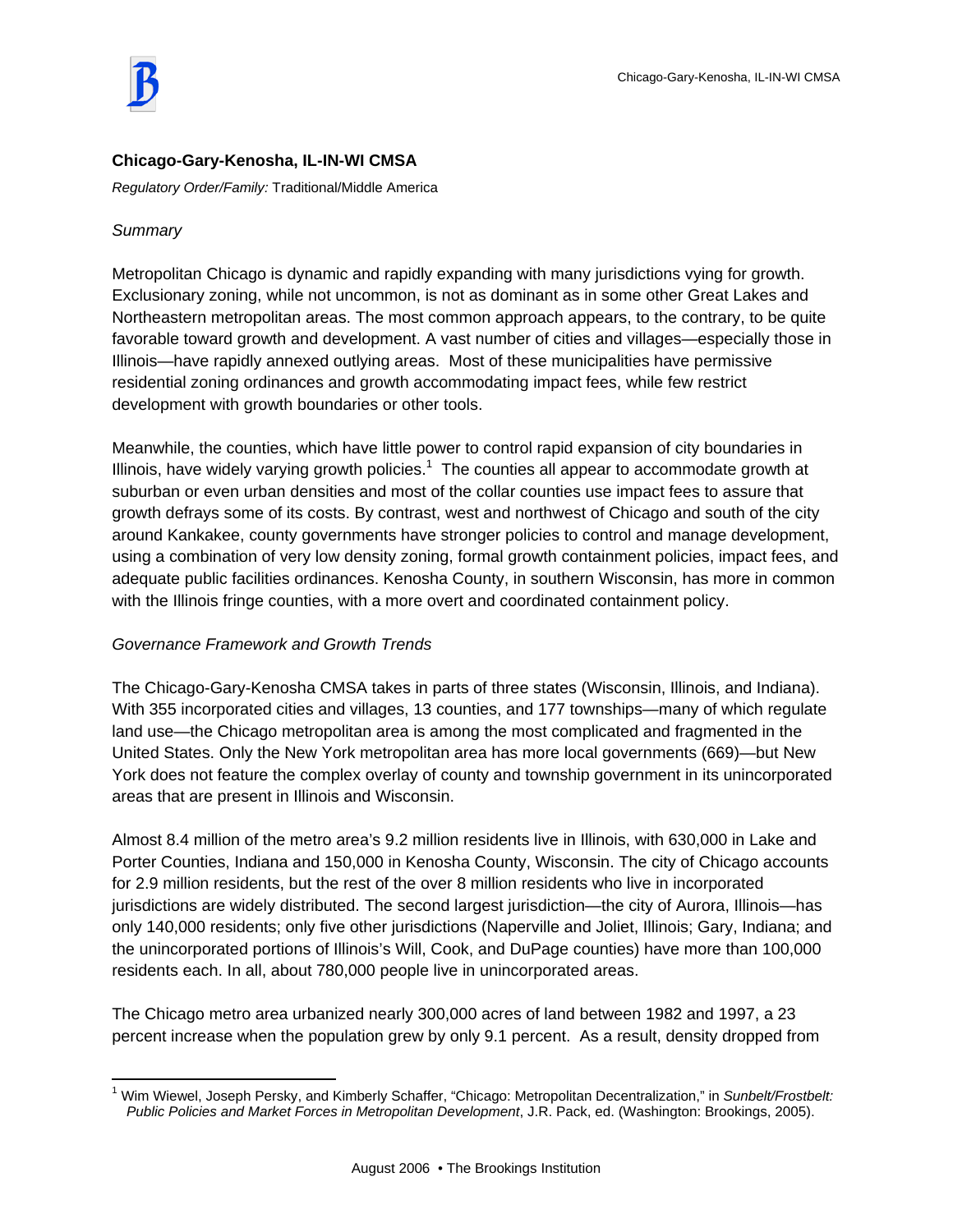## **Chicago-Gary-Kenosha, IL-IN-WI CMSA**

*Regulatory Order/Family:* Traditional/Middle America

#### *Summary*

 $\overline{a}$ 

Metropolitan Chicago is dynamic and rapidly expanding with many jurisdictions vying for growth. Exclusionary zoning, while not uncommon, is not as dominant as in some other Great Lakes and Northeastern metropolitan areas. The most common approach appears, to the contrary, to be quite favorable toward growth and development. A vast number of cities and villages—especially those in Illinois—have rapidly annexed outlying areas. Most of these municipalities have permissive residential zoning ordinances and growth accommodating impact fees, while few restrict development with growth boundaries or other tools.

Meanwhile, the counties, which have little power to control rapid expansion of city boundaries in Illinois, have widely varying growth policies.<sup>1</sup> The counties all appear to accommodate growth at suburban or even urban densities and most of the collar counties use impact fees to assure that growth defrays some of its costs. By contrast, west and northwest of Chicago and south of the city around Kankakee, county governments have stronger policies to control and manage development, using a combination of very low density zoning, formal growth containment policies, impact fees, and adequate public facilities ordinances. Kenosha County, in southern Wisconsin, has more in common with the Illinois fringe counties, with a more overt and coordinated containment policy.

### *Governance Framework and Growth Trends*

The Chicago-Gary-Kenosha CMSA takes in parts of three states (Wisconsin, Illinois, and Indiana). With 355 incorporated cities and villages, 13 counties, and 177 townships—many of which regulate land use—the Chicago metropolitan area is among the most complicated and fragmented in the United States. Only the New York metropolitan area has more local governments (669)—but New York does not feature the complex overlay of county and township government in its unincorporated areas that are present in Illinois and Wisconsin.

Almost 8.4 million of the metro area's 9.2 million residents live in Illinois, with 630,000 in Lake and Porter Counties, Indiana and 150,000 in Kenosha County, Wisconsin. The city of Chicago accounts for 2.9 million residents, but the rest of the over 8 million residents who live in incorporated jurisdictions are widely distributed. The second largest jurisdiction—the city of Aurora, Illinois—has only 140,000 residents; only five other jurisdictions (Naperville and Joliet, Illinois; Gary, Indiana; and the unincorporated portions of Illinois's Will, Cook, and DuPage counties) have more than 100,000 residents each. In all, about 780,000 people live in unincorporated areas.

The Chicago metro area urbanized nearly 300,000 acres of land between 1982 and 1997, a 23 percent increase when the population grew by only 9.1 percent. As a result, density dropped from

<sup>1</sup> Wim Wiewel, Joseph Persky, and Kimberly Schaffer, "Chicago: Metropolitan Decentralization," in *Sunbelt/Frostbelt: Public Policies and Market Forces in Metropolitan Development*, J.R. Pack, ed. (Washington: Brookings, 2005).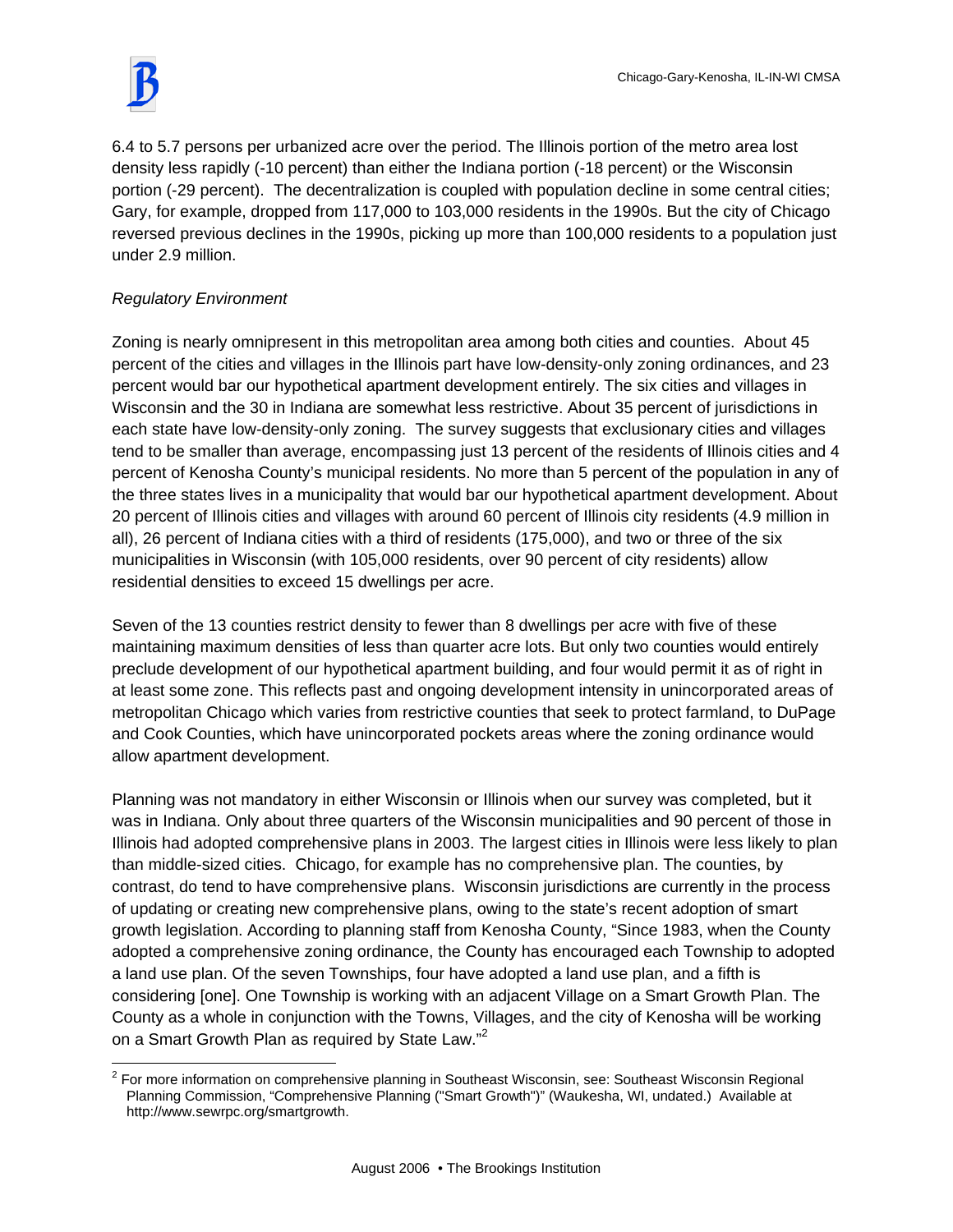6.4 to 5.7 persons per urbanized acre over the period. The Illinois portion of the metro area lost density less rapidly (-10 percent) than either the Indiana portion (-18 percent) or the Wisconsin portion (-29 percent). The decentralization is coupled with population decline in some central cities; Gary, for example, dropped from 117,000 to 103,000 residents in the 1990s. But the city of Chicago reversed previous declines in the 1990s, picking up more than 100,000 residents to a population just under 2.9 million.

# *Regulatory Environment*

Zoning is nearly omnipresent in this metropolitan area among both cities and counties. About 45 percent of the cities and villages in the Illinois part have low-density-only zoning ordinances, and 23 percent would bar our hypothetical apartment development entirely. The six cities and villages in Wisconsin and the 30 in Indiana are somewhat less restrictive. About 35 percent of jurisdictions in each state have low-density-only zoning. The survey suggests that exclusionary cities and villages tend to be smaller than average, encompassing just 13 percent of the residents of Illinois cities and 4 percent of Kenosha County's municipal residents. No more than 5 percent of the population in any of the three states lives in a municipality that would bar our hypothetical apartment development. About 20 percent of Illinois cities and villages with around 60 percent of Illinois city residents (4.9 million in all), 26 percent of Indiana cities with a third of residents (175,000), and two or three of the six municipalities in Wisconsin (with 105,000 residents, over 90 percent of city residents) allow residential densities to exceed 15 dwellings per acre.

Seven of the 13 counties restrict density to fewer than 8 dwellings per acre with five of these maintaining maximum densities of less than quarter acre lots. But only two counties would entirely preclude development of our hypothetical apartment building, and four would permit it as of right in at least some zone. This reflects past and ongoing development intensity in unincorporated areas of metropolitan Chicago which varies from restrictive counties that seek to protect farmland, to DuPage and Cook Counties, which have unincorporated pockets areas where the zoning ordinance would allow apartment development.

Planning was not mandatory in either Wisconsin or Illinois when our survey was completed, but it was in Indiana. Only about three quarters of the Wisconsin municipalities and 90 percent of those in Illinois had adopted comprehensive plans in 2003. The largest cities in Illinois were less likely to plan than middle-sized cities. Chicago, for example has no comprehensive plan. The counties, by contrast, do tend to have comprehensive plans. Wisconsin jurisdictions are currently in the process of updating or creating new comprehensive plans, owing to the state's recent adoption of smart growth legislation. According to planning staff from Kenosha County, "Since 1983, when the County adopted a comprehensive zoning ordinance, the County has encouraged each Township to adopted a land use plan. Of the seven Townships, four have adopted a land use plan, and a fifth is considering [one]. One Township is working with an adjacent Village on a Smart Growth Plan. The County as a whole in conjunction with the Towns, Villages, and the city of Kenosha will be working on a Smart Growth Plan as required by State Law."<sup>2</sup>

 $\overline{a}$  $2$  For more information on comprehensive planning in Southeast Wisconsin, see: Southeast Wisconsin Regional Planning Commission, "Comprehensive Planning ("Smart Growth")" (Waukesha, WI, undated.) Available at http://www.sewrpc.org/smartgrowth.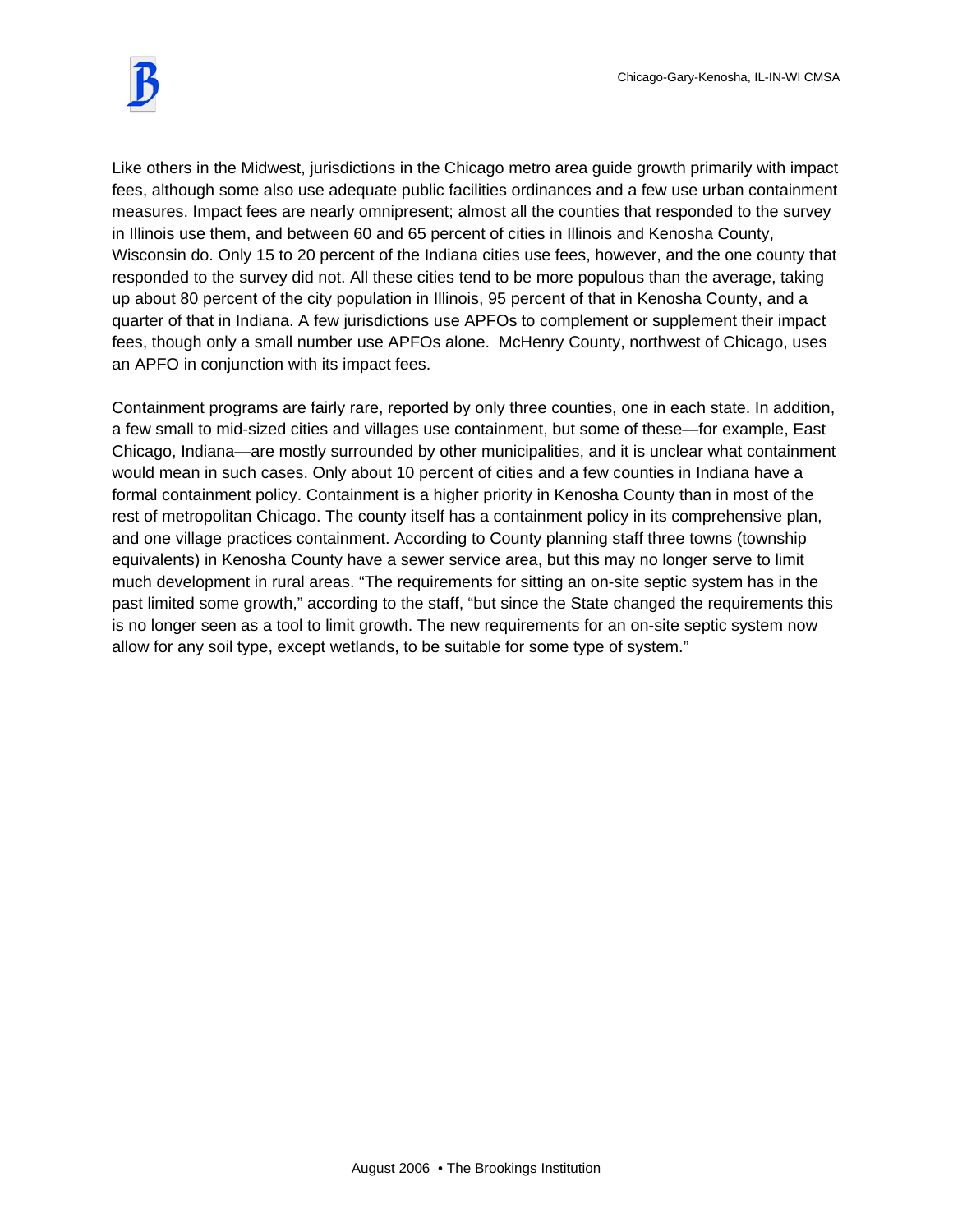

Like others in the Midwest, jurisdictions in the Chicago metro area guide growth primarily with impact fees, although some also use adequate public facilities ordinances and a few use urban containment measures. Impact fees are nearly omnipresent; almost all the counties that responded to the survey in Illinois use them, and between 60 and 65 percent of cities in Illinois and Kenosha County, Wisconsin do. Only 15 to 20 percent of the Indiana cities use fees, however, and the one county that responded to the survey did not. All these cities tend to be more populous than the average, taking up about 80 percent of the city population in Illinois, 95 percent of that in Kenosha County, and a quarter of that in Indiana. A few jurisdictions use APFOs to complement or supplement their impact fees, though only a small number use APFOs alone. McHenry County, northwest of Chicago, uses an APFO in conjunction with its impact fees.

Containment programs are fairly rare, reported by only three counties, one in each state. In addition, a few small to mid-sized cities and villages use containment, but some of these—for example, East Chicago, Indiana—are mostly surrounded by other municipalities, and it is unclear what containment would mean in such cases. Only about 10 percent of cities and a few counties in Indiana have a formal containment policy. Containment is a higher priority in Kenosha County than in most of the rest of metropolitan Chicago. The county itself has a containment policy in its comprehensive plan, and one village practices containment. According to County planning staff three towns (township equivalents) in Kenosha County have a sewer service area, but this may no longer serve to limit much development in rural areas. "The requirements for sitting an on-site septic system has in the past limited some growth," according to the staff, "but since the State changed the requirements this is no longer seen as a tool to limit growth. The new requirements for an on-site septic system now allow for any soil type, except wetlands, to be suitable for some type of system."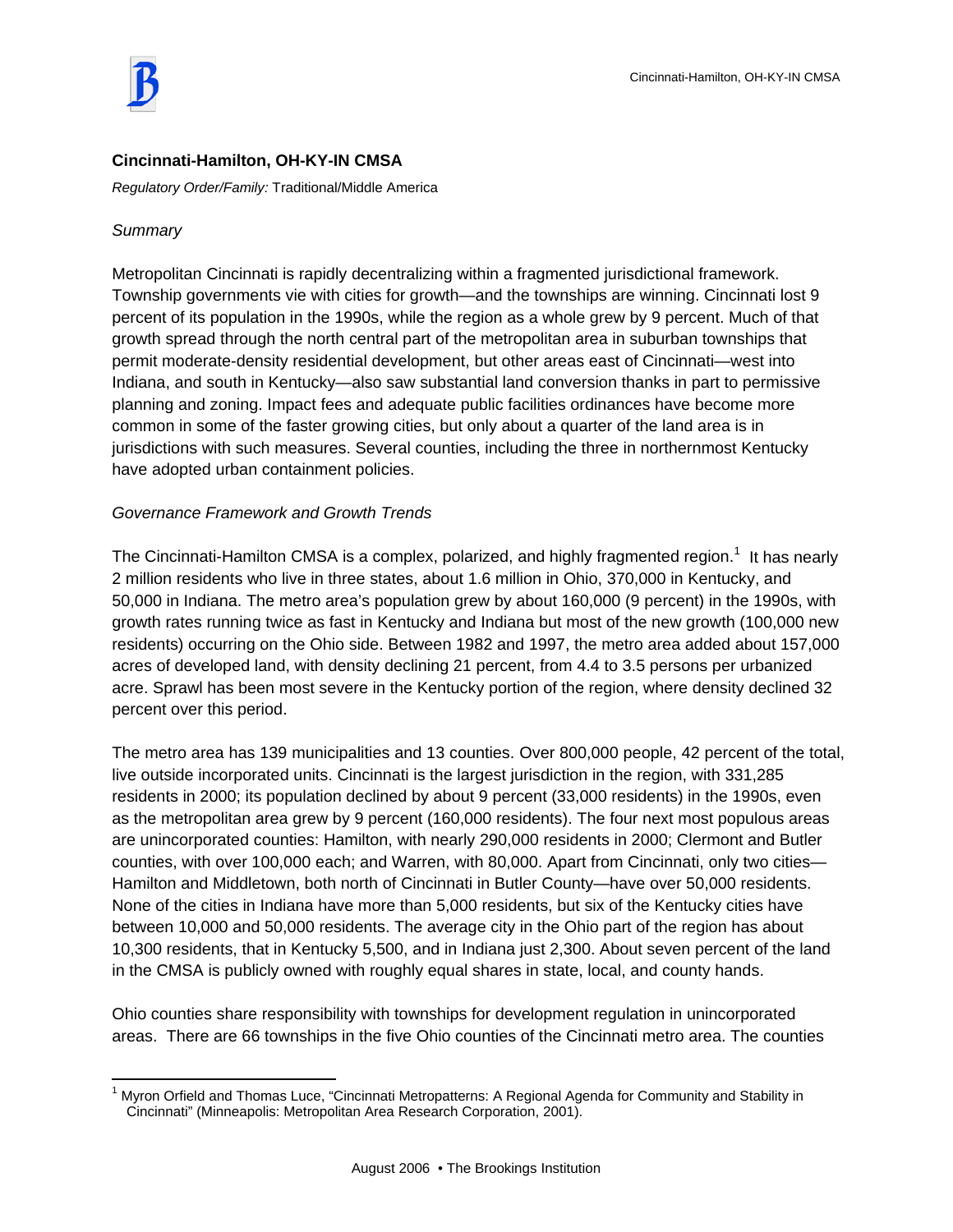

## **Cincinnati-Hamilton, OH-KY-IN CMSA**

*Regulatory Order/Family:* Traditional/Middle America

### *Summary*

 $\overline{a}$ 

Metropolitan Cincinnati is rapidly decentralizing within a fragmented jurisdictional framework. Township governments vie with cities for growth—and the townships are winning. Cincinnati lost 9 percent of its population in the 1990s, while the region as a whole grew by 9 percent. Much of that growth spread through the north central part of the metropolitan area in suburban townships that permit moderate-density residential development, but other areas east of Cincinnati—west into Indiana, and south in Kentucky—also saw substantial land conversion thanks in part to permissive planning and zoning. Impact fees and adequate public facilities ordinances have become more common in some of the faster growing cities, but only about a quarter of the land area is in jurisdictions with such measures. Several counties, including the three in northernmost Kentucky have adopted urban containment policies.

### *Governance Framework and Growth Trends*

The Cincinnati-Hamilton CMSA is a complex, polarized, and highly fragmented region.<sup>1</sup> It has nearly 2 million residents who live in three states, about 1.6 million in Ohio, 370,000 in Kentucky, and 50,000 in Indiana. The metro area's population grew by about 160,000 (9 percent) in the 1990s, with growth rates running twice as fast in Kentucky and Indiana but most of the new growth (100,000 new residents) occurring on the Ohio side. Between 1982 and 1997, the metro area added about 157,000 acres of developed land, with density declining 21 percent, from 4.4 to 3.5 persons per urbanized acre. Sprawl has been most severe in the Kentucky portion of the region, where density declined 32 percent over this period.

The metro area has 139 municipalities and 13 counties. Over 800,000 people, 42 percent of the total, live outside incorporated units. Cincinnati is the largest jurisdiction in the region, with 331,285 residents in 2000; its population declined by about 9 percent (33,000 residents) in the 1990s, even as the metropolitan area grew by 9 percent (160,000 residents). The four next most populous areas are unincorporated counties: Hamilton, with nearly 290,000 residents in 2000; Clermont and Butler counties, with over 100,000 each; and Warren, with 80,000. Apart from Cincinnati, only two cities— Hamilton and Middletown, both north of Cincinnati in Butler County—have over 50,000 residents. None of the cities in Indiana have more than 5,000 residents, but six of the Kentucky cities have between 10,000 and 50,000 residents. The average city in the Ohio part of the region has about 10,300 residents, that in Kentucky 5,500, and in Indiana just 2,300. About seven percent of the land in the CMSA is publicly owned with roughly equal shares in state, local, and county hands.

Ohio counties share responsibility with townships for development regulation in unincorporated areas. There are 66 townships in the five Ohio counties of the Cincinnati metro area. The counties

<sup>&</sup>lt;sup>1</sup> Myron Orfield and Thomas Luce, "Cincinnati Metropatterns: A Regional Agenda for Community and Stability in Cincinnati" (Minneapolis: Metropolitan Area Research Corporation, 2001).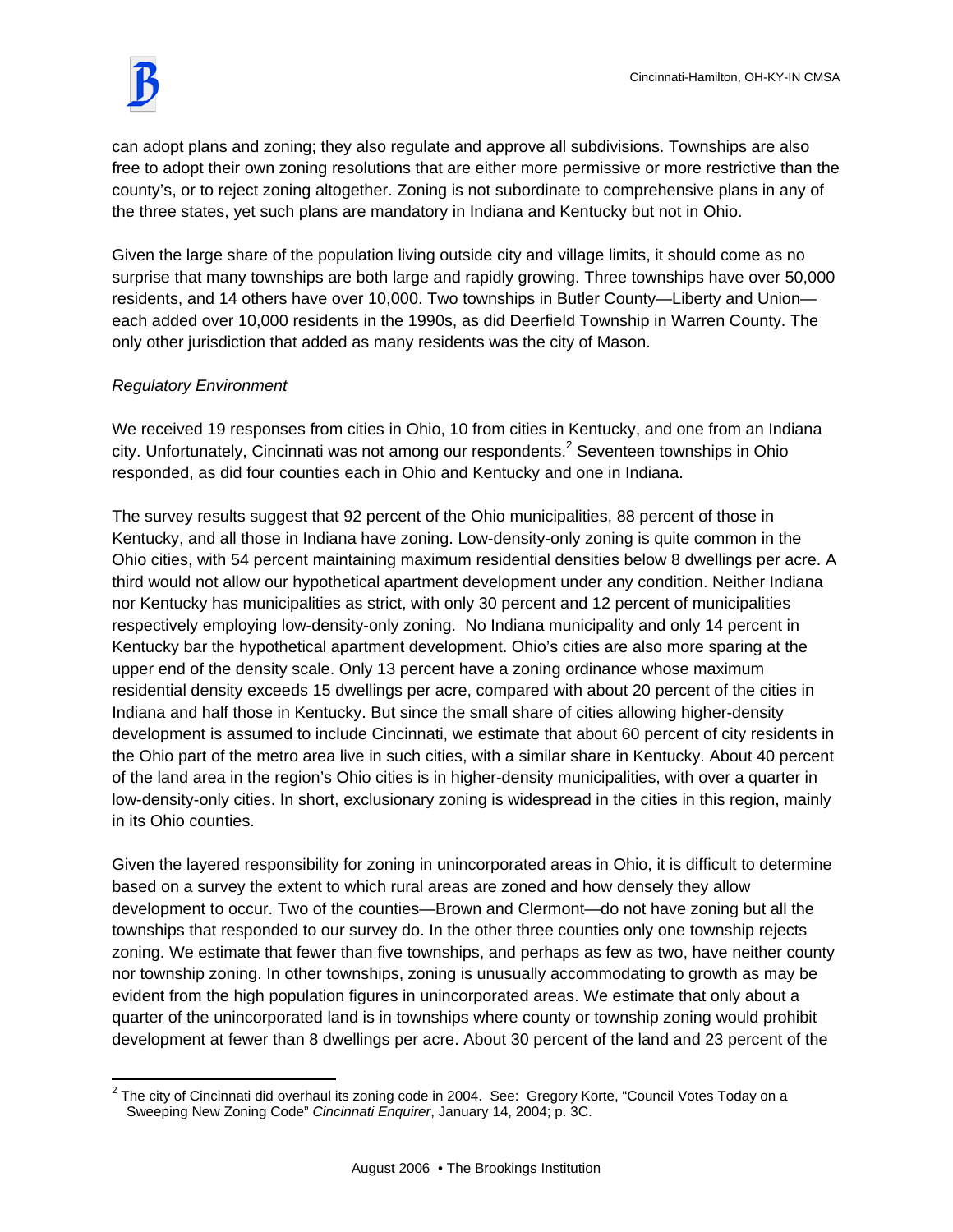

can adopt plans and zoning; they also regulate and approve all subdivisions. Townships are also free to adopt their own zoning resolutions that are either more permissive or more restrictive than the county's, or to reject zoning altogether. Zoning is not subordinate to comprehensive plans in any of the three states, yet such plans are mandatory in Indiana and Kentucky but not in Ohio.

Given the large share of the population living outside city and village limits, it should come as no surprise that many townships are both large and rapidly growing. Three townships have over 50,000 residents, and 14 others have over 10,000. Two townships in Butler County—Liberty and Union each added over 10,000 residents in the 1990s, as did Deerfield Township in Warren County. The only other jurisdiction that added as many residents was the city of Mason.

### *Regulatory Environment*

We received 19 responses from cities in Ohio, 10 from cities in Kentucky, and one from an Indiana city. Unfortunately, Cincinnati was not among our respondents. $^2$  Seventeen townships in Ohio responded, as did four counties each in Ohio and Kentucky and one in Indiana.

The survey results suggest that 92 percent of the Ohio municipalities, 88 percent of those in Kentucky, and all those in Indiana have zoning. Low-density-only zoning is quite common in the Ohio cities, with 54 percent maintaining maximum residential densities below 8 dwellings per acre. A third would not allow our hypothetical apartment development under any condition. Neither Indiana nor Kentucky has municipalities as strict, with only 30 percent and 12 percent of municipalities respectively employing low-density-only zoning. No Indiana municipality and only 14 percent in Kentucky bar the hypothetical apartment development. Ohio's cities are also more sparing at the upper end of the density scale. Only 13 percent have a zoning ordinance whose maximum residential density exceeds 15 dwellings per acre, compared with about 20 percent of the cities in Indiana and half those in Kentucky. But since the small share of cities allowing higher-density development is assumed to include Cincinnati, we estimate that about 60 percent of city residents in the Ohio part of the metro area live in such cities, with a similar share in Kentucky. About 40 percent of the land area in the region's Ohio cities is in higher-density municipalities, with over a quarter in low-density-only cities. In short, exclusionary zoning is widespread in the cities in this region, mainly in its Ohio counties.

Given the layered responsibility for zoning in unincorporated areas in Ohio, it is difficult to determine based on a survey the extent to which rural areas are zoned and how densely they allow development to occur. Two of the counties—Brown and Clermont—do not have zoning but all the townships that responded to our survey do. In the other three counties only one township rejects zoning. We estimate that fewer than five townships, and perhaps as few as two, have neither county nor township zoning. In other townships, zoning is unusually accommodating to growth as may be evident from the high population figures in unincorporated areas. We estimate that only about a quarter of the unincorporated land is in townships where county or township zoning would prohibit development at fewer than 8 dwellings per acre. About 30 percent of the land and 23 percent of the

 2 The city of Cincinnati did overhaul its zoning code in 2004. See: Gregory Korte, "Council Votes Today on a Sweeping New Zoning Code" *Cincinnati Enquirer*, January 14, 2004; p. 3C.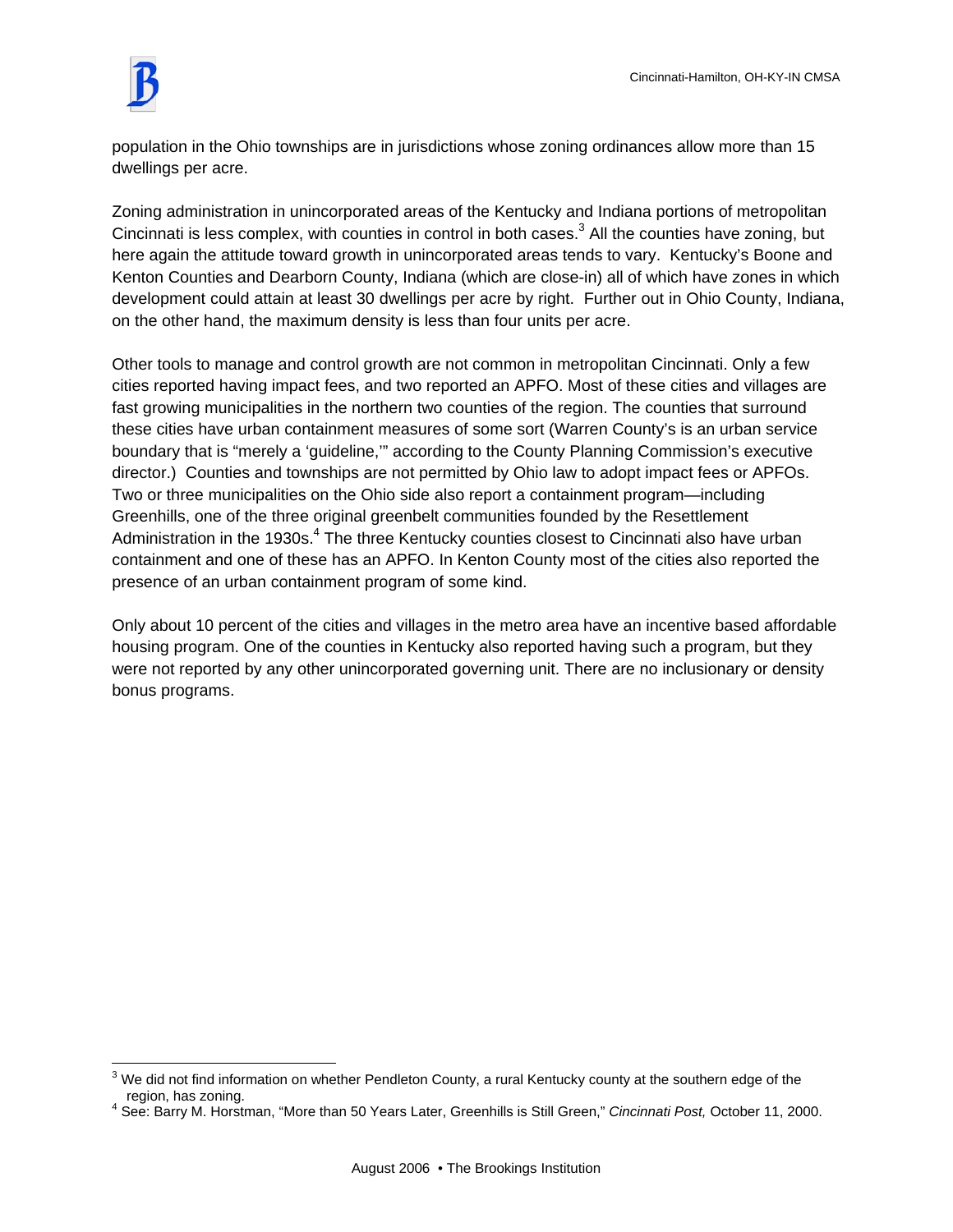$\overline{a}$ 

population in the Ohio townships are in jurisdictions whose zoning ordinances allow more than 15 dwellings per acre.

Zoning administration in unincorporated areas of the Kentucky and Indiana portions of metropolitan Cincinnati is less complex, with counties in control in both cases. $^3$  All the counties have zoning, but here again the attitude toward growth in unincorporated areas tends to vary. Kentucky's Boone and Kenton Counties and Dearborn County, Indiana (which are close-in) all of which have zones in which development could attain at least 30 dwellings per acre by right. Further out in Ohio County, Indiana, on the other hand, the maximum density is less than four units per acre.

Other tools to manage and control growth are not common in metropolitan Cincinnati. Only a few cities reported having impact fees, and two reported an APFO. Most of these cities and villages are fast growing municipalities in the northern two counties of the region. The counties that surround these cities have urban containment measures of some sort (Warren County's is an urban service boundary that is "merely a 'guideline,'" according to the County Planning Commission's executive director.) Counties and townships are not permitted by Ohio law to adopt impact fees or APFOs. Two or three municipalities on the Ohio side also report a containment program—including Greenhills, one of the three original greenbelt communities founded by the Resettlement Administration in the 1930s.<sup>4</sup> The three Kentucky counties closest to Cincinnati also have urban containment and one of these has an APFO. In Kenton County most of the cities also reported the presence of an urban containment program of some kind.

Only about 10 percent of the cities and villages in the metro area have an incentive based affordable housing program. One of the counties in Kentucky also reported having such a program, but they were not reported by any other unincorporated governing unit. There are no inclusionary or density bonus programs.

 $3$  We did not find information on whether Pendleton County, a rural Kentucky county at the southern edge of the region, has zoning. 4

See: Barry M. Horstman, "More than 50 Years Later, Greenhills is Still Green," *Cincinnati Post,* October 11, 2000.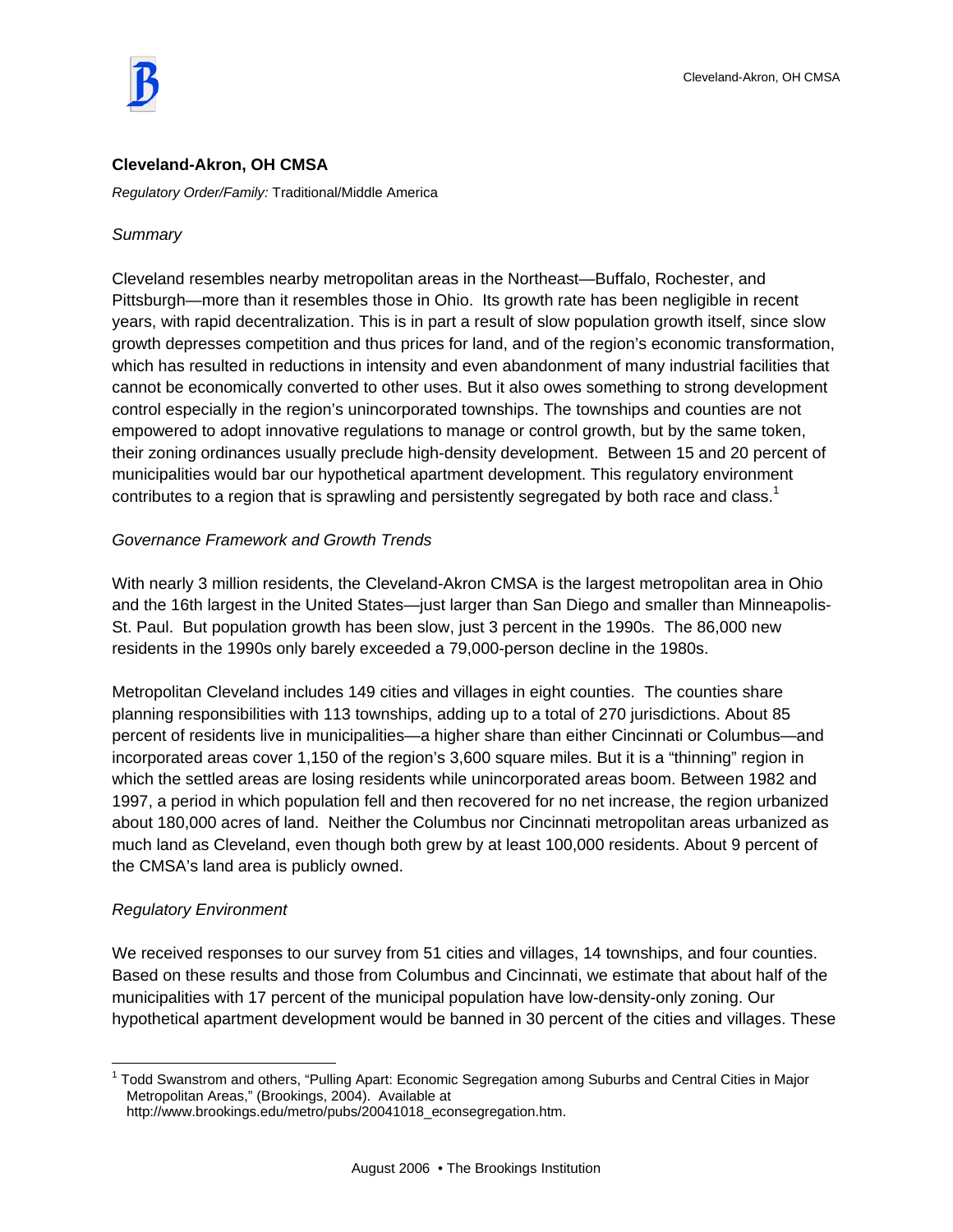

#### **Cleveland-Akron, OH CMSA**

*Regulatory Order/Family:* Traditional/Middle America

#### *Summary*

Cleveland resembles nearby metropolitan areas in the Northeast—Buffalo, Rochester, and Pittsburgh—more than it resembles those in Ohio. Its growth rate has been negligible in recent years, with rapid decentralization. This is in part a result of slow population growth itself, since slow growth depresses competition and thus prices for land, and of the region's economic transformation, which has resulted in reductions in intensity and even abandonment of many industrial facilities that cannot be economically converted to other uses. But it also owes something to strong development control especially in the region's unincorporated townships. The townships and counties are not empowered to adopt innovative regulations to manage or control growth, but by the same token, their zoning ordinances usually preclude high-density development. Between 15 and 20 percent of municipalities would bar our hypothetical apartment development. This regulatory environment contributes to a region that is sprawling and persistently segregated by both race and class.<sup>1</sup>

#### *Governance Framework and Growth Trends*

With nearly 3 million residents, the Cleveland-Akron CMSA is the largest metropolitan area in Ohio and the 16th largest in the United States—just larger than San Diego and smaller than Minneapolis-St. Paul. But population growth has been slow, just 3 percent in the 1990s. The 86,000 new residents in the 1990s only barely exceeded a 79,000-person decline in the 1980s.

Metropolitan Cleveland includes 149 cities and villages in eight counties. The counties share planning responsibilities with 113 townships, adding up to a total of 270 jurisdictions. About 85 percent of residents live in municipalities—a higher share than either Cincinnati or Columbus—and incorporated areas cover 1,150 of the region's 3,600 square miles. But it is a "thinning" region in which the settled areas are losing residents while unincorporated areas boom. Between 1982 and 1997, a period in which population fell and then recovered for no net increase, the region urbanized about 180,000 acres of land. Neither the Columbus nor Cincinnati metropolitan areas urbanized as much land as Cleveland, even though both grew by at least 100,000 residents. About 9 percent of the CMSA's land area is publicly owned.

#### *Regulatory Environment*

 $\overline{a}$ 

We received responses to our survey from 51 cities and villages, 14 townships, and four counties. Based on these results and those from Columbus and Cincinnati, we estimate that about half of the municipalities with 17 percent of the municipal population have low-density-only zoning. Our hypothetical apartment development would be banned in 30 percent of the cities and villages. These

<sup>&</sup>lt;sup>1</sup> Todd Swanstrom and others, "Pulling Apart: Economic Segregation among Suburbs and Central Cities in Major Metropolitan Areas," (Brookings, 2004). Available at http://www.brookings.edu/metro/pubs/20041018\_econsegregation.htm.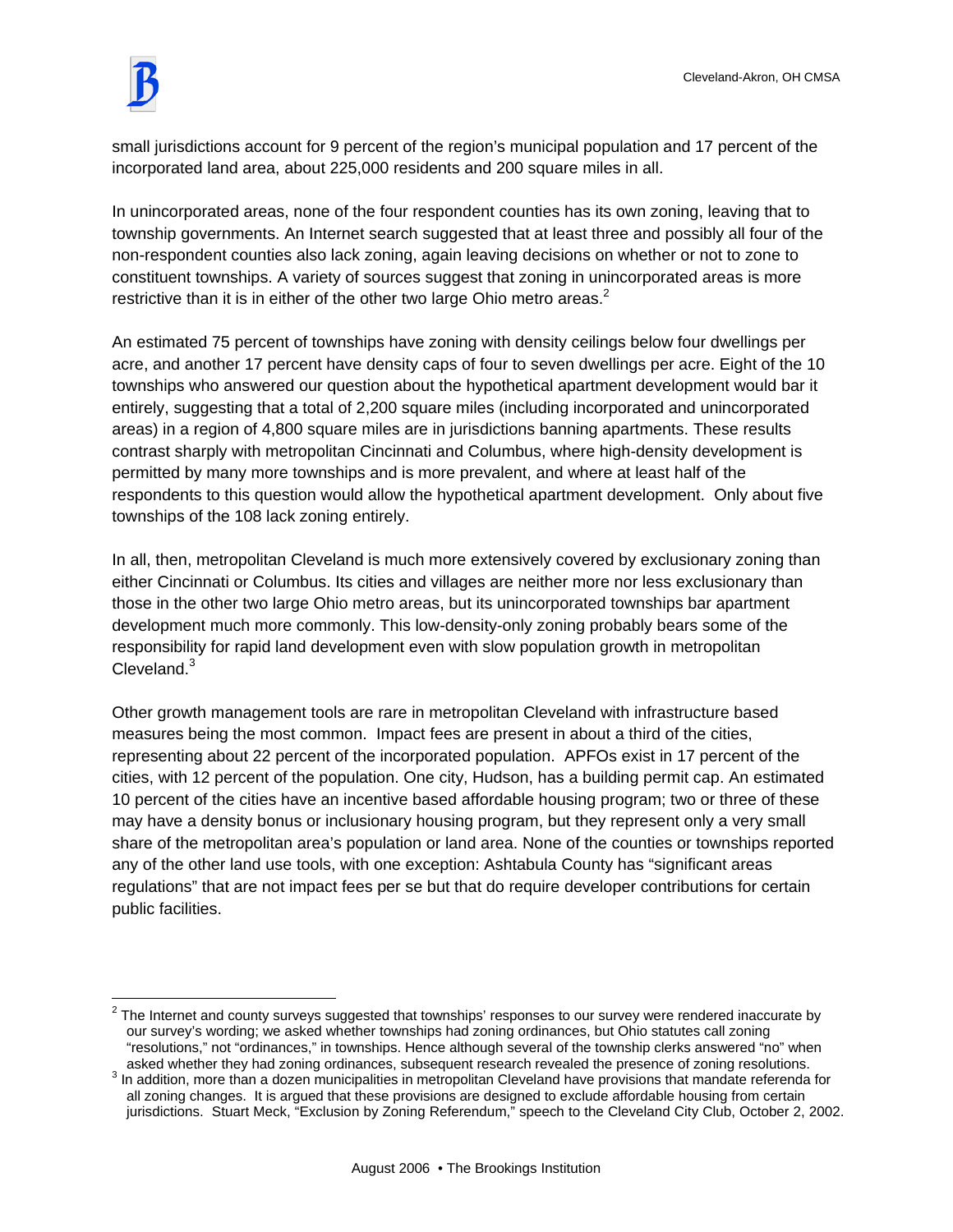

 $\overline{a}$ 

small jurisdictions account for 9 percent of the region's municipal population and 17 percent of the incorporated land area, about 225,000 residents and 200 square miles in all.

In unincorporated areas, none of the four respondent counties has its own zoning, leaving that to township governments. An Internet search suggested that at least three and possibly all four of the non-respondent counties also lack zoning, again leaving decisions on whether or not to zone to constituent townships. A variety of sources suggest that zoning in unincorporated areas is more restrictive than it is in either of the other two large Ohio metro areas.<sup>2</sup>

An estimated 75 percent of townships have zoning with density ceilings below four dwellings per acre, and another 17 percent have density caps of four to seven dwellings per acre. Eight of the 10 townships who answered our question about the hypothetical apartment development would bar it entirely, suggesting that a total of 2,200 square miles (including incorporated and unincorporated areas) in a region of 4,800 square miles are in jurisdictions banning apartments. These results contrast sharply with metropolitan Cincinnati and Columbus, where high-density development is permitted by many more townships and is more prevalent, and where at least half of the respondents to this question would allow the hypothetical apartment development. Only about five townships of the 108 lack zoning entirely.

In all, then, metropolitan Cleveland is much more extensively covered by exclusionary zoning than either Cincinnati or Columbus. Its cities and villages are neither more nor less exclusionary than those in the other two large Ohio metro areas, but its unincorporated townships bar apartment development much more commonly. This low-density-only zoning probably bears some of the responsibility for rapid land development even with slow population growth in metropolitan  $C$ leveland. $3$ 

Other growth management tools are rare in metropolitan Cleveland with infrastructure based measures being the most common. Impact fees are present in about a third of the cities, representing about 22 percent of the incorporated population. APFOs exist in 17 percent of the cities, with 12 percent of the population. One city, Hudson, has a building permit cap. An estimated 10 percent of the cities have an incentive based affordable housing program; two or three of these may have a density bonus or inclusionary housing program, but they represent only a very small share of the metropolitan area's population or land area. None of the counties or townships reported any of the other land use tools, with one exception: Ashtabula County has "significant areas regulations" that are not impact fees per se but that do require developer contributions for certain public facilities.

 $2$  The Internet and county surveys suggested that townships' responses to our survey were rendered inaccurate by our survey's wording; we asked whether townships had zoning ordinances, but Ohio statutes call zoning "resolutions," not "ordinances," in townships. Hence although several of the township clerks answered "no" when asked whether they had zoning ordinances, subsequent research revealed the presence of zoning resolutions.

 $3$  In addition, more than a dozen municipalities in metropolitan Cleveland have provisions that mandate referenda for all zoning changes. It is argued that these provisions are designed to exclude affordable housing from certain jurisdictions. Stuart Meck, "Exclusion by Zoning Referendum," speech to the Cleveland City Club, October 2, 2002.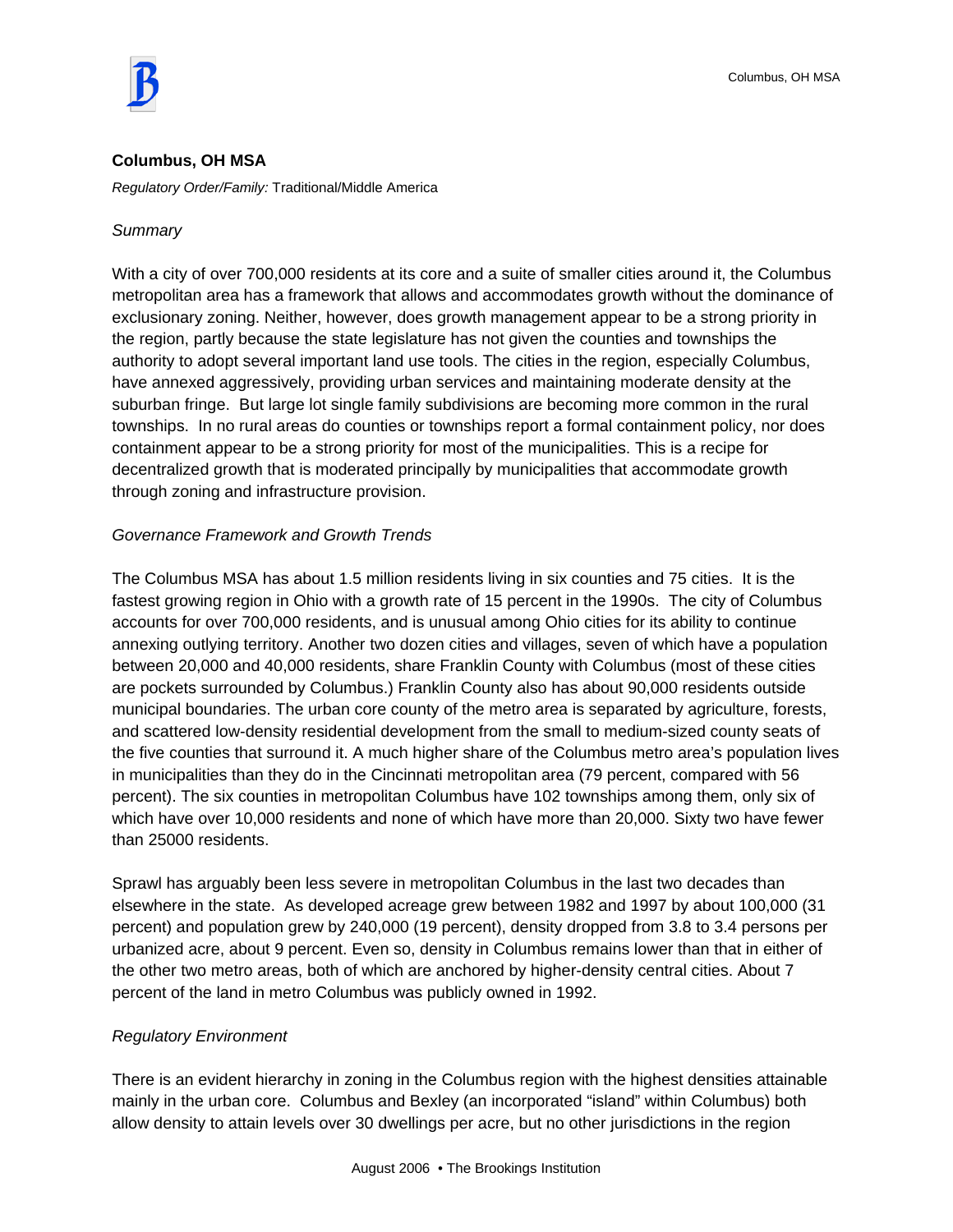

#### **Columbus, OH MSA**

*Regulatory Order/Family:* Traditional/Middle America

#### *Summary*

With a city of over 700,000 residents at its core and a suite of smaller cities around it, the Columbus metropolitan area has a framework that allows and accommodates growth without the dominance of exclusionary zoning. Neither, however, does growth management appear to be a strong priority in the region, partly because the state legislature has not given the counties and townships the authority to adopt several important land use tools. The cities in the region, especially Columbus, have annexed aggressively, providing urban services and maintaining moderate density at the suburban fringe. But large lot single family subdivisions are becoming more common in the rural townships. In no rural areas do counties or townships report a formal containment policy, nor does containment appear to be a strong priority for most of the municipalities. This is a recipe for decentralized growth that is moderated principally by municipalities that accommodate growth through zoning and infrastructure provision.

### *Governance Framework and Growth Trends*

The Columbus MSA has about 1.5 million residents living in six counties and 75 cities. It is the fastest growing region in Ohio with a growth rate of 15 percent in the 1990s. The city of Columbus accounts for over 700,000 residents, and is unusual among Ohio cities for its ability to continue annexing outlying territory. Another two dozen cities and villages, seven of which have a population between 20,000 and 40,000 residents, share Franklin County with Columbus (most of these cities are pockets surrounded by Columbus.) Franklin County also has about 90,000 residents outside municipal boundaries. The urban core county of the metro area is separated by agriculture, forests, and scattered low-density residential development from the small to medium-sized county seats of the five counties that surround it. A much higher share of the Columbus metro area's population lives in municipalities than they do in the Cincinnati metropolitan area (79 percent, compared with 56 percent). The six counties in metropolitan Columbus have 102 townships among them, only six of which have over 10,000 residents and none of which have more than 20,000. Sixty two have fewer than 25000 residents.

Sprawl has arguably been less severe in metropolitan Columbus in the last two decades than elsewhere in the state. As developed acreage grew between 1982 and 1997 by about 100,000 (31 percent) and population grew by 240,000 (19 percent), density dropped from 3.8 to 3.4 persons per urbanized acre, about 9 percent. Even so, density in Columbus remains lower than that in either of the other two metro areas, both of which are anchored by higher-density central cities. About 7 percent of the land in metro Columbus was publicly owned in 1992.

#### *Regulatory Environment*

There is an evident hierarchy in zoning in the Columbus region with the highest densities attainable mainly in the urban core. Columbus and Bexley (an incorporated "island" within Columbus) both allow density to attain levels over 30 dwellings per acre, but no other jurisdictions in the region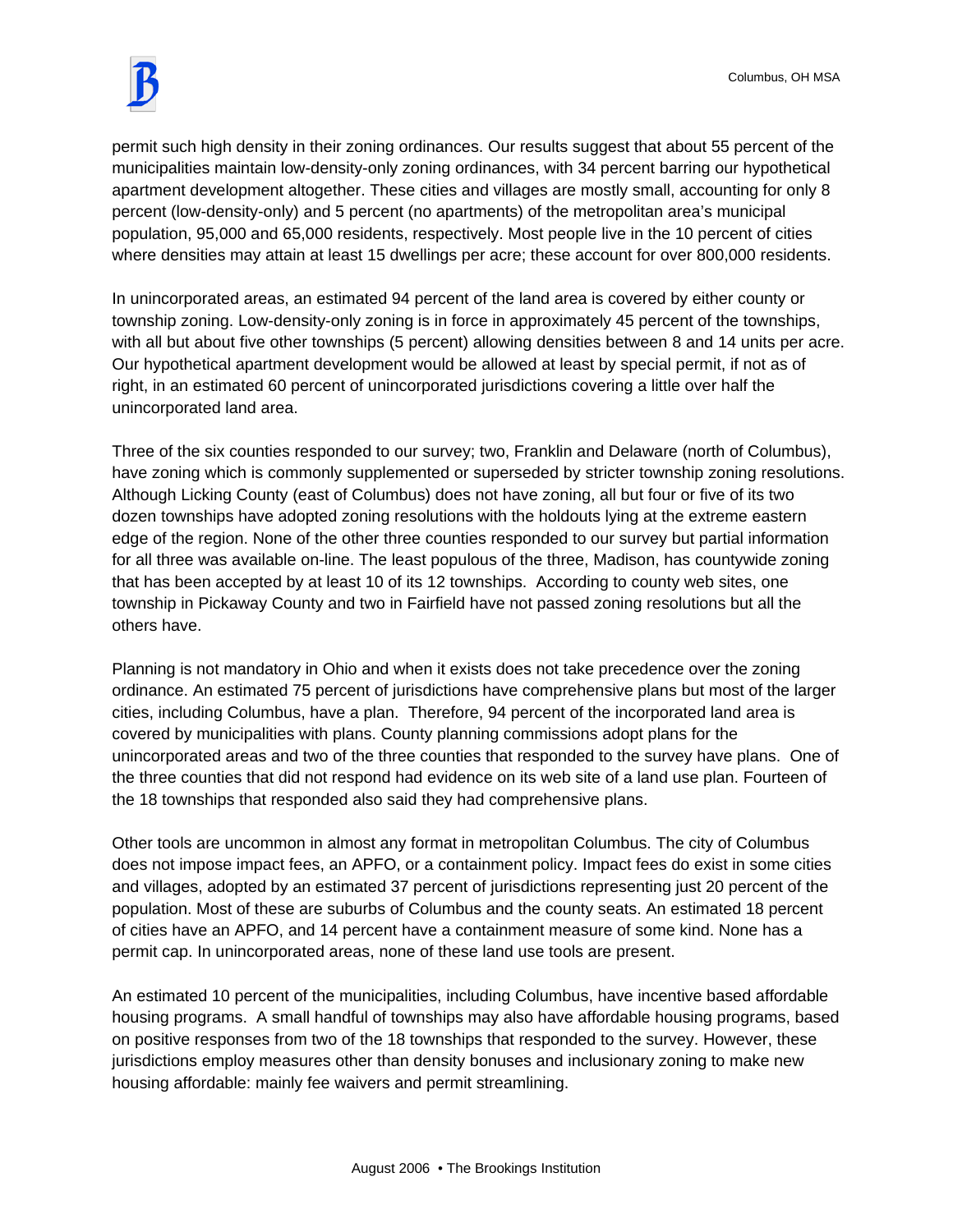

permit such high density in their zoning ordinances. Our results suggest that about 55 percent of the municipalities maintain low-density-only zoning ordinances, with 34 percent barring our hypothetical apartment development altogether. These cities and villages are mostly small, accounting for only 8 percent (low-density-only) and 5 percent (no apartments) of the metropolitan area's municipal population, 95,000 and 65,000 residents, respectively. Most people live in the 10 percent of cities where densities may attain at least 15 dwellings per acre; these account for over 800,000 residents.

In unincorporated areas, an estimated 94 percent of the land area is covered by either county or township zoning. Low-density-only zoning is in force in approximately 45 percent of the townships, with all but about five other townships (5 percent) allowing densities between 8 and 14 units per acre. Our hypothetical apartment development would be allowed at least by special permit, if not as of right, in an estimated 60 percent of unincorporated jurisdictions covering a little over half the unincorporated land area.

Three of the six counties responded to our survey; two, Franklin and Delaware (north of Columbus), have zoning which is commonly supplemented or superseded by stricter township zoning resolutions. Although Licking County (east of Columbus) does not have zoning, all but four or five of its two dozen townships have adopted zoning resolutions with the holdouts lying at the extreme eastern edge of the region. None of the other three counties responded to our survey but partial information for all three was available on-line. The least populous of the three, Madison, has countywide zoning that has been accepted by at least 10 of its 12 townships. According to county web sites, one township in Pickaway County and two in Fairfield have not passed zoning resolutions but all the others have.

Planning is not mandatory in Ohio and when it exists does not take precedence over the zoning ordinance. An estimated 75 percent of jurisdictions have comprehensive plans but most of the larger cities, including Columbus, have a plan. Therefore, 94 percent of the incorporated land area is covered by municipalities with plans. County planning commissions adopt plans for the unincorporated areas and two of the three counties that responded to the survey have plans. One of the three counties that did not respond had evidence on its web site of a land use plan. Fourteen of the 18 townships that responded also said they had comprehensive plans.

Other tools are uncommon in almost any format in metropolitan Columbus. The city of Columbus does not impose impact fees, an APFO, or a containment policy. Impact fees do exist in some cities and villages, adopted by an estimated 37 percent of jurisdictions representing just 20 percent of the population. Most of these are suburbs of Columbus and the county seats. An estimated 18 percent of cities have an APFO, and 14 percent have a containment measure of some kind. None has a permit cap. In unincorporated areas, none of these land use tools are present.

An estimated 10 percent of the municipalities, including Columbus, have incentive based affordable housing programs. A small handful of townships may also have affordable housing programs, based on positive responses from two of the 18 townships that responded to the survey. However, these jurisdictions employ measures other than density bonuses and inclusionary zoning to make new housing affordable: mainly fee waivers and permit streamlining.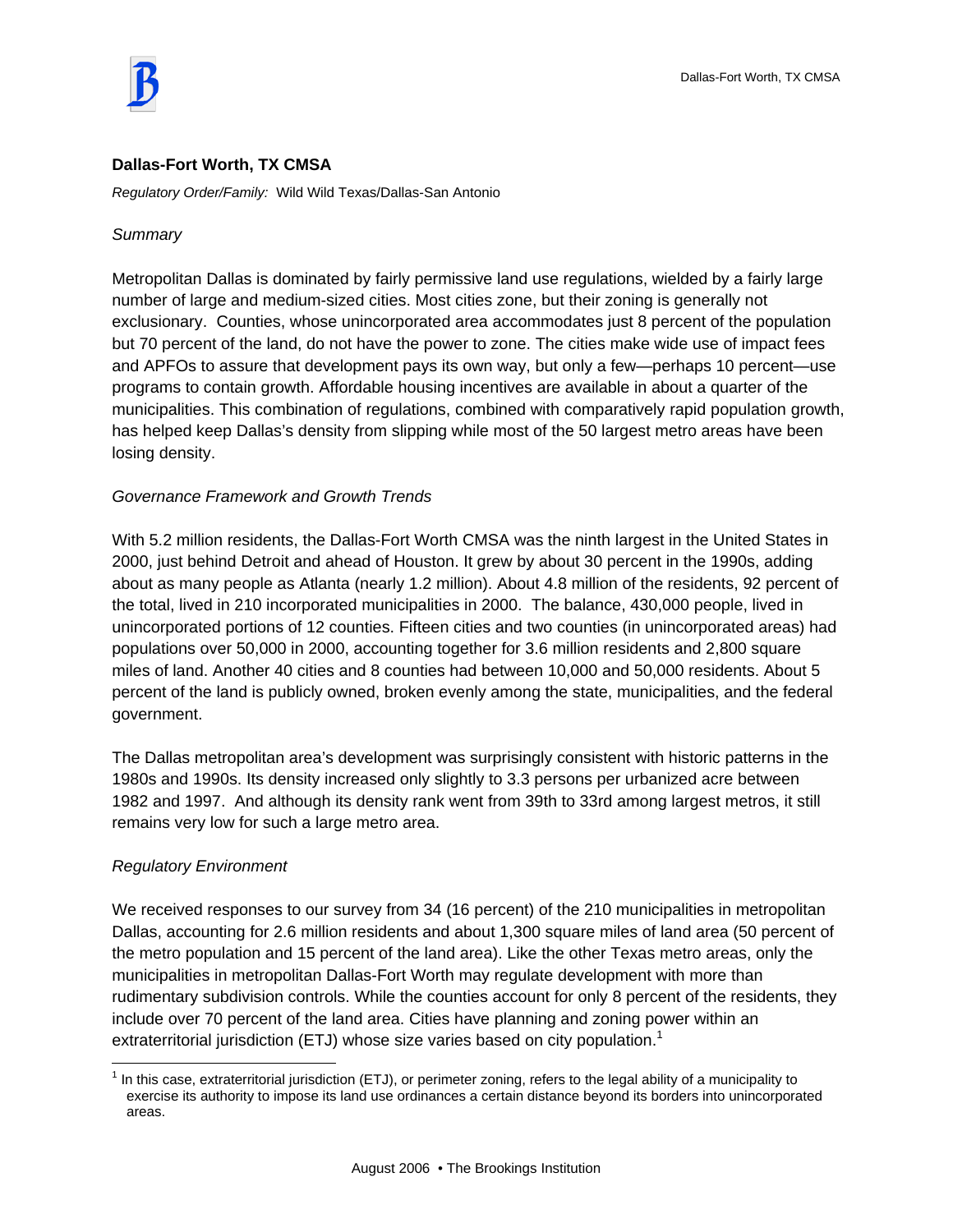

### **Dallas-Fort Worth, TX CMSA**

*Regulatory Order/Family:* Wild Wild Texas/Dallas-San Antonio

### *Summary*

Metropolitan Dallas is dominated by fairly permissive land use regulations, wielded by a fairly large number of large and medium-sized cities. Most cities zone, but their zoning is generally not exclusionary. Counties, whose unincorporated area accommodates just 8 percent of the population but 70 percent of the land, do not have the power to zone. The cities make wide use of impact fees and APFOs to assure that development pays its own way, but only a few—perhaps 10 percent—use programs to contain growth. Affordable housing incentives are available in about a quarter of the municipalities. This combination of regulations, combined with comparatively rapid population growth, has helped keep Dallas's density from slipping while most of the 50 largest metro areas have been losing density.

### *Governance Framework and Growth Trends*

With 5.2 million residents, the Dallas-Fort Worth CMSA was the ninth largest in the United States in 2000, just behind Detroit and ahead of Houston. It grew by about 30 percent in the 1990s, adding about as many people as Atlanta (nearly 1.2 million). About 4.8 million of the residents, 92 percent of the total, lived in 210 incorporated municipalities in 2000. The balance, 430,000 people, lived in unincorporated portions of 12 counties. Fifteen cities and two counties (in unincorporated areas) had populations over 50,000 in 2000, accounting together for 3.6 million residents and 2,800 square miles of land. Another 40 cities and 8 counties had between 10,000 and 50,000 residents. About 5 percent of the land is publicly owned, broken evenly among the state, municipalities, and the federal government.

The Dallas metropolitan area's development was surprisingly consistent with historic patterns in the 1980s and 1990s. Its density increased only slightly to 3.3 persons per urbanized acre between 1982 and 1997. And although its density rank went from 39th to 33rd among largest metros, it still remains very low for such a large metro area.

### *Regulatory Environment*

 $\overline{a}$ 

We received responses to our survey from 34 (16 percent) of the 210 municipalities in metropolitan Dallas, accounting for 2.6 million residents and about 1,300 square miles of land area (50 percent of the metro population and 15 percent of the land area). Like the other Texas metro areas, only the municipalities in metropolitan Dallas-Fort Worth may regulate development with more than rudimentary subdivision controls. While the counties account for only 8 percent of the residents, they include over 70 percent of the land area. Cities have planning and zoning power within an extraterritorial jurisdiction (ETJ) whose size varies based on city population.<sup>1</sup>

 $1$  In this case, extraterritorial jurisdiction (ETJ), or perimeter zoning, refers to the legal ability of a municipality to exercise its authority to impose its land use ordinances a certain distance beyond its borders into unincorporated areas.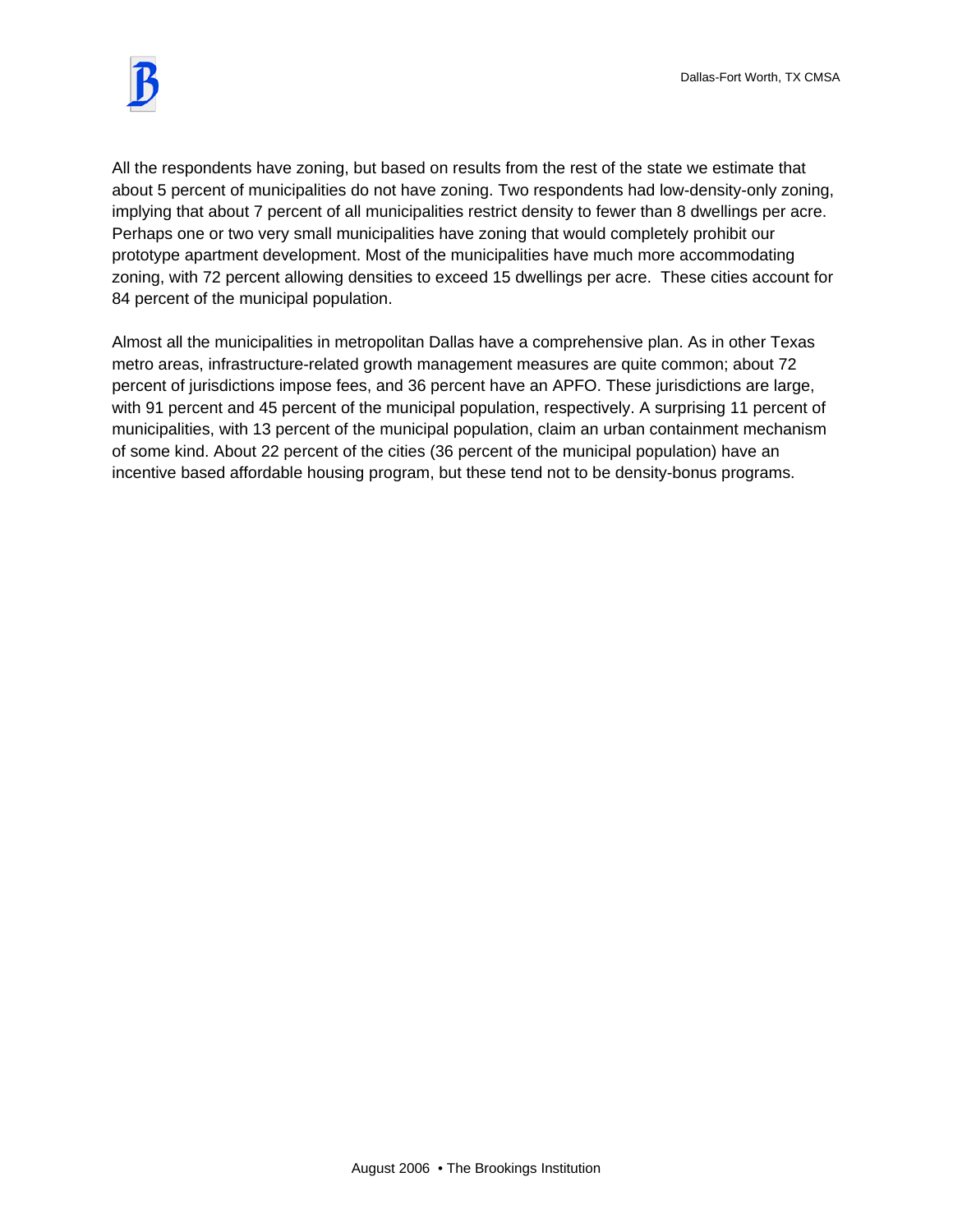

All the respondents have zoning, but based on results from the rest of the state we estimate that about 5 percent of municipalities do not have zoning. Two respondents had low-density-only zoning, implying that about 7 percent of all municipalities restrict density to fewer than 8 dwellings per acre. Perhaps one or two very small municipalities have zoning that would completely prohibit our prototype apartment development. Most of the municipalities have much more accommodating zoning, with 72 percent allowing densities to exceed 15 dwellings per acre. These cities account for 84 percent of the municipal population.

Almost all the municipalities in metropolitan Dallas have a comprehensive plan. As in other Texas metro areas, infrastructure-related growth management measures are quite common; about 72 percent of jurisdictions impose fees, and 36 percent have an APFO. These jurisdictions are large, with 91 percent and 45 percent of the municipal population, respectively. A surprising 11 percent of municipalities, with 13 percent of the municipal population, claim an urban containment mechanism of some kind. About 22 percent of the cities (36 percent of the municipal population) have an incentive based affordable housing program, but these tend not to be density-bonus programs.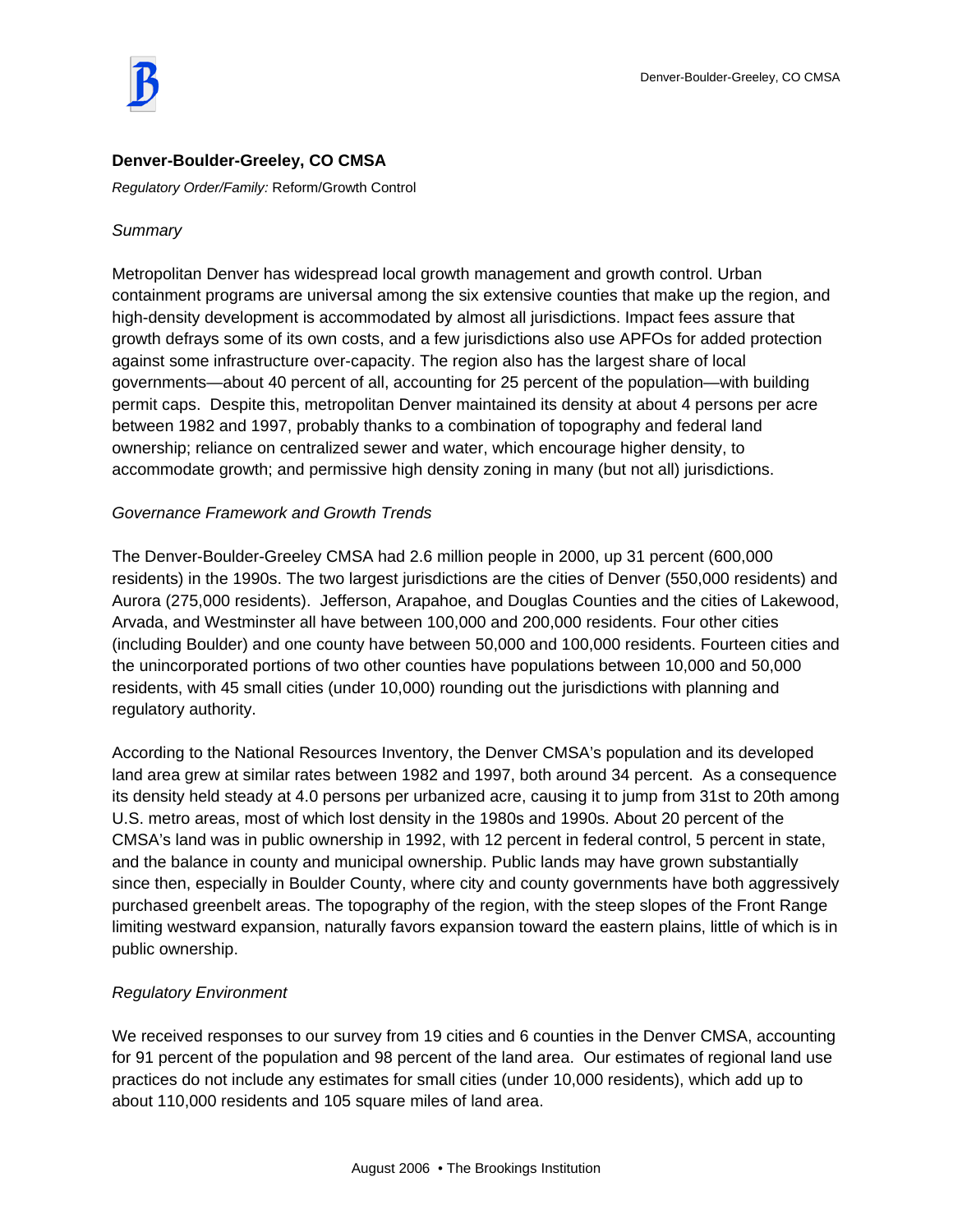

### **Denver-Boulder-Greeley, CO CMSA**

*Regulatory Order/Family:* Reform/Growth Control

#### *Summary*

Metropolitan Denver has widespread local growth management and growth control. Urban containment programs are universal among the six extensive counties that make up the region, and high-density development is accommodated by almost all jurisdictions. Impact fees assure that growth defrays some of its own costs, and a few jurisdictions also use APFOs for added protection against some infrastructure over-capacity. The region also has the largest share of local governments—about 40 percent of all, accounting for 25 percent of the population—with building permit caps. Despite this, metropolitan Denver maintained its density at about 4 persons per acre between 1982 and 1997, probably thanks to a combination of topography and federal land ownership; reliance on centralized sewer and water, which encourage higher density, to accommodate growth; and permissive high density zoning in many (but not all) jurisdictions.

### *Governance Framework and Growth Trends*

The Denver-Boulder-Greeley CMSA had 2.6 million people in 2000, up 31 percent (600,000 residents) in the 1990s. The two largest jurisdictions are the cities of Denver (550,000 residents) and Aurora (275,000 residents). Jefferson, Arapahoe, and Douglas Counties and the cities of Lakewood, Arvada, and Westminster all have between 100,000 and 200,000 residents. Four other cities (including Boulder) and one county have between 50,000 and 100,000 residents. Fourteen cities and the unincorporated portions of two other counties have populations between 10,000 and 50,000 residents, with 45 small cities (under 10,000) rounding out the jurisdictions with planning and regulatory authority.

According to the National Resources Inventory, the Denver CMSA's population and its developed land area grew at similar rates between 1982 and 1997, both around 34 percent. As a consequence its density held steady at 4.0 persons per urbanized acre, causing it to jump from 31st to 20th among U.S. metro areas, most of which lost density in the 1980s and 1990s. About 20 percent of the CMSA's land was in public ownership in 1992, with 12 percent in federal control, 5 percent in state, and the balance in county and municipal ownership. Public lands may have grown substantially since then, especially in Boulder County, where city and county governments have both aggressively purchased greenbelt areas. The topography of the region, with the steep slopes of the Front Range limiting westward expansion, naturally favors expansion toward the eastern plains, little of which is in public ownership.

### *Regulatory Environment*

We received responses to our survey from 19 cities and 6 counties in the Denver CMSA, accounting for 91 percent of the population and 98 percent of the land area. Our estimates of regional land use practices do not include any estimates for small cities (under 10,000 residents), which add up to about 110,000 residents and 105 square miles of land area.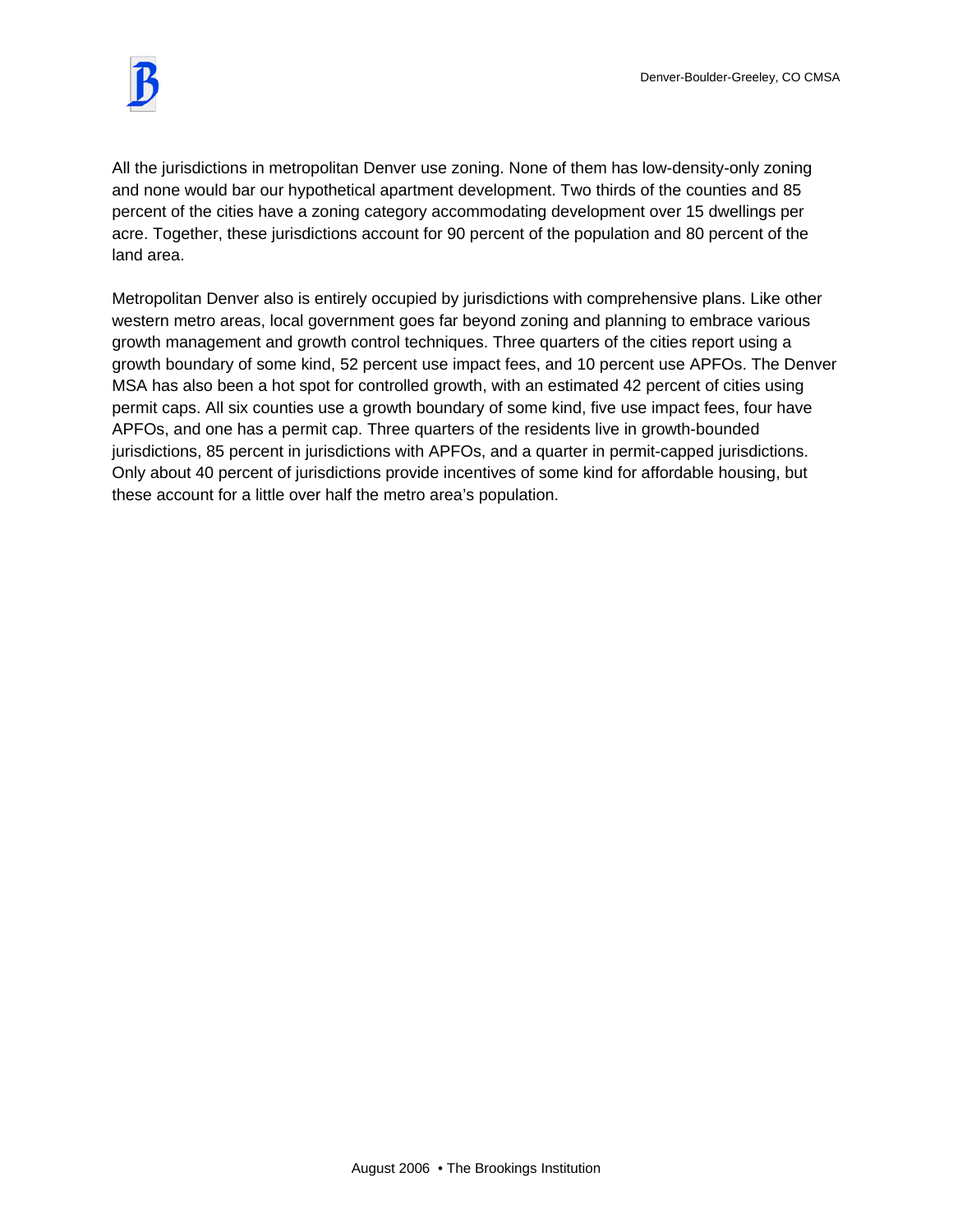

All the jurisdictions in metropolitan Denver use zoning. None of them has low-density-only zoning and none would bar our hypothetical apartment development. Two thirds of the counties and 85 percent of the cities have a zoning category accommodating development over 15 dwellings per acre. Together, these jurisdictions account for 90 percent of the population and 80 percent of the land area.

Metropolitan Denver also is entirely occupied by jurisdictions with comprehensive plans. Like other western metro areas, local government goes far beyond zoning and planning to embrace various growth management and growth control techniques. Three quarters of the cities report using a growth boundary of some kind, 52 percent use impact fees, and 10 percent use APFOs. The Denver MSA has also been a hot spot for controlled growth, with an estimated 42 percent of cities using permit caps. All six counties use a growth boundary of some kind, five use impact fees, four have APFOs, and one has a permit cap. Three quarters of the residents live in growth-bounded jurisdictions, 85 percent in jurisdictions with APFOs, and a quarter in permit-capped jurisdictions. Only about 40 percent of jurisdictions provide incentives of some kind for affordable housing, but these account for a little over half the metro area's population.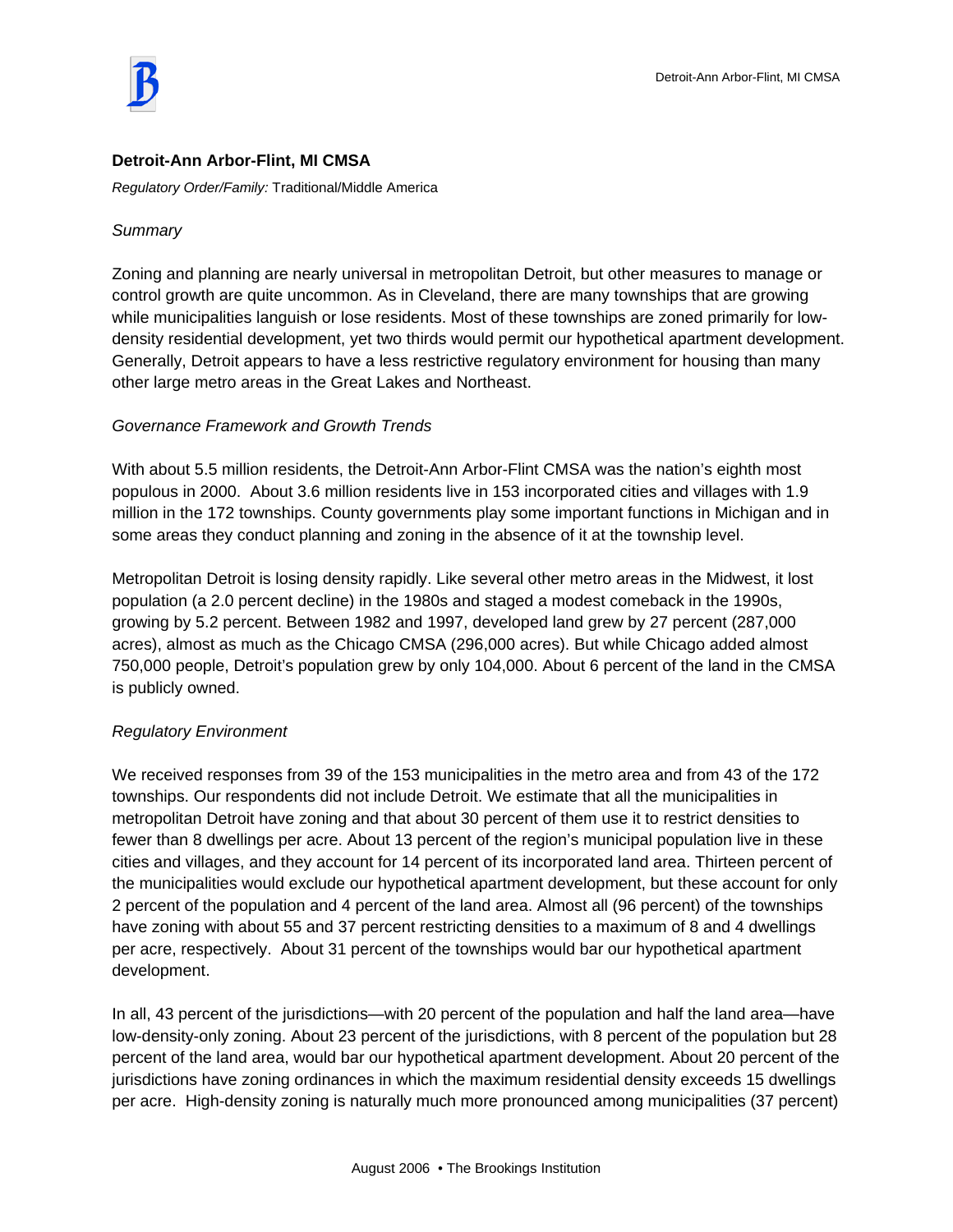

### **Detroit-Ann Arbor-Flint, MI CMSA**

*Regulatory Order/Family:* Traditional/Middle America

### *Summary*

Zoning and planning are nearly universal in metropolitan Detroit, but other measures to manage or control growth are quite uncommon. As in Cleveland, there are many townships that are growing while municipalities languish or lose residents. Most of these townships are zoned primarily for lowdensity residential development, yet two thirds would permit our hypothetical apartment development. Generally, Detroit appears to have a less restrictive regulatory environment for housing than many other large metro areas in the Great Lakes and Northeast.

### *Governance Framework and Growth Trends*

With about 5.5 million residents, the Detroit-Ann Arbor-Flint CMSA was the nation's eighth most populous in 2000. About 3.6 million residents live in 153 incorporated cities and villages with 1.9 million in the 172 townships. County governments play some important functions in Michigan and in some areas they conduct planning and zoning in the absence of it at the township level.

Metropolitan Detroit is losing density rapidly. Like several other metro areas in the Midwest, it lost population (a 2.0 percent decline) in the 1980s and staged a modest comeback in the 1990s, growing by 5.2 percent. Between 1982 and 1997, developed land grew by 27 percent (287,000 acres), almost as much as the Chicago CMSA (296,000 acres). But while Chicago added almost 750,000 people, Detroit's population grew by only 104,000. About 6 percent of the land in the CMSA is publicly owned.

### *Regulatory Environment*

We received responses from 39 of the 153 municipalities in the metro area and from 43 of the 172 townships. Our respondents did not include Detroit. We estimate that all the municipalities in metropolitan Detroit have zoning and that about 30 percent of them use it to restrict densities to fewer than 8 dwellings per acre. About 13 percent of the region's municipal population live in these cities and villages, and they account for 14 percent of its incorporated land area. Thirteen percent of the municipalities would exclude our hypothetical apartment development, but these account for only 2 percent of the population and 4 percent of the land area. Almost all (96 percent) of the townships have zoning with about 55 and 37 percent restricting densities to a maximum of 8 and 4 dwellings per acre, respectively. About 31 percent of the townships would bar our hypothetical apartment development.

In all, 43 percent of the jurisdictions—with 20 percent of the population and half the land area—have low-density-only zoning. About 23 percent of the jurisdictions, with 8 percent of the population but 28 percent of the land area, would bar our hypothetical apartment development. About 20 percent of the jurisdictions have zoning ordinances in which the maximum residential density exceeds 15 dwellings per acre. High-density zoning is naturally much more pronounced among municipalities (37 percent)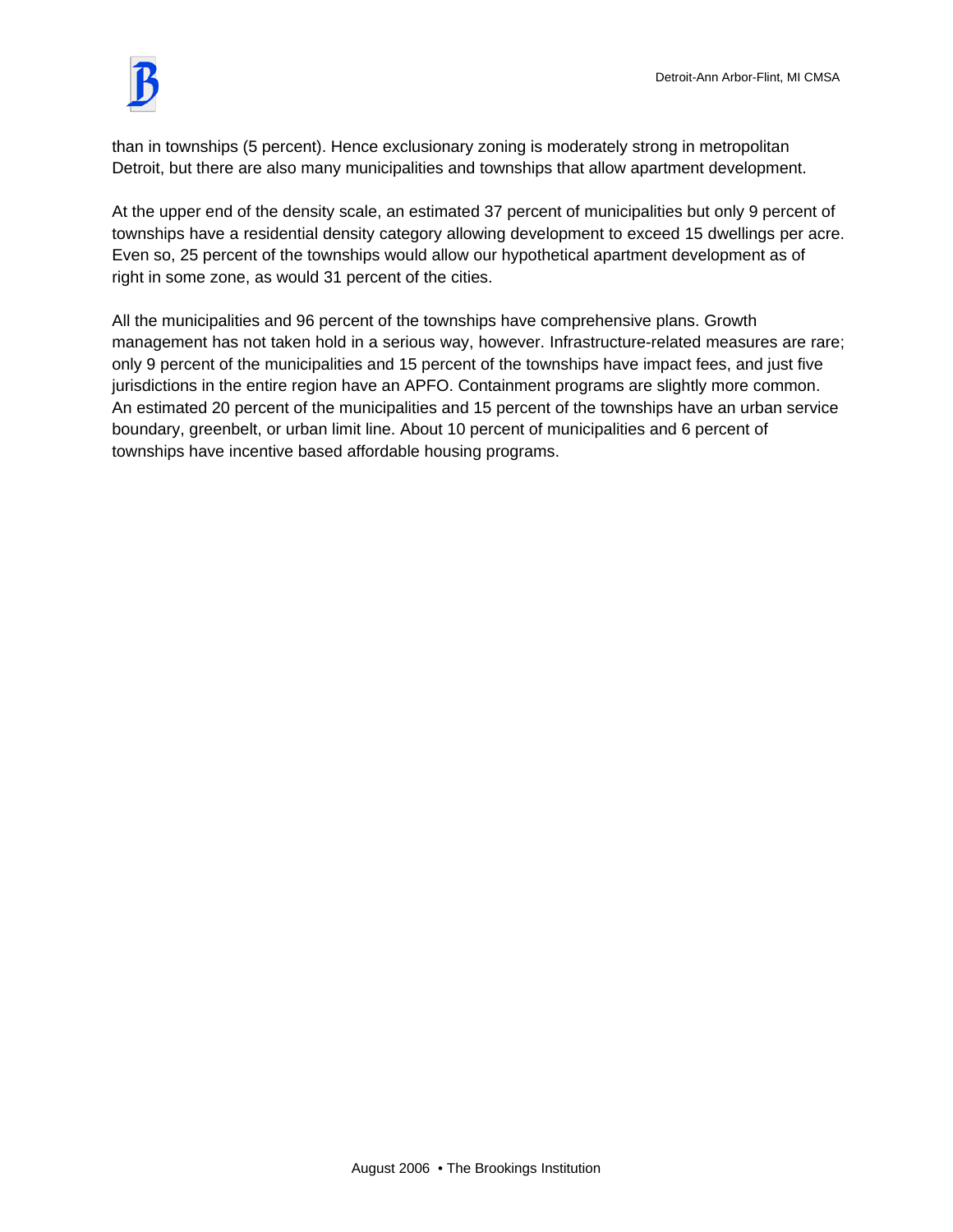

than in townships (5 percent). Hence exclusionary zoning is moderately strong in metropolitan Detroit, but there are also many municipalities and townships that allow apartment development.

At the upper end of the density scale, an estimated 37 percent of municipalities but only 9 percent of townships have a residential density category allowing development to exceed 15 dwellings per acre. Even so, 25 percent of the townships would allow our hypothetical apartment development as of right in some zone, as would 31 percent of the cities.

All the municipalities and 96 percent of the townships have comprehensive plans. Growth management has not taken hold in a serious way, however. Infrastructure-related measures are rare; only 9 percent of the municipalities and 15 percent of the townships have impact fees, and just five jurisdictions in the entire region have an APFO. Containment programs are slightly more common. An estimated 20 percent of the municipalities and 15 percent of the townships have an urban service boundary, greenbelt, or urban limit line. About 10 percent of municipalities and 6 percent of townships have incentive based affordable housing programs.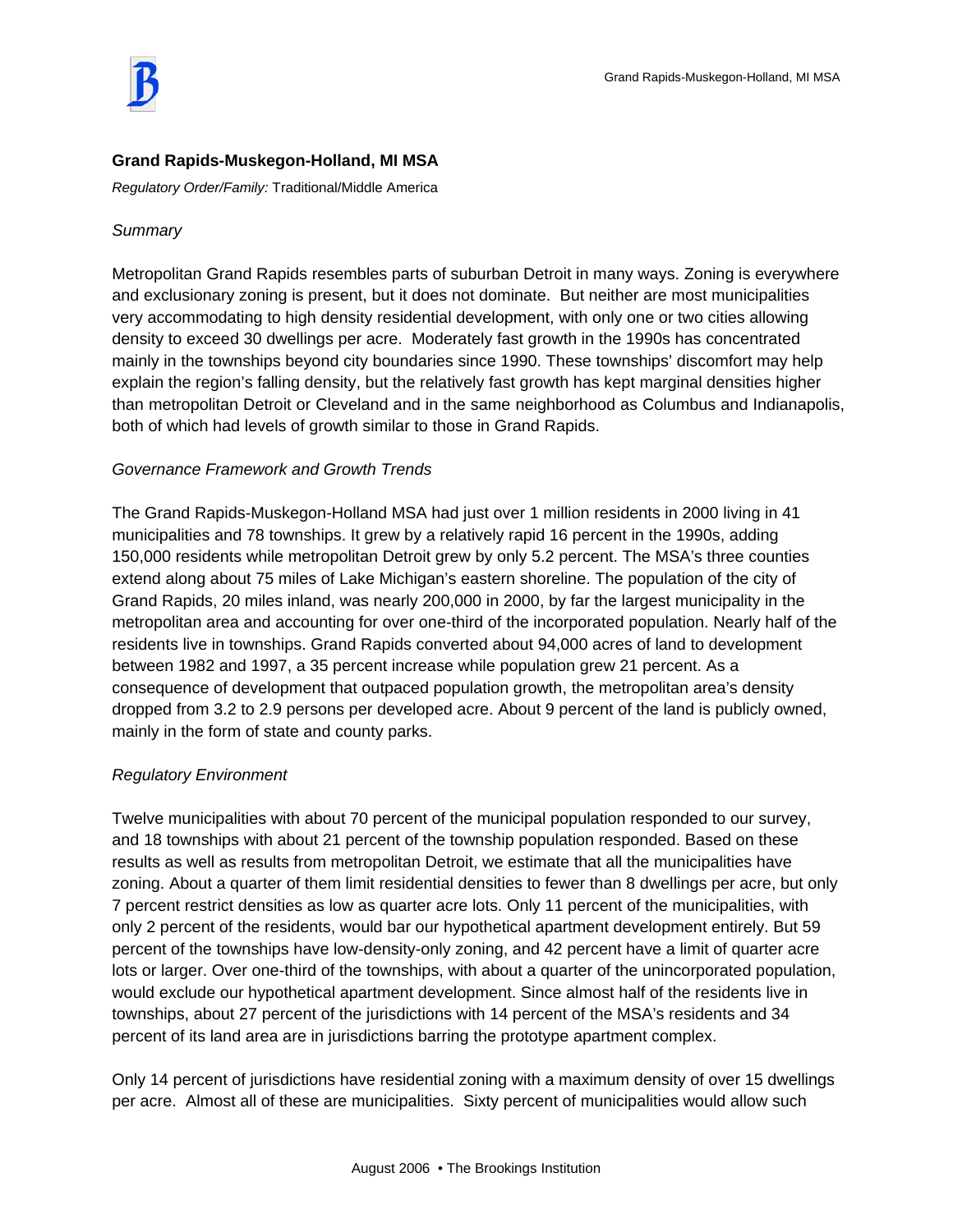## **Grand Rapids-Muskegon-Holland, MI MSA**

*Regulatory Order/Family:* Traditional/Middle America

## *Summary*

Metropolitan Grand Rapids resembles parts of suburban Detroit in many ways. Zoning is everywhere and exclusionary zoning is present, but it does not dominate. But neither are most municipalities very accommodating to high density residential development, with only one or two cities allowing density to exceed 30 dwellings per acre. Moderately fast growth in the 1990s has concentrated mainly in the townships beyond city boundaries since 1990. These townships' discomfort may help explain the region's falling density, but the relatively fast growth has kept marginal densities higher than metropolitan Detroit or Cleveland and in the same neighborhood as Columbus and Indianapolis, both of which had levels of growth similar to those in Grand Rapids.

### *Governance Framework and Growth Trends*

The Grand Rapids-Muskegon-Holland MSA had just over 1 million residents in 2000 living in 41 municipalities and 78 townships. It grew by a relatively rapid 16 percent in the 1990s, adding 150,000 residents while metropolitan Detroit grew by only 5.2 percent. The MSA's three counties extend along about 75 miles of Lake Michigan's eastern shoreline. The population of the city of Grand Rapids, 20 miles inland, was nearly 200,000 in 2000, by far the largest municipality in the metropolitan area and accounting for over one-third of the incorporated population. Nearly half of the residents live in townships. Grand Rapids converted about 94,000 acres of land to development between 1982 and 1997, a 35 percent increase while population grew 21 percent. As a consequence of development that outpaced population growth, the metropolitan area's density dropped from 3.2 to 2.9 persons per developed acre. About 9 percent of the land is publicly owned, mainly in the form of state and county parks.

## *Regulatory Environment*

Twelve municipalities with about 70 percent of the municipal population responded to our survey, and 18 townships with about 21 percent of the township population responded. Based on these results as well as results from metropolitan Detroit, we estimate that all the municipalities have zoning. About a quarter of them limit residential densities to fewer than 8 dwellings per acre, but only 7 percent restrict densities as low as quarter acre lots. Only 11 percent of the municipalities, with only 2 percent of the residents, would bar our hypothetical apartment development entirely. But 59 percent of the townships have low-density-only zoning, and 42 percent have a limit of quarter acre lots or larger. Over one-third of the townships, with about a quarter of the unincorporated population, would exclude our hypothetical apartment development. Since almost half of the residents live in townships, about 27 percent of the jurisdictions with 14 percent of the MSA's residents and 34 percent of its land area are in jurisdictions barring the prototype apartment complex.

Only 14 percent of jurisdictions have residential zoning with a maximum density of over 15 dwellings per acre. Almost all of these are municipalities. Sixty percent of municipalities would allow such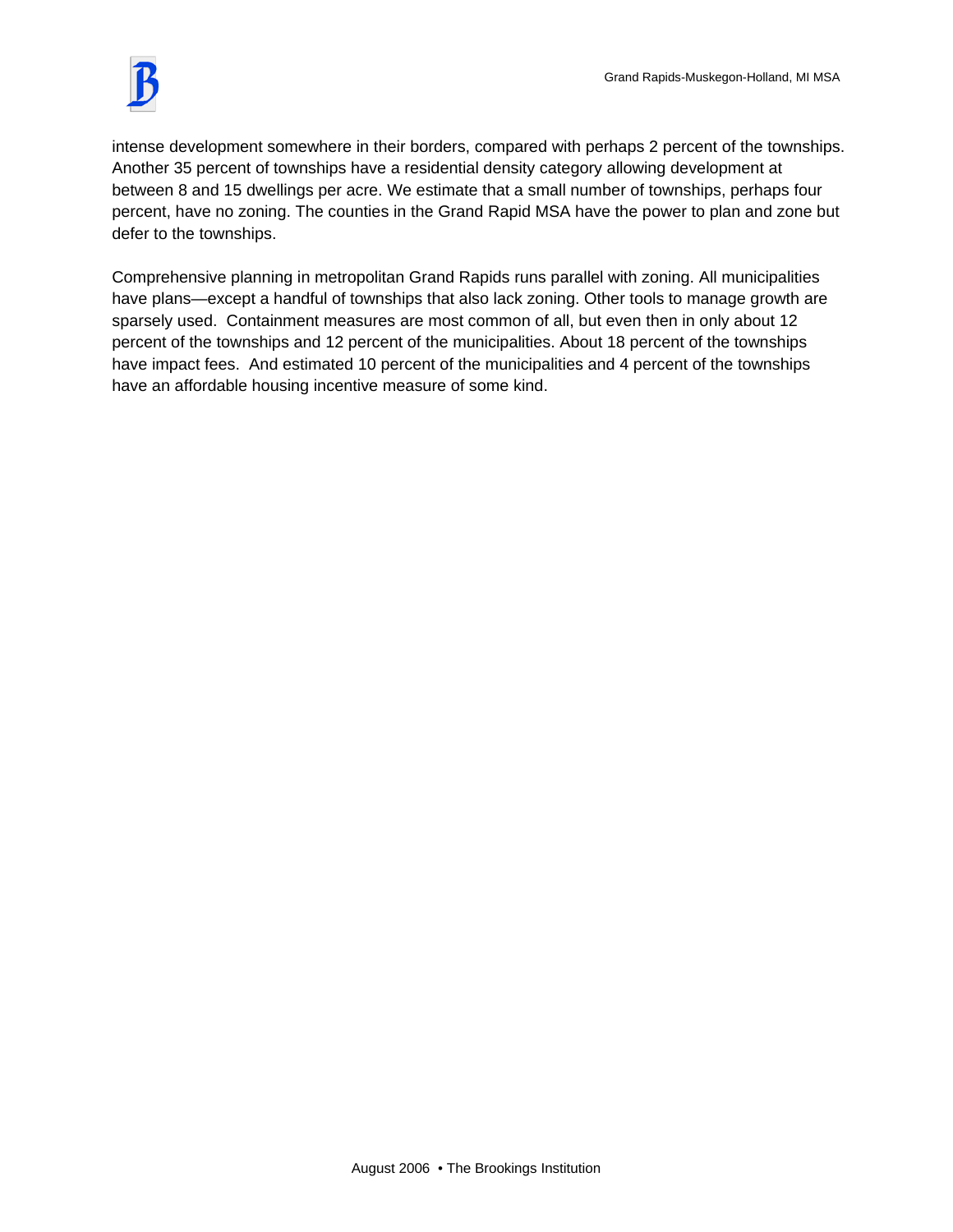intense development somewhere in their borders, compared with perhaps 2 percent of the townships. Another 35 percent of townships have a residential density category allowing development at between 8 and 15 dwellings per acre. We estimate that a small number of townships, perhaps four percent, have no zoning. The counties in the Grand Rapid MSA have the power to plan and zone but defer to the townships.

Comprehensive planning in metropolitan Grand Rapids runs parallel with zoning. All municipalities have plans—except a handful of townships that also lack zoning. Other tools to manage growth are sparsely used. Containment measures are most common of all, but even then in only about 12 percent of the townships and 12 percent of the municipalities. About 18 percent of the townships have impact fees. And estimated 10 percent of the municipalities and 4 percent of the townships have an affordable housing incentive measure of some kind.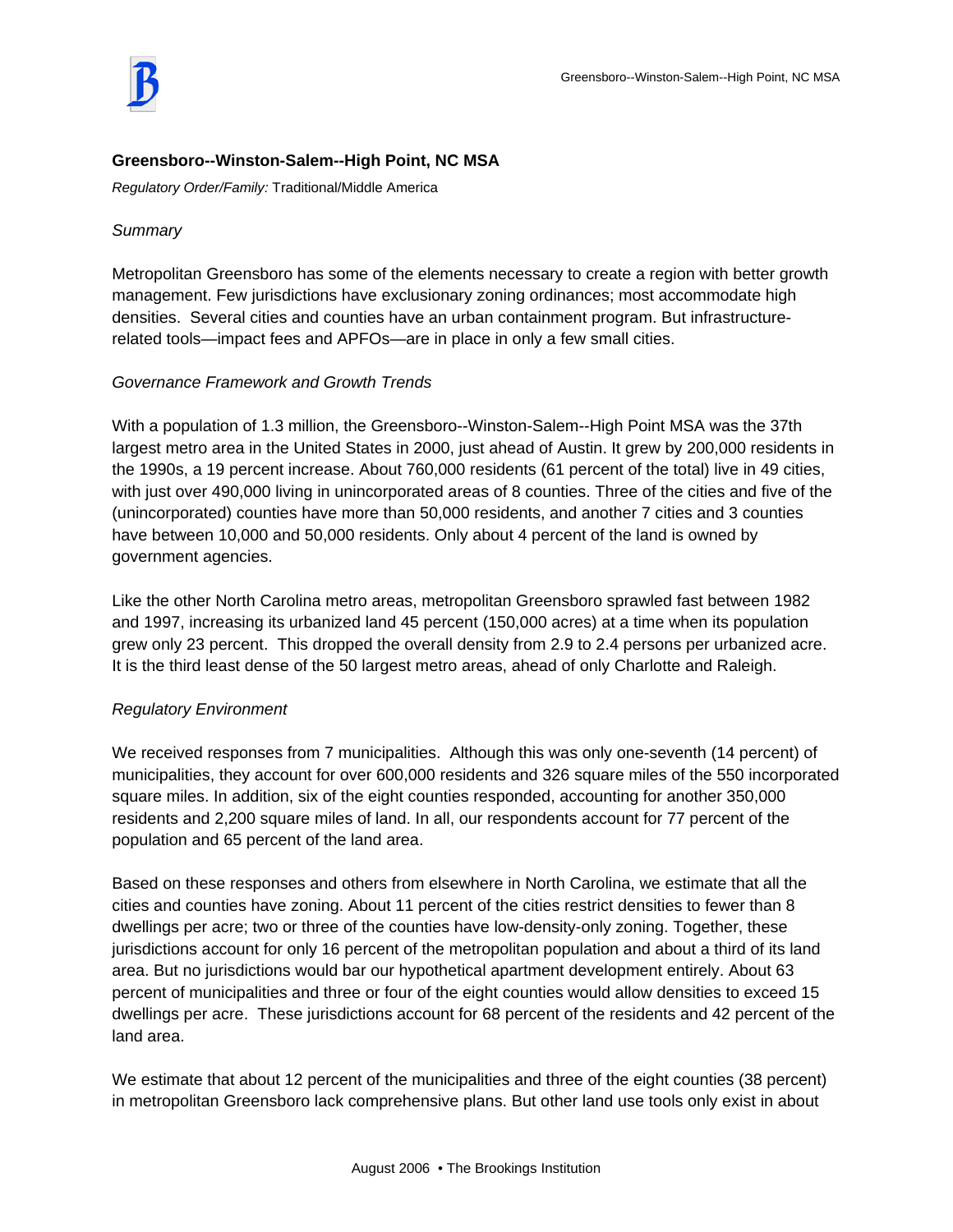## **Greensboro--Winston-Salem--High Point, NC MSA**

*Regulatory Order/Family:* Traditional/Middle America

### *Summary*

Metropolitan Greensboro has some of the elements necessary to create a region with better growth management. Few jurisdictions have exclusionary zoning ordinances; most accommodate high densities. Several cities and counties have an urban containment program. But infrastructurerelated tools—impact fees and APFOs—are in place in only a few small cities.

### *Governance Framework and Growth Trends*

With a population of 1.3 million, the Greensboro--Winston-Salem--High Point MSA was the 37th largest metro area in the United States in 2000, just ahead of Austin. It grew by 200,000 residents in the 1990s, a 19 percent increase. About 760,000 residents (61 percent of the total) live in 49 cities, with just over 490,000 living in unincorporated areas of 8 counties. Three of the cities and five of the (unincorporated) counties have more than 50,000 residents, and another 7 cities and 3 counties have between 10,000 and 50,000 residents. Only about 4 percent of the land is owned by government agencies.

Like the other North Carolina metro areas, metropolitan Greensboro sprawled fast between 1982 and 1997, increasing its urbanized land 45 percent (150,000 acres) at a time when its population grew only 23 percent. This dropped the overall density from 2.9 to 2.4 persons per urbanized acre. It is the third least dense of the 50 largest metro areas, ahead of only Charlotte and Raleigh.

### *Regulatory Environment*

We received responses from 7 municipalities. Although this was only one-seventh (14 percent) of municipalities, they account for over 600,000 residents and 326 square miles of the 550 incorporated square miles. In addition, six of the eight counties responded, accounting for another 350,000 residents and 2,200 square miles of land. In all, our respondents account for 77 percent of the population and 65 percent of the land area.

Based on these responses and others from elsewhere in North Carolina, we estimate that all the cities and counties have zoning. About 11 percent of the cities restrict densities to fewer than 8 dwellings per acre; two or three of the counties have low-density-only zoning. Together, these jurisdictions account for only 16 percent of the metropolitan population and about a third of its land area. But no jurisdictions would bar our hypothetical apartment development entirely. About 63 percent of municipalities and three or four of the eight counties would allow densities to exceed 15 dwellings per acre. These jurisdictions account for 68 percent of the residents and 42 percent of the land area.

We estimate that about 12 percent of the municipalities and three of the eight counties (38 percent) in metropolitan Greensboro lack comprehensive plans. But other land use tools only exist in about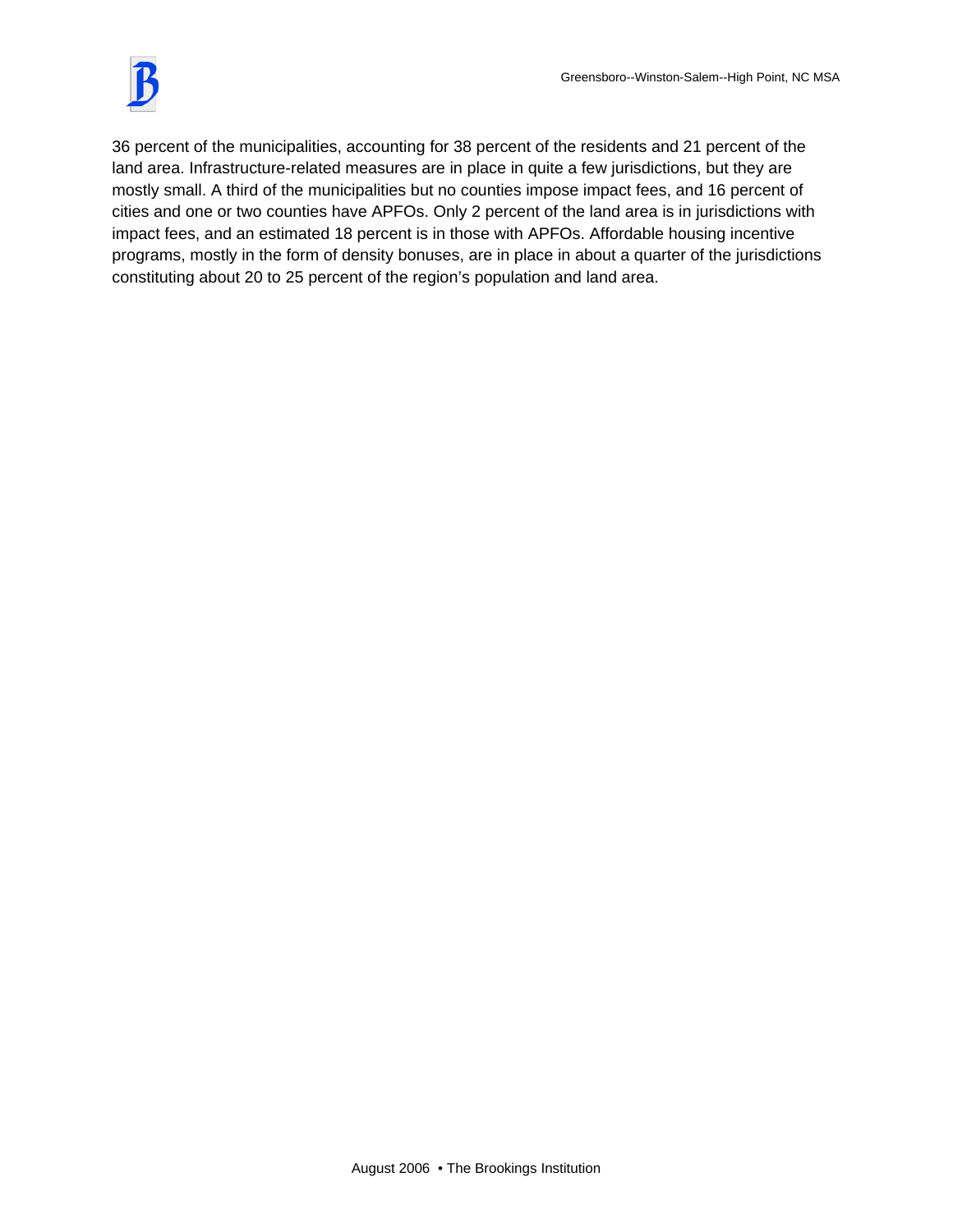36 percent of the municipalities, accounting for 38 percent of the residents and 21 percent of the land area. Infrastructure-related measures are in place in quite a few jurisdictions, but they are mostly small. A third of the municipalities but no counties impose impact fees, and 16 percent of cities and one or two counties have APFOs. Only 2 percent of the land area is in jurisdictions with impact fees, and an estimated 18 percent is in those with APFOs. Affordable housing incentive programs, mostly in the form of density bonuses, are in place in about a quarter of the jurisdictions constituting about 20 to 25 percent of the region's population and land area.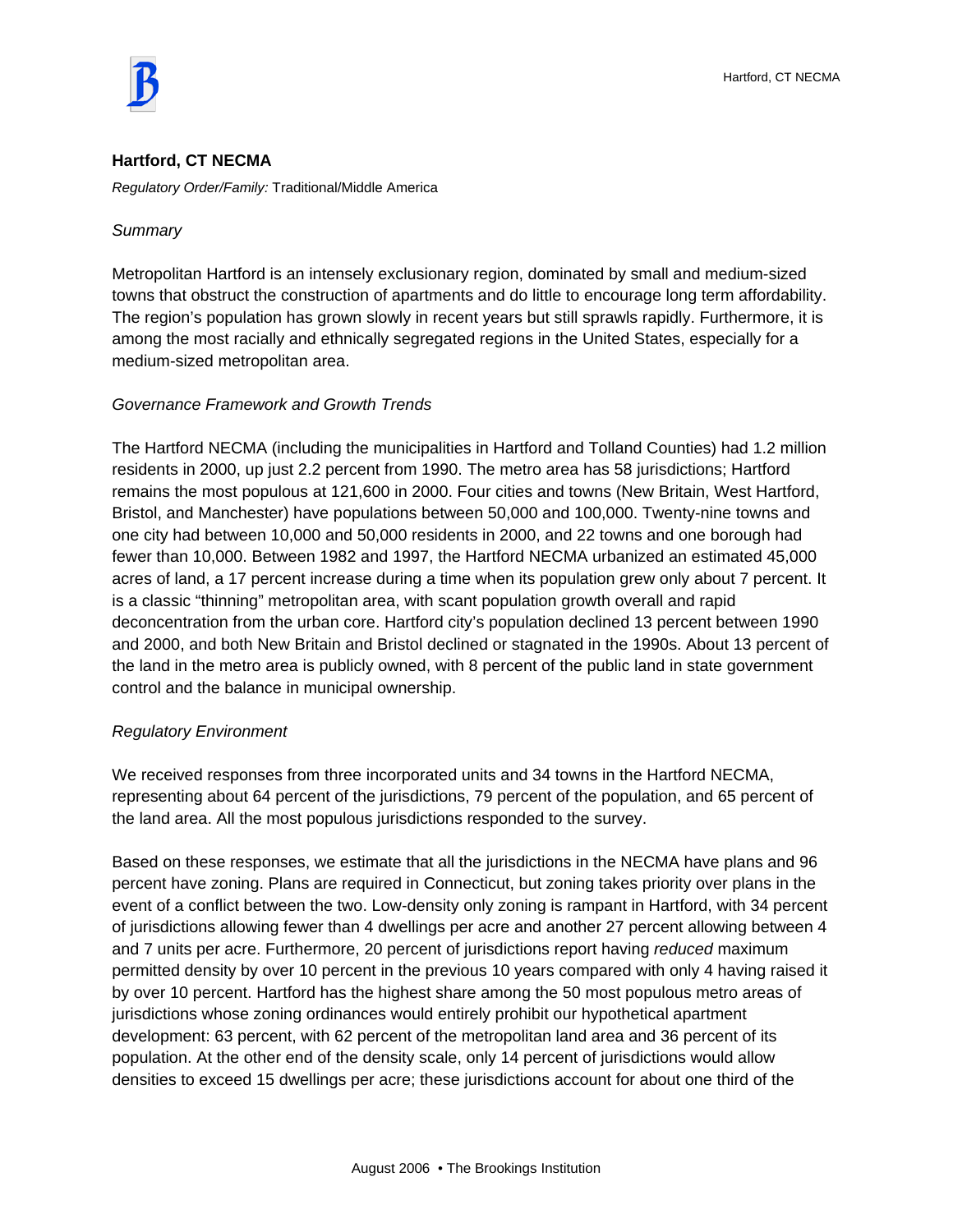

### **Hartford, CT NECMA**

*Regulatory Order/Family:* Traditional/Middle America

#### *Summary*

Metropolitan Hartford is an intensely exclusionary region, dominated by small and medium-sized towns that obstruct the construction of apartments and do little to encourage long term affordability. The region's population has grown slowly in recent years but still sprawls rapidly. Furthermore, it is among the most racially and ethnically segregated regions in the United States, especially for a medium-sized metropolitan area.

#### *Governance Framework and Growth Trends*

The Hartford NECMA (including the municipalities in Hartford and Tolland Counties) had 1.2 million residents in 2000, up just 2.2 percent from 1990. The metro area has 58 jurisdictions; Hartford remains the most populous at 121,600 in 2000. Four cities and towns (New Britain, West Hartford, Bristol, and Manchester) have populations between 50,000 and 100,000. Twenty-nine towns and one city had between 10,000 and 50,000 residents in 2000, and 22 towns and one borough had fewer than 10,000. Between 1982 and 1997, the Hartford NECMA urbanized an estimated 45,000 acres of land, a 17 percent increase during a time when its population grew only about 7 percent. It is a classic "thinning" metropolitan area, with scant population growth overall and rapid deconcentration from the urban core. Hartford city's population declined 13 percent between 1990 and 2000, and both New Britain and Bristol declined or stagnated in the 1990s. About 13 percent of the land in the metro area is publicly owned, with 8 percent of the public land in state government control and the balance in municipal ownership.

### *Regulatory Environment*

We received responses from three incorporated units and 34 towns in the Hartford NECMA, representing about 64 percent of the jurisdictions, 79 percent of the population, and 65 percent of the land area. All the most populous jurisdictions responded to the survey.

Based on these responses, we estimate that all the jurisdictions in the NECMA have plans and 96 percent have zoning. Plans are required in Connecticut, but zoning takes priority over plans in the event of a conflict between the two. Low-density only zoning is rampant in Hartford, with 34 percent of jurisdictions allowing fewer than 4 dwellings per acre and another 27 percent allowing between 4 and 7 units per acre. Furthermore, 20 percent of jurisdictions report having *reduced* maximum permitted density by over 10 percent in the previous 10 years compared with only 4 having raised it by over 10 percent. Hartford has the highest share among the 50 most populous metro areas of jurisdictions whose zoning ordinances would entirely prohibit our hypothetical apartment development: 63 percent, with 62 percent of the metropolitan land area and 36 percent of its population. At the other end of the density scale, only 14 percent of jurisdictions would allow densities to exceed 15 dwellings per acre; these jurisdictions account for about one third of the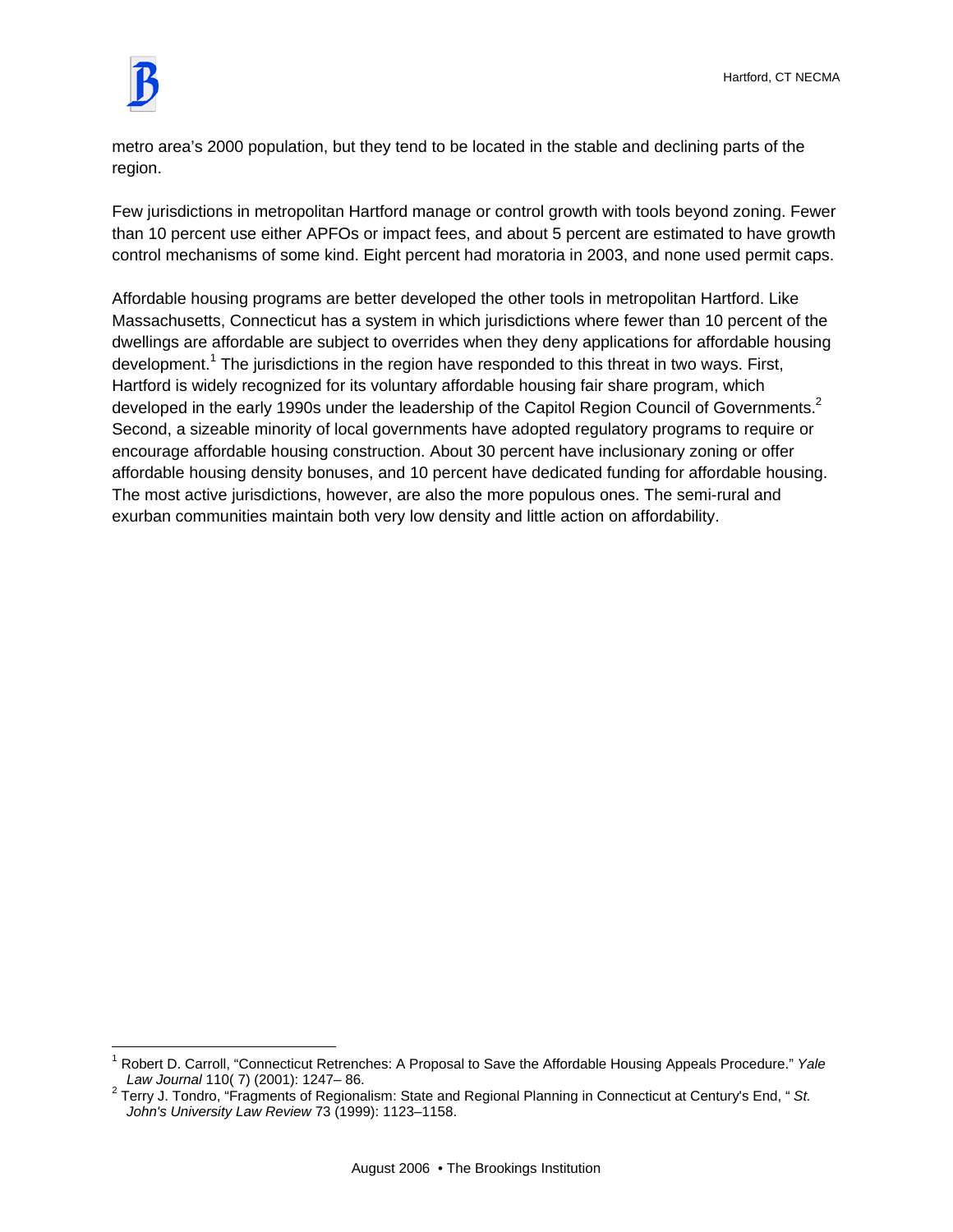

 $\overline{a}$ 

metro area's 2000 population, but they tend to be located in the stable and declining parts of the region.

Few jurisdictions in metropolitan Hartford manage or control growth with tools beyond zoning. Fewer than 10 percent use either APFOs or impact fees, and about 5 percent are estimated to have growth control mechanisms of some kind. Eight percent had moratoria in 2003, and none used permit caps.

Affordable housing programs are better developed the other tools in metropolitan Hartford. Like Massachusetts, Connecticut has a system in which jurisdictions where fewer than 10 percent of the dwellings are affordable are subject to overrides when they deny applications for affordable housing development.<sup>1</sup> The jurisdictions in the region have responded to this threat in two ways. First, Hartford is widely recognized for its voluntary affordable housing fair share program, which developed in the early 1990s under the leadership of the Capitol Region Council of Governments.<sup>2</sup> Second, a sizeable minority of local governments have adopted regulatory programs to require or encourage affordable housing construction. About 30 percent have inclusionary zoning or offer affordable housing density bonuses, and 10 percent have dedicated funding for affordable housing. The most active jurisdictions, however, are also the more populous ones. The semi-rural and exurban communities maintain both very low density and little action on affordability.

<sup>1</sup> Robert D. Carroll, "Connecticut Retrenches: A Proposal to Save the Affordable Housing Appeals Procedure." *Yale Law Journal* 110( 7) (2001): 1247– 86. 2

Terry J. Tondro, "Fragments of Regionalism: State and Regional Planning in Connecticut at Century's End, " *St. John's University Law Review* 73 (1999): 1123–1158.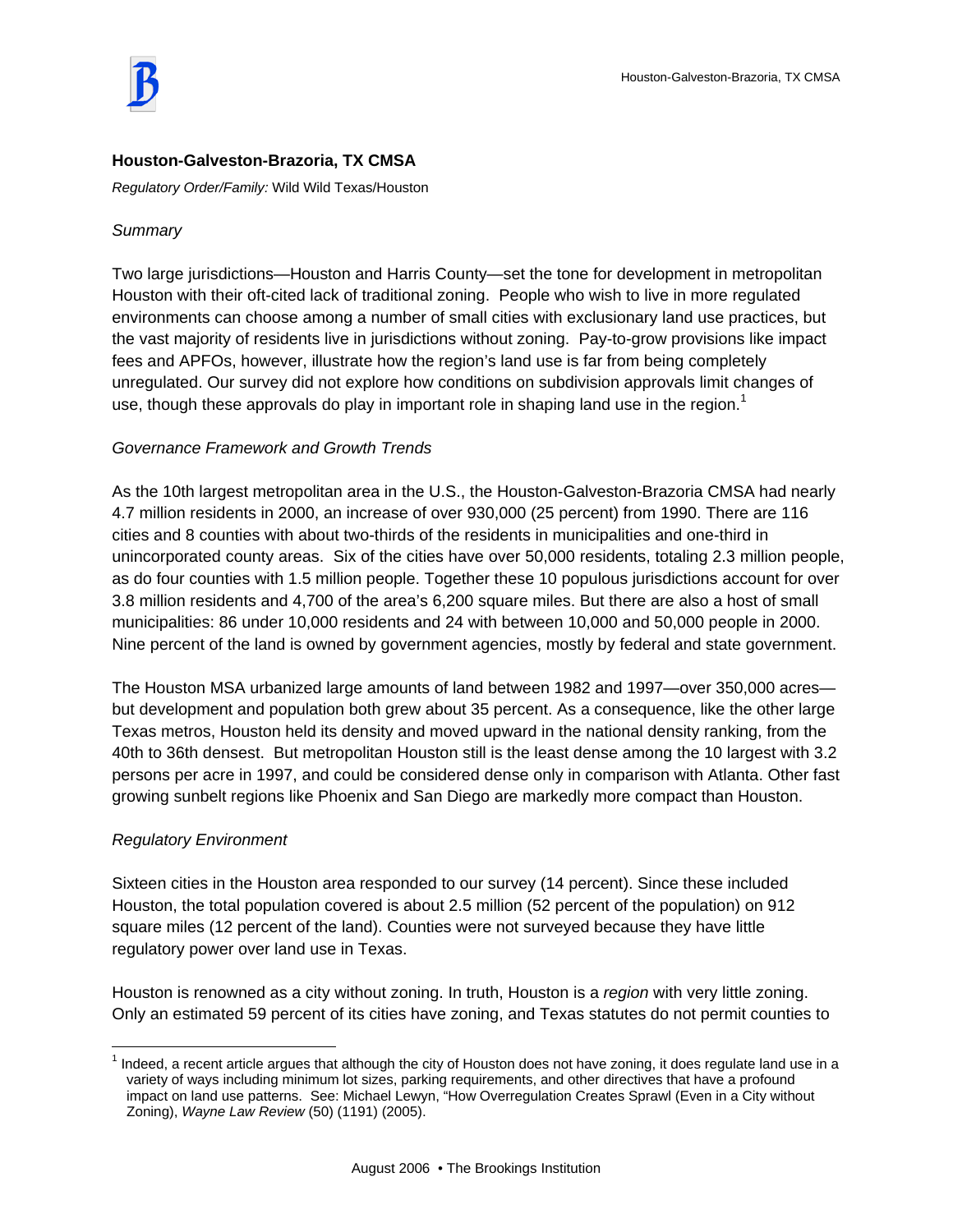## **Houston-Galveston-Brazoria, TX CMSA**

*Regulatory Order/Family:* Wild Wild Texas/Houston

### *Summary*

Two large jurisdictions—Houston and Harris County—set the tone for development in metropolitan Houston with their oft-cited lack of traditional zoning. People who wish to live in more regulated environments can choose among a number of small cities with exclusionary land use practices, but the vast majority of residents live in jurisdictions without zoning. Pay-to-grow provisions like impact fees and APFOs, however, illustrate how the region's land use is far from being completely unregulated. Our survey did not explore how conditions on subdivision approvals limit changes of use, though these approvals do play in important role in shaping land use in the region.<sup>1</sup>

### *Governance Framework and Growth Trends*

As the 10th largest metropolitan area in the U.S., the Houston-Galveston-Brazoria CMSA had nearly 4.7 million residents in 2000, an increase of over 930,000 (25 percent) from 1990. There are 116 cities and 8 counties with about two-thirds of the residents in municipalities and one-third in unincorporated county areas. Six of the cities have over 50,000 residents, totaling 2.3 million people, as do four counties with 1.5 million people. Together these 10 populous jurisdictions account for over 3.8 million residents and 4,700 of the area's 6,200 square miles. But there are also a host of small municipalities: 86 under 10,000 residents and 24 with between 10,000 and 50,000 people in 2000. Nine percent of the land is owned by government agencies, mostly by federal and state government.

The Houston MSA urbanized large amounts of land between 1982 and 1997—over 350,000 acres but development and population both grew about 35 percent. As a consequence, like the other large Texas metros, Houston held its density and moved upward in the national density ranking, from the 40th to 36th densest. But metropolitan Houston still is the least dense among the 10 largest with 3.2 persons per acre in 1997, and could be considered dense only in comparison with Atlanta. Other fast growing sunbelt regions like Phoenix and San Diego are markedly more compact than Houston.

### *Regulatory Environment*

Sixteen cities in the Houston area responded to our survey (14 percent). Since these included Houston, the total population covered is about 2.5 million (52 percent of the population) on 912 square miles (12 percent of the land). Counties were not surveyed because they have little regulatory power over land use in Texas.

Houston is renowned as a city without zoning. In truth, Houston is a *region* with very little zoning. Only an estimated 59 percent of its cities have zoning, and Texas statutes do not permit counties to

 $\overline{a}$  $1$  Indeed, a recent article argues that although the city of Houston does not have zoning, it does regulate land use in a variety of ways including minimum lot sizes, parking requirements, and other directives that have a profound impact on land use patterns. See: Michael Lewyn, "How Overregulation Creates Sprawl (Even in a City without Zoning), *Wayne Law Review* (50) (1191) (2005).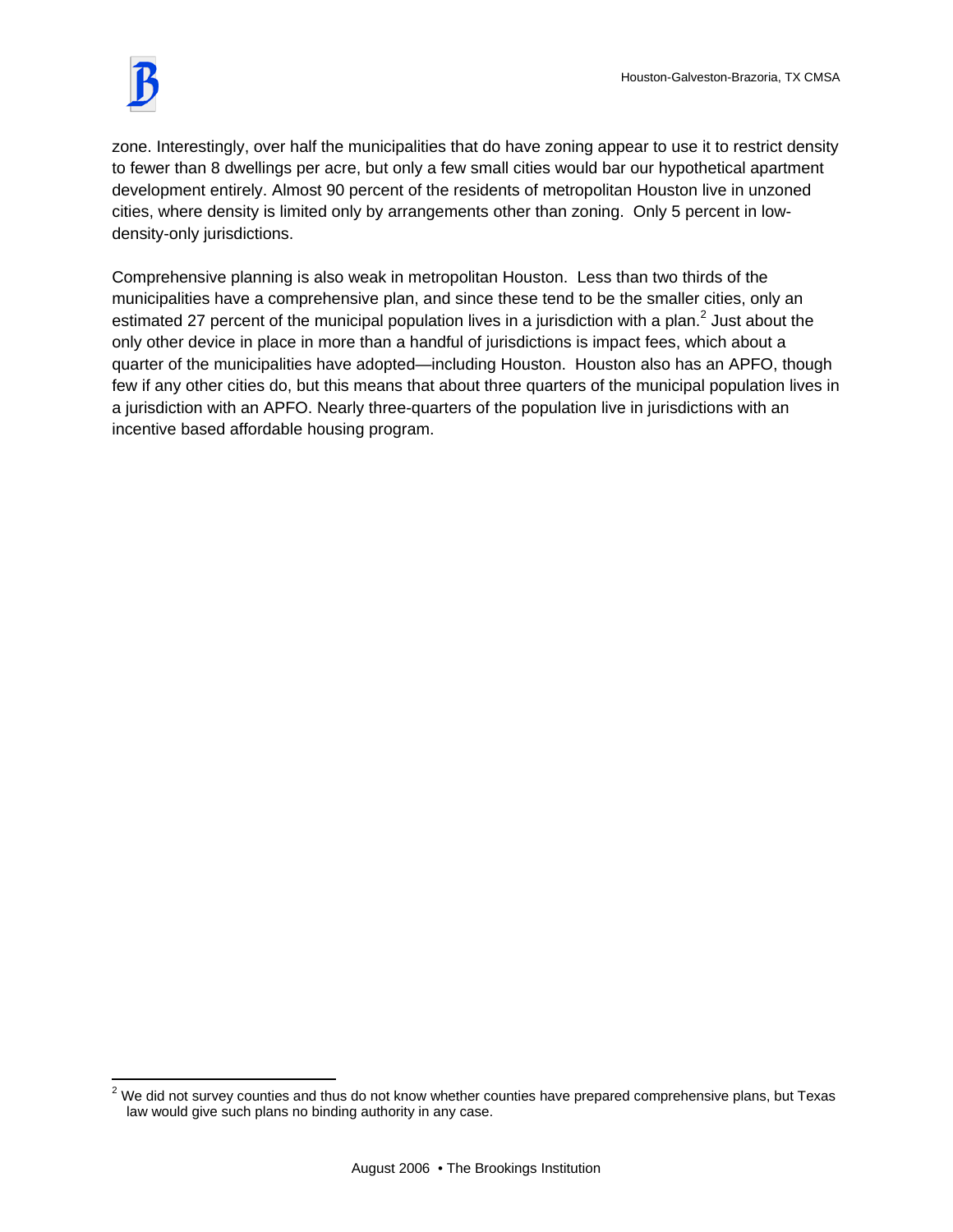

zone. Interestingly, over half the municipalities that do have zoning appear to use it to restrict density to fewer than 8 dwellings per acre, but only a few small cities would bar our hypothetical apartment development entirely. Almost 90 percent of the residents of metropolitan Houston live in unzoned cities, where density is limited only by arrangements other than zoning. Only 5 percent in lowdensity-only jurisdictions.

Comprehensive planning is also weak in metropolitan Houston. Less than two thirds of the municipalities have a comprehensive plan, and since these tend to be the smaller cities, only an estimated 27 percent of the municipal population lives in a jurisdiction with a plan.<sup>2</sup> Just about the only other device in place in more than a handful of jurisdictions is impact fees, which about a quarter of the municipalities have adopted—including Houston. Houston also has an APFO, though few if any other cities do, but this means that about three quarters of the municipal population lives in a jurisdiction with an APFO. Nearly three-quarters of the population live in jurisdictions with an incentive based affordable housing program.

<sup>&</sup>lt;u>2</u><br><sup>2</sup> We did not survey counties and thus do not know whether counties have prepared comprehensive plans, but Texas law would give such plans no binding authority in any case.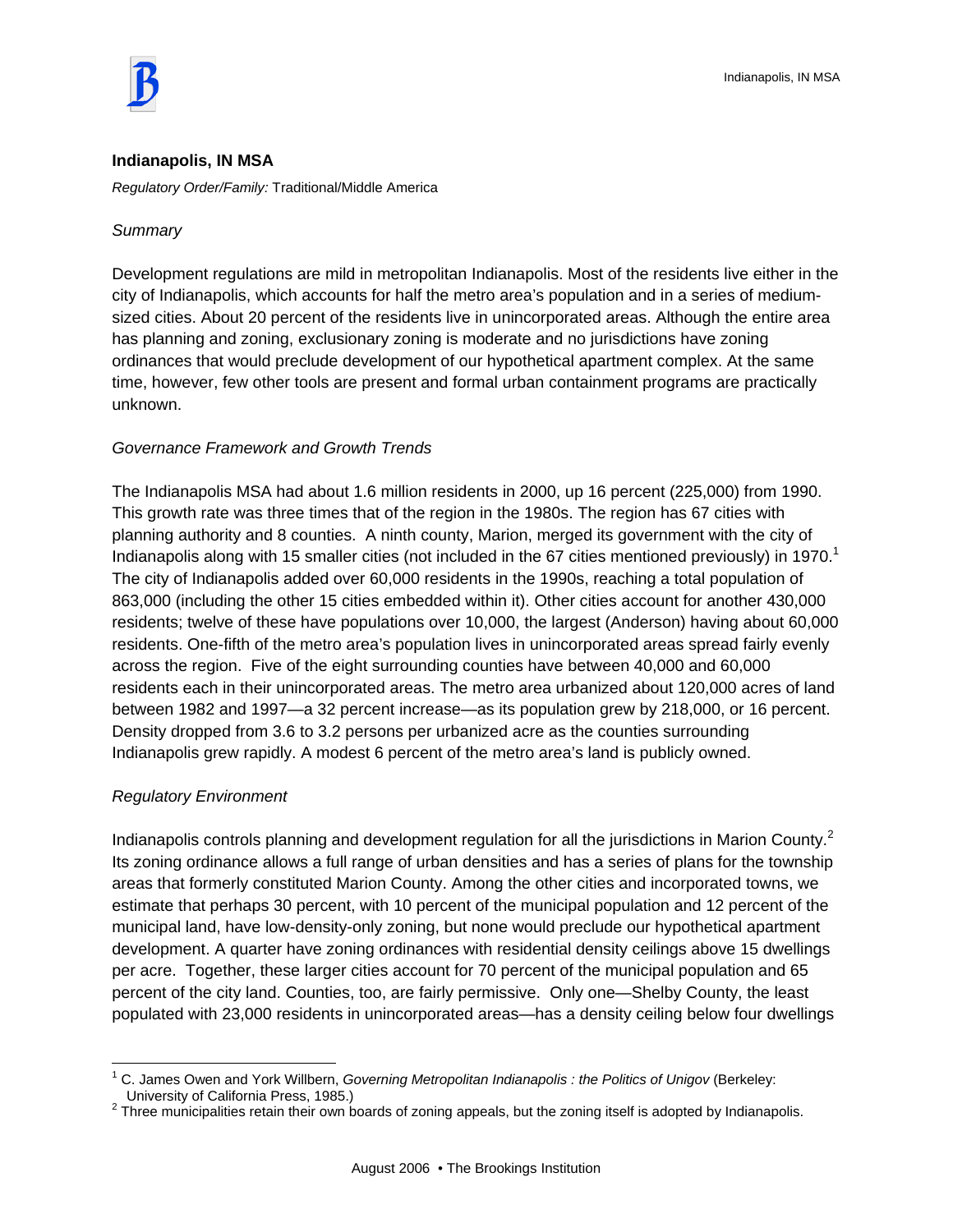

#### **Indianapolis, IN MSA**

*Regulatory Order/Family:* Traditional/Middle America

#### *Summary*

Development regulations are mild in metropolitan Indianapolis. Most of the residents live either in the city of Indianapolis, which accounts for half the metro area's population and in a series of mediumsized cities. About 20 percent of the residents live in unincorporated areas. Although the entire area has planning and zoning, exclusionary zoning is moderate and no jurisdictions have zoning ordinances that would preclude development of our hypothetical apartment complex. At the same time, however, few other tools are present and formal urban containment programs are practically unknown.

#### *Governance Framework and Growth Trends*

The Indianapolis MSA had about 1.6 million residents in 2000, up 16 percent (225,000) from 1990. This growth rate was three times that of the region in the 1980s. The region has 67 cities with planning authority and 8 counties. A ninth county, Marion, merged its government with the city of Indianapolis along with 15 smaller cities (not included in the 67 cities mentioned previously) in 1970.<sup>1</sup> The city of Indianapolis added over 60,000 residents in the 1990s, reaching a total population of 863,000 (including the other 15 cities embedded within it). Other cities account for another 430,000 residents; twelve of these have populations over 10,000, the largest (Anderson) having about 60,000 residents. One-fifth of the metro area's population lives in unincorporated areas spread fairly evenly across the region. Five of the eight surrounding counties have between 40,000 and 60,000 residents each in their unincorporated areas. The metro area urbanized about 120,000 acres of land between 1982 and 1997—a 32 percent increase—as its population grew by 218,000, or 16 percent. Density dropped from 3.6 to 3.2 persons per urbanized acre as the counties surrounding Indianapolis grew rapidly. A modest 6 percent of the metro area's land is publicly owned.

#### *Regulatory Environment*

 $\overline{a}$ 

Indianapolis controls planning and development regulation for all the jurisdictions in Marion County.<sup>2</sup> Its zoning ordinance allows a full range of urban densities and has a series of plans for the township areas that formerly constituted Marion County. Among the other cities and incorporated towns, we estimate that perhaps 30 percent, with 10 percent of the municipal population and 12 percent of the municipal land, have low-density-only zoning, but none would preclude our hypothetical apartment development. A quarter have zoning ordinances with residential density ceilings above 15 dwellings per acre. Together, these larger cities account for 70 percent of the municipal population and 65 percent of the city land. Counties, too, are fairly permissive. Only one—Shelby County, the least populated with 23,000 residents in unincorporated areas—has a density ceiling below four dwellings

<sup>&</sup>lt;sup>1</sup> C. James Owen and York Willbern, *Governing Metropolitan Indianapolis : the Politics of Unigov* (Berkeley: University of California Press, 1985.) 2

<sup>&</sup>lt;sup>2</sup> Three municipalities retain their own boards of zoning appeals, but the zoning itself is adopted by Indianapolis.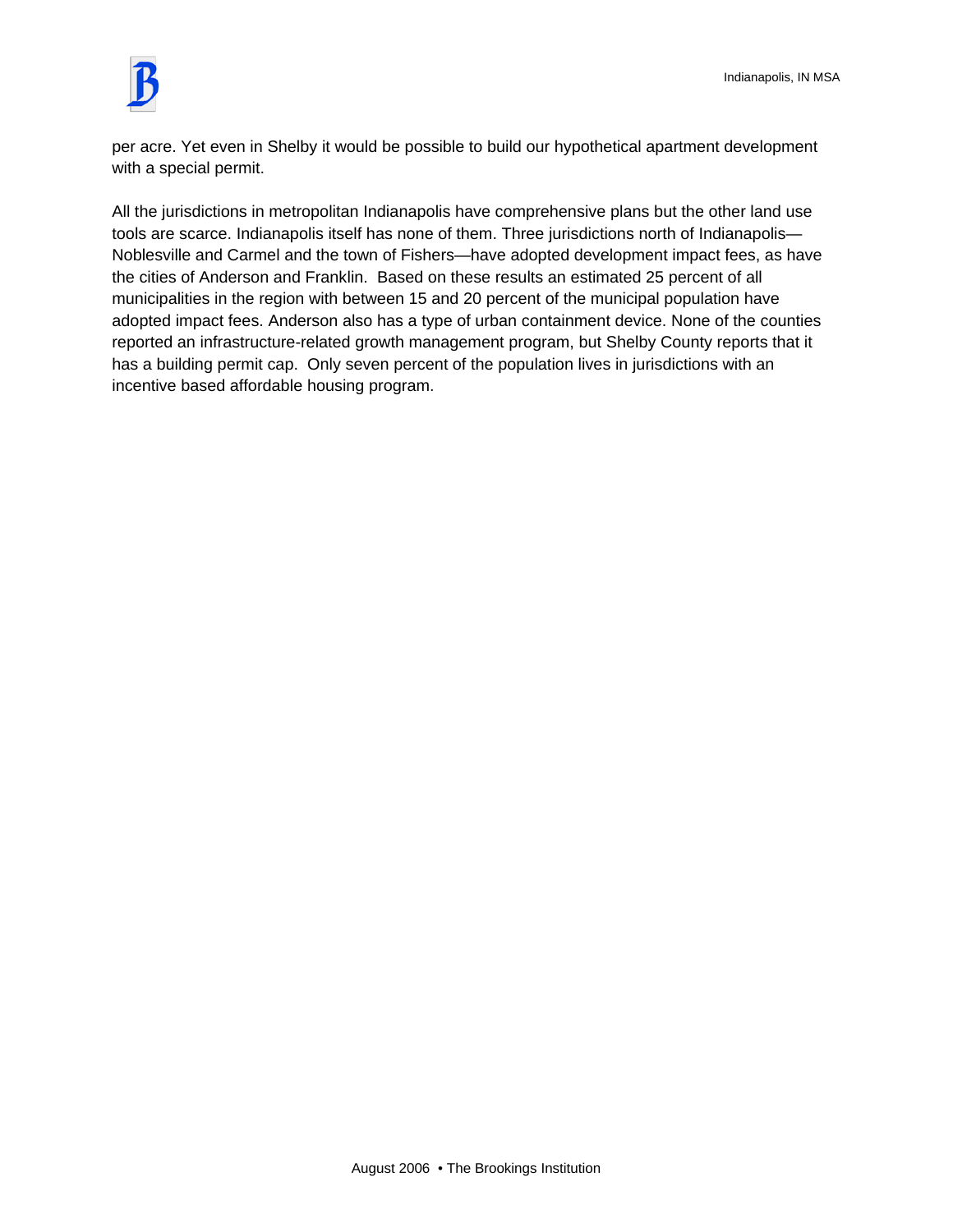

per acre. Yet even in Shelby it would be possible to build our hypothetical apartment development with a special permit.

All the jurisdictions in metropolitan Indianapolis have comprehensive plans but the other land use tools are scarce. Indianapolis itself has none of them. Three jurisdictions north of Indianapolis— Noblesville and Carmel and the town of Fishers—have adopted development impact fees, as have the cities of Anderson and Franklin. Based on these results an estimated 25 percent of all municipalities in the region with between 15 and 20 percent of the municipal population have adopted impact fees. Anderson also has a type of urban containment device. None of the counties reported an infrastructure-related growth management program, but Shelby County reports that it has a building permit cap. Only seven percent of the population lives in jurisdictions with an incentive based affordable housing program.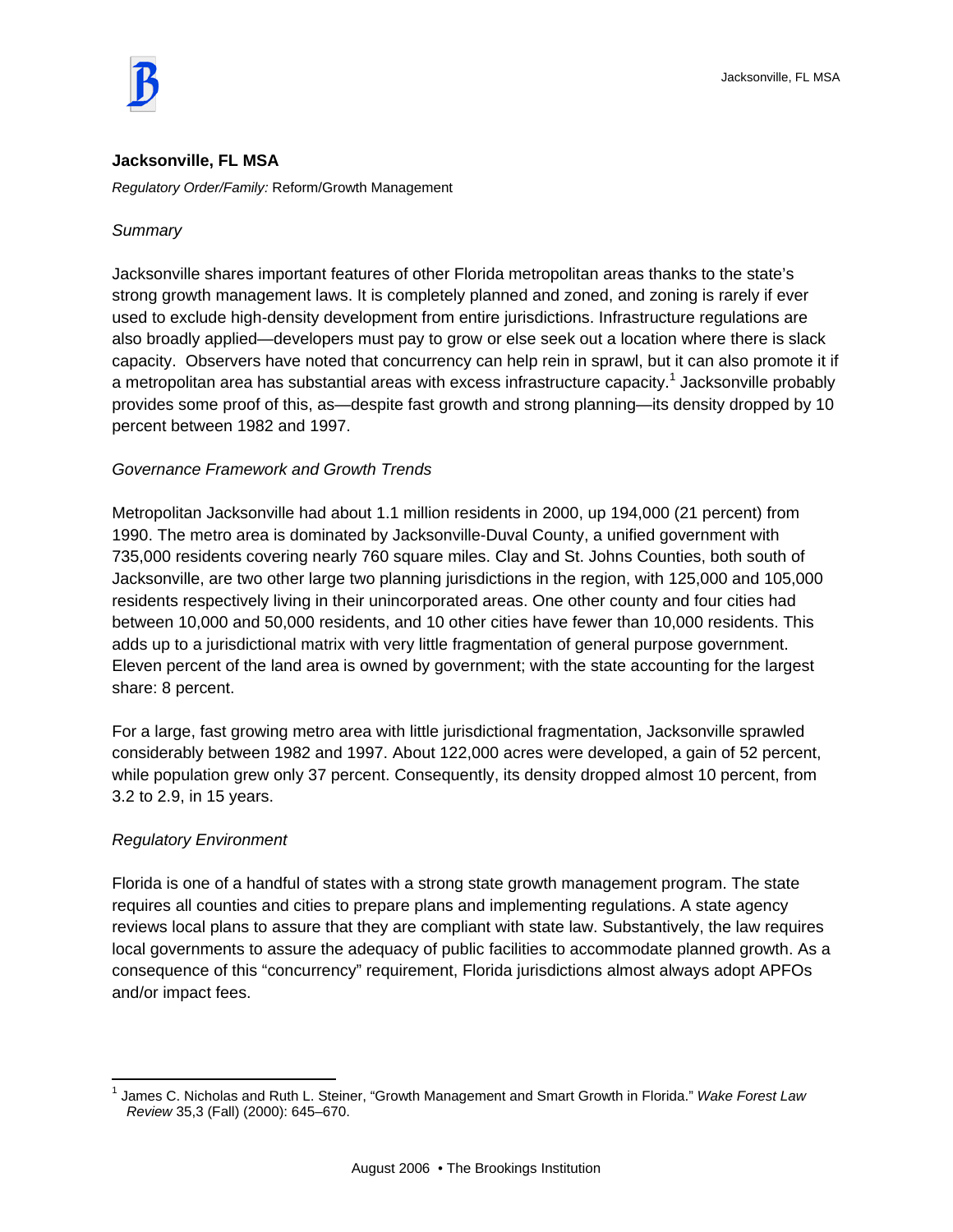

#### **Jacksonville, FL MSA**

*Regulatory Order/Family:* Reform/Growth Management

#### *Summary*

Jacksonville shares important features of other Florida metropolitan areas thanks to the state's strong growth management laws. It is completely planned and zoned, and zoning is rarely if ever used to exclude high-density development from entire jurisdictions. Infrastructure regulations are also broadly applied—developers must pay to grow or else seek out a location where there is slack capacity. Observers have noted that concurrency can help rein in sprawl, but it can also promote it if a metropolitan area has substantial areas with excess infrastructure capacity.<sup>1</sup> Jacksonville probably provides some proof of this, as—despite fast growth and strong planning—its density dropped by 10 percent between 1982 and 1997.

# *Governance Framework and Growth Trends*

Metropolitan Jacksonville had about 1.1 million residents in 2000, up 194,000 (21 percent) from 1990. The metro area is dominated by Jacksonville-Duval County, a unified government with 735,000 residents covering nearly 760 square miles. Clay and St. Johns Counties, both south of Jacksonville, are two other large two planning jurisdictions in the region, with 125,000 and 105,000 residents respectively living in their unincorporated areas. One other county and four cities had between 10,000 and 50,000 residents, and 10 other cities have fewer than 10,000 residents. This adds up to a jurisdictional matrix with very little fragmentation of general purpose government. Eleven percent of the land area is owned by government; with the state accounting for the largest share: 8 percent.

For a large, fast growing metro area with little jurisdictional fragmentation, Jacksonville sprawled considerably between 1982 and 1997. About 122,000 acres were developed, a gain of 52 percent, while population grew only 37 percent. Consequently, its density dropped almost 10 percent, from 3.2 to 2.9, in 15 years.

# *Regulatory Environment*

Florida is one of a handful of states with a strong state growth management program. The state requires all counties and cities to prepare plans and implementing regulations. A state agency reviews local plans to assure that they are compliant with state law. Substantively, the law requires local governments to assure the adequacy of public facilities to accommodate planned growth. As a consequence of this "concurrency" requirement, Florida jurisdictions almost always adopt APFOs and/or impact fees.

 $\overline{a}$ 1 James C. Nicholas and Ruth L. Steiner, "Growth Management and Smart Growth in Florida." *Wake Forest Law Review* 35,3 (Fall) (2000): 645–670.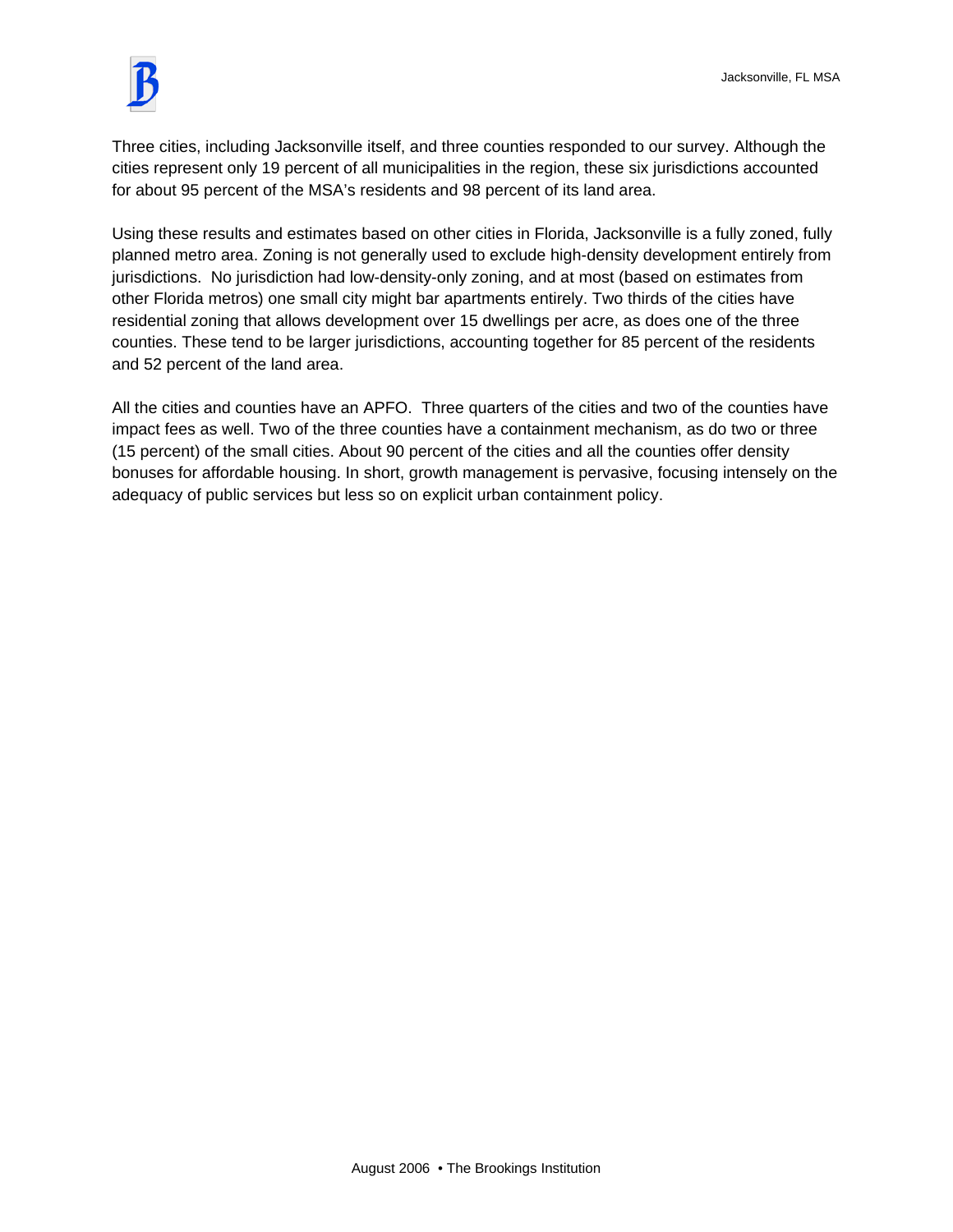

Three cities, including Jacksonville itself, and three counties responded to our survey. Although the cities represent only 19 percent of all municipalities in the region, these six jurisdictions accounted for about 95 percent of the MSA's residents and 98 percent of its land area.

Using these results and estimates based on other cities in Florida, Jacksonville is a fully zoned, fully planned metro area. Zoning is not generally used to exclude high-density development entirely from jurisdictions. No jurisdiction had low-density-only zoning, and at most (based on estimates from other Florida metros) one small city might bar apartments entirely. Two thirds of the cities have residential zoning that allows development over 15 dwellings per acre, as does one of the three counties. These tend to be larger jurisdictions, accounting together for 85 percent of the residents and 52 percent of the land area.

All the cities and counties have an APFO. Three quarters of the cities and two of the counties have impact fees as well. Two of the three counties have a containment mechanism, as do two or three (15 percent) of the small cities. About 90 percent of the cities and all the counties offer density bonuses for affordable housing. In short, growth management is pervasive, focusing intensely on the adequacy of public services but less so on explicit urban containment policy.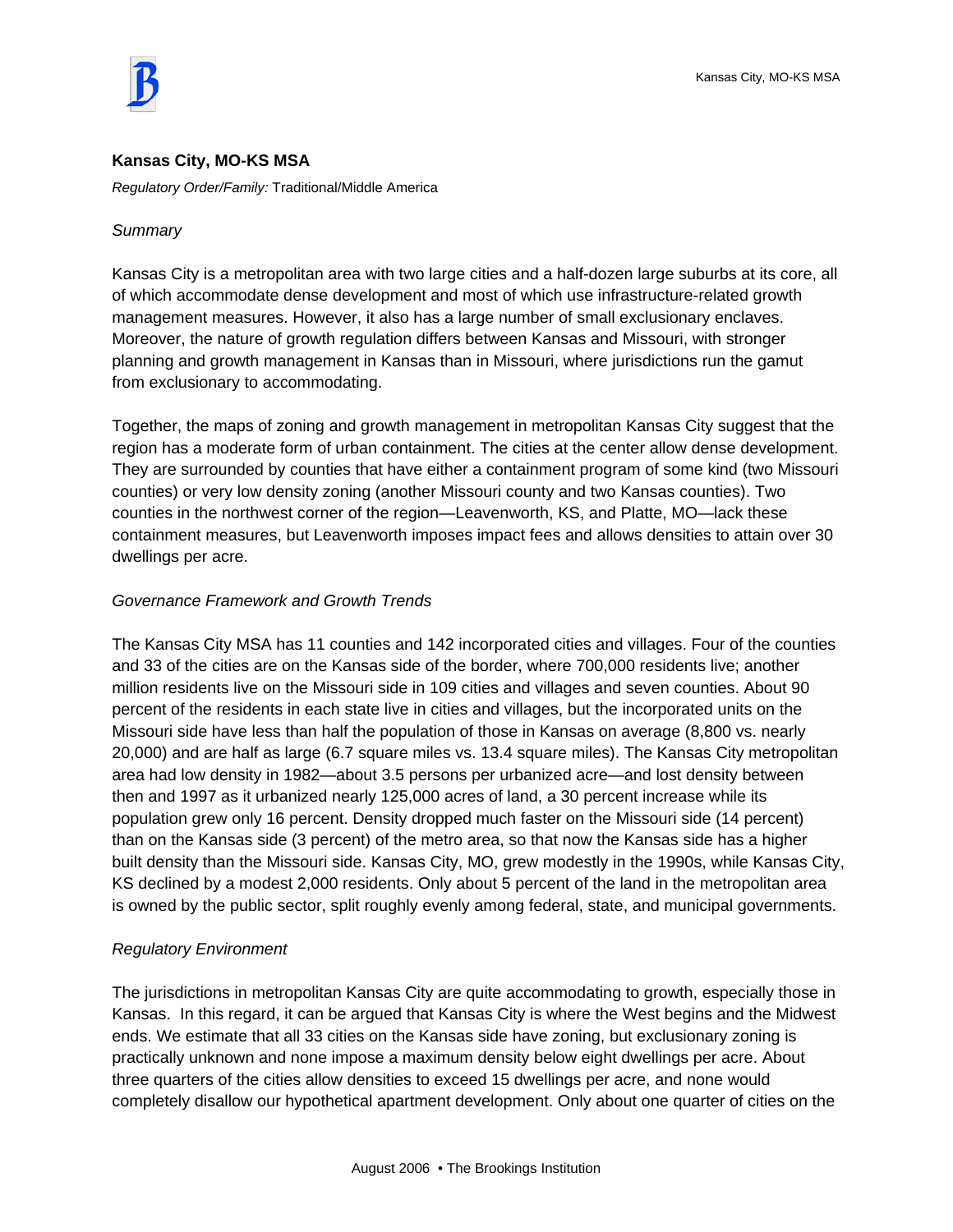

# **Kansas City, MO-KS MSA**

*Regulatory Order/Family:* Traditional/Middle America

#### *Summary*

Kansas City is a metropolitan area with two large cities and a half-dozen large suburbs at its core, all of which accommodate dense development and most of which use infrastructure-related growth management measures. However, it also has a large number of small exclusionary enclaves. Moreover, the nature of growth regulation differs between Kansas and Missouri, with stronger planning and growth management in Kansas than in Missouri, where jurisdictions run the gamut from exclusionary to accommodating.

Together, the maps of zoning and growth management in metropolitan Kansas City suggest that the region has a moderate form of urban containment. The cities at the center allow dense development. They are surrounded by counties that have either a containment program of some kind (two Missouri counties) or very low density zoning (another Missouri county and two Kansas counties). Two counties in the northwest corner of the region—Leavenworth, KS, and Platte, MO—lack these containment measures, but Leavenworth imposes impact fees and allows densities to attain over 30 dwellings per acre.

# *Governance Framework and Growth Trends*

The Kansas City MSA has 11 counties and 142 incorporated cities and villages. Four of the counties and 33 of the cities are on the Kansas side of the border, where 700,000 residents live; another million residents live on the Missouri side in 109 cities and villages and seven counties. About 90 percent of the residents in each state live in cities and villages, but the incorporated units on the Missouri side have less than half the population of those in Kansas on average (8,800 vs. nearly 20,000) and are half as large (6.7 square miles vs. 13.4 square miles). The Kansas City metropolitan area had low density in 1982—about 3.5 persons per urbanized acre—and lost density between then and 1997 as it urbanized nearly 125,000 acres of land, a 30 percent increase while its population grew only 16 percent. Density dropped much faster on the Missouri side (14 percent) than on the Kansas side (3 percent) of the metro area, so that now the Kansas side has a higher built density than the Missouri side. Kansas City, MO, grew modestly in the 1990s, while Kansas City, KS declined by a modest 2,000 residents. Only about 5 percent of the land in the metropolitan area is owned by the public sector, split roughly evenly among federal, state, and municipal governments.

# *Regulatory Environment*

The jurisdictions in metropolitan Kansas City are quite accommodating to growth, especially those in Kansas. In this regard, it can be argued that Kansas City is where the West begins and the Midwest ends. We estimate that all 33 cities on the Kansas side have zoning, but exclusionary zoning is practically unknown and none impose a maximum density below eight dwellings per acre. About three quarters of the cities allow densities to exceed 15 dwellings per acre, and none would completely disallow our hypothetical apartment development. Only about one quarter of cities on the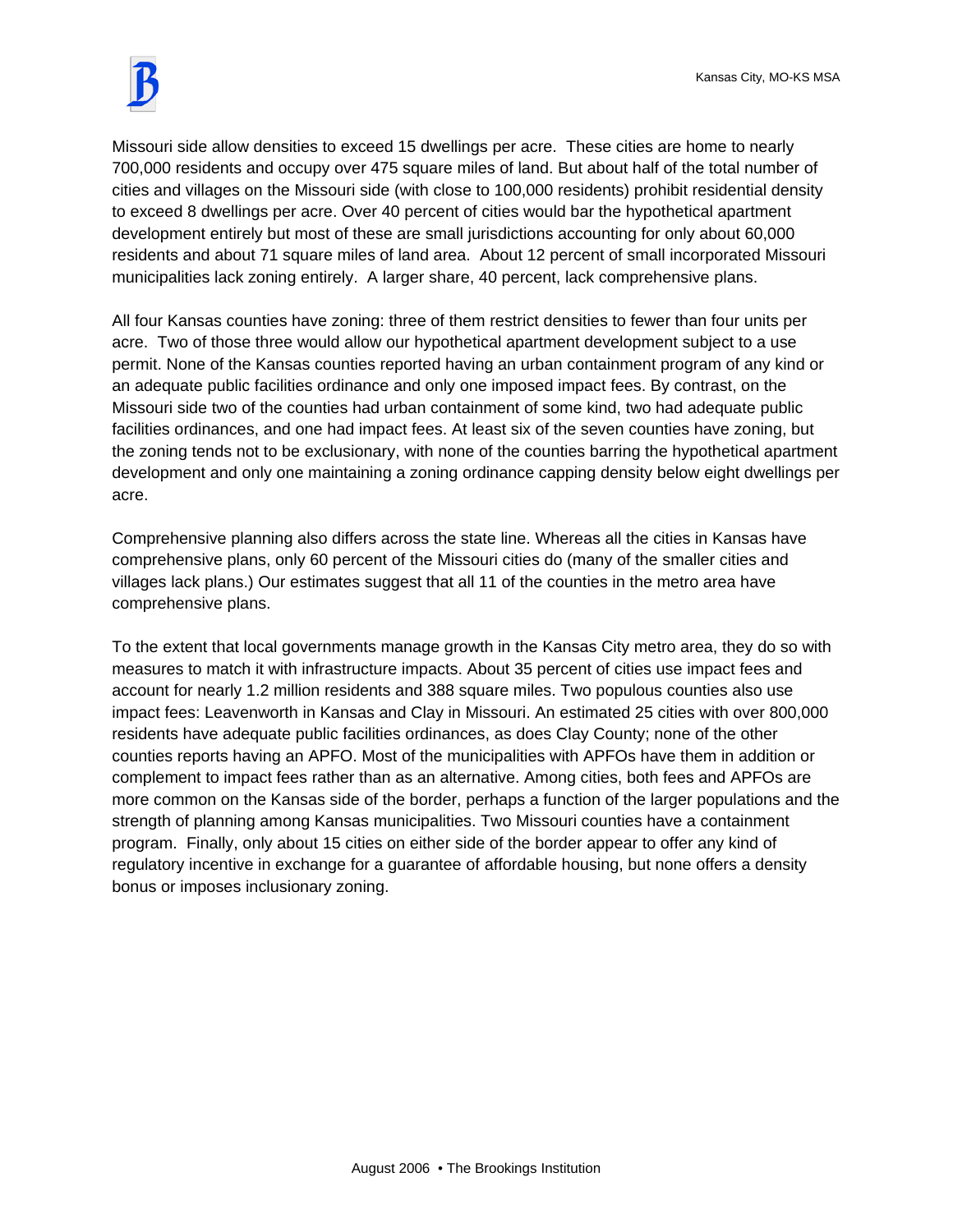

Missouri side allow densities to exceed 15 dwellings per acre. These cities are home to nearly 700,000 residents and occupy over 475 square miles of land. But about half of the total number of cities and villages on the Missouri side (with close to 100,000 residents) prohibit residential density to exceed 8 dwellings per acre. Over 40 percent of cities would bar the hypothetical apartment development entirely but most of these are small jurisdictions accounting for only about 60,000 residents and about 71 square miles of land area. About 12 percent of small incorporated Missouri municipalities lack zoning entirely. A larger share, 40 percent, lack comprehensive plans.

All four Kansas counties have zoning: three of them restrict densities to fewer than four units per acre. Two of those three would allow our hypothetical apartment development subject to a use permit. None of the Kansas counties reported having an urban containment program of any kind or an adequate public facilities ordinance and only one imposed impact fees. By contrast, on the Missouri side two of the counties had urban containment of some kind, two had adequate public facilities ordinances, and one had impact fees. At least six of the seven counties have zoning, but the zoning tends not to be exclusionary, with none of the counties barring the hypothetical apartment development and only one maintaining a zoning ordinance capping density below eight dwellings per acre.

Comprehensive planning also differs across the state line. Whereas all the cities in Kansas have comprehensive plans, only 60 percent of the Missouri cities do (many of the smaller cities and villages lack plans.) Our estimates suggest that all 11 of the counties in the metro area have comprehensive plans.

To the extent that local governments manage growth in the Kansas City metro area, they do so with measures to match it with infrastructure impacts. About 35 percent of cities use impact fees and account for nearly 1.2 million residents and 388 square miles. Two populous counties also use impact fees: Leavenworth in Kansas and Clay in Missouri. An estimated 25 cities with over 800,000 residents have adequate public facilities ordinances, as does Clay County; none of the other counties reports having an APFO. Most of the municipalities with APFOs have them in addition or complement to impact fees rather than as an alternative. Among cities, both fees and APFOs are more common on the Kansas side of the border, perhaps a function of the larger populations and the strength of planning among Kansas municipalities. Two Missouri counties have a containment program. Finally, only about 15 cities on either side of the border appear to offer any kind of regulatory incentive in exchange for a guarantee of affordable housing, but none offers a density bonus or imposes inclusionary zoning.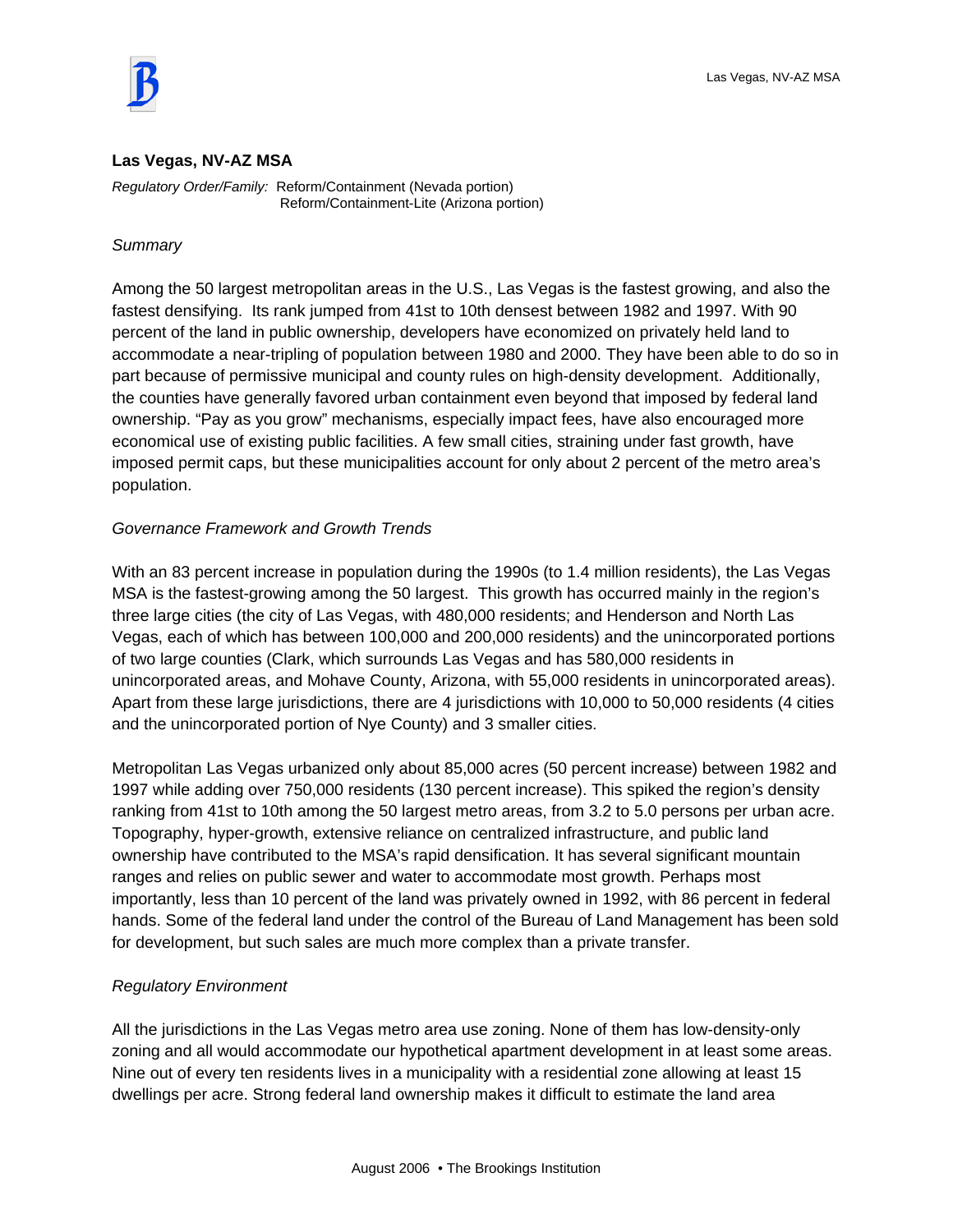

#### **Las Vegas, NV-AZ MSA**

*Regulatory Order/Family:* Reform/Containment (Nevada portion) Reform/Containment-Lite (Arizona portion)

#### *Summary*

Among the 50 largest metropolitan areas in the U.S., Las Vegas is the fastest growing, and also the fastest densifying. Its rank jumped from 41st to 10th densest between 1982 and 1997. With 90 percent of the land in public ownership, developers have economized on privately held land to accommodate a near-tripling of population between 1980 and 2000. They have been able to do so in part because of permissive municipal and county rules on high-density development. Additionally, the counties have generally favored urban containment even beyond that imposed by federal land ownership. "Pay as you grow" mechanisms, especially impact fees, have also encouraged more economical use of existing public facilities. A few small cities, straining under fast growth, have imposed permit caps, but these municipalities account for only about 2 percent of the metro area's population.

#### *Governance Framework and Growth Trends*

With an 83 percent increase in population during the 1990s (to 1.4 million residents), the Las Vegas MSA is the fastest-growing among the 50 largest. This growth has occurred mainly in the region's three large cities (the city of Las Vegas, with 480,000 residents; and Henderson and North Las Vegas, each of which has between 100,000 and 200,000 residents) and the unincorporated portions of two large counties (Clark, which surrounds Las Vegas and has 580,000 residents in unincorporated areas, and Mohave County, Arizona, with 55,000 residents in unincorporated areas). Apart from these large jurisdictions, there are 4 jurisdictions with 10,000 to 50,000 residents (4 cities and the unincorporated portion of Nye County) and 3 smaller cities.

Metropolitan Las Vegas urbanized only about 85,000 acres (50 percent increase) between 1982 and 1997 while adding over 750,000 residents (130 percent increase). This spiked the region's density ranking from 41st to 10th among the 50 largest metro areas, from 3.2 to 5.0 persons per urban acre. Topography, hyper-growth, extensive reliance on centralized infrastructure, and public land ownership have contributed to the MSA's rapid densification. It has several significant mountain ranges and relies on public sewer and water to accommodate most growth. Perhaps most importantly, less than 10 percent of the land was privately owned in 1992, with 86 percent in federal hands. Some of the federal land under the control of the Bureau of Land Management has been sold for development, but such sales are much more complex than a private transfer.

#### *Regulatory Environment*

All the jurisdictions in the Las Vegas metro area use zoning. None of them has low-density-only zoning and all would accommodate our hypothetical apartment development in at least some areas. Nine out of every ten residents lives in a municipality with a residential zone allowing at least 15 dwellings per acre. Strong federal land ownership makes it difficult to estimate the land area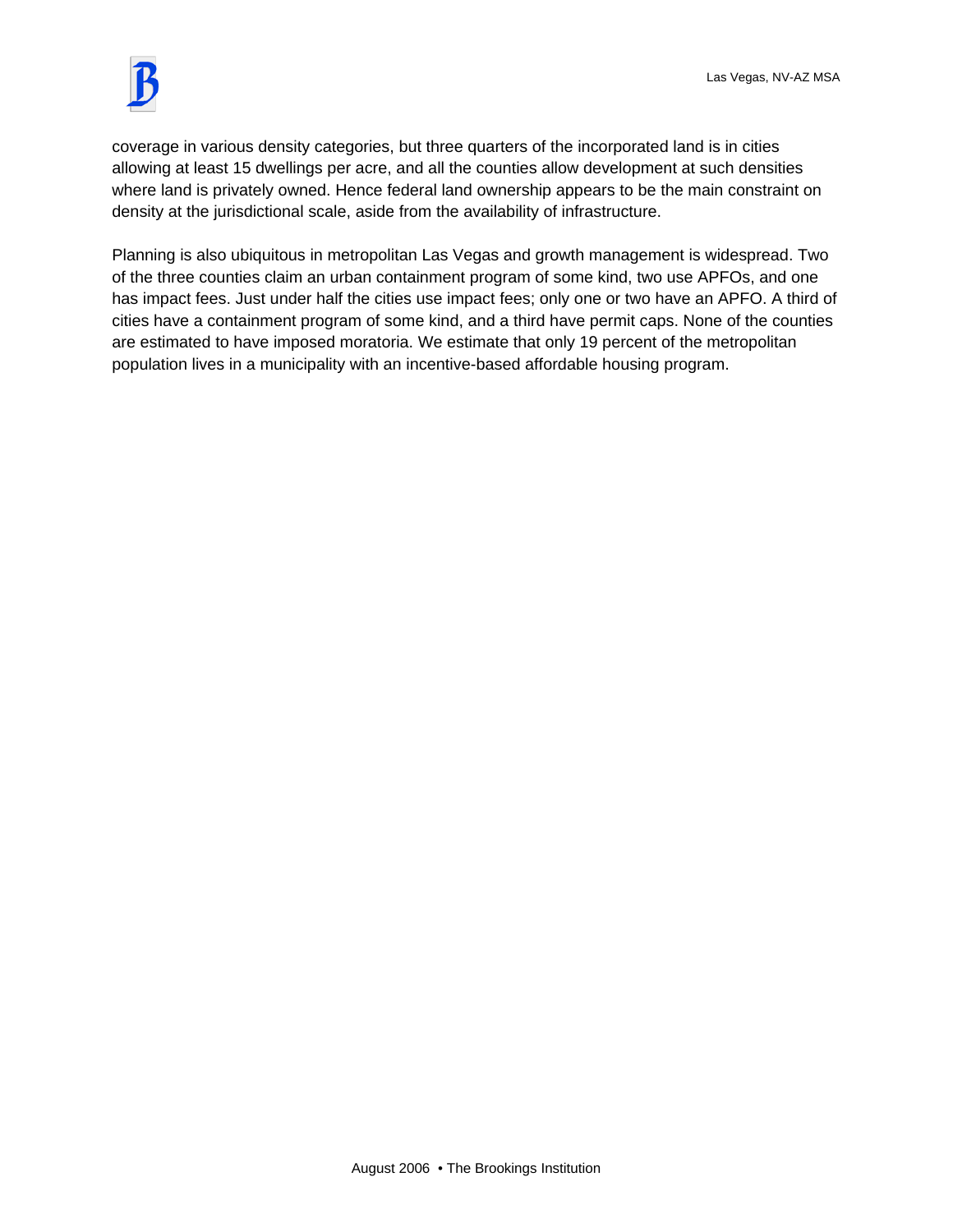

coverage in various density categories, but three quarters of the incorporated land is in cities allowing at least 15 dwellings per acre, and all the counties allow development at such densities where land is privately owned. Hence federal land ownership appears to be the main constraint on density at the jurisdictional scale, aside from the availability of infrastructure.

Planning is also ubiquitous in metropolitan Las Vegas and growth management is widespread. Two of the three counties claim an urban containment program of some kind, two use APFOs, and one has impact fees. Just under half the cities use impact fees; only one or two have an APFO. A third of cities have a containment program of some kind, and a third have permit caps. None of the counties are estimated to have imposed moratoria. We estimate that only 19 percent of the metropolitan population lives in a municipality with an incentive-based affordable housing program.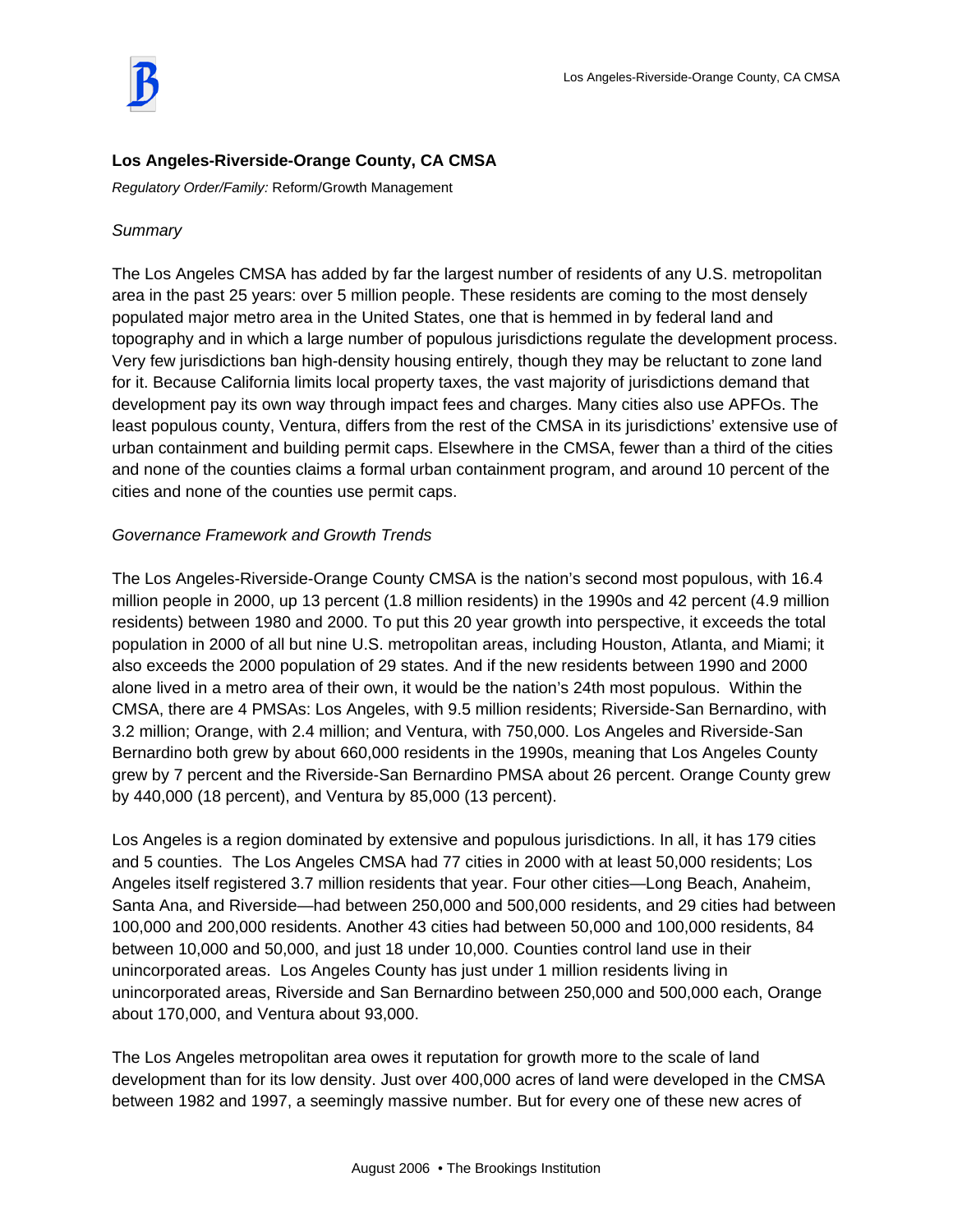

# **Los Angeles-Riverside-Orange County, CA CMSA**

*Regulatory Order/Family:* Reform/Growth Management

### *Summary*

The Los Angeles CMSA has added by far the largest number of residents of any U.S. metropolitan area in the past 25 years: over 5 million people. These residents are coming to the most densely populated major metro area in the United States, one that is hemmed in by federal land and topography and in which a large number of populous jurisdictions regulate the development process. Very few jurisdictions ban high-density housing entirely, though they may be reluctant to zone land for it. Because California limits local property taxes, the vast majority of jurisdictions demand that development pay its own way through impact fees and charges. Many cities also use APFOs. The least populous county, Ventura, differs from the rest of the CMSA in its jurisdictions' extensive use of urban containment and building permit caps. Elsewhere in the CMSA, fewer than a third of the cities and none of the counties claims a formal urban containment program, and around 10 percent of the cities and none of the counties use permit caps.

# *Governance Framework and Growth Trends*

The Los Angeles-Riverside-Orange County CMSA is the nation's second most populous, with 16.4 million people in 2000, up 13 percent (1.8 million residents) in the 1990s and 42 percent (4.9 million residents) between 1980 and 2000. To put this 20 year growth into perspective, it exceeds the total population in 2000 of all but nine U.S. metropolitan areas, including Houston, Atlanta, and Miami; it also exceeds the 2000 population of 29 states. And if the new residents between 1990 and 2000 alone lived in a metro area of their own, it would be the nation's 24th most populous. Within the CMSA, there are 4 PMSAs: Los Angeles, with 9.5 million residents; Riverside-San Bernardino, with 3.2 million; Orange, with 2.4 million; and Ventura, with 750,000. Los Angeles and Riverside-San Bernardino both grew by about 660,000 residents in the 1990s, meaning that Los Angeles County grew by 7 percent and the Riverside-San Bernardino PMSA about 26 percent. Orange County grew by 440,000 (18 percent), and Ventura by 85,000 (13 percent).

Los Angeles is a region dominated by extensive and populous jurisdictions. In all, it has 179 cities and 5 counties. The Los Angeles CMSA had 77 cities in 2000 with at least 50,000 residents; Los Angeles itself registered 3.7 million residents that year. Four other cities—Long Beach, Anaheim, Santa Ana, and Riverside—had between 250,000 and 500,000 residents, and 29 cities had between 100,000 and 200,000 residents. Another 43 cities had between 50,000 and 100,000 residents, 84 between 10,000 and 50,000, and just 18 under 10,000. Counties control land use in their unincorporated areas. Los Angeles County has just under 1 million residents living in unincorporated areas, Riverside and San Bernardino between 250,000 and 500,000 each, Orange about 170,000, and Ventura about 93,000.

The Los Angeles metropolitan area owes it reputation for growth more to the scale of land development than for its low density. Just over 400,000 acres of land were developed in the CMSA between 1982 and 1997, a seemingly massive number. But for every one of these new acres of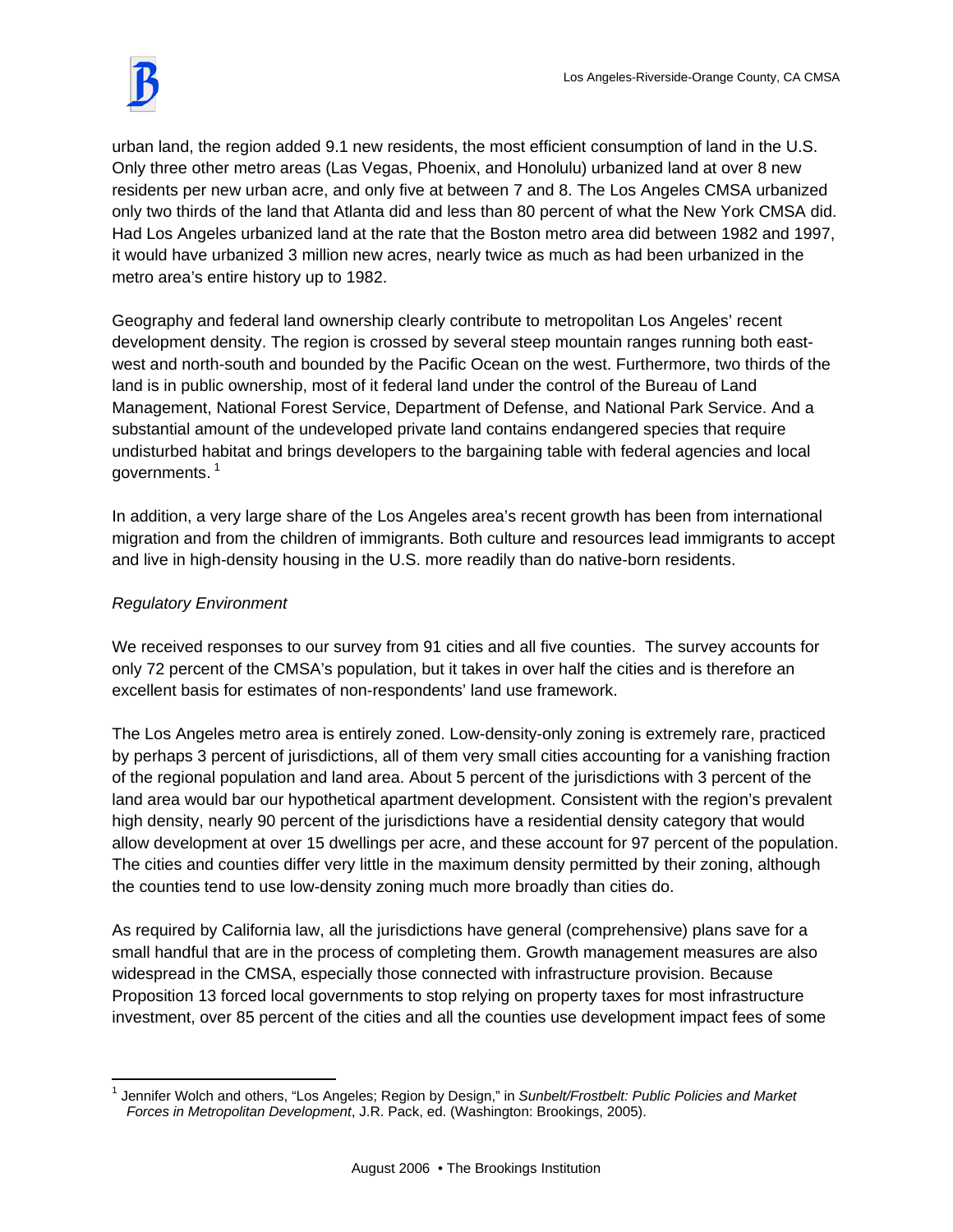urban land, the region added 9.1 new residents, the most efficient consumption of land in the U.S. Only three other metro areas (Las Vegas, Phoenix, and Honolulu) urbanized land at over 8 new residents per new urban acre, and only five at between 7 and 8. The Los Angeles CMSA urbanized only two thirds of the land that Atlanta did and less than 80 percent of what the New York CMSA did. Had Los Angeles urbanized land at the rate that the Boston metro area did between 1982 and 1997, it would have urbanized 3 million new acres, nearly twice as much as had been urbanized in the metro area's entire history up to 1982.

Geography and federal land ownership clearly contribute to metropolitan Los Angeles' recent development density. The region is crossed by several steep mountain ranges running both eastwest and north-south and bounded by the Pacific Ocean on the west. Furthermore, two thirds of the land is in public ownership, most of it federal land under the control of the Bureau of Land Management, National Forest Service, Department of Defense, and National Park Service. And a substantial amount of the undeveloped private land contains endangered species that require undisturbed habitat and brings developers to the bargaining table with federal agencies and local governments.<sup>1</sup>

In addition, a very large share of the Los Angeles area's recent growth has been from international migration and from the children of immigrants. Both culture and resources lead immigrants to accept and live in high-density housing in the U.S. more readily than do native-born residents.

# *Regulatory Environment*

We received responses to our survey from 91 cities and all five counties. The survey accounts for only 72 percent of the CMSA's population, but it takes in over half the cities and is therefore an excellent basis for estimates of non-respondents' land use framework.

The Los Angeles metro area is entirely zoned. Low-density-only zoning is extremely rare, practiced by perhaps 3 percent of jurisdictions, all of them very small cities accounting for a vanishing fraction of the regional population and land area. About 5 percent of the jurisdictions with 3 percent of the land area would bar our hypothetical apartment development. Consistent with the region's prevalent high density, nearly 90 percent of the jurisdictions have a residential density category that would allow development at over 15 dwellings per acre, and these account for 97 percent of the population. The cities and counties differ very little in the maximum density permitted by their zoning, although the counties tend to use low-density zoning much more broadly than cities do.

As required by California law, all the jurisdictions have general (comprehensive) plans save for a small handful that are in the process of completing them. Growth management measures are also widespread in the CMSA, especially those connected with infrastructure provision. Because Proposition 13 forced local governments to stop relying on property taxes for most infrastructure investment, over 85 percent of the cities and all the counties use development impact fees of some

 $\overline{a}$ 1 Jennifer Wolch and others, "Los Angeles; Region by Design," in *Sunbelt/Frostbelt: Public Policies and Market Forces in Metropolitan Development*, J.R. Pack, ed. (Washington: Brookings, 2005).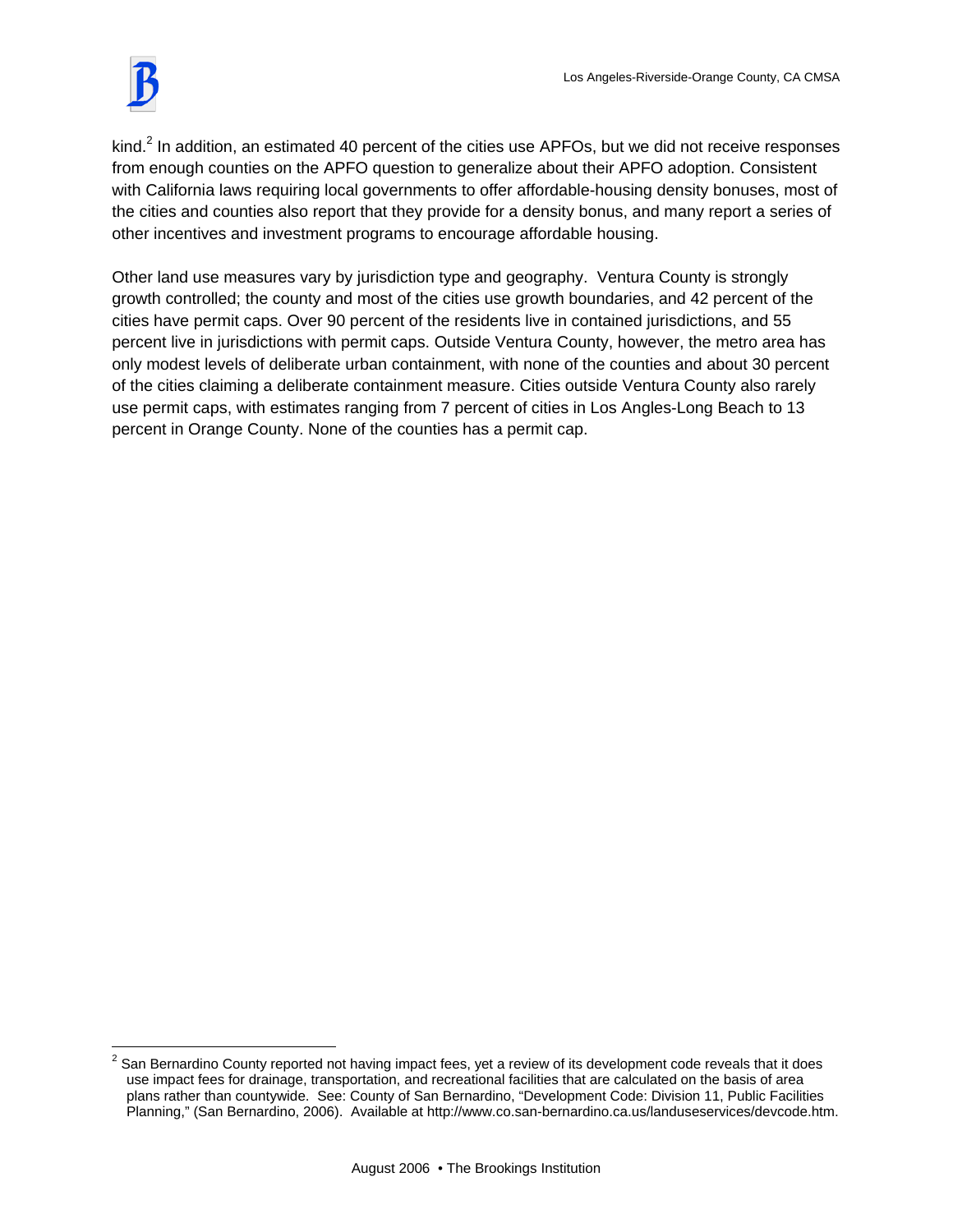$\overline{a}$ 

kind.<sup>2</sup> In addition, an estimated 40 percent of the cities use APFOs, but we did not receive responses from enough counties on the APFO question to generalize about their APFO adoption. Consistent with California laws requiring local governments to offer affordable-housing density bonuses, most of the cities and counties also report that they provide for a density bonus, and many report a series of other incentives and investment programs to encourage affordable housing.

Other land use measures vary by jurisdiction type and geography. Ventura County is strongly growth controlled; the county and most of the cities use growth boundaries, and 42 percent of the cities have permit caps. Over 90 percent of the residents live in contained jurisdictions, and 55 percent live in jurisdictions with permit caps. Outside Ventura County, however, the metro area has only modest levels of deliberate urban containment, with none of the counties and about 30 percent of the cities claiming a deliberate containment measure. Cities outside Ventura County also rarely use permit caps, with estimates ranging from 7 percent of cities in Los Angles-Long Beach to 13 percent in Orange County. None of the counties has a permit cap.

 $2$  San Bernardino County reported not having impact fees, yet a review of its development code reveals that it does use impact fees for drainage, transportation, and recreational facilities that are calculated on the basis of area plans rather than countywide. See: County of San Bernardino, "Development Code: Division 11, Public Facilities Planning," (San Bernardino, 2006). Available at http://www.co.san-bernardino.ca.us/landuseservices/devcode.htm.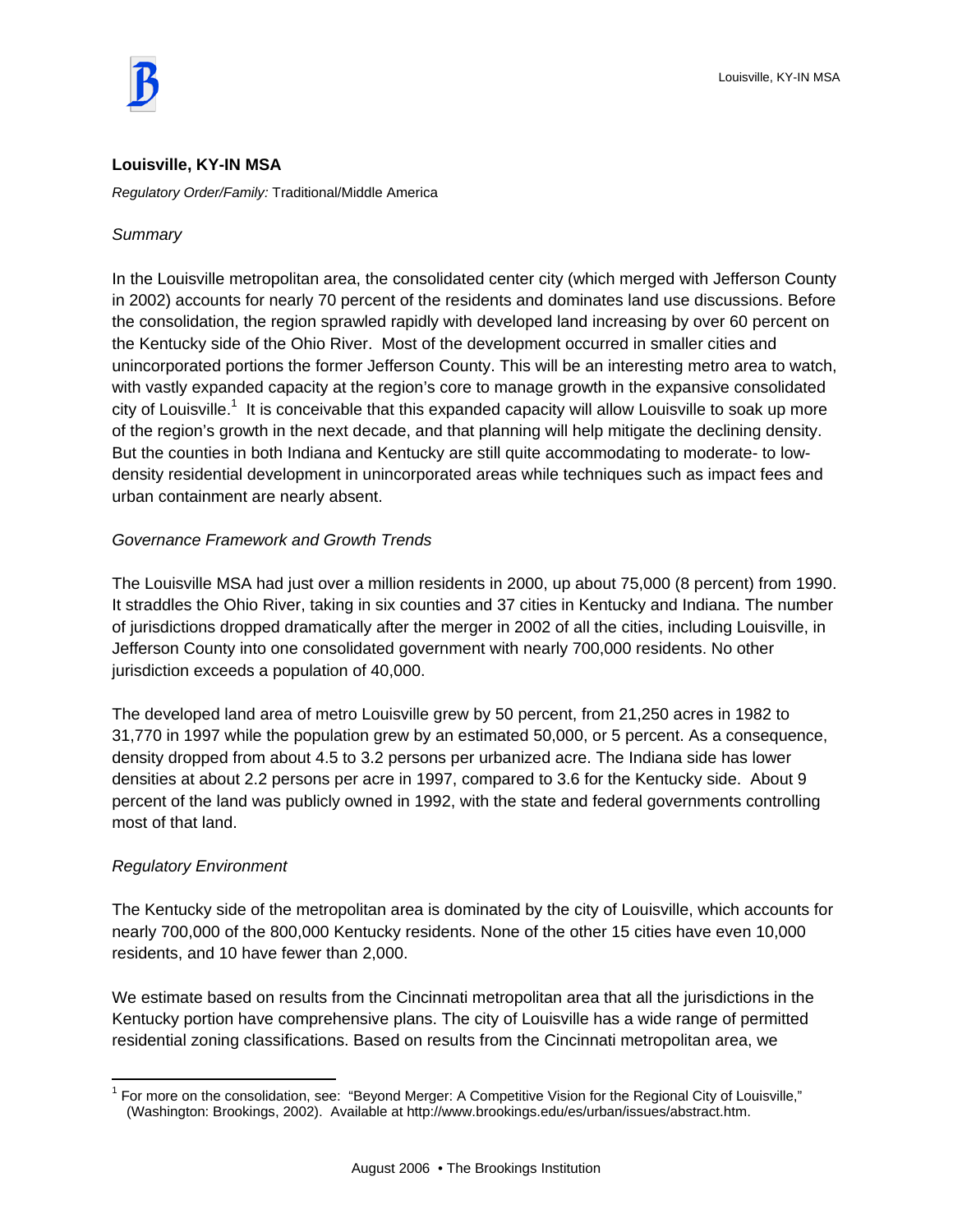#### **Louisville, KY-IN MSA**

*Regulatory Order/Family:* Traditional/Middle America

# *Summary*

In the Louisville metropolitan area, the consolidated center city (which merged with Jefferson County in 2002) accounts for nearly 70 percent of the residents and dominates land use discussions. Before the consolidation, the region sprawled rapidly with developed land increasing by over 60 percent on the Kentucky side of the Ohio River. Most of the development occurred in smaller cities and unincorporated portions the former Jefferson County. This will be an interesting metro area to watch, with vastly expanded capacity at the region's core to manage growth in the expansive consolidated city of Louisville.<sup>1</sup> It is conceivable that this expanded capacity will allow Louisville to soak up more of the region's growth in the next decade, and that planning will help mitigate the declining density. But the counties in both Indiana and Kentucky are still quite accommodating to moderate- to lowdensity residential development in unincorporated areas while techniques such as impact fees and urban containment are nearly absent.

# *Governance Framework and Growth Trends*

The Louisville MSA had just over a million residents in 2000, up about 75,000 (8 percent) from 1990. It straddles the Ohio River, taking in six counties and 37 cities in Kentucky and Indiana. The number of jurisdictions dropped dramatically after the merger in 2002 of all the cities, including Louisville, in Jefferson County into one consolidated government with nearly 700,000 residents. No other jurisdiction exceeds a population of 40,000.

The developed land area of metro Louisville grew by 50 percent, from 21,250 acres in 1982 to 31,770 in 1997 while the population grew by an estimated 50,000, or 5 percent. As a consequence, density dropped from about 4.5 to 3.2 persons per urbanized acre. The Indiana side has lower densities at about 2.2 persons per acre in 1997, compared to 3.6 for the Kentucky side. About 9 percent of the land was publicly owned in 1992, with the state and federal governments controlling most of that land.

# *Regulatory Environment*

The Kentucky side of the metropolitan area is dominated by the city of Louisville, which accounts for nearly 700,000 of the 800,000 Kentucky residents. None of the other 15 cities have even 10,000 residents, and 10 have fewer than 2,000.

We estimate based on results from the Cincinnati metropolitan area that all the jurisdictions in the Kentucky portion have comprehensive plans. The city of Louisville has a wide range of permitted residential zoning classifications. Based on results from the Cincinnati metropolitan area, we

 $\overline{a}$ <sup>1</sup> For more on the consolidation, see: "Beyond Merger: A Competitive Vision for the Regional City of Louisville," (Washington: Brookings, 2002). Available at http://www.brookings.edu/es/urban/issues/abstract.htm.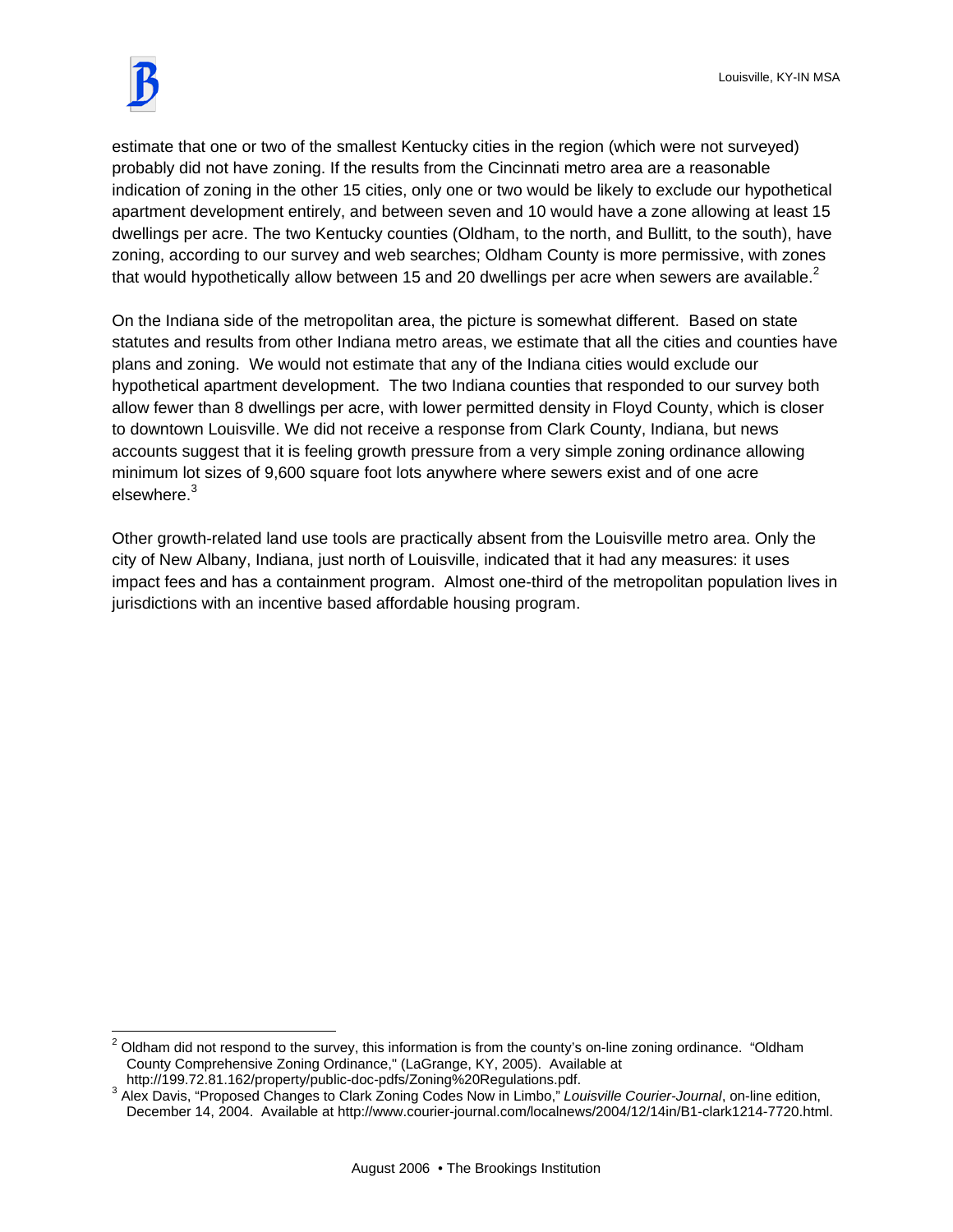$\overline{a}$ 

estimate that one or two of the smallest Kentucky cities in the region (which were not surveyed) probably did not have zoning. If the results from the Cincinnati metro area are a reasonable indication of zoning in the other 15 cities, only one or two would be likely to exclude our hypothetical apartment development entirely, and between seven and 10 would have a zone allowing at least 15 dwellings per acre. The two Kentucky counties (Oldham, to the north, and Bullitt, to the south), have zoning, according to our survey and web searches; Oldham County is more permissive, with zones that would hypothetically allow between 15 and 20 dwellings per acre when sewers are available. $2^2$ 

On the Indiana side of the metropolitan area, the picture is somewhat different. Based on state statutes and results from other Indiana metro areas, we estimate that all the cities and counties have plans and zoning. We would not estimate that any of the Indiana cities would exclude our hypothetical apartment development. The two Indiana counties that responded to our survey both allow fewer than 8 dwellings per acre, with lower permitted density in Floyd County, which is closer to downtown Louisville. We did not receive a response from Clark County, Indiana, but news accounts suggest that it is feeling growth pressure from a very simple zoning ordinance allowing minimum lot sizes of 9,600 square foot lots anywhere where sewers exist and of one acre elsewhere.<sup>3</sup>

Other growth-related land use tools are practically absent from the Louisville metro area. Only the city of New Albany, Indiana, just north of Louisville, indicated that it had any measures: it uses impact fees and has a containment program. Almost one-third of the metropolitan population lives in jurisdictions with an incentive based affordable housing program.

<sup>&</sup>lt;sup>2</sup> Oldham did not respond to the survey, this information is from the county's on-line zoning ordinance. "Oldham County Comprehensive Zoning Ordinance," (LaGrange, KY, 2005). Available at http://199.72.81.162/property/public-doc-pdfs/Zoning%20Regulations.pdf.

<sup>&</sup>lt;sup>3</sup> Alex Davis, "Proposed Changes to Clark Zoning Codes Now in Limbo," Louisville Courier-Journal, on-line edition, December 14, 2004. Available at http://www.courier-journal.com/localnews/2004/12/14in/B1-clark1214-7720.html.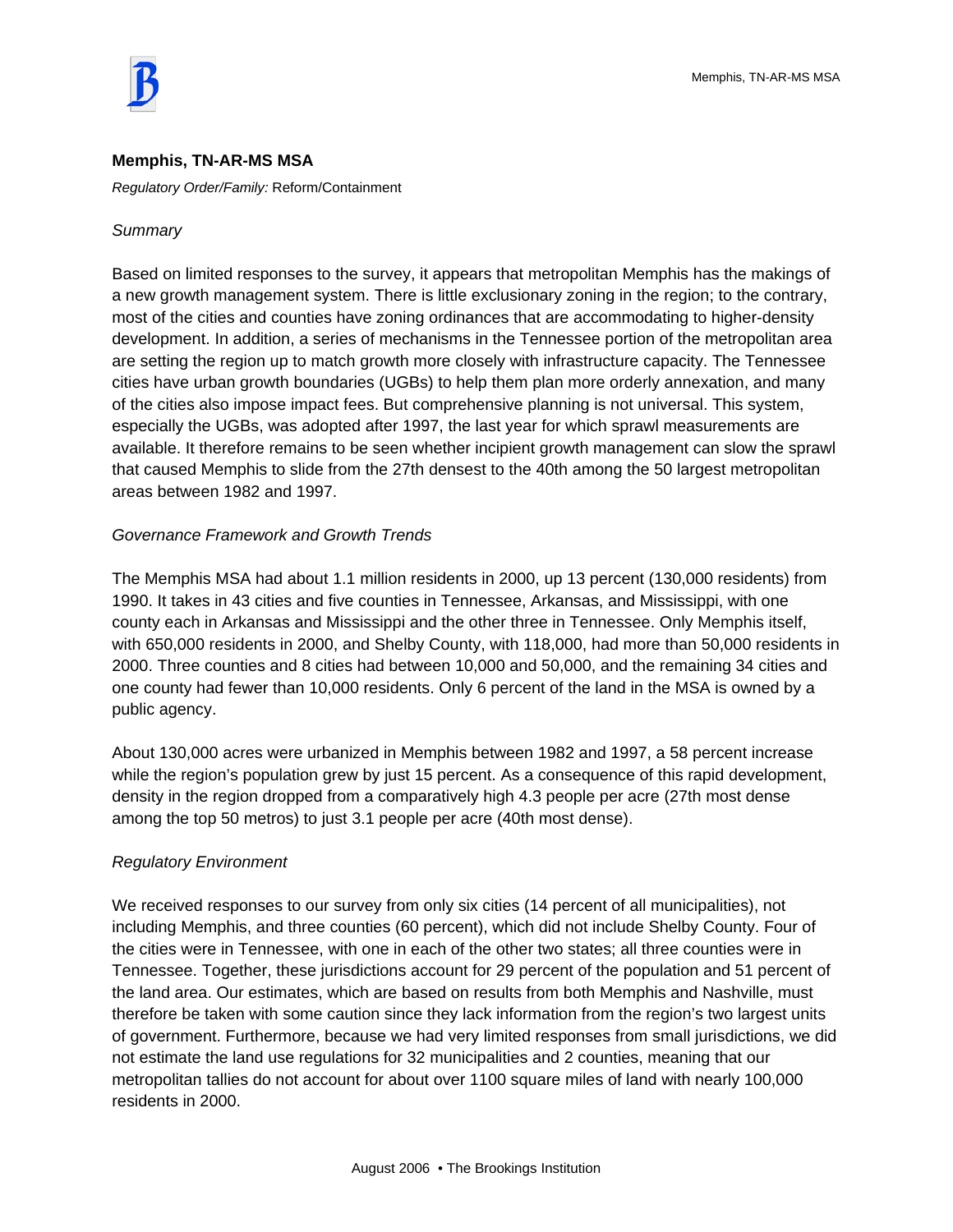

#### **Memphis, TN-AR-MS MSA**

*Regulatory Order/Family:* Reform/Containment

#### *Summary*

Based on limited responses to the survey, it appears that metropolitan Memphis has the makings of a new growth management system. There is little exclusionary zoning in the region; to the contrary, most of the cities and counties have zoning ordinances that are accommodating to higher-density development. In addition, a series of mechanisms in the Tennessee portion of the metropolitan area are setting the region up to match growth more closely with infrastructure capacity. The Tennessee cities have urban growth boundaries (UGBs) to help them plan more orderly annexation, and many of the cities also impose impact fees. But comprehensive planning is not universal. This system, especially the UGBs, was adopted after 1997, the last year for which sprawl measurements are available. It therefore remains to be seen whether incipient growth management can slow the sprawl that caused Memphis to slide from the 27th densest to the 40th among the 50 largest metropolitan areas between 1982 and 1997.

# *Governance Framework and Growth Trends*

The Memphis MSA had about 1.1 million residents in 2000, up 13 percent (130,000 residents) from 1990. It takes in 43 cities and five counties in Tennessee, Arkansas, and Mississippi, with one county each in Arkansas and Mississippi and the other three in Tennessee. Only Memphis itself, with 650,000 residents in 2000, and Shelby County, with 118,000, had more than 50,000 residents in 2000. Three counties and 8 cities had between 10,000 and 50,000, and the remaining 34 cities and one county had fewer than 10,000 residents. Only 6 percent of the land in the MSA is owned by a public agency.

About 130,000 acres were urbanized in Memphis between 1982 and 1997, a 58 percent increase while the region's population grew by just 15 percent. As a consequence of this rapid development, density in the region dropped from a comparatively high 4.3 people per acre (27th most dense among the top 50 metros) to just 3.1 people per acre (40th most dense).

# *Regulatory Environment*

We received responses to our survey from only six cities (14 percent of all municipalities), not including Memphis, and three counties (60 percent), which did not include Shelby County. Four of the cities were in Tennessee, with one in each of the other two states; all three counties were in Tennessee. Together, these jurisdictions account for 29 percent of the population and 51 percent of the land area. Our estimates, which are based on results from both Memphis and Nashville, must therefore be taken with some caution since they lack information from the region's two largest units of government. Furthermore, because we had very limited responses from small jurisdictions, we did not estimate the land use regulations for 32 municipalities and 2 counties, meaning that our metropolitan tallies do not account for about over 1100 square miles of land with nearly 100,000 residents in 2000.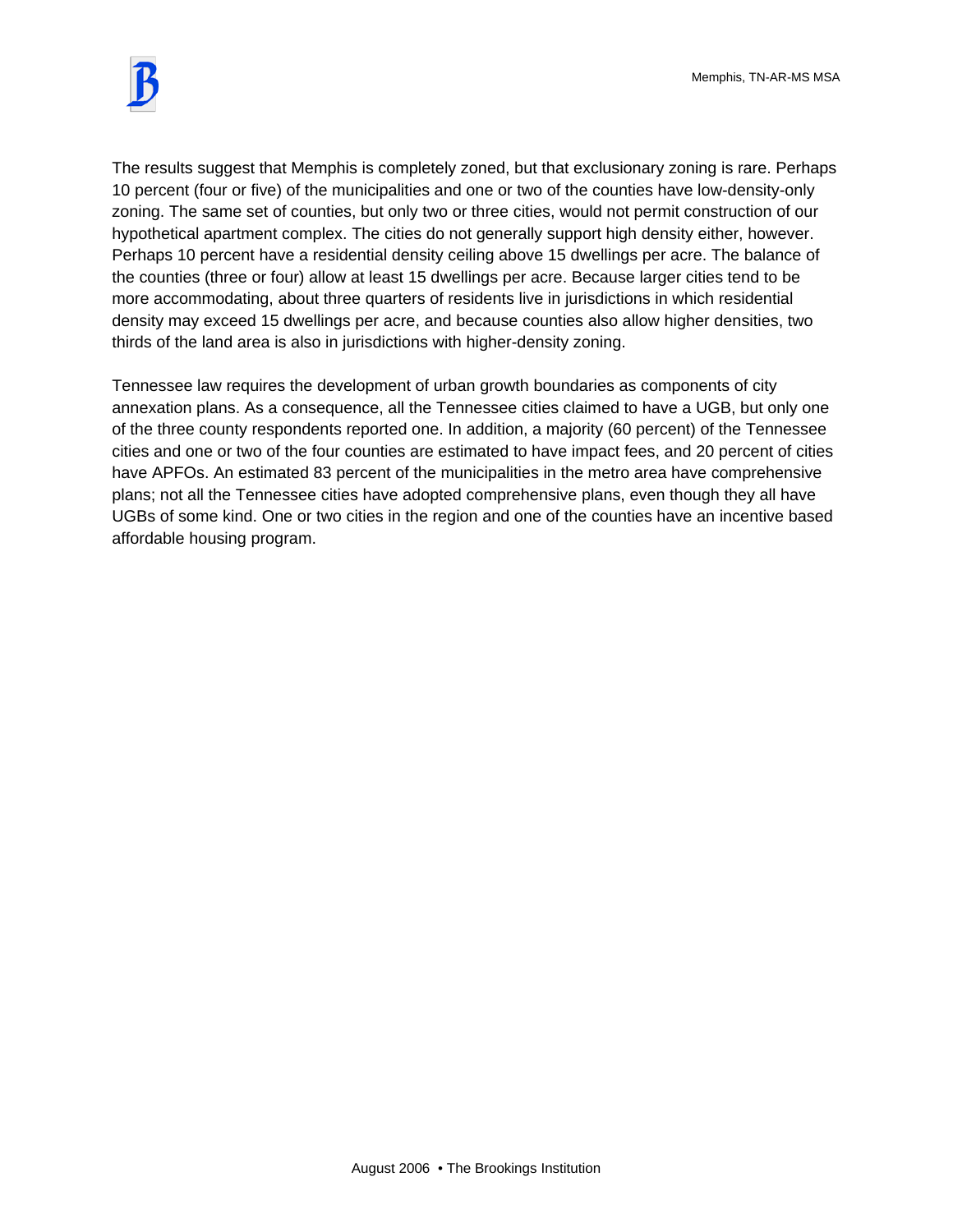

The results suggest that Memphis is completely zoned, but that exclusionary zoning is rare. Perhaps 10 percent (four or five) of the municipalities and one or two of the counties have low-density-only zoning. The same set of counties, but only two or three cities, would not permit construction of our hypothetical apartment complex. The cities do not generally support high density either, however. Perhaps 10 percent have a residential density ceiling above 15 dwellings per acre. The balance of the counties (three or four) allow at least 15 dwellings per acre. Because larger cities tend to be more accommodating, about three quarters of residents live in jurisdictions in which residential density may exceed 15 dwellings per acre, and because counties also allow higher densities, two thirds of the land area is also in jurisdictions with higher-density zoning.

Tennessee law requires the development of urban growth boundaries as components of city annexation plans. As a consequence, all the Tennessee cities claimed to have a UGB, but only one of the three county respondents reported one. In addition, a majority (60 percent) of the Tennessee cities and one or two of the four counties are estimated to have impact fees, and 20 percent of cities have APFOs. An estimated 83 percent of the municipalities in the metro area have comprehensive plans; not all the Tennessee cities have adopted comprehensive plans, even though they all have UGBs of some kind. One or two cities in the region and one of the counties have an incentive based affordable housing program.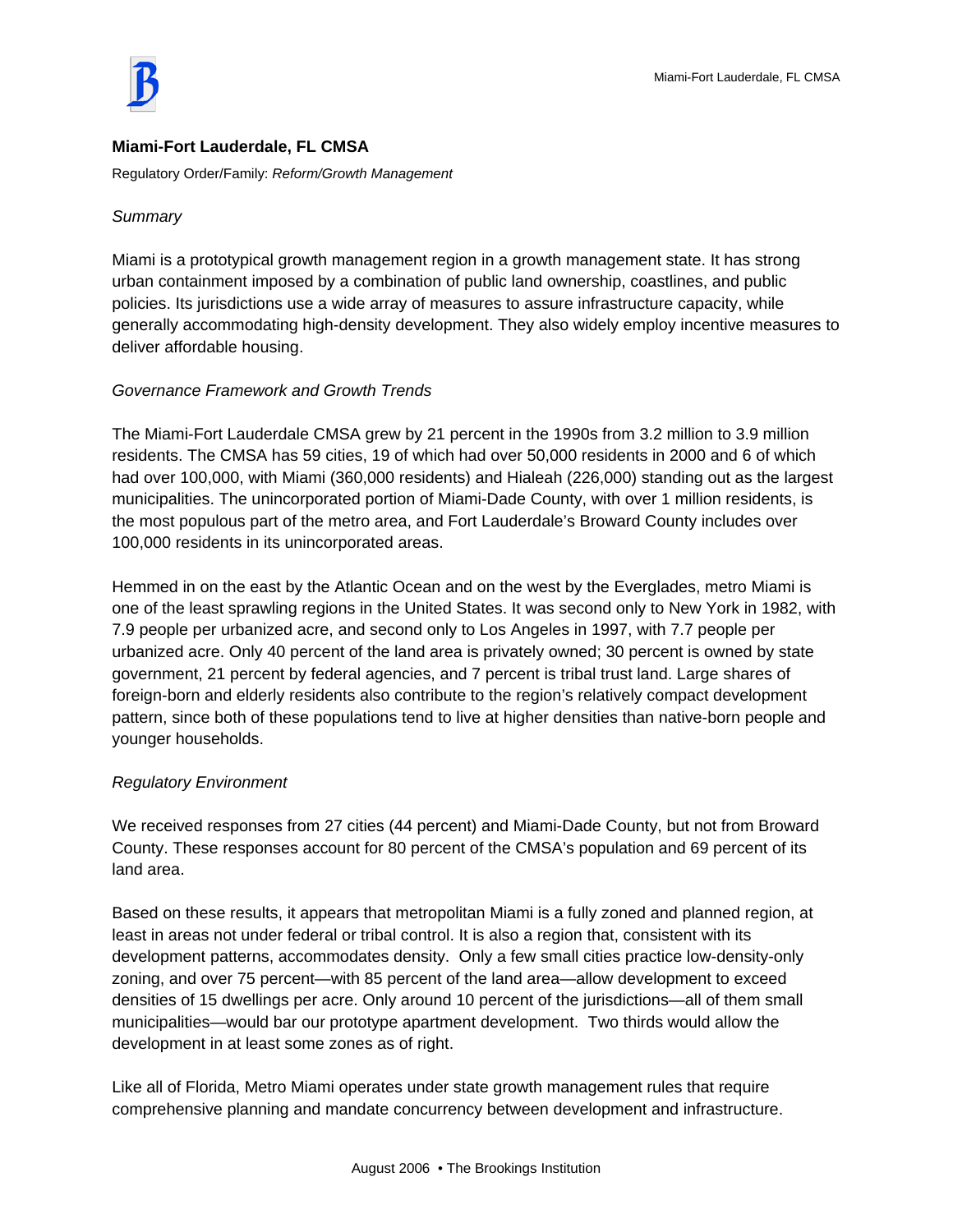

# **Miami-Fort Lauderdale, FL CMSA**

Regulatory Order/Family: *Reform/Growth Management* 

# *Summary*

Miami is a prototypical growth management region in a growth management state. It has strong urban containment imposed by a combination of public land ownership, coastlines, and public policies. Its jurisdictions use a wide array of measures to assure infrastructure capacity, while generally accommodating high-density development. They also widely employ incentive measures to deliver affordable housing.

#### *Governance Framework and Growth Trends*

The Miami-Fort Lauderdale CMSA grew by 21 percent in the 1990s from 3.2 million to 3.9 million residents. The CMSA has 59 cities, 19 of which had over 50,000 residents in 2000 and 6 of which had over 100,000, with Miami (360,000 residents) and Hialeah (226,000) standing out as the largest municipalities. The unincorporated portion of Miami-Dade County, with over 1 million residents, is the most populous part of the metro area, and Fort Lauderdale's Broward County includes over 100,000 residents in its unincorporated areas.

Hemmed in on the east by the Atlantic Ocean and on the west by the Everglades, metro Miami is one of the least sprawling regions in the United States. It was second only to New York in 1982, with 7.9 people per urbanized acre, and second only to Los Angeles in 1997, with 7.7 people per urbanized acre. Only 40 percent of the land area is privately owned; 30 percent is owned by state government, 21 percent by federal agencies, and 7 percent is tribal trust land. Large shares of foreign-born and elderly residents also contribute to the region's relatively compact development pattern, since both of these populations tend to live at higher densities than native-born people and younger households.

# *Regulatory Environment*

We received responses from 27 cities (44 percent) and Miami-Dade County, but not from Broward County. These responses account for 80 percent of the CMSA's population and 69 percent of its land area.

Based on these results, it appears that metropolitan Miami is a fully zoned and planned region, at least in areas not under federal or tribal control. It is also a region that, consistent with its development patterns, accommodates density. Only a few small cities practice low-density-only zoning, and over 75 percent—with 85 percent of the land area—allow development to exceed densities of 15 dwellings per acre. Only around 10 percent of the jurisdictions—all of them small municipalities—would bar our prototype apartment development. Two thirds would allow the development in at least some zones as of right.

Like all of Florida, Metro Miami operates under state growth management rules that require comprehensive planning and mandate concurrency between development and infrastructure.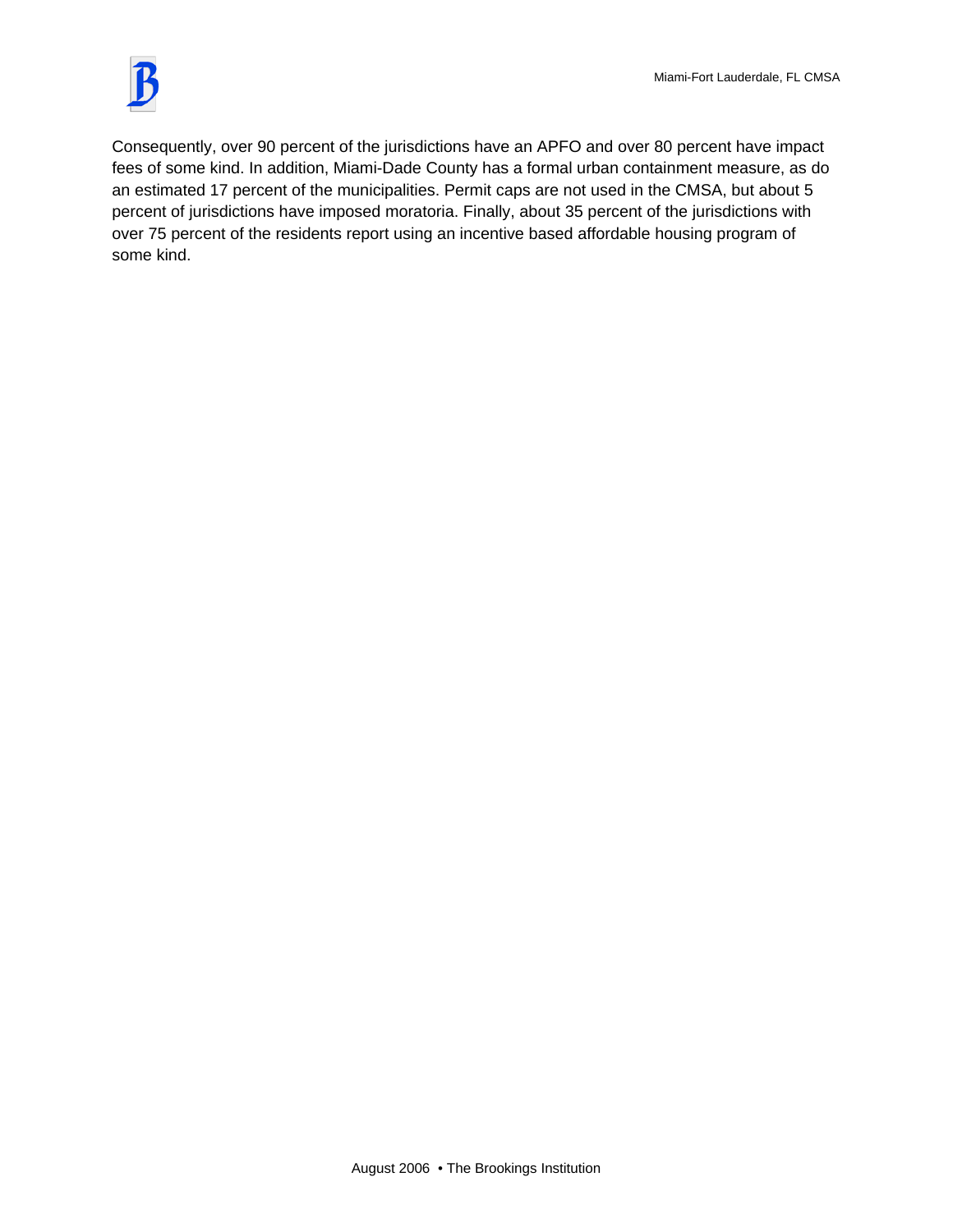

Consequently, over 90 percent of the jurisdictions have an APFO and over 80 percent have impact fees of some kind. In addition, Miami-Dade County has a formal urban containment measure, as do an estimated 17 percent of the municipalities. Permit caps are not used in the CMSA, but about 5 percent of jurisdictions have imposed moratoria. Finally, about 35 percent of the jurisdictions with over 75 percent of the residents report using an incentive based affordable housing program of some kind.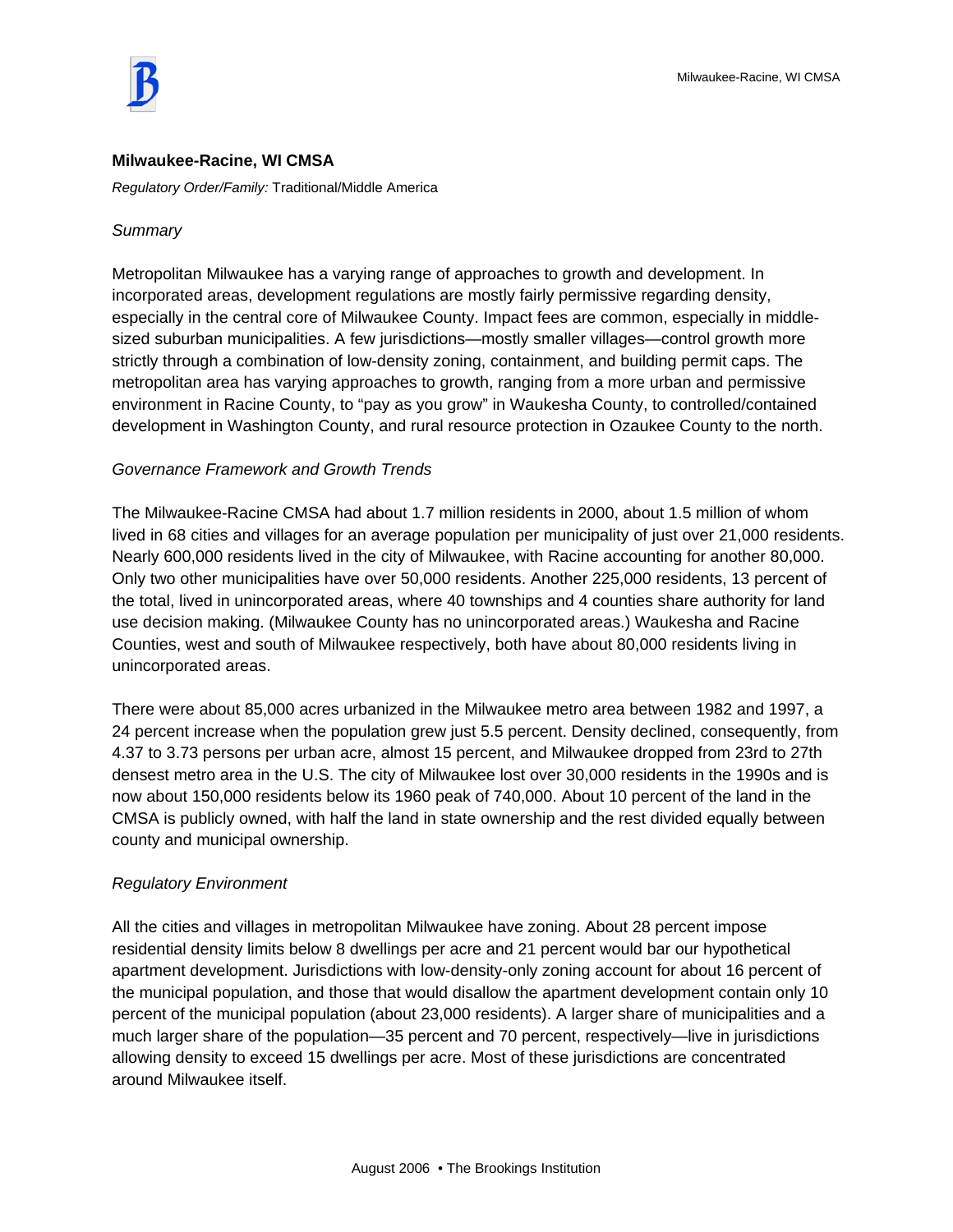

#### **Milwaukee-Racine, WI CMSA**

*Regulatory Order/Family:* Traditional/Middle America

#### *Summary*

Metropolitan Milwaukee has a varying range of approaches to growth and development. In incorporated areas, development regulations are mostly fairly permissive regarding density, especially in the central core of Milwaukee County. Impact fees are common, especially in middlesized suburban municipalities. A few jurisdictions—mostly smaller villages—control growth more strictly through a combination of low-density zoning, containment, and building permit caps. The metropolitan area has varying approaches to growth, ranging from a more urban and permissive environment in Racine County, to "pay as you grow" in Waukesha County, to controlled/contained development in Washington County, and rural resource protection in Ozaukee County to the north.

#### *Governance Framework and Growth Trends*

The Milwaukee-Racine CMSA had about 1.7 million residents in 2000, about 1.5 million of whom lived in 68 cities and villages for an average population per municipality of just over 21,000 residents. Nearly 600,000 residents lived in the city of Milwaukee, with Racine accounting for another 80,000. Only two other municipalities have over 50,000 residents. Another 225,000 residents, 13 percent of the total, lived in unincorporated areas, where 40 townships and 4 counties share authority for land use decision making. (Milwaukee County has no unincorporated areas.) Waukesha and Racine Counties, west and south of Milwaukee respectively, both have about 80,000 residents living in unincorporated areas.

There were about 85,000 acres urbanized in the Milwaukee metro area between 1982 and 1997, a 24 percent increase when the population grew just 5.5 percent. Density declined, consequently, from 4.37 to 3.73 persons per urban acre, almost 15 percent, and Milwaukee dropped from 23rd to 27th densest metro area in the U.S. The city of Milwaukee lost over 30,000 residents in the 1990s and is now about 150,000 residents below its 1960 peak of 740,000. About 10 percent of the land in the CMSA is publicly owned, with half the land in state ownership and the rest divided equally between county and municipal ownership.

#### *Regulatory Environment*

All the cities and villages in metropolitan Milwaukee have zoning. About 28 percent impose residential density limits below 8 dwellings per acre and 21 percent would bar our hypothetical apartment development. Jurisdictions with low-density-only zoning account for about 16 percent of the municipal population, and those that would disallow the apartment development contain only 10 percent of the municipal population (about 23,000 residents). A larger share of municipalities and a much larger share of the population—35 percent and 70 percent, respectively—live in jurisdictions allowing density to exceed 15 dwellings per acre. Most of these jurisdictions are concentrated around Milwaukee itself.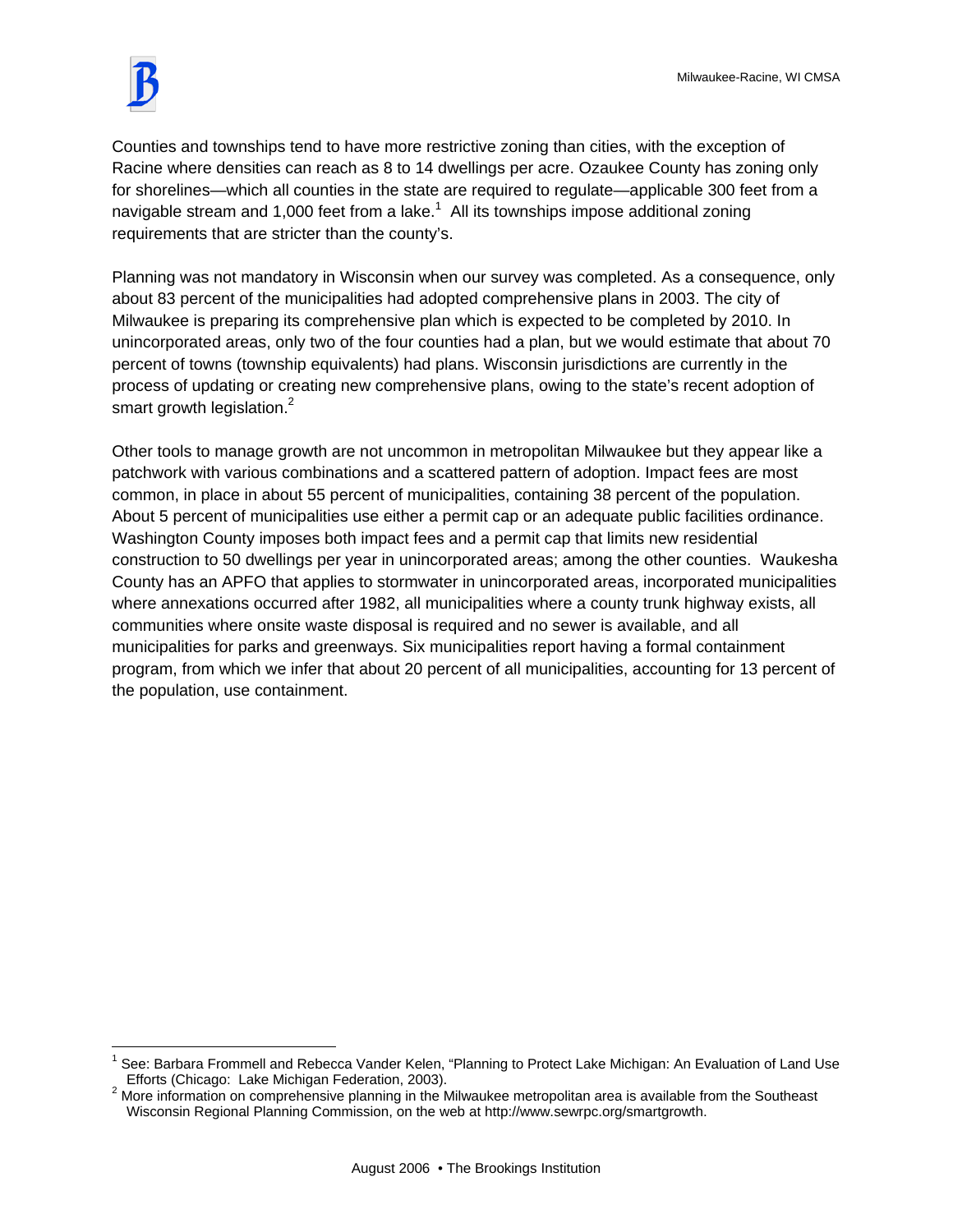

 $\overline{a}$ 

Counties and townships tend to have more restrictive zoning than cities, with the exception of Racine where densities can reach as 8 to 14 dwellings per acre. Ozaukee County has zoning only for shorelines—which all counties in the state are required to regulate—applicable 300 feet from a navigable stream and 1,000 feet from a lake. $^1\,$  All its townships impose additional zoning requirements that are stricter than the county's.

Planning was not mandatory in Wisconsin when our survey was completed. As a consequence, only about 83 percent of the municipalities had adopted comprehensive plans in 2003. The city of Milwaukee is preparing its comprehensive plan which is expected to be completed by 2010. In unincorporated areas, only two of the four counties had a plan, but we would estimate that about 70 percent of towns (township equivalents) had plans. Wisconsin jurisdictions are currently in the process of updating or creating new comprehensive plans, owing to the state's recent adoption of smart growth legislation.<sup>2</sup>

Other tools to manage growth are not uncommon in metropolitan Milwaukee but they appear like a patchwork with various combinations and a scattered pattern of adoption. Impact fees are most common, in place in about 55 percent of municipalities, containing 38 percent of the population. About 5 percent of municipalities use either a permit cap or an adequate public facilities ordinance. Washington County imposes both impact fees and a permit cap that limits new residential construction to 50 dwellings per year in unincorporated areas; among the other counties. Waukesha County has an APFO that applies to stormwater in unincorporated areas, incorporated municipalities where annexations occurred after 1982, all municipalities where a county trunk highway exists, all communities where onsite waste disposal is required and no sewer is available, and all municipalities for parks and greenways. Six municipalities report having a formal containment program, from which we infer that about 20 percent of all municipalities, accounting for 13 percent of the population, use containment.

<sup>1</sup> See: Barbara Frommell and Rebecca Vander Kelen, "Planning to Protect Lake Michigan: An Evaluation of Land Use Efforts (Chicago: Lake Michigan Federation, 2003).

 $2$  More information on comprehensive planning in the Milwaukee metropolitan area is available from the Southeast Wisconsin Regional Planning Commission, on the web at http://www.sewrpc.org/smartgrowth.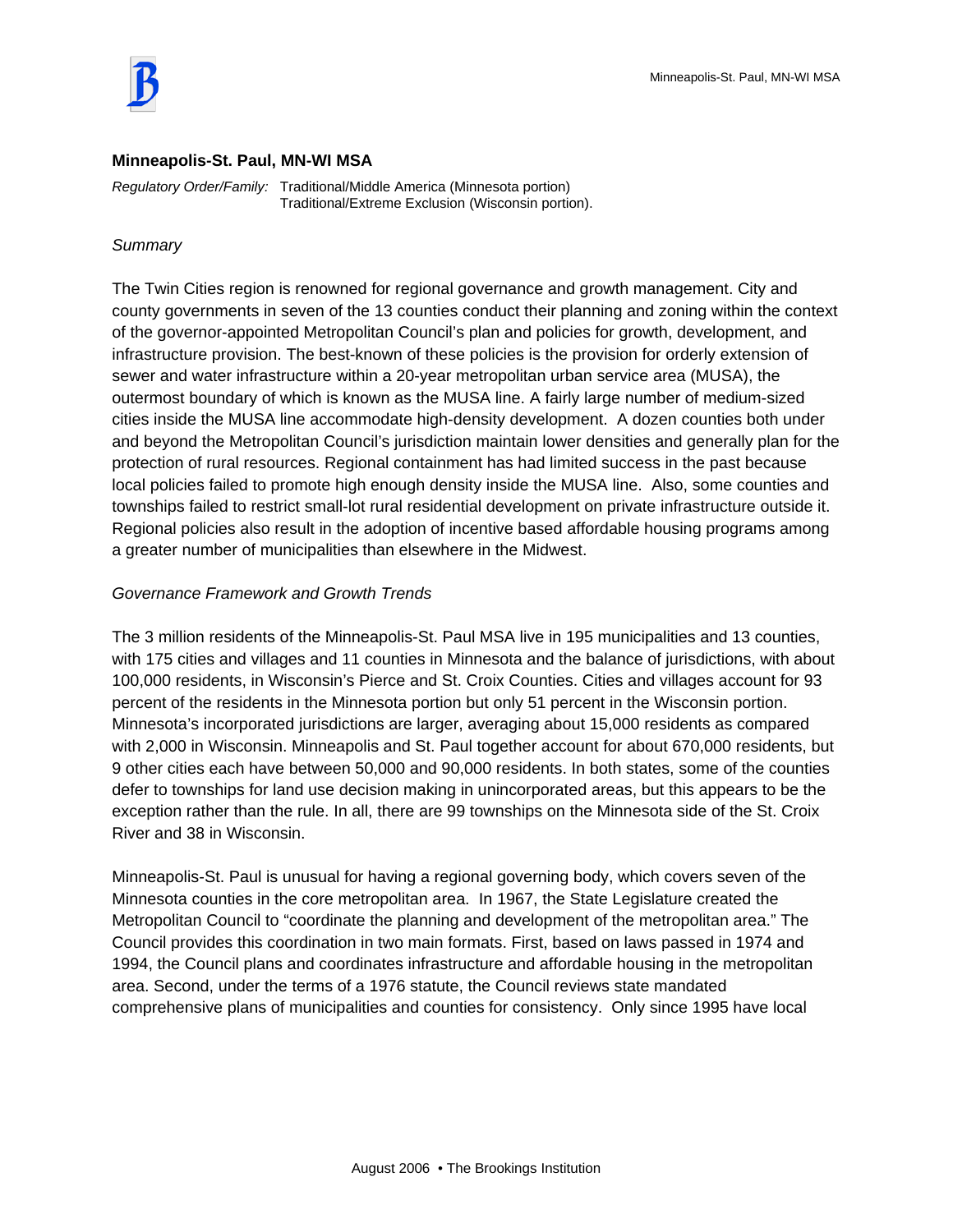

#### **Minneapolis-St. Paul, MN-WI MSA**

*Regulatory Order/Family:* Traditional/Middle America (Minnesota portion) Traditional/Extreme Exclusion (Wisconsin portion).

#### *Summary*

The Twin Cities region is renowned for regional governance and growth management. City and county governments in seven of the 13 counties conduct their planning and zoning within the context of the governor-appointed Metropolitan Council's plan and policies for growth, development, and infrastructure provision. The best-known of these policies is the provision for orderly extension of sewer and water infrastructure within a 20-year metropolitan urban service area (MUSA), the outermost boundary of which is known as the MUSA line. A fairly large number of medium-sized cities inside the MUSA line accommodate high-density development. A dozen counties both under and beyond the Metropolitan Council's jurisdiction maintain lower densities and generally plan for the protection of rural resources. Regional containment has had limited success in the past because local policies failed to promote high enough density inside the MUSA line. Also, some counties and townships failed to restrict small-lot rural residential development on private infrastructure outside it. Regional policies also result in the adoption of incentive based affordable housing programs among a greater number of municipalities than elsewhere in the Midwest.

# *Governance Framework and Growth Trends*

The 3 million residents of the Minneapolis-St. Paul MSA live in 195 municipalities and 13 counties, with 175 cities and villages and 11 counties in Minnesota and the balance of jurisdictions, with about 100,000 residents, in Wisconsin's Pierce and St. Croix Counties. Cities and villages account for 93 percent of the residents in the Minnesota portion but only 51 percent in the Wisconsin portion. Minnesota's incorporated jurisdictions are larger, averaging about 15,000 residents as compared with 2,000 in Wisconsin. Minneapolis and St. Paul together account for about 670,000 residents, but 9 other cities each have between 50,000 and 90,000 residents. In both states, some of the counties defer to townships for land use decision making in unincorporated areas, but this appears to be the exception rather than the rule. In all, there are 99 townships on the Minnesota side of the St. Croix River and 38 in Wisconsin.

Minneapolis-St. Paul is unusual for having a regional governing body, which covers seven of the Minnesota counties in the core metropolitan area. In 1967, the State Legislature created the Metropolitan Council to "coordinate the planning and development of the metropolitan area." The Council provides this coordination in two main formats. First, based on laws passed in 1974 and 1994, the Council plans and coordinates infrastructure and affordable housing in the metropolitan area. Second, under the terms of a 1976 statute, the Council reviews state mandated comprehensive plans of municipalities and counties for consistency. Only since 1995 have local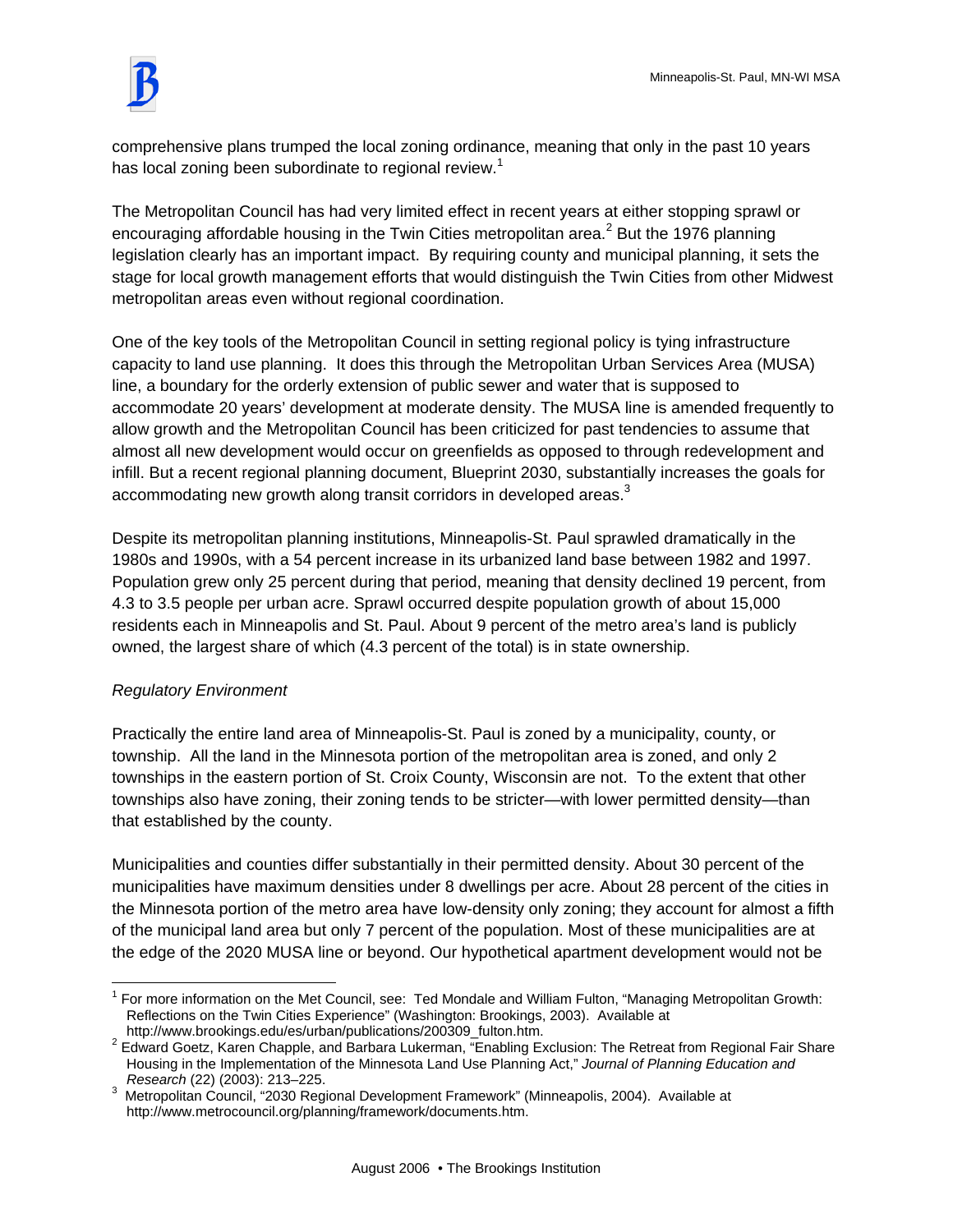

comprehensive plans trumped the local zoning ordinance, meaning that only in the past 10 years has local zoning been subordinate to regional review.<sup>1</sup>

The Metropolitan Council has had very limited effect in recent years at either stopping sprawl or encouraging affordable housing in the Twin Cities metropolitan area.<sup>2</sup> But the 1976 planning legislation clearly has an important impact. By requiring county and municipal planning, it sets the stage for local growth management efforts that would distinguish the Twin Cities from other Midwest metropolitan areas even without regional coordination.

One of the key tools of the Metropolitan Council in setting regional policy is tying infrastructure capacity to land use planning. It does this through the Metropolitan Urban Services Area (MUSA) line, a boundary for the orderly extension of public sewer and water that is supposed to accommodate 20 years' development at moderate density. The MUSA line is amended frequently to allow growth and the Metropolitan Council has been criticized for past tendencies to assume that almost all new development would occur on greenfields as opposed to through redevelopment and infill. But a recent regional planning document, Blueprint 2030, substantially increases the goals for accommodating new growth along transit corridors in developed areas.<sup>3</sup>

Despite its metropolitan planning institutions, Minneapolis-St. Paul sprawled dramatically in the 1980s and 1990s, with a 54 percent increase in its urbanized land base between 1982 and 1997. Population grew only 25 percent during that period, meaning that density declined 19 percent, from 4.3 to 3.5 people per urban acre. Sprawl occurred despite population growth of about 15,000 residents each in Minneapolis and St. Paul. About 9 percent of the metro area's land is publicly owned, the largest share of which (4.3 percent of the total) is in state ownership.

# *Regulatory Environment*

 $\overline{1}$ 

Practically the entire land area of Minneapolis-St. Paul is zoned by a municipality, county, or township. All the land in the Minnesota portion of the metropolitan area is zoned, and only 2 townships in the eastern portion of St. Croix County, Wisconsin are not. To the extent that other townships also have zoning, their zoning tends to be stricter—with lower permitted density—than that established by the county.

Municipalities and counties differ substantially in their permitted density. About 30 percent of the municipalities have maximum densities under 8 dwellings per acre. About 28 percent of the cities in the Minnesota portion of the metro area have low-density only zoning; they account for almost a fifth of the municipal land area but only 7 percent of the population. Most of these municipalities are at the edge of the 2020 MUSA line or beyond. Our hypothetical apartment development would not be

<sup>&</sup>lt;sup>1</sup> For more information on the Met Council, see: Ted Mondale and William Fulton, "Managing Metropolitan Growth: Reflections on the Twin Cities Experience" (Washington: Brookings, 2003). Available at http://www.brookings.edu/es/urban/publications/200309\_fulton.htm.

<sup>&</sup>lt;sup>2</sup> Edward Goetz, Karen Chapple, and Barbara Lukerman, "Enabling Exclusion: The Retreat from Regional Fair Share Housing in the Implementation of the Minnesota Land Use Planning Act," *Journal of Planning Education and Research* (22) (2003): 213–225. 3

<sup>3</sup> Metropolitan Council, "2030 Regional Development Framework" (Minneapolis, 2004). Available at http://www.metrocouncil.org/planning/framework/documents.htm.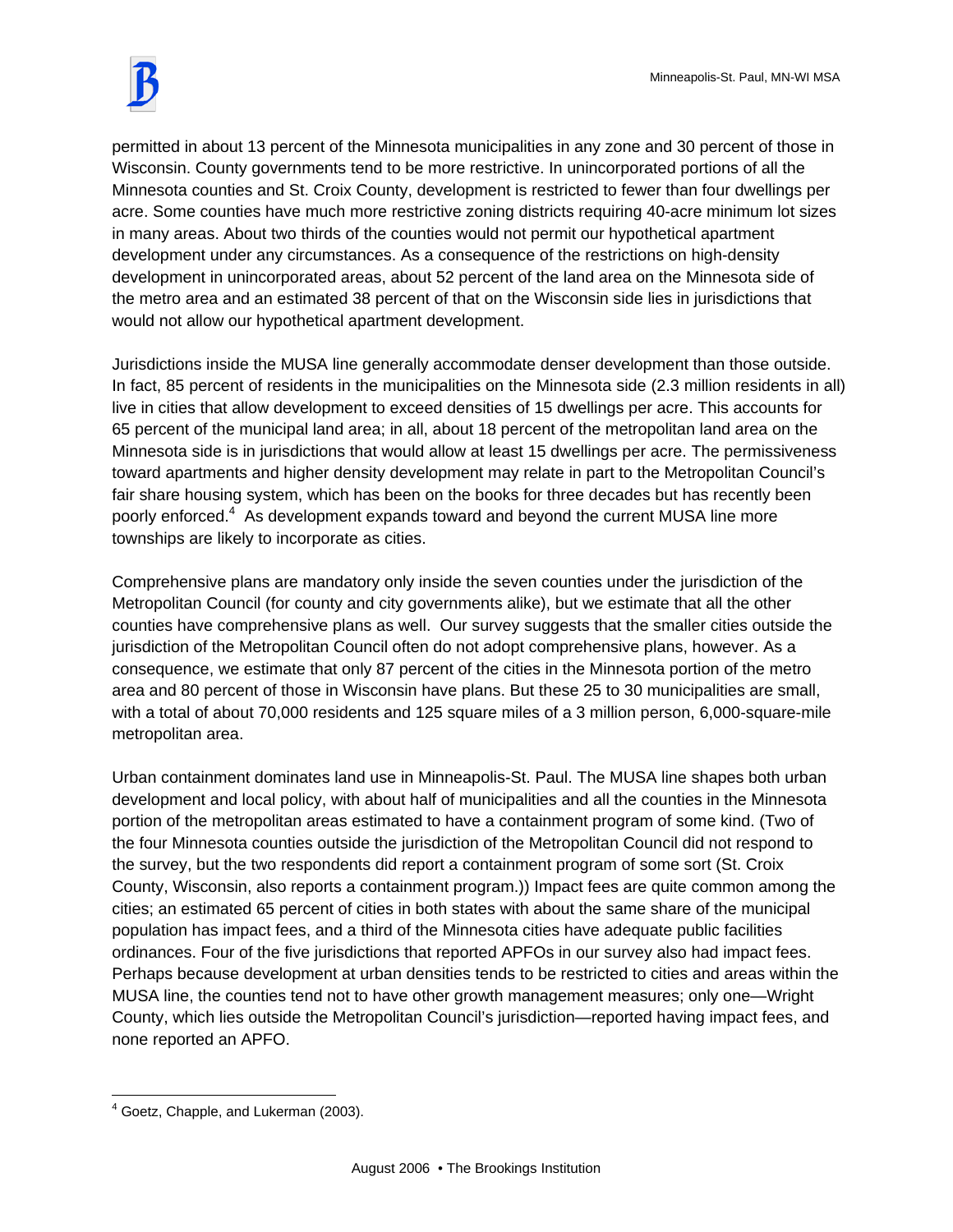

permitted in about 13 percent of the Minnesota municipalities in any zone and 30 percent of those in Wisconsin. County governments tend to be more restrictive. In unincorporated portions of all the Minnesota counties and St. Croix County, development is restricted to fewer than four dwellings per acre. Some counties have much more restrictive zoning districts requiring 40-acre minimum lot sizes in many areas. About two thirds of the counties would not permit our hypothetical apartment development under any circumstances. As a consequence of the restrictions on high-density development in unincorporated areas, about 52 percent of the land area on the Minnesota side of the metro area and an estimated 38 percent of that on the Wisconsin side lies in jurisdictions that would not allow our hypothetical apartment development.

Jurisdictions inside the MUSA line generally accommodate denser development than those outside. In fact, 85 percent of residents in the municipalities on the Minnesota side (2.3 million residents in all) live in cities that allow development to exceed densities of 15 dwellings per acre. This accounts for 65 percent of the municipal land area; in all, about 18 percent of the metropolitan land area on the Minnesota side is in jurisdictions that would allow at least 15 dwellings per acre. The permissiveness toward apartments and higher density development may relate in part to the Metropolitan Council's fair share housing system, which has been on the books for three decades but has recently been poorly enforced.<sup>4</sup> As development expands toward and beyond the current MUSA line more townships are likely to incorporate as cities.

Comprehensive plans are mandatory only inside the seven counties under the jurisdiction of the Metropolitan Council (for county and city governments alike), but we estimate that all the other counties have comprehensive plans as well. Our survey suggests that the smaller cities outside the jurisdiction of the Metropolitan Council often do not adopt comprehensive plans, however. As a consequence, we estimate that only 87 percent of the cities in the Minnesota portion of the metro area and 80 percent of those in Wisconsin have plans. But these 25 to 30 municipalities are small, with a total of about 70,000 residents and 125 square miles of a 3 million person, 6,000-square-mile metropolitan area.

Urban containment dominates land use in Minneapolis-St. Paul. The MUSA line shapes both urban development and local policy, with about half of municipalities and all the counties in the Minnesota portion of the metropolitan areas estimated to have a containment program of some kind. (Two of the four Minnesota counties outside the jurisdiction of the Metropolitan Council did not respond to the survey, but the two respondents did report a containment program of some sort (St. Croix County, Wisconsin, also reports a containment program.)) Impact fees are quite common among the cities; an estimated 65 percent of cities in both states with about the same share of the municipal population has impact fees, and a third of the Minnesota cities have adequate public facilities ordinances. Four of the five jurisdictions that reported APFOs in our survey also had impact fees. Perhaps because development at urban densities tends to be restricted to cities and areas within the MUSA line, the counties tend not to have other growth management measures; only one—Wright County, which lies outside the Metropolitan Council's jurisdiction—reported having impact fees, and none reported an APFO.

 4 Goetz, Chapple, and Lukerman (2003).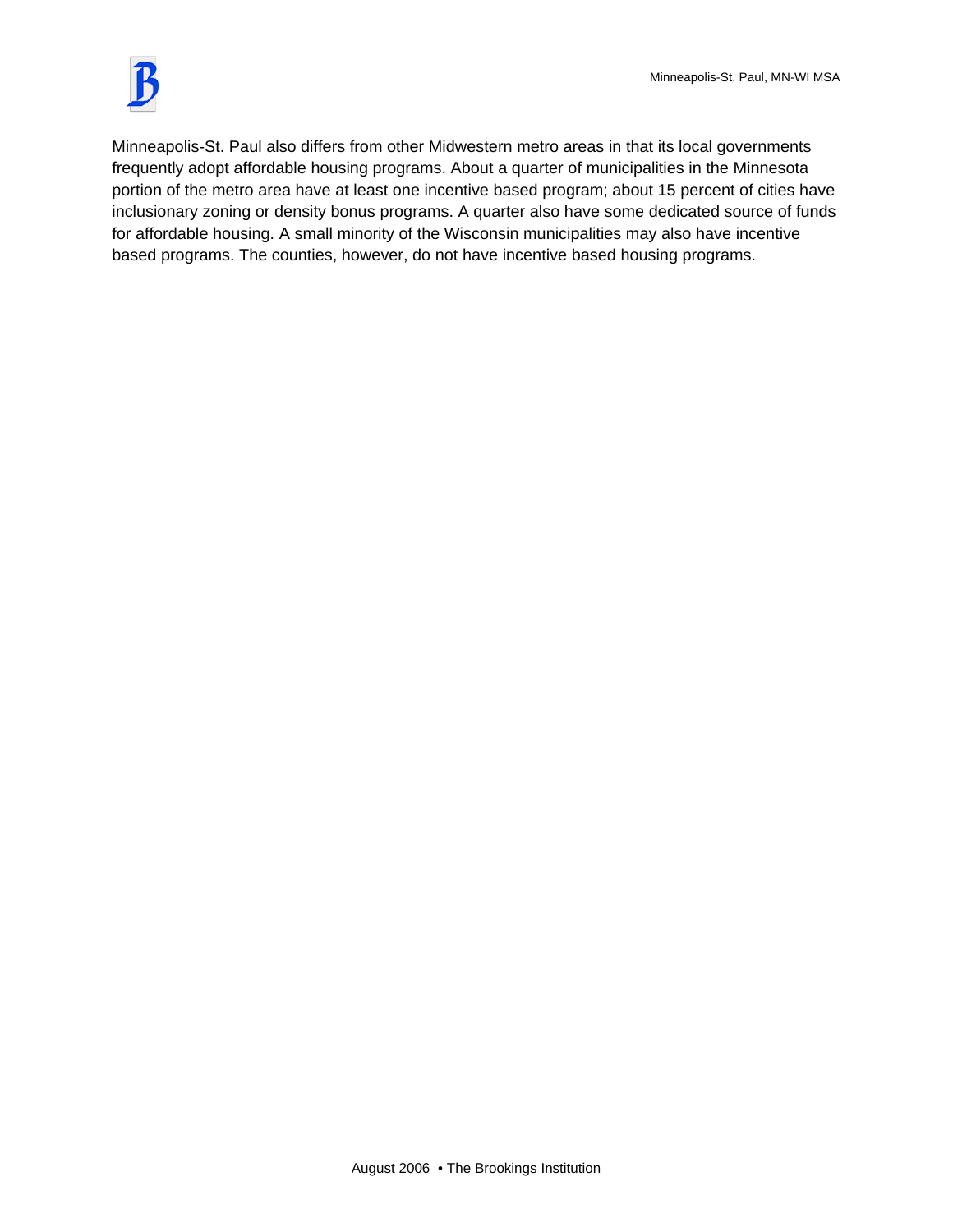

Minneapolis-St. Paul also differs from other Midwestern metro areas in that its local governments frequently adopt affordable housing programs. About a quarter of municipalities in the Minnesota portion of the metro area have at least one incentive based program; about 15 percent of cities have inclusionary zoning or density bonus programs. A quarter also have some dedicated source of funds for affordable housing. A small minority of the Wisconsin municipalities may also have incentive based programs. The counties, however, do not have incentive based housing programs.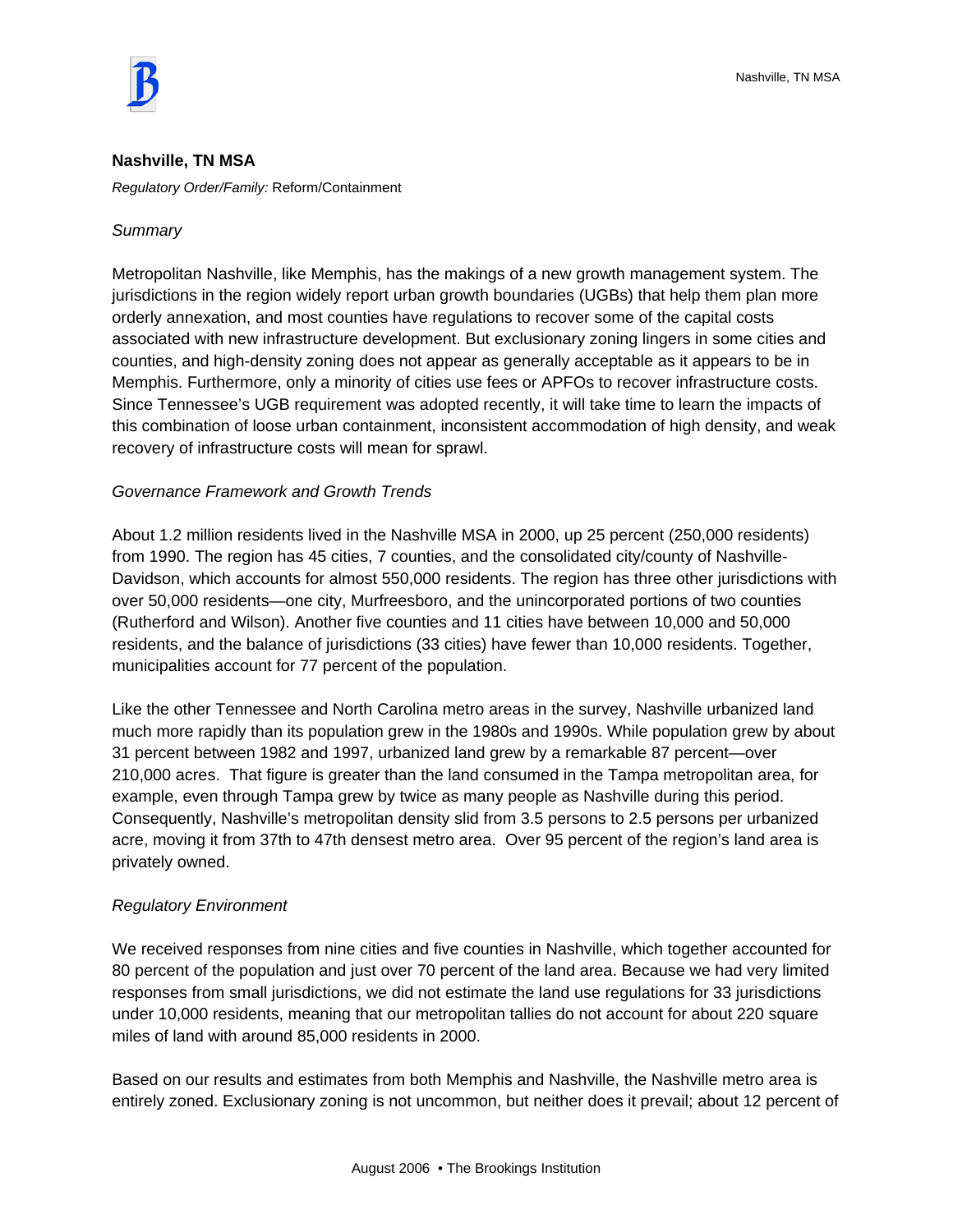

#### **Nashville, TN MSA**

*Regulatory Order/Family:* Reform/Containment

#### *Summary*

Metropolitan Nashville, like Memphis, has the makings of a new growth management system. The jurisdictions in the region widely report urban growth boundaries (UGBs) that help them plan more orderly annexation, and most counties have regulations to recover some of the capital costs associated with new infrastructure development. But exclusionary zoning lingers in some cities and counties, and high-density zoning does not appear as generally acceptable as it appears to be in Memphis. Furthermore, only a minority of cities use fees or APFOs to recover infrastructure costs. Since Tennessee's UGB requirement was adopted recently, it will take time to learn the impacts of this combination of loose urban containment, inconsistent accommodation of high density, and weak recovery of infrastructure costs will mean for sprawl.

# *Governance Framework and Growth Trends*

About 1.2 million residents lived in the Nashville MSA in 2000, up 25 percent (250,000 residents) from 1990. The region has 45 cities, 7 counties, and the consolidated city/county of Nashville-Davidson, which accounts for almost 550,000 residents. The region has three other jurisdictions with over 50,000 residents—one city, Murfreesboro, and the unincorporated portions of two counties (Rutherford and Wilson). Another five counties and 11 cities have between 10,000 and 50,000 residents, and the balance of jurisdictions (33 cities) have fewer than 10,000 residents. Together, municipalities account for 77 percent of the population.

Like the other Tennessee and North Carolina metro areas in the survey, Nashville urbanized land much more rapidly than its population grew in the 1980s and 1990s. While population grew by about 31 percent between 1982 and 1997, urbanized land grew by a remarkable 87 percent—over 210,000 acres. That figure is greater than the land consumed in the Tampa metropolitan area, for example, even through Tampa grew by twice as many people as Nashville during this period. Consequently, Nashville's metropolitan density slid from 3.5 persons to 2.5 persons per urbanized acre, moving it from 37th to 47th densest metro area. Over 95 percent of the region's land area is privately owned.

#### *Regulatory Environment*

We received responses from nine cities and five counties in Nashville, which together accounted for 80 percent of the population and just over 70 percent of the land area. Because we had very limited responses from small jurisdictions, we did not estimate the land use regulations for 33 jurisdictions under 10,000 residents, meaning that our metropolitan tallies do not account for about 220 square miles of land with around 85,000 residents in 2000.

Based on our results and estimates from both Memphis and Nashville, the Nashville metro area is entirely zoned. Exclusionary zoning is not uncommon, but neither does it prevail; about 12 percent of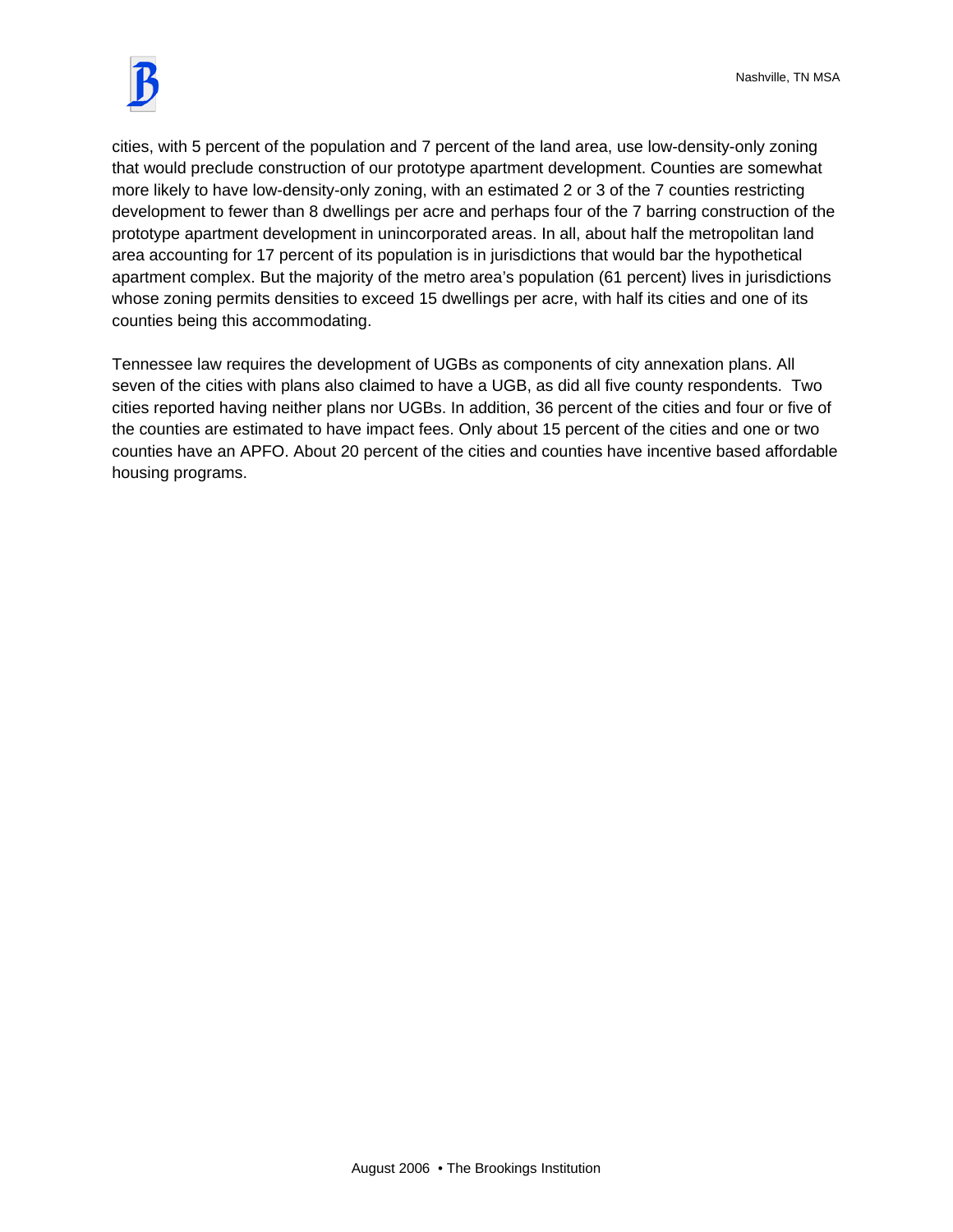

cities, with 5 percent of the population and 7 percent of the land area, use low-density-only zoning that would preclude construction of our prototype apartment development. Counties are somewhat more likely to have low-density-only zoning, with an estimated 2 or 3 of the 7 counties restricting development to fewer than 8 dwellings per acre and perhaps four of the 7 barring construction of the prototype apartment development in unincorporated areas. In all, about half the metropolitan land area accounting for 17 percent of its population is in jurisdictions that would bar the hypothetical apartment complex. But the majority of the metro area's population (61 percent) lives in jurisdictions whose zoning permits densities to exceed 15 dwellings per acre, with half its cities and one of its counties being this accommodating.

Tennessee law requires the development of UGBs as components of city annexation plans. All seven of the cities with plans also claimed to have a UGB, as did all five county respondents. Two cities reported having neither plans nor UGBs. In addition, 36 percent of the cities and four or five of the counties are estimated to have impact fees. Only about 15 percent of the cities and one or two counties have an APFO. About 20 percent of the cities and counties have incentive based affordable housing programs.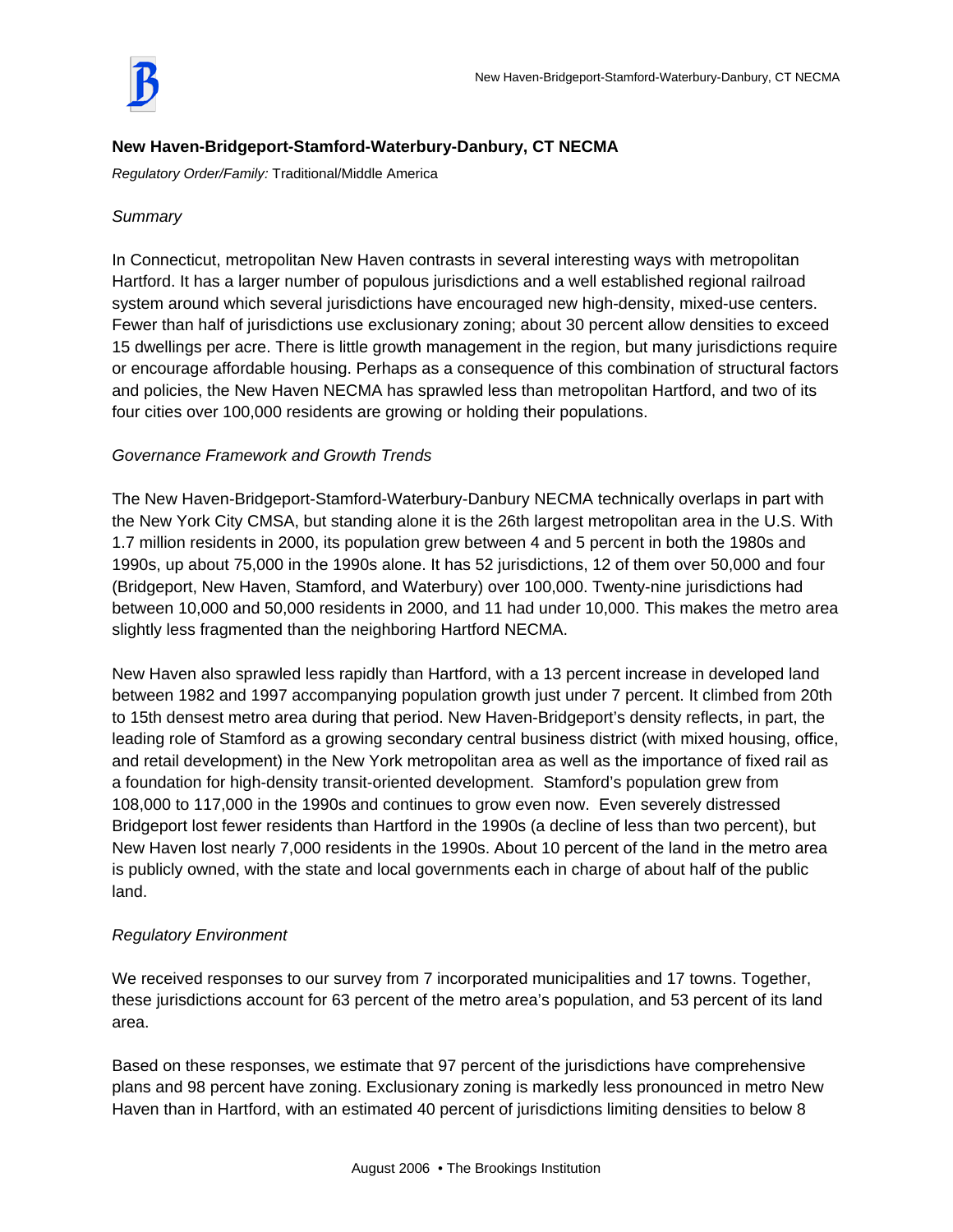

# **New Haven-Bridgeport-Stamford-Waterbury-Danbury, CT NECMA**

*Regulatory Order/Family:* Traditional/Middle America

# *Summary*

In Connecticut, metropolitan New Haven contrasts in several interesting ways with metropolitan Hartford. It has a larger number of populous jurisdictions and a well established regional railroad system around which several jurisdictions have encouraged new high-density, mixed-use centers. Fewer than half of jurisdictions use exclusionary zoning; about 30 percent allow densities to exceed 15 dwellings per acre. There is little growth management in the region, but many jurisdictions require or encourage affordable housing. Perhaps as a consequence of this combination of structural factors and policies, the New Haven NECMA has sprawled less than metropolitan Hartford, and two of its four cities over 100,000 residents are growing or holding their populations.

# *Governance Framework and Growth Trends*

The New Haven-Bridgeport-Stamford-Waterbury-Danbury NECMA technically overlaps in part with the New York City CMSA, but standing alone it is the 26th largest metropolitan area in the U.S. With 1.7 million residents in 2000, its population grew between 4 and 5 percent in both the 1980s and 1990s, up about 75,000 in the 1990s alone. It has 52 jurisdictions, 12 of them over 50,000 and four (Bridgeport, New Haven, Stamford, and Waterbury) over 100,000. Twenty-nine jurisdictions had between 10,000 and 50,000 residents in 2000, and 11 had under 10,000. This makes the metro area slightly less fragmented than the neighboring Hartford NECMA.

New Haven also sprawled less rapidly than Hartford, with a 13 percent increase in developed land between 1982 and 1997 accompanying population growth just under 7 percent. It climbed from 20th to 15th densest metro area during that period. New Haven-Bridgeport's density reflects, in part, the leading role of Stamford as a growing secondary central business district (with mixed housing, office, and retail development) in the New York metropolitan area as well as the importance of fixed rail as a foundation for high-density transit-oriented development. Stamford's population grew from 108,000 to 117,000 in the 1990s and continues to grow even now. Even severely distressed Bridgeport lost fewer residents than Hartford in the 1990s (a decline of less than two percent), but New Haven lost nearly 7,000 residents in the 1990s. About 10 percent of the land in the metro area is publicly owned, with the state and local governments each in charge of about half of the public land.

# *Regulatory Environment*

We received responses to our survey from 7 incorporated municipalities and 17 towns. Together, these jurisdictions account for 63 percent of the metro area's population, and 53 percent of its land area.

Based on these responses, we estimate that 97 percent of the jurisdictions have comprehensive plans and 98 percent have zoning. Exclusionary zoning is markedly less pronounced in metro New Haven than in Hartford, with an estimated 40 percent of jurisdictions limiting densities to below 8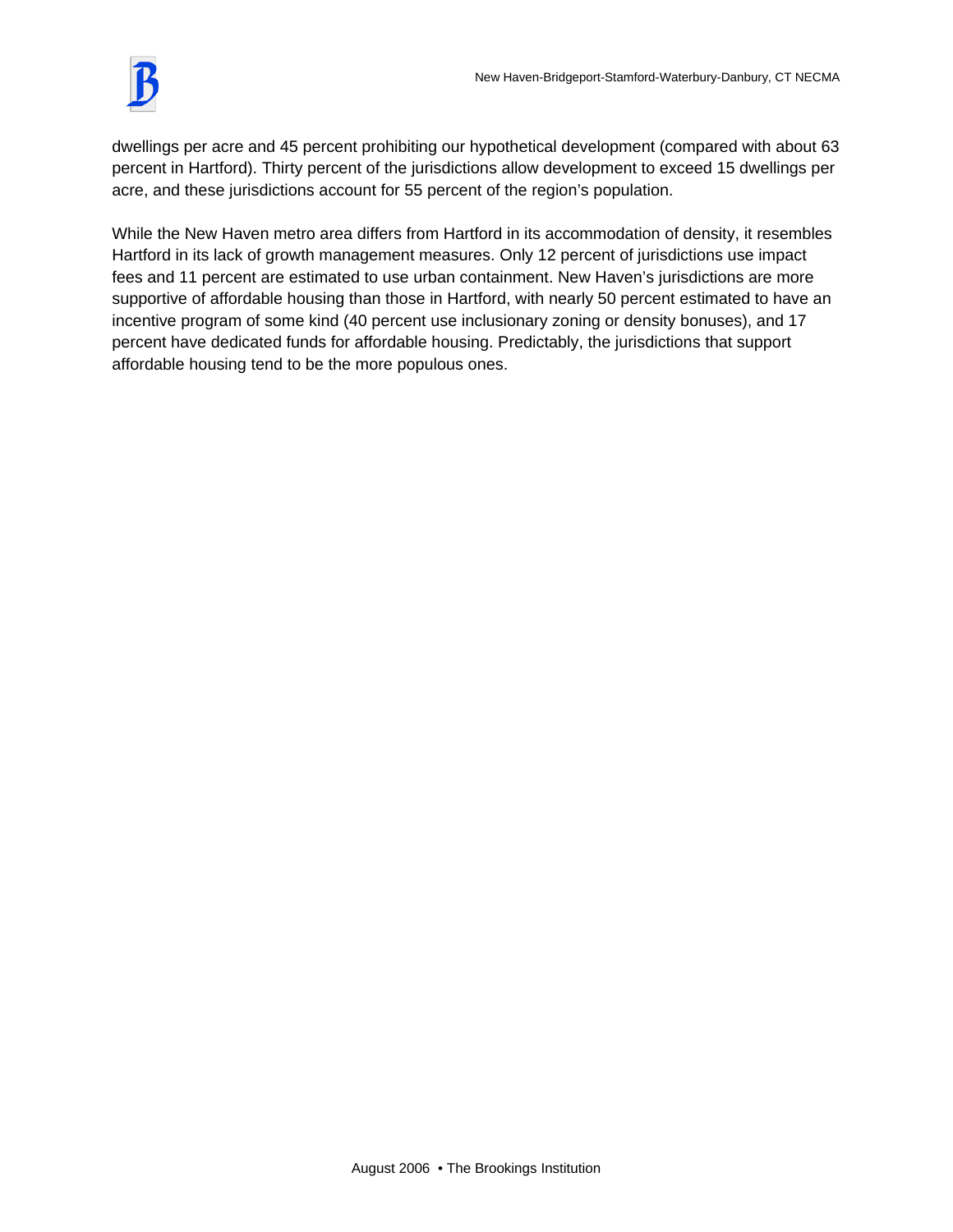

dwellings per acre and 45 percent prohibiting our hypothetical development (compared with about 63 percent in Hartford). Thirty percent of the jurisdictions allow development to exceed 15 dwellings per acre, and these jurisdictions account for 55 percent of the region's population.

While the New Haven metro area differs from Hartford in its accommodation of density, it resembles Hartford in its lack of growth management measures. Only 12 percent of jurisdictions use impact fees and 11 percent are estimated to use urban containment. New Haven's jurisdictions are more supportive of affordable housing than those in Hartford, with nearly 50 percent estimated to have an incentive program of some kind (40 percent use inclusionary zoning or density bonuses), and 17 percent have dedicated funds for affordable housing. Predictably, the jurisdictions that support affordable housing tend to be the more populous ones.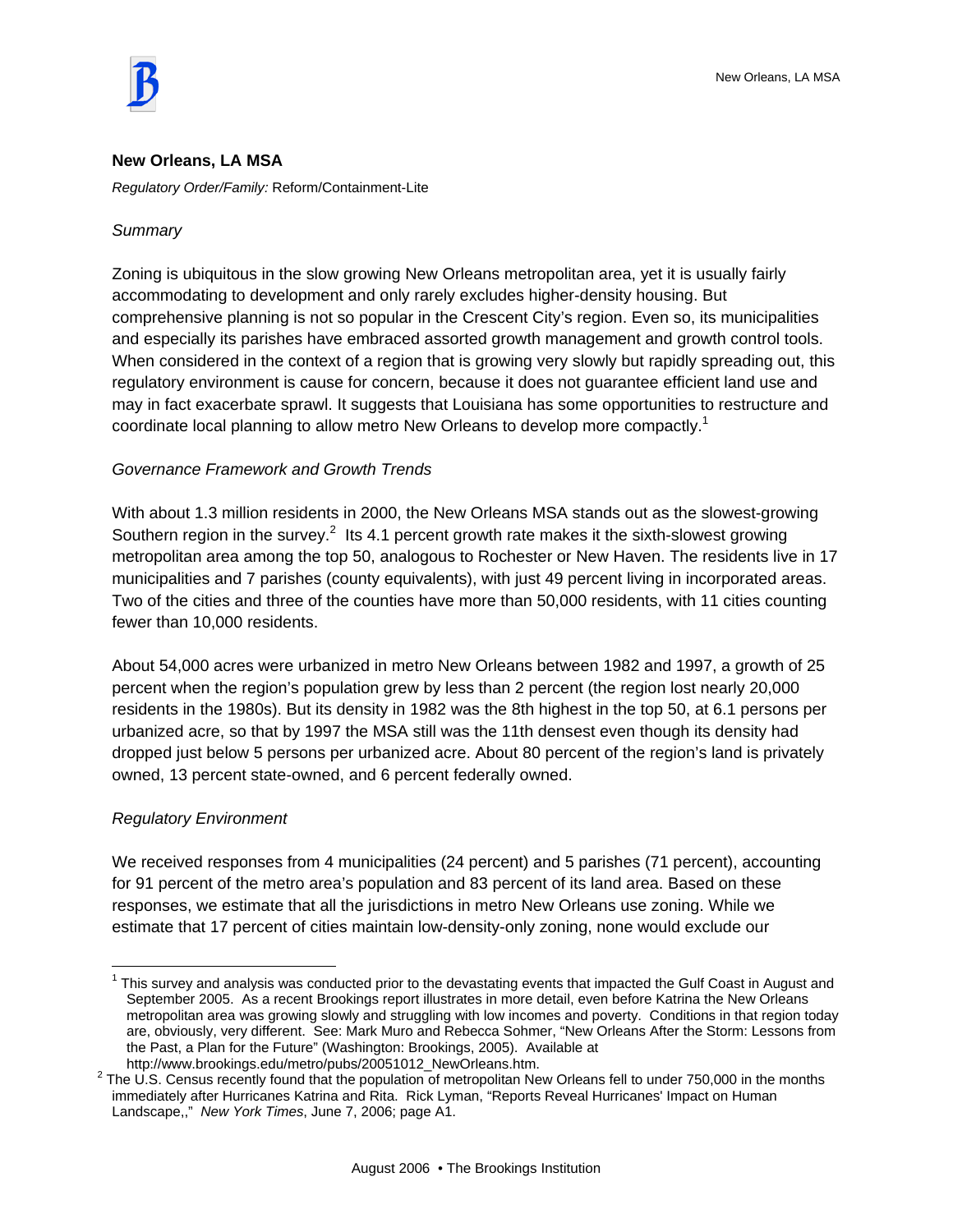

#### **New Orleans, LA MSA**

*Regulatory Order/Family:* Reform/Containment-Lite

#### *Summary*

Zoning is ubiquitous in the slow growing New Orleans metropolitan area, yet it is usually fairly accommodating to development and only rarely excludes higher-density housing. But comprehensive planning is not so popular in the Crescent City's region. Even so, its municipalities and especially its parishes have embraced assorted growth management and growth control tools. When considered in the context of a region that is growing very slowly but rapidly spreading out, this regulatory environment is cause for concern, because it does not guarantee efficient land use and may in fact exacerbate sprawl. It suggests that Louisiana has some opportunities to restructure and coordinate local planning to allow metro New Orleans to develop more compactly.<sup>1</sup>

#### *Governance Framework and Growth Trends*

With about 1.3 million residents in 2000, the New Orleans MSA stands out as the slowest-growing Southern region in the survey.<sup>2</sup> Its 4.1 percent growth rate makes it the sixth-slowest growing metropolitan area among the top 50, analogous to Rochester or New Haven. The residents live in 17 municipalities and 7 parishes (county equivalents), with just 49 percent living in incorporated areas. Two of the cities and three of the counties have more than 50,000 residents, with 11 cities counting fewer than 10,000 residents.

About 54,000 acres were urbanized in metro New Orleans between 1982 and 1997, a growth of 25 percent when the region's population grew by less than 2 percent (the region lost nearly 20,000 residents in the 1980s). But its density in 1982 was the 8th highest in the top 50, at 6.1 persons per urbanized acre, so that by 1997 the MSA still was the 11th densest even though its density had dropped just below 5 persons per urbanized acre. About 80 percent of the region's land is privately owned, 13 percent state-owned, and 6 percent federally owned.

#### *Regulatory Environment*

 $\overline{a}$ 

We received responses from 4 municipalities (24 percent) and 5 parishes (71 percent), accounting for 91 percent of the metro area's population and 83 percent of its land area. Based on these responses, we estimate that all the jurisdictions in metro New Orleans use zoning. While we estimate that 17 percent of cities maintain low-density-only zoning, none would exclude our

 $1$  This survey and analysis was conducted prior to the devastating events that impacted the Gulf Coast in August and September 2005. As a recent Brookings report illustrates in more detail, even before Katrina the New Orleans metropolitan area was growing slowly and struggling with low incomes and poverty. Conditions in that region today are, obviously, very different. See: Mark Muro and Rebecca Sohmer, "New Orleans After the Storm: Lessons from the Past, a Plan for the Future" (Washington: Brookings, 2005). Available at http://www.brookings.edu/metro/pubs/20051012\_NewOrleans.htm.

 $2$  The U.S. Census recently found that the population of metropolitan New Orleans fell to under 750,000 in the months immediately after Hurricanes Katrina and Rita. Rick Lyman, "Reports Reveal Hurricanes' Impact on Human Landscape,," *New York Times*, June 7, 2006; page A1.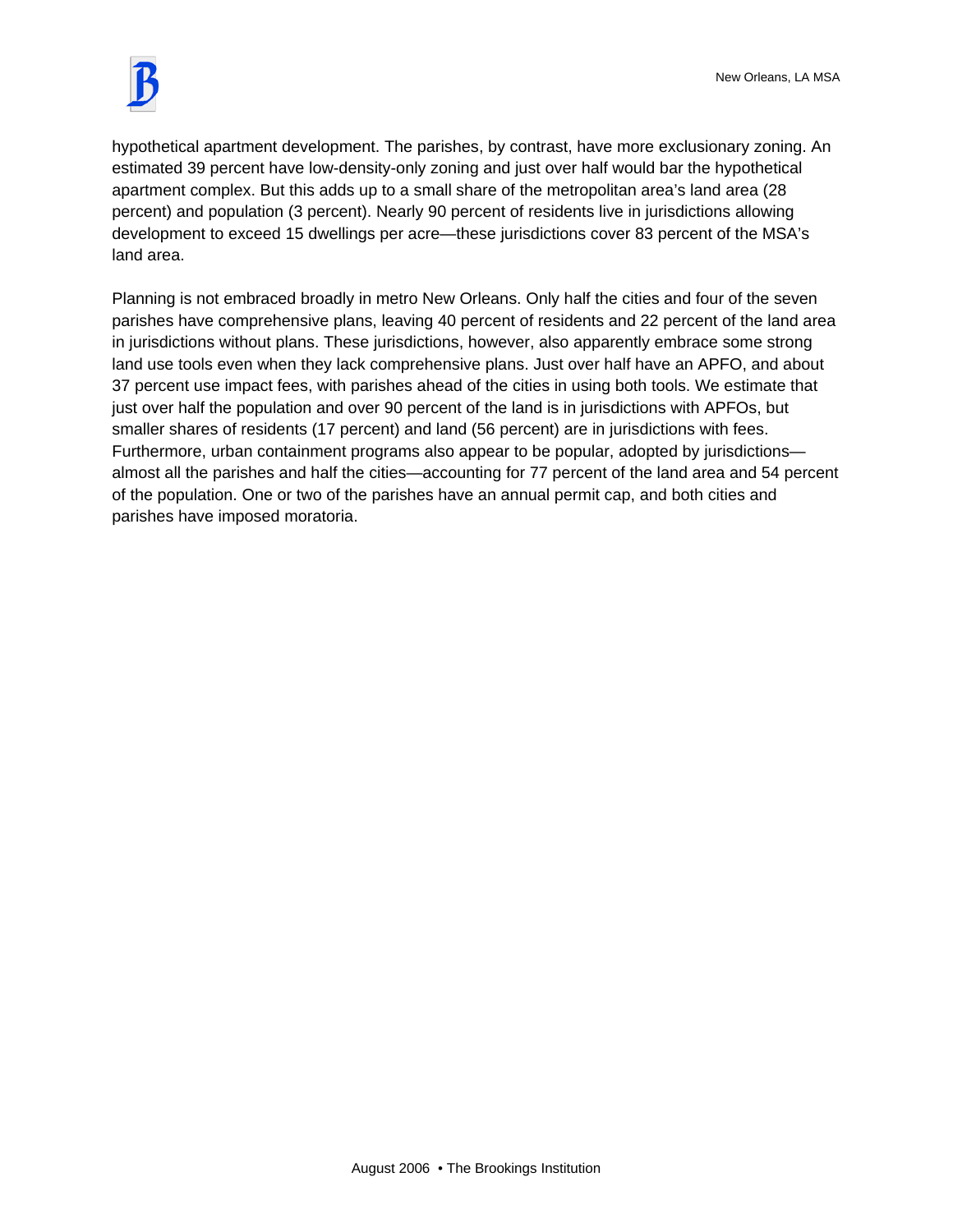

hypothetical apartment development. The parishes, by contrast, have more exclusionary zoning. An estimated 39 percent have low-density-only zoning and just over half would bar the hypothetical apartment complex. But this adds up to a small share of the metropolitan area's land area (28 percent) and population (3 percent). Nearly 90 percent of residents live in jurisdictions allowing development to exceed 15 dwellings per acre—these jurisdictions cover 83 percent of the MSA's land area.

Planning is not embraced broadly in metro New Orleans. Only half the cities and four of the seven parishes have comprehensive plans, leaving 40 percent of residents and 22 percent of the land area in jurisdictions without plans. These jurisdictions, however, also apparently embrace some strong land use tools even when they lack comprehensive plans. Just over half have an APFO, and about 37 percent use impact fees, with parishes ahead of the cities in using both tools. We estimate that just over half the population and over 90 percent of the land is in jurisdictions with APFOs, but smaller shares of residents (17 percent) and land (56 percent) are in jurisdictions with fees. Furthermore, urban containment programs also appear to be popular, adopted by jurisdictions almost all the parishes and half the cities—accounting for 77 percent of the land area and 54 percent of the population. One or two of the parishes have an annual permit cap, and both cities and parishes have imposed moratoria.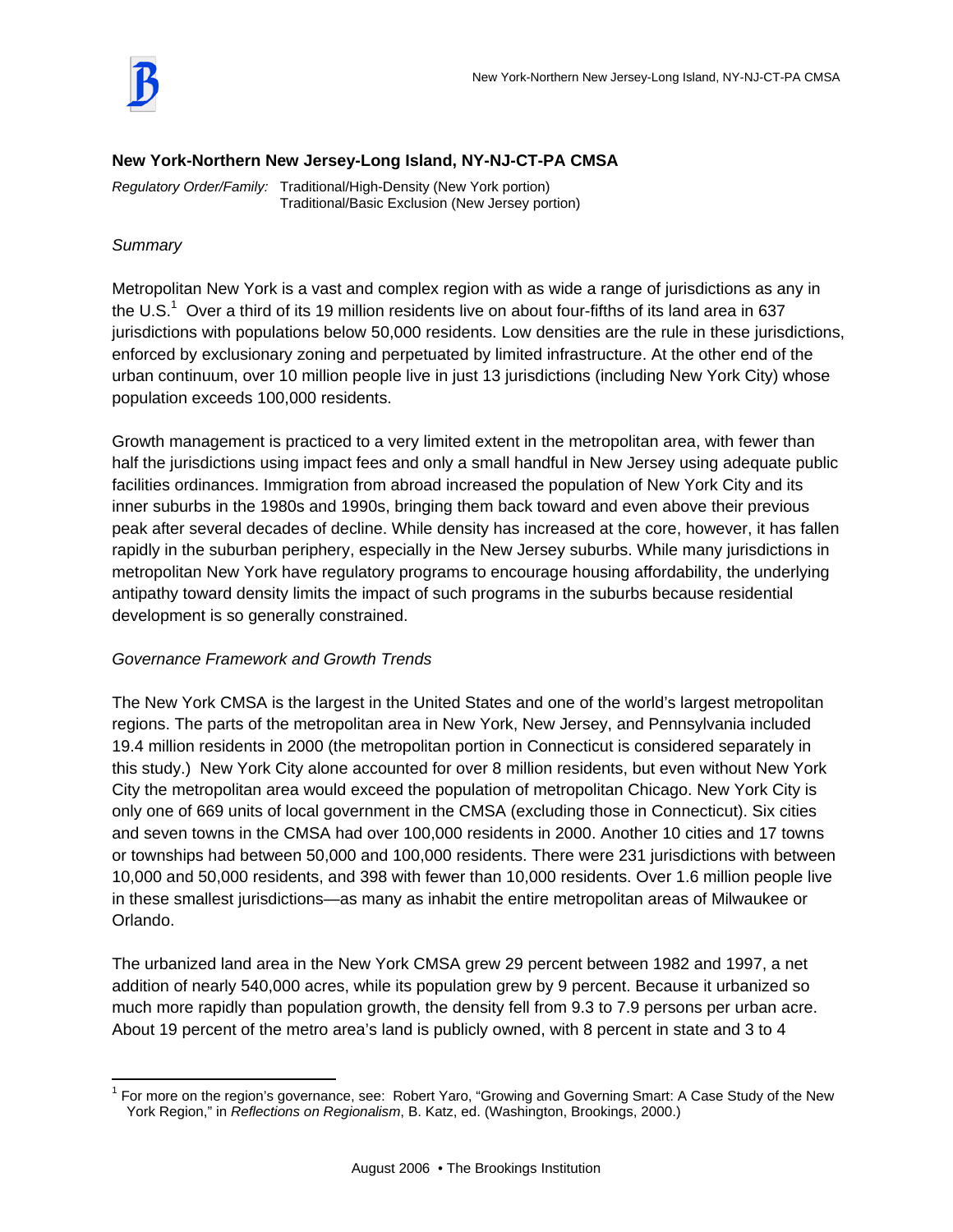

#### **New York-Northern New Jersey-Long Island, NY-NJ-CT-PA CMSA**

*Regulatory Order/Family:* Traditional/High-Density (New York portion) Traditional/Basic Exclusion (New Jersey portion)

# *Summary*

 $\overline{a}$ 

Metropolitan New York is a vast and complex region with as wide a range of jurisdictions as any in the U.S.<sup>1</sup> Over a third of its 19 million residents live on about four-fifths of its land area in 637 jurisdictions with populations below 50,000 residents. Low densities are the rule in these jurisdictions, enforced by exclusionary zoning and perpetuated by limited infrastructure. At the other end of the urban continuum, over 10 million people live in just 13 jurisdictions (including New York City) whose population exceeds 100,000 residents.

Growth management is practiced to a very limited extent in the metropolitan area, with fewer than half the jurisdictions using impact fees and only a small handful in New Jersey using adequate public facilities ordinances. Immigration from abroad increased the population of New York City and its inner suburbs in the 1980s and 1990s, bringing them back toward and even above their previous peak after several decades of decline. While density has increased at the core, however, it has fallen rapidly in the suburban periphery, especially in the New Jersey suburbs. While many jurisdictions in metropolitan New York have regulatory programs to encourage housing affordability, the underlying antipathy toward density limits the impact of such programs in the suburbs because residential development is so generally constrained.

# *Governance Framework and Growth Trends*

The New York CMSA is the largest in the United States and one of the world's largest metropolitan regions. The parts of the metropolitan area in New York, New Jersey, and Pennsylvania included 19.4 million residents in 2000 (the metropolitan portion in Connecticut is considered separately in this study.) New York City alone accounted for over 8 million residents, but even without New York City the metropolitan area would exceed the population of metropolitan Chicago. New York City is only one of 669 units of local government in the CMSA (excluding those in Connecticut). Six cities and seven towns in the CMSA had over 100,000 residents in 2000. Another 10 cities and 17 towns or townships had between 50,000 and 100,000 residents. There were 231 jurisdictions with between 10,000 and 50,000 residents, and 398 with fewer than 10,000 residents. Over 1.6 million people live in these smallest jurisdictions—as many as inhabit the entire metropolitan areas of Milwaukee or Orlando.

The urbanized land area in the New York CMSA grew 29 percent between 1982 and 1997, a net addition of nearly 540,000 acres, while its population grew by 9 percent. Because it urbanized so much more rapidly than population growth, the density fell from 9.3 to 7.9 persons per urban acre. About 19 percent of the metro area's land is publicly owned, with 8 percent in state and 3 to 4

<sup>&</sup>lt;sup>1</sup> For more on the region's governance, see: Robert Yaro, "Growing and Governing Smart: A Case Study of the New York Region," in *Reflections on Regionalism*, B. Katz, ed. (Washington, Brookings, 2000.)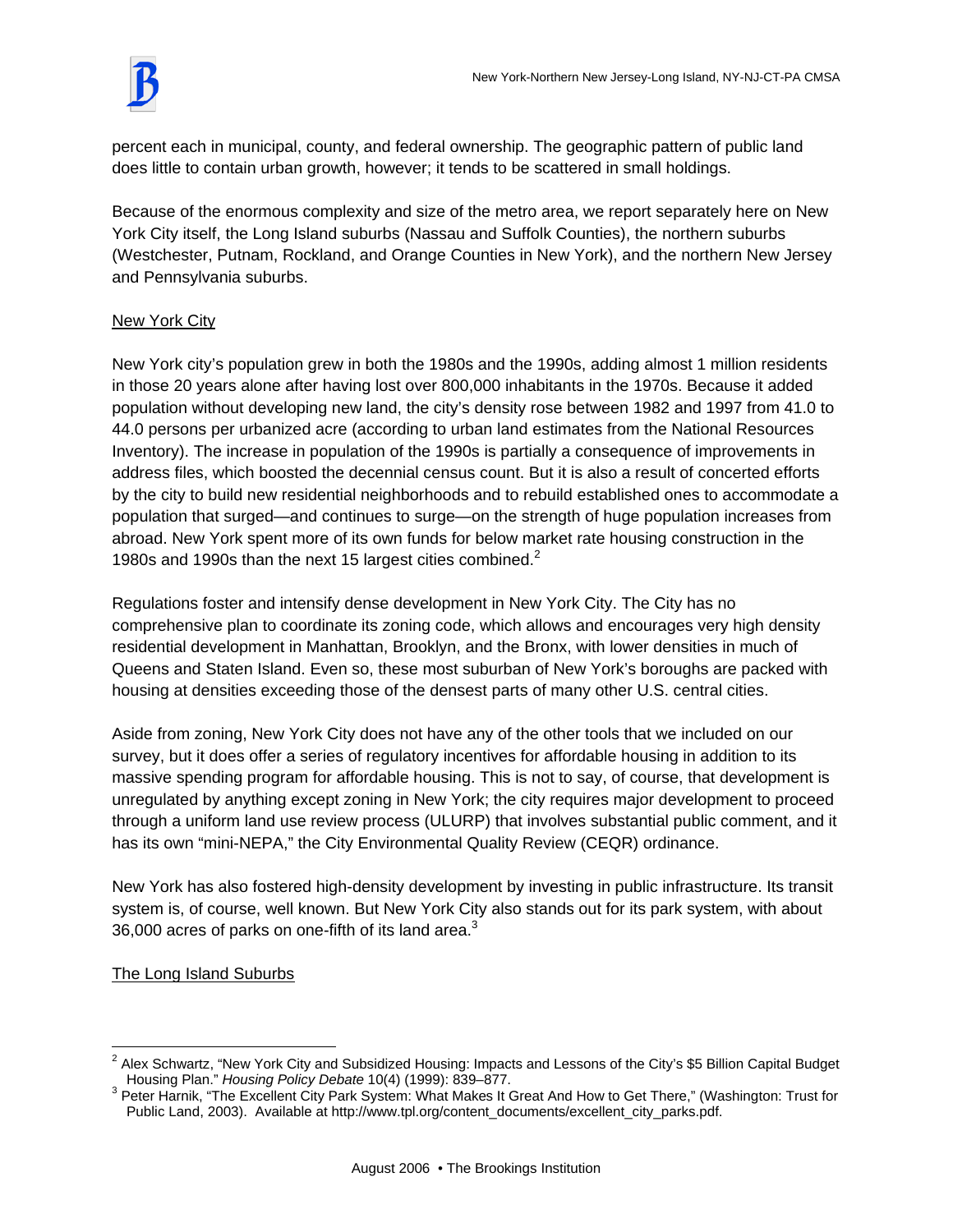percent each in municipal, county, and federal ownership. The geographic pattern of public land does little to contain urban growth, however; it tends to be scattered in small holdings.

Because of the enormous complexity and size of the metro area, we report separately here on New York City itself, the Long Island suburbs (Nassau and Suffolk Counties), the northern suburbs (Westchester, Putnam, Rockland, and Orange Counties in New York), and the northern New Jersey and Pennsylvania suburbs.

# New York City

New York city's population grew in both the 1980s and the 1990s, adding almost 1 million residents in those 20 years alone after having lost over 800,000 inhabitants in the 1970s. Because it added population without developing new land, the city's density rose between 1982 and 1997 from 41.0 to 44.0 persons per urbanized acre (according to urban land estimates from the National Resources Inventory). The increase in population of the 1990s is partially a consequence of improvements in address files, which boosted the decennial census count. But it is also a result of concerted efforts by the city to build new residential neighborhoods and to rebuild established ones to accommodate a population that surged—and continues to surge—on the strength of huge population increases from abroad. New York spent more of its own funds for below market rate housing construction in the 1980s and 1990s than the next 15 largest cities combined.<sup>2</sup>

Regulations foster and intensify dense development in New York City. The City has no comprehensive plan to coordinate its zoning code, which allows and encourages very high density residential development in Manhattan, Brooklyn, and the Bronx, with lower densities in much of Queens and Staten Island. Even so, these most suburban of New York's boroughs are packed with housing at densities exceeding those of the densest parts of many other U.S. central cities.

Aside from zoning, New York City does not have any of the other tools that we included on our survey, but it does offer a series of regulatory incentives for affordable housing in addition to its massive spending program for affordable housing. This is not to say, of course, that development is unregulated by anything except zoning in New York; the city requires major development to proceed through a uniform land use review process (ULURP) that involves substantial public comment, and it has its own "mini-NEPA," the City Environmental Quality Review (CEQR) ordinance.

New York has also fostered high-density development by investing in public infrastructure. Its transit system is, of course, well known. But New York City also stands out for its park system, with about 36,000 acres of parks on one-fifth of its land area. $3$ 

The Long Island Suburbs

 $\overline{a}$ 2 Alex Schwartz, "New York City and Subsidized Housing: Impacts and Lessons of the City's \$5 Billion Capital Budget Housing Plan." *Housing Policy Debate* 10(4) (1999): 839–877. 3

<sup>&</sup>lt;sup>3</sup> Peter Harnik, "The Excellent City Park System: What Makes It Great And How to Get There," (Washington: Trust for Public Land, 2003). Available at http://www.tpl.org/content\_documents/excellent\_city\_parks.pdf.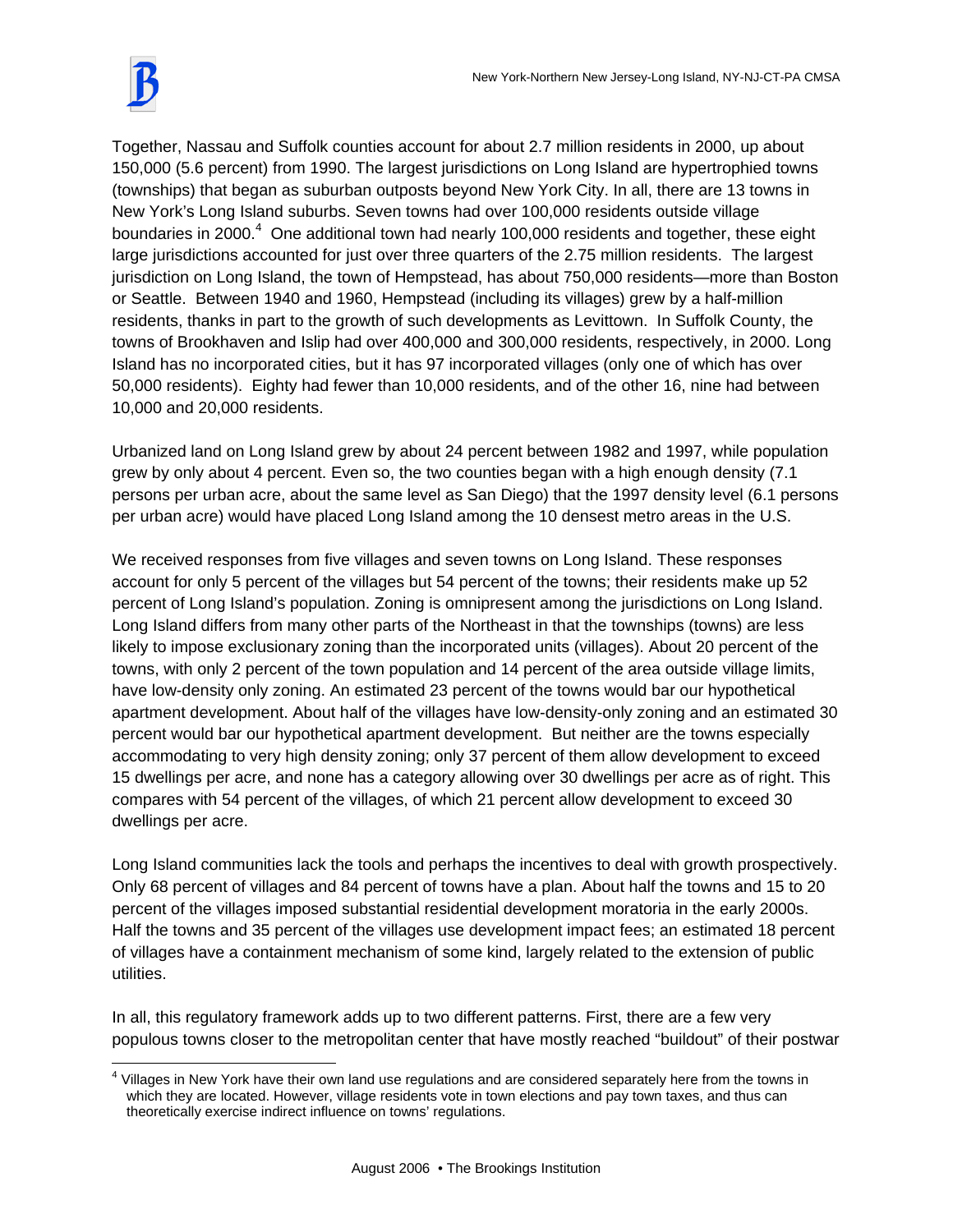

 $\overline{a}$ 

Together, Nassau and Suffolk counties account for about 2.7 million residents in 2000, up about 150,000 (5.6 percent) from 1990. The largest jurisdictions on Long Island are hypertrophied towns (townships) that began as suburban outposts beyond New York City. In all, there are 13 towns in New York's Long Island suburbs. Seven towns had over 100,000 residents outside village boundaries in 2000. $4$  One additional town had nearly 100,000 residents and together, these eight large jurisdictions accounted for just over three quarters of the 2.75 million residents. The largest jurisdiction on Long Island, the town of Hempstead, has about 750,000 residents—more than Boston or Seattle. Between 1940 and 1960, Hempstead (including its villages) grew by a half-million residents, thanks in part to the growth of such developments as Levittown. In Suffolk County, the towns of Brookhaven and Islip had over 400,000 and 300,000 residents, respectively, in 2000. Long Island has no incorporated cities, but it has 97 incorporated villages (only one of which has over 50,000 residents). Eighty had fewer than 10,000 residents, and of the other 16, nine had between 10,000 and 20,000 residents.

Urbanized land on Long Island grew by about 24 percent between 1982 and 1997, while population grew by only about 4 percent. Even so, the two counties began with a high enough density (7.1 persons per urban acre, about the same level as San Diego) that the 1997 density level (6.1 persons per urban acre) would have placed Long Island among the 10 densest metro areas in the U.S.

We received responses from five villages and seven towns on Long Island. These responses account for only 5 percent of the villages but 54 percent of the towns; their residents make up 52 percent of Long Island's population. Zoning is omnipresent among the jurisdictions on Long Island. Long Island differs from many other parts of the Northeast in that the townships (towns) are less likely to impose exclusionary zoning than the incorporated units (villages). About 20 percent of the towns, with only 2 percent of the town population and 14 percent of the area outside village limits, have low-density only zoning. An estimated 23 percent of the towns would bar our hypothetical apartment development. About half of the villages have low-density-only zoning and an estimated 30 percent would bar our hypothetical apartment development. But neither are the towns especially accommodating to very high density zoning; only 37 percent of them allow development to exceed 15 dwellings per acre, and none has a category allowing over 30 dwellings per acre as of right. This compares with 54 percent of the villages, of which 21 percent allow development to exceed 30 dwellings per acre.

Long Island communities lack the tools and perhaps the incentives to deal with growth prospectively. Only 68 percent of villages and 84 percent of towns have a plan. About half the towns and 15 to 20 percent of the villages imposed substantial residential development moratoria in the early 2000s. Half the towns and 35 percent of the villages use development impact fees; an estimated 18 percent of villages have a containment mechanism of some kind, largely related to the extension of public utilities.

In all, this regulatory framework adds up to two different patterns. First, there are a few very populous towns closer to the metropolitan center that have mostly reached "buildout" of their postwar

<sup>&</sup>lt;sup>4</sup> Villages in New York have their own land use regulations and are considered separately here from the towns in which they are located. However, village residents vote in town elections and pay town taxes, and thus can theoretically exercise indirect influence on towns' regulations.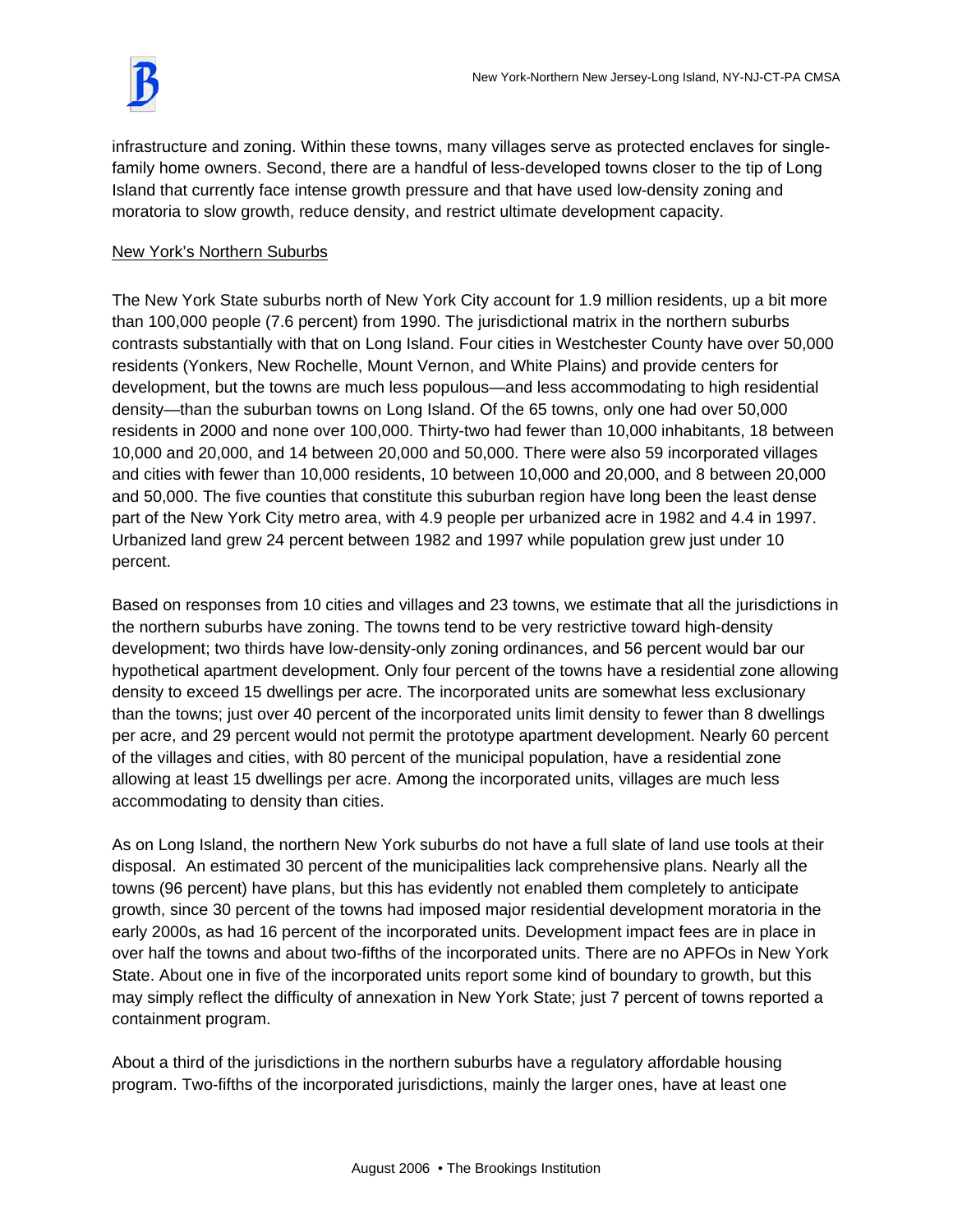infrastructure and zoning. Within these towns, many villages serve as protected enclaves for singlefamily home owners. Second, there are a handful of less-developed towns closer to the tip of Long Island that currently face intense growth pressure and that have used low-density zoning and moratoria to slow growth, reduce density, and restrict ultimate development capacity.

# New York's Northern Suburbs

The New York State suburbs north of New York City account for 1.9 million residents, up a bit more than 100,000 people (7.6 percent) from 1990. The jurisdictional matrix in the northern suburbs contrasts substantially with that on Long Island. Four cities in Westchester County have over 50,000 residents (Yonkers, New Rochelle, Mount Vernon, and White Plains) and provide centers for development, but the towns are much less populous—and less accommodating to high residential density—than the suburban towns on Long Island. Of the 65 towns, only one had over 50,000 residents in 2000 and none over 100,000. Thirty-two had fewer than 10,000 inhabitants, 18 between 10,000 and 20,000, and 14 between 20,000 and 50,000. There were also 59 incorporated villages and cities with fewer than 10,000 residents, 10 between 10,000 and 20,000, and 8 between 20,000 and 50,000. The five counties that constitute this suburban region have long been the least dense part of the New York City metro area, with 4.9 people per urbanized acre in 1982 and 4.4 in 1997. Urbanized land grew 24 percent between 1982 and 1997 while population grew just under 10 percent.

Based on responses from 10 cities and villages and 23 towns, we estimate that all the jurisdictions in the northern suburbs have zoning. The towns tend to be very restrictive toward high-density development; two thirds have low-density-only zoning ordinances, and 56 percent would bar our hypothetical apartment development. Only four percent of the towns have a residential zone allowing density to exceed 15 dwellings per acre. The incorporated units are somewhat less exclusionary than the towns; just over 40 percent of the incorporated units limit density to fewer than 8 dwellings per acre, and 29 percent would not permit the prototype apartment development. Nearly 60 percent of the villages and cities, with 80 percent of the municipal population, have a residential zone allowing at least 15 dwellings per acre. Among the incorporated units, villages are much less accommodating to density than cities.

As on Long Island, the northern New York suburbs do not have a full slate of land use tools at their disposal. An estimated 30 percent of the municipalities lack comprehensive plans. Nearly all the towns (96 percent) have plans, but this has evidently not enabled them completely to anticipate growth, since 30 percent of the towns had imposed major residential development moratoria in the early 2000s, as had 16 percent of the incorporated units. Development impact fees are in place in over half the towns and about two-fifths of the incorporated units. There are no APFOs in New York State. About one in five of the incorporated units report some kind of boundary to growth, but this may simply reflect the difficulty of annexation in New York State; just 7 percent of towns reported a containment program.

About a third of the jurisdictions in the northern suburbs have a regulatory affordable housing program. Two-fifths of the incorporated jurisdictions, mainly the larger ones, have at least one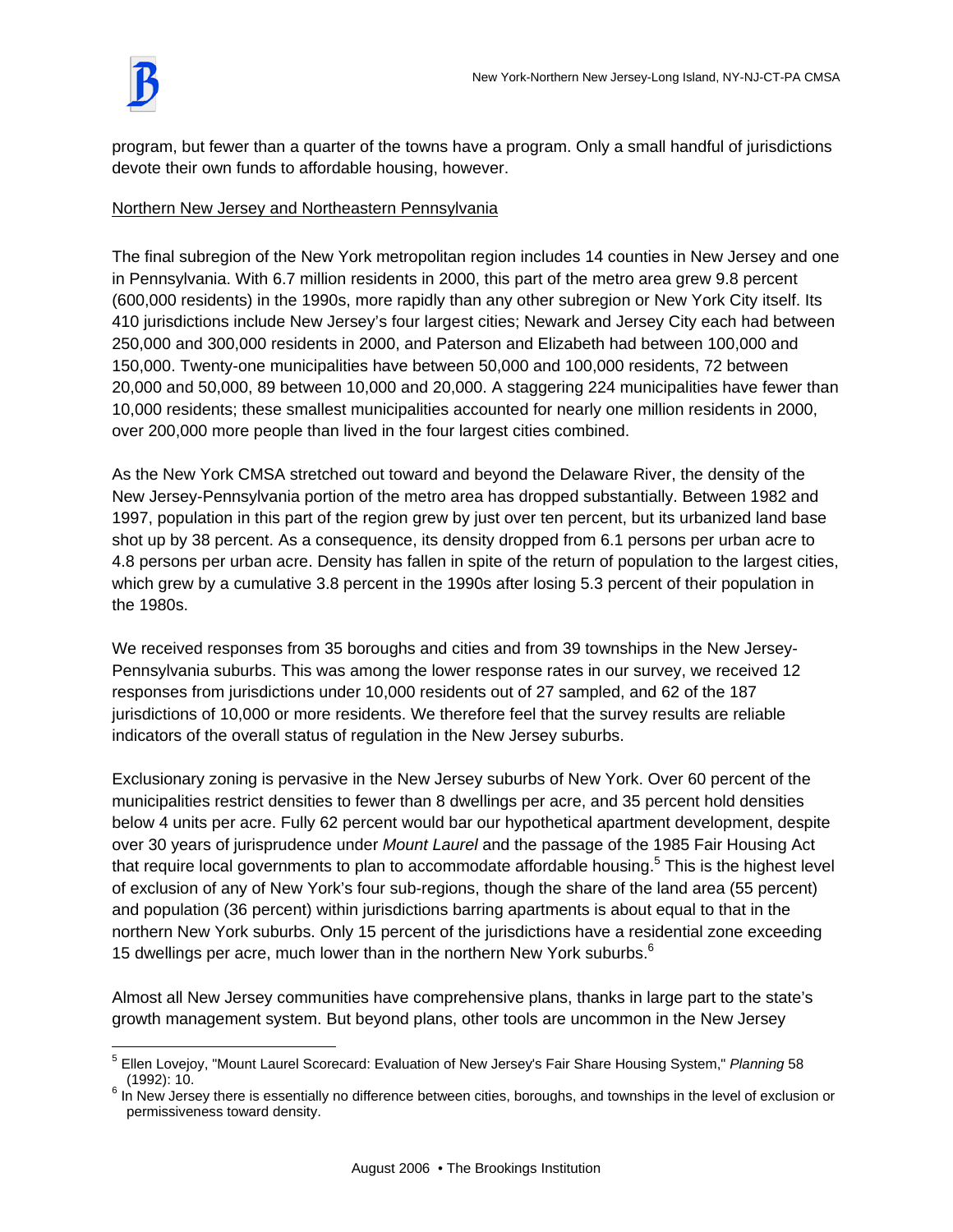program, but fewer than a quarter of the towns have a program. Only a small handful of jurisdictions devote their own funds to affordable housing, however.

# Northern New Jersey and Northeastern Pennsylvania

The final subregion of the New York metropolitan region includes 14 counties in New Jersey and one in Pennsylvania. With 6.7 million residents in 2000, this part of the metro area grew 9.8 percent (600,000 residents) in the 1990s, more rapidly than any other subregion or New York City itself. Its 410 jurisdictions include New Jersey's four largest cities; Newark and Jersey City each had between 250,000 and 300,000 residents in 2000, and Paterson and Elizabeth had between 100,000 and 150,000. Twenty-one municipalities have between 50,000 and 100,000 residents, 72 between 20,000 and 50,000, 89 between 10,000 and 20,000. A staggering 224 municipalities have fewer than 10,000 residents; these smallest municipalities accounted for nearly one million residents in 2000, over 200,000 more people than lived in the four largest cities combined.

As the New York CMSA stretched out toward and beyond the Delaware River, the density of the New Jersey-Pennsylvania portion of the metro area has dropped substantially. Between 1982 and 1997, population in this part of the region grew by just over ten percent, but its urbanized land base shot up by 38 percent. As a consequence, its density dropped from 6.1 persons per urban acre to 4.8 persons per urban acre. Density has fallen in spite of the return of population to the largest cities, which grew by a cumulative 3.8 percent in the 1990s after losing 5.3 percent of their population in the 1980s.

We received responses from 35 boroughs and cities and from 39 townships in the New Jersey-Pennsylvania suburbs. This was among the lower response rates in our survey, we received 12 responses from jurisdictions under 10,000 residents out of 27 sampled, and 62 of the 187 jurisdictions of 10,000 or more residents. We therefore feel that the survey results are reliable indicators of the overall status of regulation in the New Jersey suburbs.

Exclusionary zoning is pervasive in the New Jersey suburbs of New York. Over 60 percent of the municipalities restrict densities to fewer than 8 dwellings per acre, and 35 percent hold densities below 4 units per acre. Fully 62 percent would bar our hypothetical apartment development, despite over 30 years of jurisprudence under *Mount Laurel* and the passage of the 1985 Fair Housing Act that require local governments to plan to accommodate affordable housing.<sup>5</sup> This is the highest level of exclusion of any of New York's four sub-regions, though the share of the land area (55 percent) and population (36 percent) within jurisdictions barring apartments is about equal to that in the northern New York suburbs. Only 15 percent of the jurisdictions have a residential zone exceeding 15 dwellings per acre, much lower than in the northern New York suburbs.<sup>6</sup>

Almost all New Jersey communities have comprehensive plans, thanks in large part to the state's growth management system. But beyond plans, other tools are uncommon in the New Jersey

 $\overline{a}$ 5 Ellen Lovejoy, "Mount Laurel Scorecard: Evaluation of New Jersey's Fair Share Housing System," *Planning* 58

<sup>(1992): 10.&</sup>lt;br><sup>6</sup> In New Jersey there is essentially no difference between cities, boroughs, and townships in the level of exclusion or permissiveness toward density.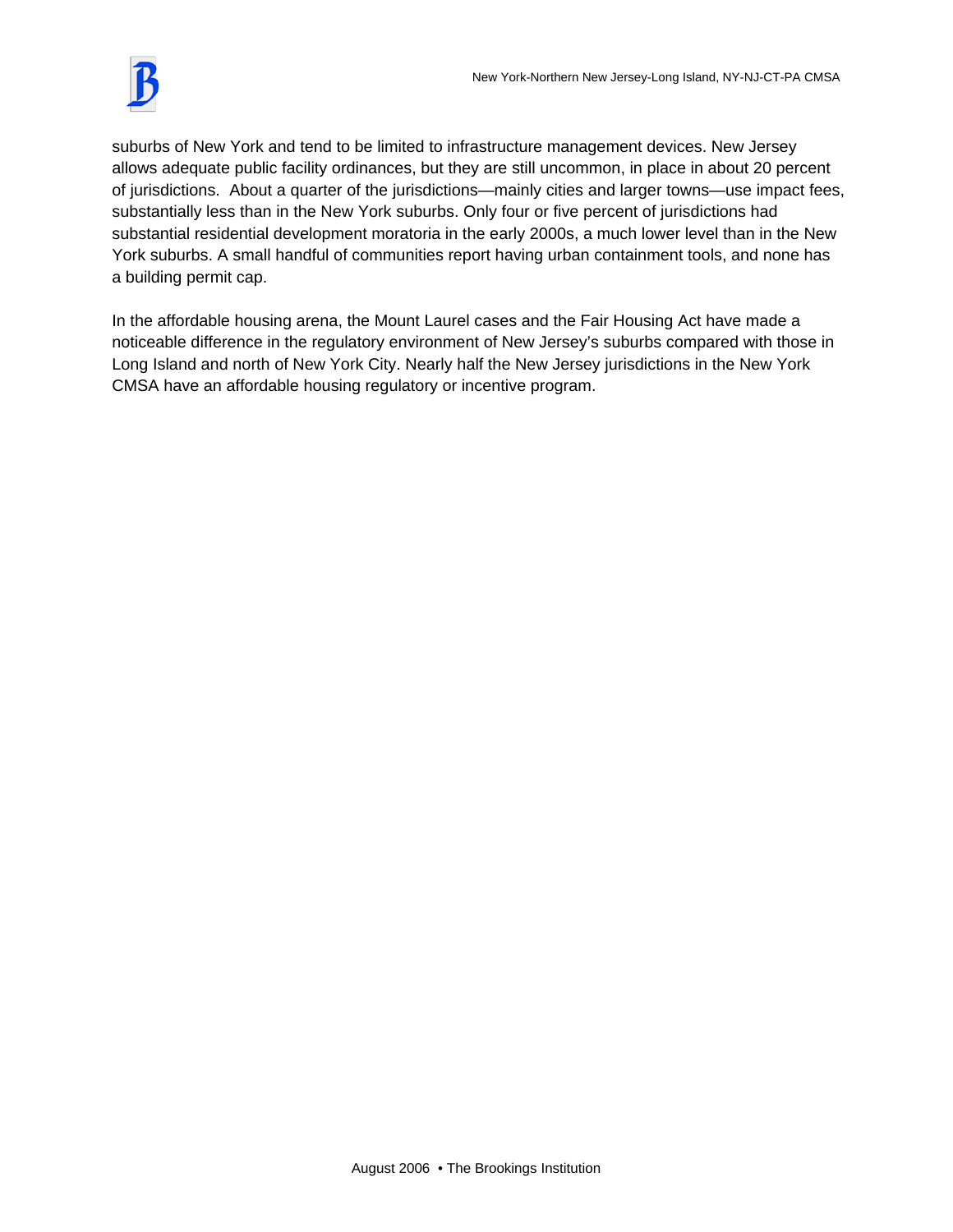suburbs of New York and tend to be limited to infrastructure management devices. New Jersey allows adequate public facility ordinances, but they are still uncommon, in place in about 20 percent of jurisdictions. About a quarter of the jurisdictions—mainly cities and larger towns—use impact fees, substantially less than in the New York suburbs. Only four or five percent of jurisdictions had substantial residential development moratoria in the early 2000s, a much lower level than in the New York suburbs. A small handful of communities report having urban containment tools, and none has a building permit cap.

In the affordable housing arena, the Mount Laurel cases and the Fair Housing Act have made a noticeable difference in the regulatory environment of New Jersey's suburbs compared with those in Long Island and north of New York City. Nearly half the New Jersey jurisdictions in the New York CMSA have an affordable housing regulatory or incentive program.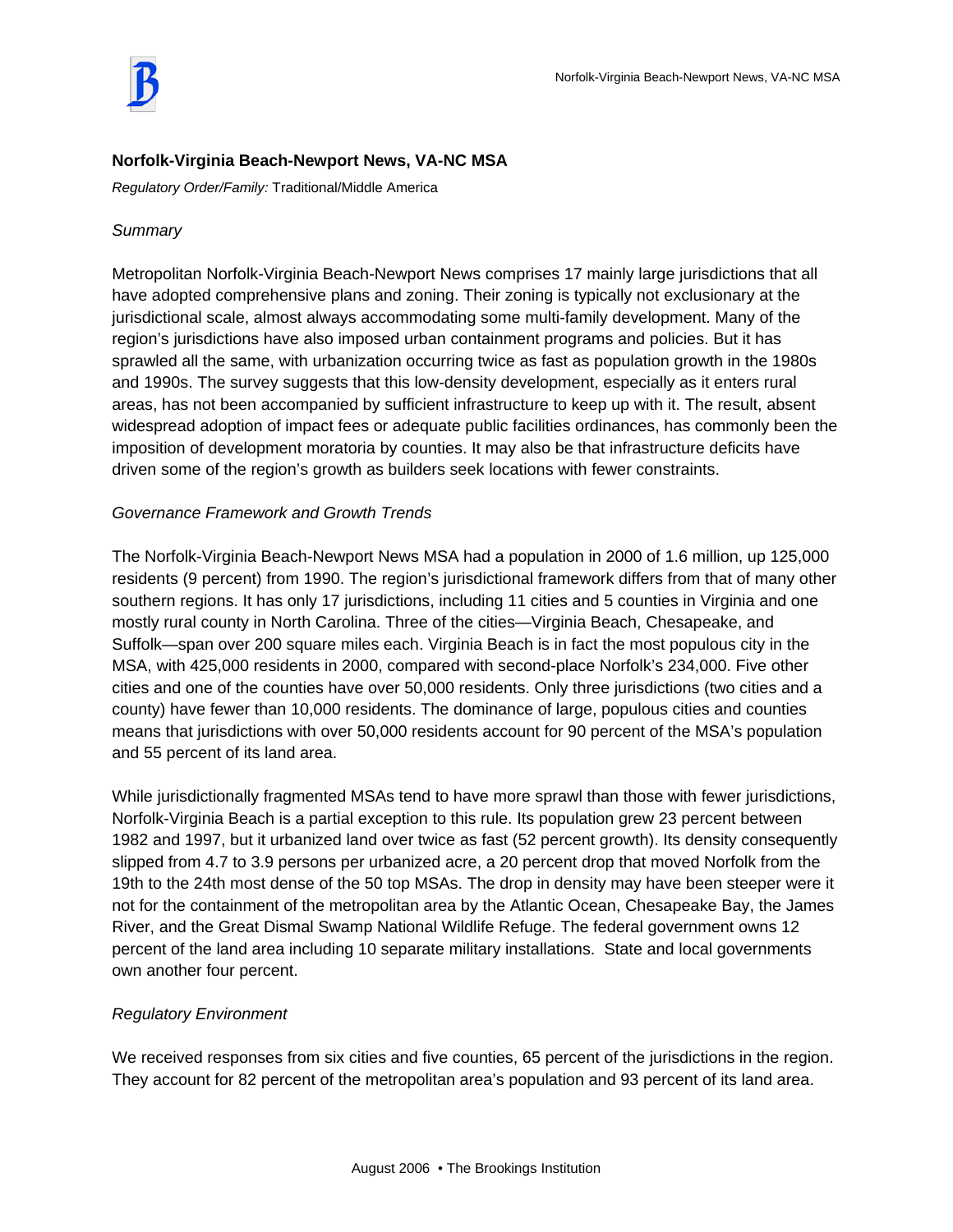# **Norfolk-Virginia Beach-Newport News, VA-NC MSA**

*Regulatory Order/Family:* Traditional/Middle America

# *Summary*

Metropolitan Norfolk-Virginia Beach-Newport News comprises 17 mainly large jurisdictions that all have adopted comprehensive plans and zoning. Their zoning is typically not exclusionary at the jurisdictional scale, almost always accommodating some multi-family development. Many of the region's jurisdictions have also imposed urban containment programs and policies. But it has sprawled all the same, with urbanization occurring twice as fast as population growth in the 1980s and 1990s. The survey suggests that this low-density development, especially as it enters rural areas, has not been accompanied by sufficient infrastructure to keep up with it. The result, absent widespread adoption of impact fees or adequate public facilities ordinances, has commonly been the imposition of development moratoria by counties. It may also be that infrastructure deficits have driven some of the region's growth as builders seek locations with fewer constraints.

# *Governance Framework and Growth Trends*

The Norfolk-Virginia Beach-Newport News MSA had a population in 2000 of 1.6 million, up 125,000 residents (9 percent) from 1990. The region's jurisdictional framework differs from that of many other southern regions. It has only 17 jurisdictions, including 11 cities and 5 counties in Virginia and one mostly rural county in North Carolina. Three of the cities—Virginia Beach, Chesapeake, and Suffolk—span over 200 square miles each. Virginia Beach is in fact the most populous city in the MSA, with 425,000 residents in 2000, compared with second-place Norfolk's 234,000. Five other cities and one of the counties have over 50,000 residents. Only three jurisdictions (two cities and a county) have fewer than 10,000 residents. The dominance of large, populous cities and counties means that jurisdictions with over 50,000 residents account for 90 percent of the MSA's population and 55 percent of its land area.

While jurisdictionally fragmented MSAs tend to have more sprawl than those with fewer jurisdictions, Norfolk-Virginia Beach is a partial exception to this rule. Its population grew 23 percent between 1982 and 1997, but it urbanized land over twice as fast (52 percent growth). Its density consequently slipped from 4.7 to 3.9 persons per urbanized acre, a 20 percent drop that moved Norfolk from the 19th to the 24th most dense of the 50 top MSAs. The drop in density may have been steeper were it not for the containment of the metropolitan area by the Atlantic Ocean, Chesapeake Bay, the James River, and the Great Dismal Swamp National Wildlife Refuge. The federal government owns 12 percent of the land area including 10 separate military installations. State and local governments own another four percent.

# *Regulatory Environment*

We received responses from six cities and five counties, 65 percent of the jurisdictions in the region. They account for 82 percent of the metropolitan area's population and 93 percent of its land area.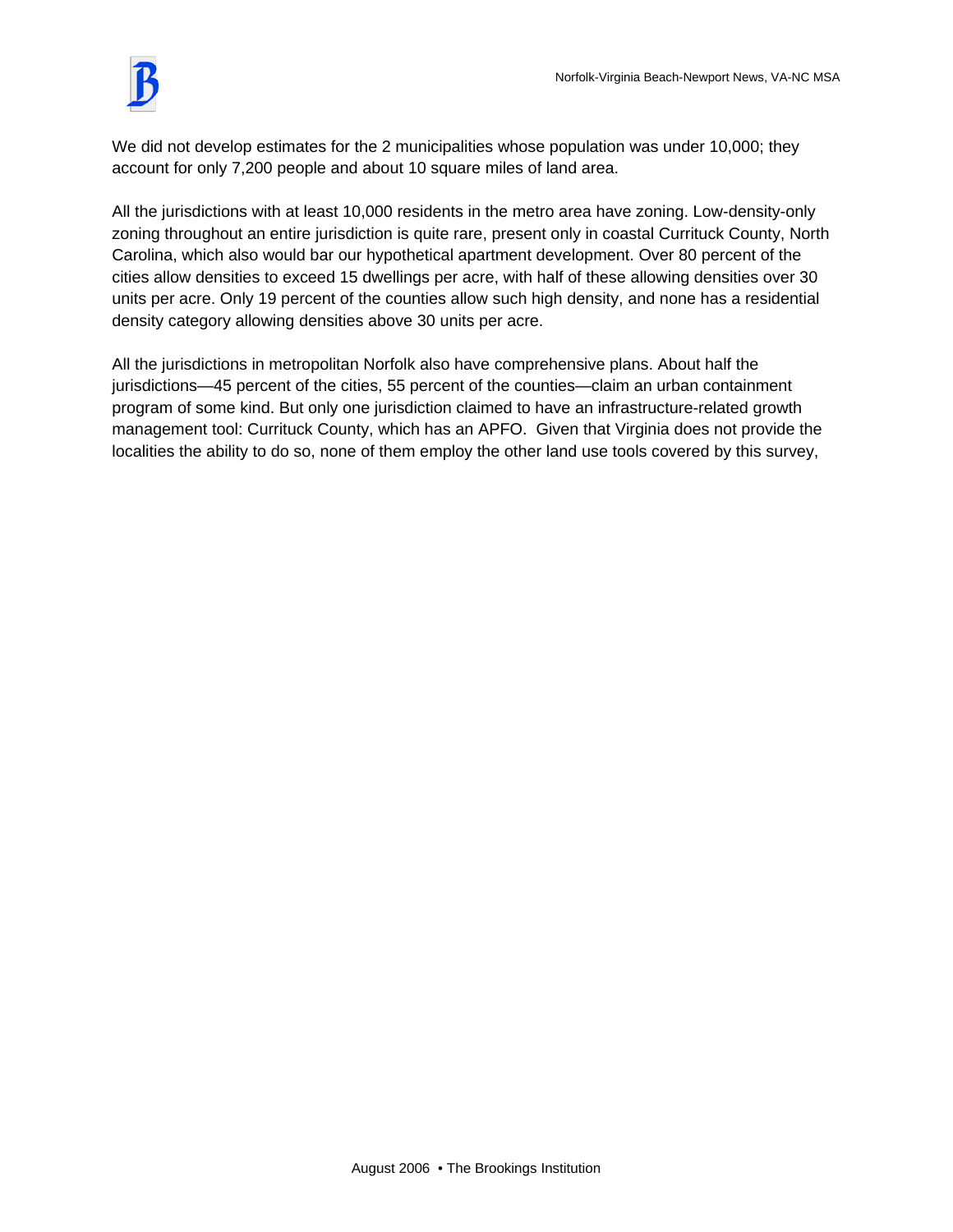

We did not develop estimates for the 2 municipalities whose population was under 10,000; they account for only 7,200 people and about 10 square miles of land area.

All the jurisdictions with at least 10,000 residents in the metro area have zoning. Low-density-only zoning throughout an entire jurisdiction is quite rare, present only in coastal Currituck County, North Carolina, which also would bar our hypothetical apartment development. Over 80 percent of the cities allow densities to exceed 15 dwellings per acre, with half of these allowing densities over 30 units per acre. Only 19 percent of the counties allow such high density, and none has a residential density category allowing densities above 30 units per acre.

All the jurisdictions in metropolitan Norfolk also have comprehensive plans. About half the jurisdictions—45 percent of the cities, 55 percent of the counties—claim an urban containment program of some kind. But only one jurisdiction claimed to have an infrastructure-related growth management tool: Currituck County, which has an APFO. Given that Virginia does not provide the localities the ability to do so, none of them employ the other land use tools covered by this survey,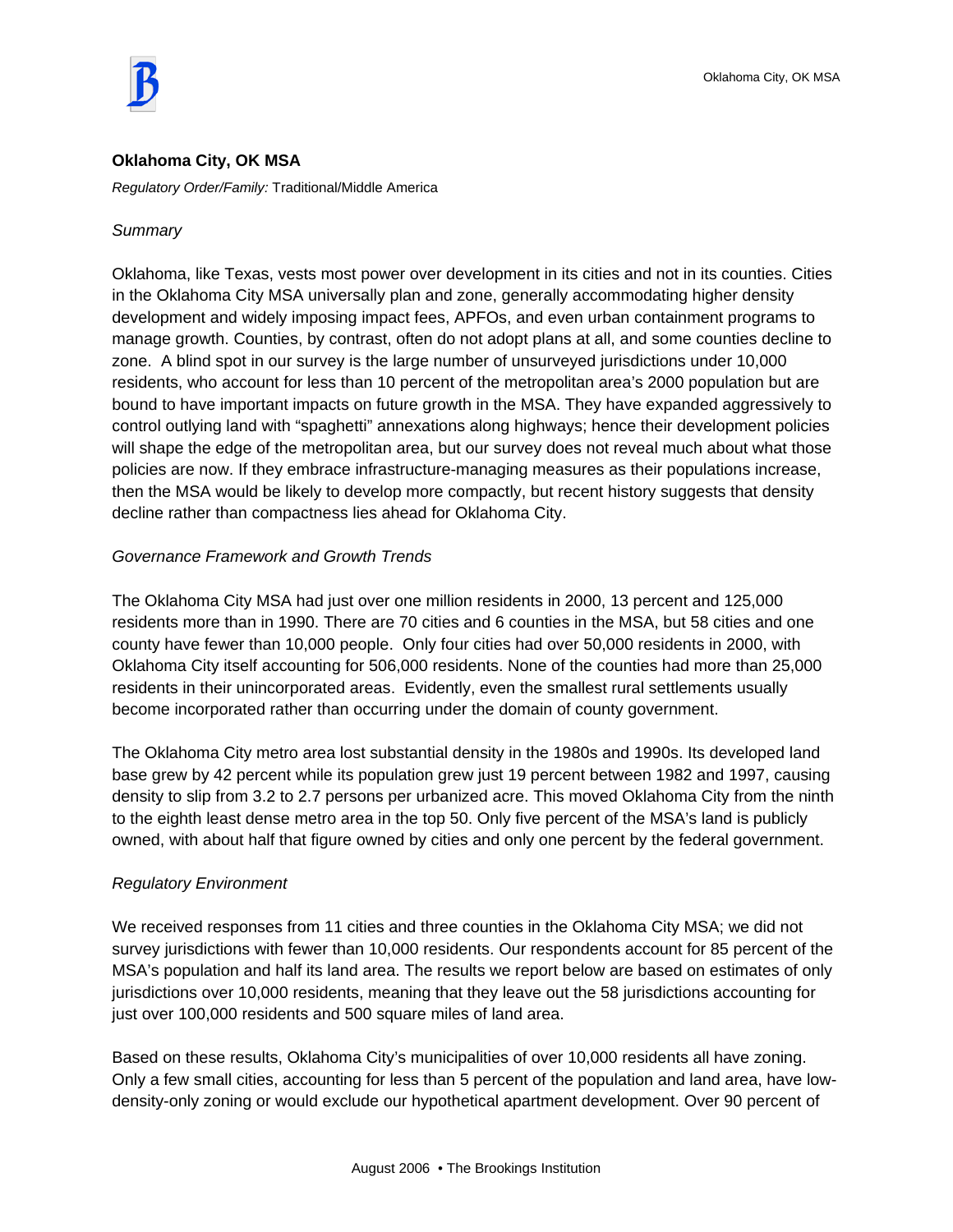

## **Oklahoma City, OK MSA**

*Regulatory Order/Family:* Traditional/Middle America

## *Summary*

Oklahoma, like Texas, vests most power over development in its cities and not in its counties. Cities in the Oklahoma City MSA universally plan and zone, generally accommodating higher density development and widely imposing impact fees, APFOs, and even urban containment programs to manage growth. Counties, by contrast, often do not adopt plans at all, and some counties decline to zone. A blind spot in our survey is the large number of unsurveyed jurisdictions under 10,000 residents, who account for less than 10 percent of the metropolitan area's 2000 population but are bound to have important impacts on future growth in the MSA. They have expanded aggressively to control outlying land with "spaghetti" annexations along highways; hence their development policies will shape the edge of the metropolitan area, but our survey does not reveal much about what those policies are now. If they embrace infrastructure-managing measures as their populations increase, then the MSA would be likely to develop more compactly, but recent history suggests that density decline rather than compactness lies ahead for Oklahoma City.

## *Governance Framework and Growth Trends*

The Oklahoma City MSA had just over one million residents in 2000, 13 percent and 125,000 residents more than in 1990. There are 70 cities and 6 counties in the MSA, but 58 cities and one county have fewer than 10,000 people. Only four cities had over 50,000 residents in 2000, with Oklahoma City itself accounting for 506,000 residents. None of the counties had more than 25,000 residents in their unincorporated areas. Evidently, even the smallest rural settlements usually become incorporated rather than occurring under the domain of county government.

The Oklahoma City metro area lost substantial density in the 1980s and 1990s. Its developed land base grew by 42 percent while its population grew just 19 percent between 1982 and 1997, causing density to slip from 3.2 to 2.7 persons per urbanized acre. This moved Oklahoma City from the ninth to the eighth least dense metro area in the top 50. Only five percent of the MSA's land is publicly owned, with about half that figure owned by cities and only one percent by the federal government.

## *Regulatory Environment*

We received responses from 11 cities and three counties in the Oklahoma City MSA; we did not survey jurisdictions with fewer than 10,000 residents. Our respondents account for 85 percent of the MSA's population and half its land area. The results we report below are based on estimates of only jurisdictions over 10,000 residents, meaning that they leave out the 58 jurisdictions accounting for just over 100,000 residents and 500 square miles of land area.

Based on these results, Oklahoma City's municipalities of over 10,000 residents all have zoning. Only a few small cities, accounting for less than 5 percent of the population and land area, have lowdensity-only zoning or would exclude our hypothetical apartment development. Over 90 percent of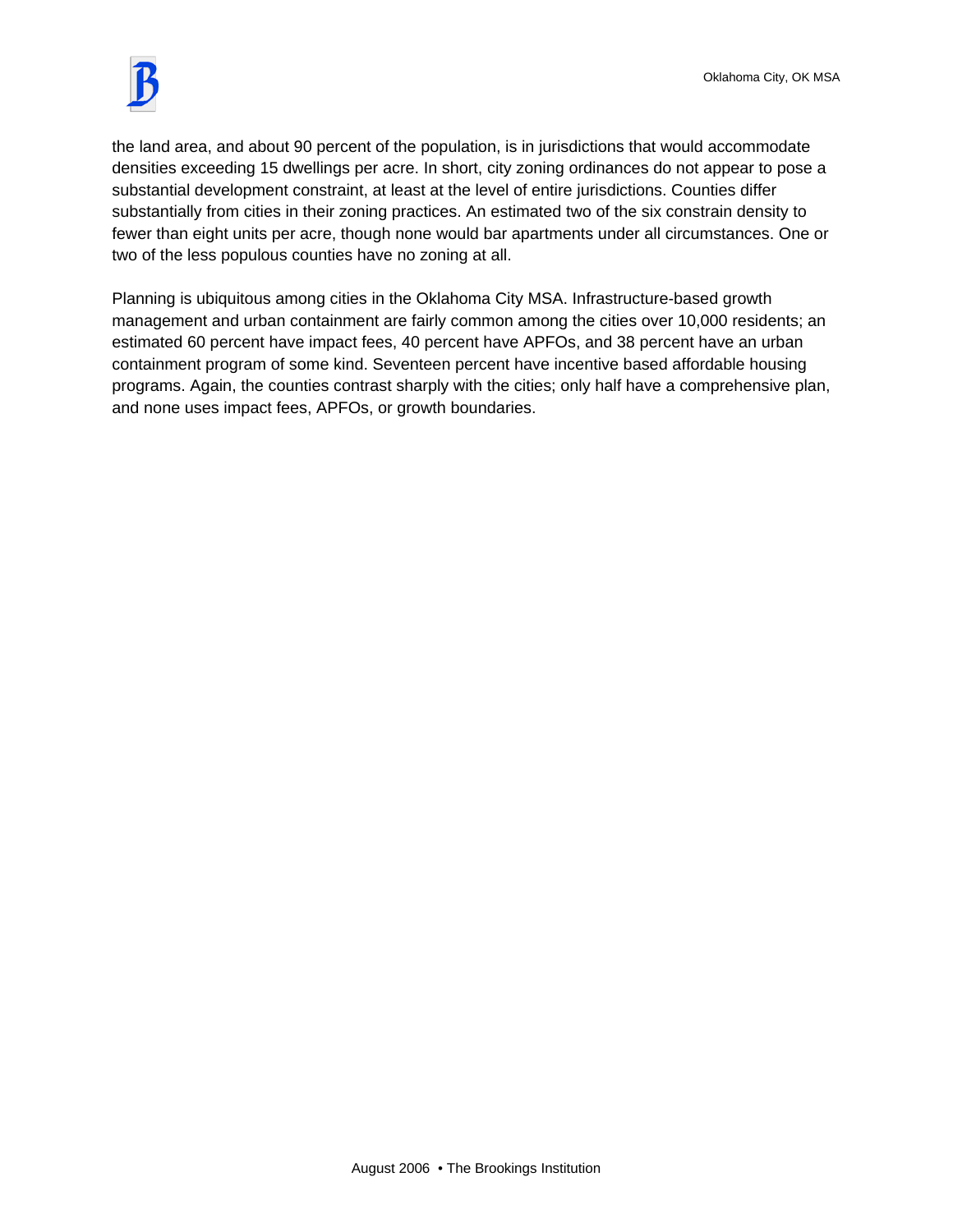

the land area, and about 90 percent of the population, is in jurisdictions that would accommodate densities exceeding 15 dwellings per acre. In short, city zoning ordinances do not appear to pose a substantial development constraint, at least at the level of entire jurisdictions. Counties differ substantially from cities in their zoning practices. An estimated two of the six constrain density to fewer than eight units per acre, though none would bar apartments under all circumstances. One or two of the less populous counties have no zoning at all.

Planning is ubiquitous among cities in the Oklahoma City MSA. Infrastructure-based growth management and urban containment are fairly common among the cities over 10,000 residents; an estimated 60 percent have impact fees, 40 percent have APFOs, and 38 percent have an urban containment program of some kind. Seventeen percent have incentive based affordable housing programs. Again, the counties contrast sharply with the cities; only half have a comprehensive plan, and none uses impact fees, APFOs, or growth boundaries.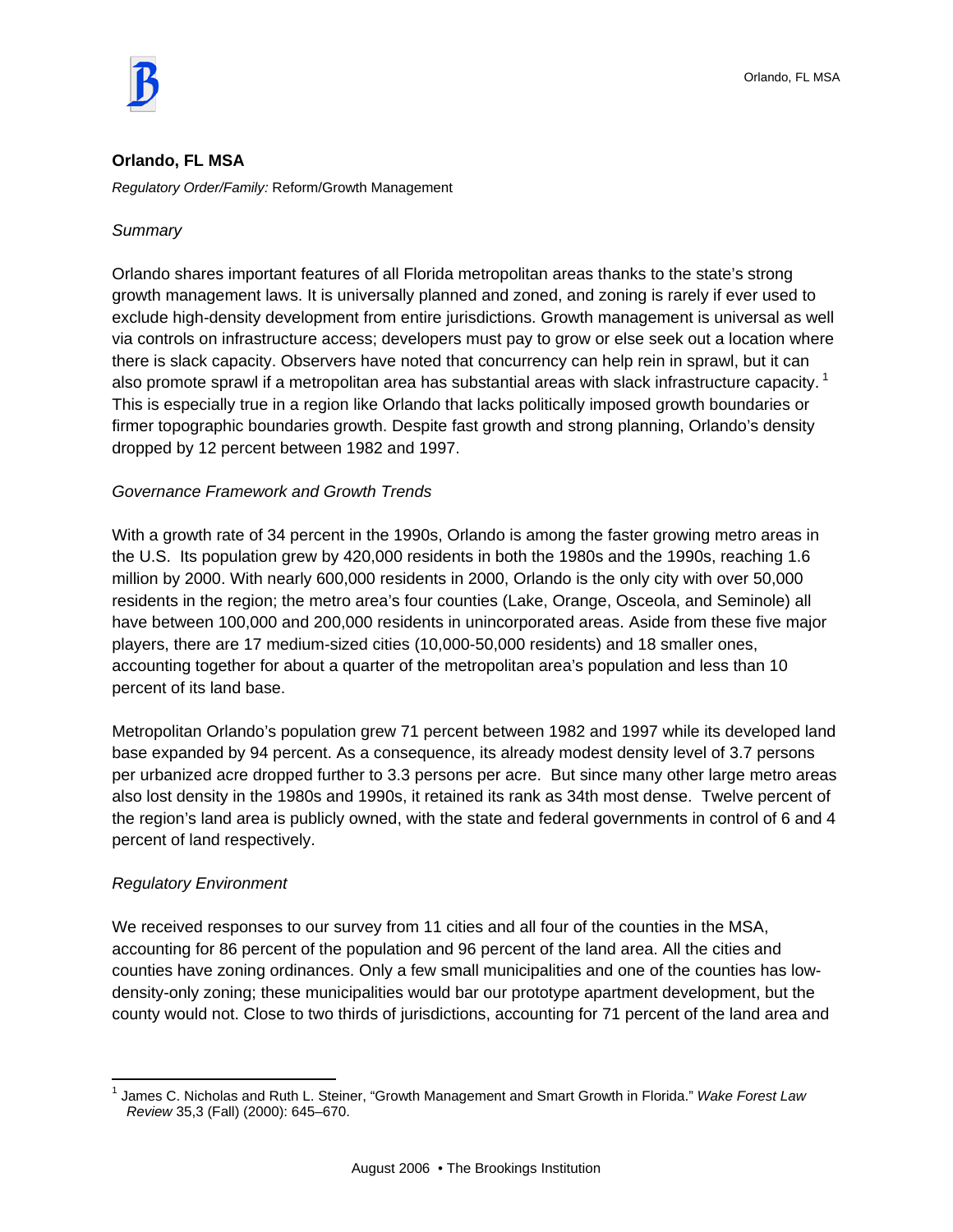

## **Orlando, FL MSA**

*Regulatory Order/Family:* Reform/Growth Management

## *Summary*

Orlando shares important features of all Florida metropolitan areas thanks to the state's strong growth management laws. It is universally planned and zoned, and zoning is rarely if ever used to exclude high-density development from entire jurisdictions. Growth management is universal as well via controls on infrastructure access; developers must pay to grow or else seek out a location where there is slack capacity. Observers have noted that concurrency can help rein in sprawl, but it can also promote sprawl if a metropolitan area has substantial areas with slack infrastructure capacity.<sup>1</sup> This is especially true in a region like Orlando that lacks politically imposed growth boundaries or firmer topographic boundaries growth. Despite fast growth and strong planning, Orlando's density dropped by 12 percent between 1982 and 1997.

## *Governance Framework and Growth Trends*

With a growth rate of 34 percent in the 1990s, Orlando is among the faster growing metro areas in the U.S. Its population grew by 420,000 residents in both the 1980s and the 1990s, reaching 1.6 million by 2000. With nearly 600,000 residents in 2000, Orlando is the only city with over 50,000 residents in the region; the metro area's four counties (Lake, Orange, Osceola, and Seminole) all have between 100,000 and 200,000 residents in unincorporated areas. Aside from these five major players, there are 17 medium-sized cities (10,000-50,000 residents) and 18 smaller ones, accounting together for about a quarter of the metropolitan area's population and less than 10 percent of its land base.

Metropolitan Orlando's population grew 71 percent between 1982 and 1997 while its developed land base expanded by 94 percent. As a consequence, its already modest density level of 3.7 persons per urbanized acre dropped further to 3.3 persons per acre. But since many other large metro areas also lost density in the 1980s and 1990s, it retained its rank as 34th most dense. Twelve percent of the region's land area is publicly owned, with the state and federal governments in control of 6 and 4 percent of land respectively.

#### *Regulatory Environment*

We received responses to our survey from 11 cities and all four of the counties in the MSA, accounting for 86 percent of the population and 96 percent of the land area. All the cities and counties have zoning ordinances. Only a few small municipalities and one of the counties has lowdensity-only zoning; these municipalities would bar our prototype apartment development, but the county would not. Close to two thirds of jurisdictions, accounting for 71 percent of the land area and

 $\overline{a}$ 1 James C. Nicholas and Ruth L. Steiner, "Growth Management and Smart Growth in Florida." *Wake Forest Law Review* 35,3 (Fall) (2000): 645–670.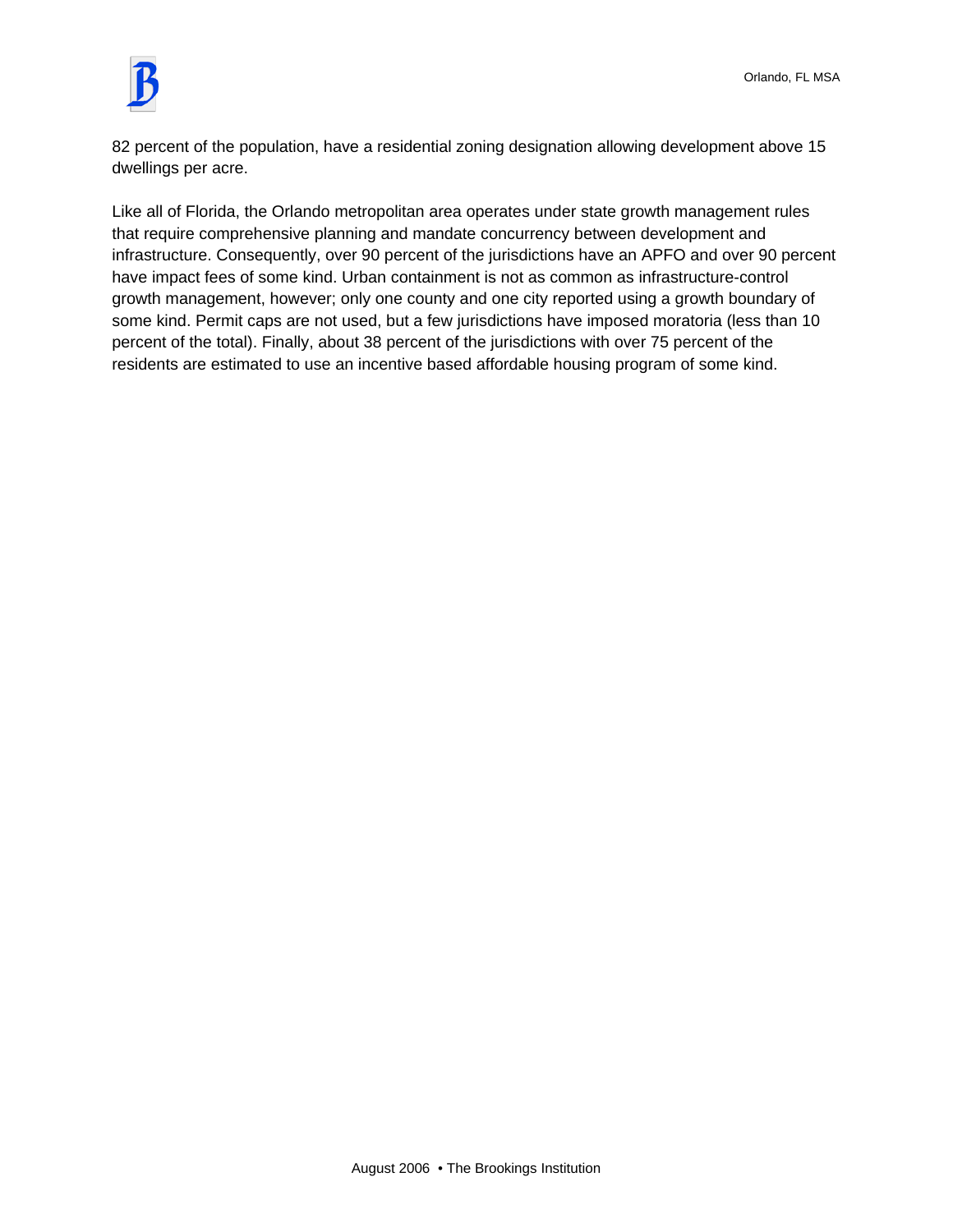

82 percent of the population, have a residential zoning designation allowing development above 15 dwellings per acre.

Like all of Florida, the Orlando metropolitan area operates under state growth management rules that require comprehensive planning and mandate concurrency between development and infrastructure. Consequently, over 90 percent of the jurisdictions have an APFO and over 90 percent have impact fees of some kind. Urban containment is not as common as infrastructure-control growth management, however; only one county and one city reported using a growth boundary of some kind. Permit caps are not used, but a few jurisdictions have imposed moratoria (less than 10 percent of the total). Finally, about 38 percent of the jurisdictions with over 75 percent of the residents are estimated to use an incentive based affordable housing program of some kind.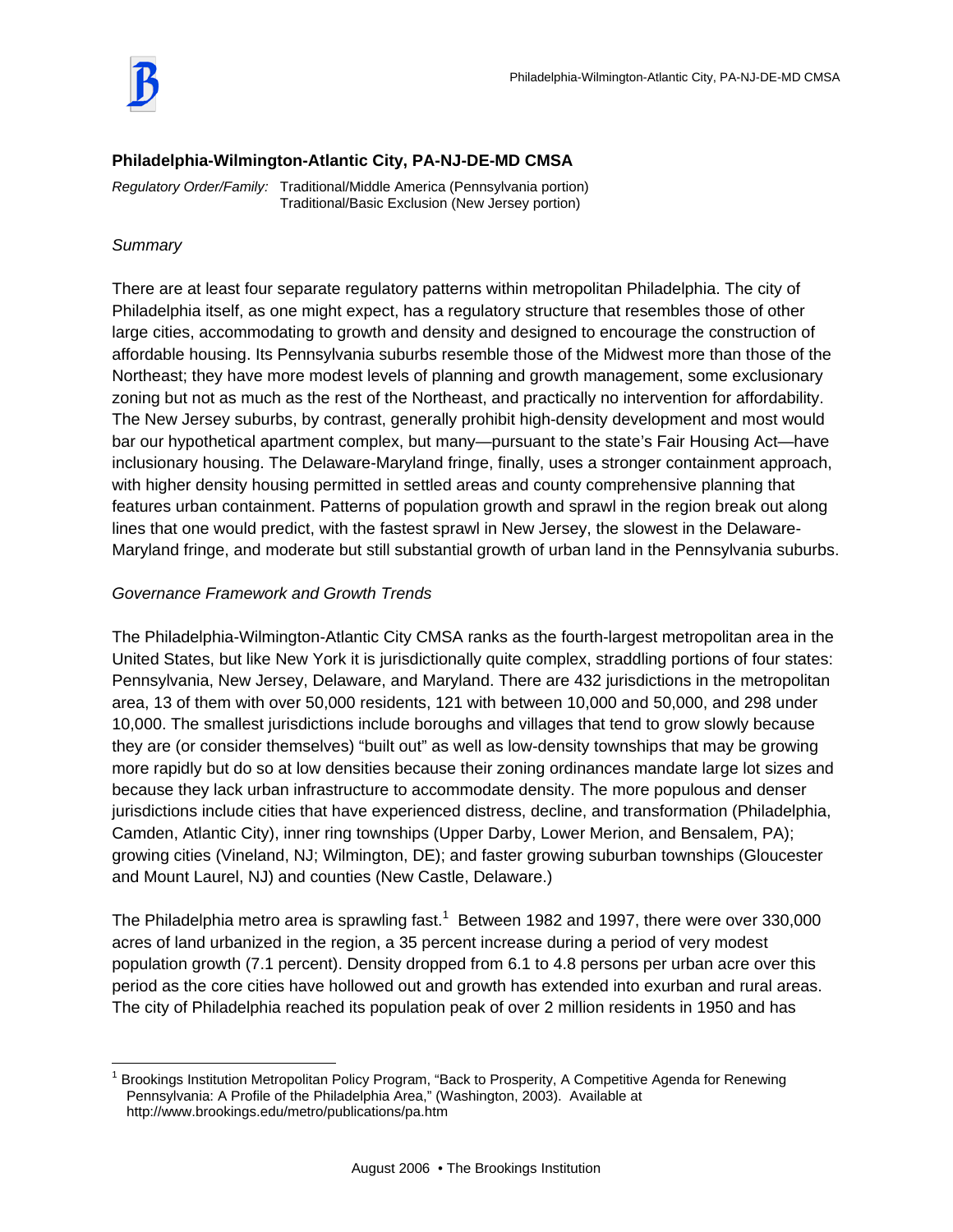

## **Philadelphia-Wilmington-Atlantic City, PA-NJ-DE-MD CMSA**

*Regulatory Order/Family:* Traditional/Middle America (Pennsylvania portion) Traditional/Basic Exclusion (New Jersey portion)

## *Summary*

 $\overline{a}$ 

There are at least four separate regulatory patterns within metropolitan Philadelphia. The city of Philadelphia itself, as one might expect, has a regulatory structure that resembles those of other large cities, accommodating to growth and density and designed to encourage the construction of affordable housing. Its Pennsylvania suburbs resemble those of the Midwest more than those of the Northeast; they have more modest levels of planning and growth management, some exclusionary zoning but not as much as the rest of the Northeast, and practically no intervention for affordability. The New Jersey suburbs, by contrast, generally prohibit high-density development and most would bar our hypothetical apartment complex, but many—pursuant to the state's Fair Housing Act—have inclusionary housing. The Delaware-Maryland fringe, finally, uses a stronger containment approach, with higher density housing permitted in settled areas and county comprehensive planning that features urban containment. Patterns of population growth and sprawl in the region break out along lines that one would predict, with the fastest sprawl in New Jersey, the slowest in the Delaware-Maryland fringe, and moderate but still substantial growth of urban land in the Pennsylvania suburbs.

# *Governance Framework and Growth Trends*

The Philadelphia-Wilmington-Atlantic City CMSA ranks as the fourth-largest metropolitan area in the United States, but like New York it is jurisdictionally quite complex, straddling portions of four states: Pennsylvania, New Jersey, Delaware, and Maryland. There are 432 jurisdictions in the metropolitan area, 13 of them with over 50,000 residents, 121 with between 10,000 and 50,000, and 298 under 10,000. The smallest jurisdictions include boroughs and villages that tend to grow slowly because they are (or consider themselves) "built out" as well as low-density townships that may be growing more rapidly but do so at low densities because their zoning ordinances mandate large lot sizes and because they lack urban infrastructure to accommodate density. The more populous and denser jurisdictions include cities that have experienced distress, decline, and transformation (Philadelphia, Camden, Atlantic City), inner ring townships (Upper Darby, Lower Merion, and Bensalem, PA); growing cities (Vineland, NJ; Wilmington, DE); and faster growing suburban townships (Gloucester and Mount Laurel, NJ) and counties (New Castle, Delaware.)

The Philadelphia metro area is sprawling fast.<sup>1</sup> Between 1982 and 1997, there were over 330,000 acres of land urbanized in the region, a 35 percent increase during a period of very modest population growth (7.1 percent). Density dropped from 6.1 to 4.8 persons per urban acre over this period as the core cities have hollowed out and growth has extended into exurban and rural areas. The city of Philadelphia reached its population peak of over 2 million residents in 1950 and has

<sup>1</sup> Brookings Institution Metropolitan Policy Program, "Back to Prosperity, A Competitive Agenda for Renewing Pennsylvania: A Profile of the Philadelphia Area," (Washington, 2003). Available at http://www.brookings.edu/metro/publications/pa.htm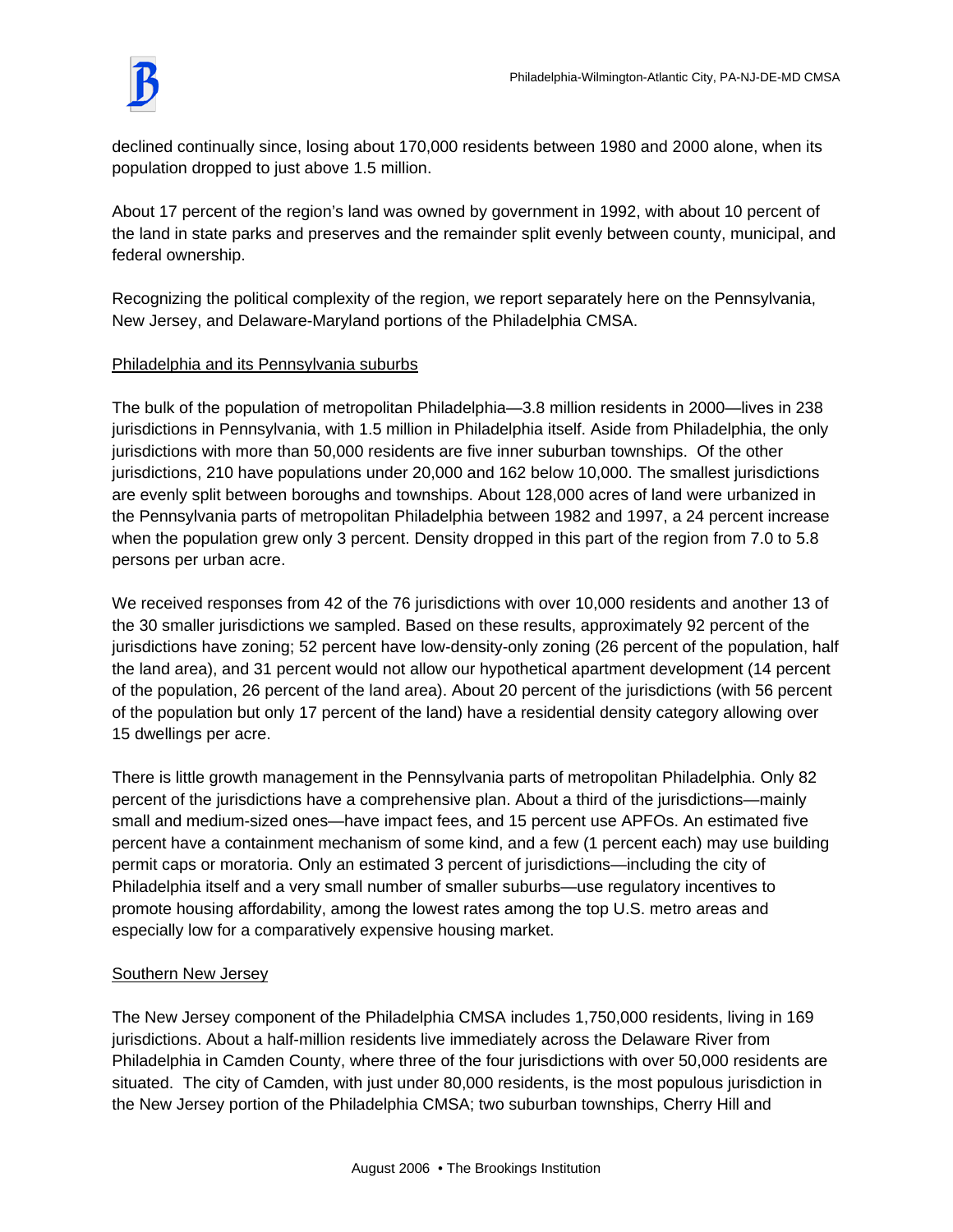

declined continually since, losing about 170,000 residents between 1980 and 2000 alone, when its population dropped to just above 1.5 million.

About 17 percent of the region's land was owned by government in 1992, with about 10 percent of the land in state parks and preserves and the remainder split evenly between county, municipal, and federal ownership.

Recognizing the political complexity of the region, we report separately here on the Pennsylvania, New Jersey, and Delaware-Maryland portions of the Philadelphia CMSA.

# Philadelphia and its Pennsylvania suburbs

The bulk of the population of metropolitan Philadelphia—3.8 million residents in 2000—lives in 238 jurisdictions in Pennsylvania, with 1.5 million in Philadelphia itself. Aside from Philadelphia, the only jurisdictions with more than 50,000 residents are five inner suburban townships. Of the other jurisdictions, 210 have populations under 20,000 and 162 below 10,000. The smallest jurisdictions are evenly split between boroughs and townships. About 128,000 acres of land were urbanized in the Pennsylvania parts of metropolitan Philadelphia between 1982 and 1997, a 24 percent increase when the population grew only 3 percent. Density dropped in this part of the region from 7.0 to 5.8 persons per urban acre.

We received responses from 42 of the 76 jurisdictions with over 10,000 residents and another 13 of the 30 smaller jurisdictions we sampled. Based on these results, approximately 92 percent of the jurisdictions have zoning; 52 percent have low-density-only zoning (26 percent of the population, half the land area), and 31 percent would not allow our hypothetical apartment development (14 percent of the population, 26 percent of the land area). About 20 percent of the jurisdictions (with 56 percent of the population but only 17 percent of the land) have a residential density category allowing over 15 dwellings per acre.

There is little growth management in the Pennsylvania parts of metropolitan Philadelphia. Only 82 percent of the jurisdictions have a comprehensive plan. About a third of the jurisdictions—mainly small and medium-sized ones—have impact fees, and 15 percent use APFOs. An estimated five percent have a containment mechanism of some kind, and a few (1 percent each) may use building permit caps or moratoria. Only an estimated 3 percent of jurisdictions—including the city of Philadelphia itself and a very small number of smaller suburbs—use regulatory incentives to promote housing affordability, among the lowest rates among the top U.S. metro areas and especially low for a comparatively expensive housing market.

## Southern New Jersey

The New Jersey component of the Philadelphia CMSA includes 1,750,000 residents, living in 169 jurisdictions. About a half-million residents live immediately across the Delaware River from Philadelphia in Camden County, where three of the four jurisdictions with over 50,000 residents are situated. The city of Camden, with just under 80,000 residents, is the most populous jurisdiction in the New Jersey portion of the Philadelphia CMSA; two suburban townships, Cherry Hill and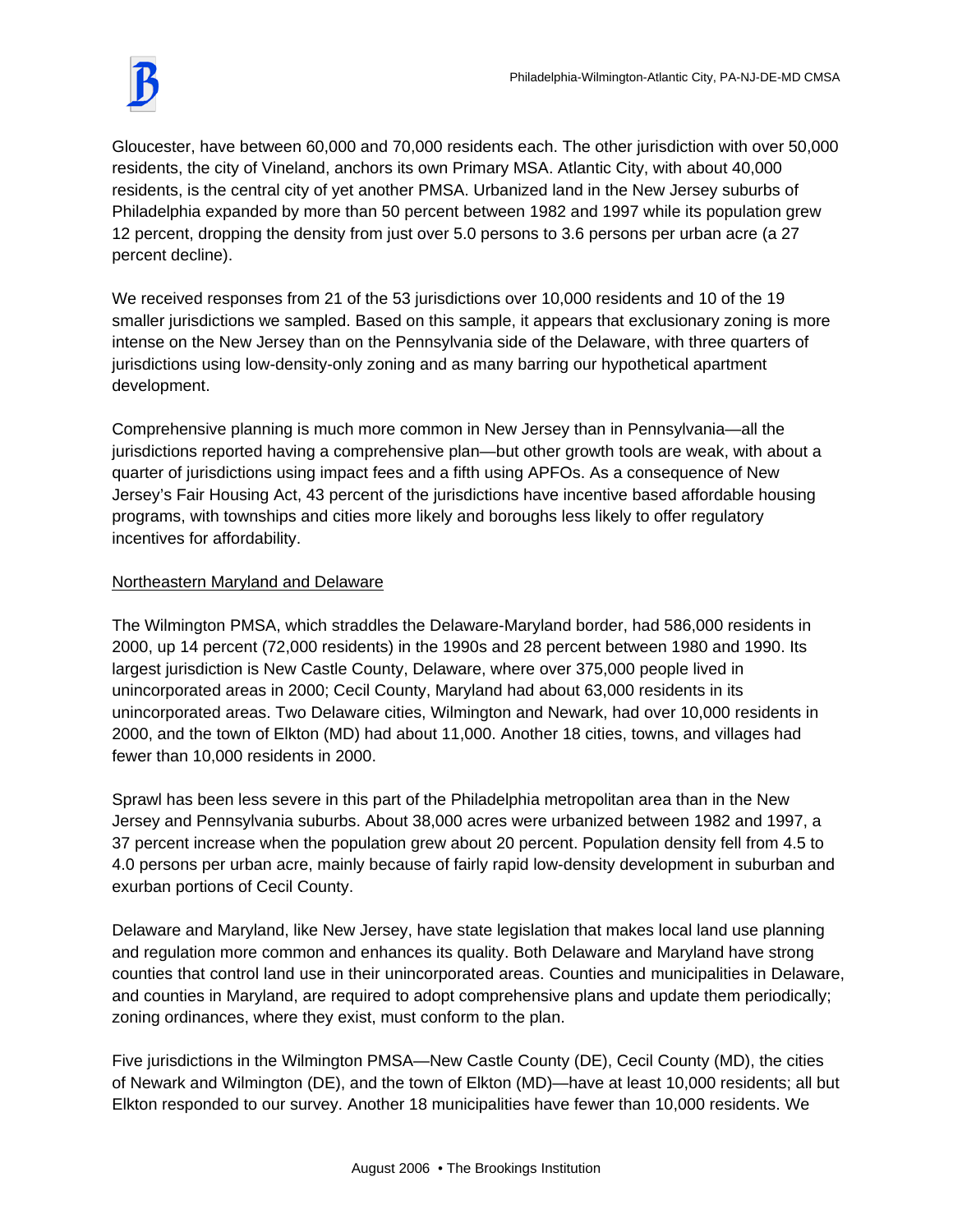Gloucester, have between 60,000 and 70,000 residents each. The other jurisdiction with over 50,000 residents, the city of Vineland, anchors its own Primary MSA. Atlantic City, with about 40,000 residents, is the central city of yet another PMSA. Urbanized land in the New Jersey suburbs of Philadelphia expanded by more than 50 percent between 1982 and 1997 while its population grew 12 percent, dropping the density from just over 5.0 persons to 3.6 persons per urban acre (a 27 percent decline).

We received responses from 21 of the 53 jurisdictions over 10,000 residents and 10 of the 19 smaller jurisdictions we sampled. Based on this sample, it appears that exclusionary zoning is more intense on the New Jersey than on the Pennsylvania side of the Delaware, with three quarters of jurisdictions using low-density-only zoning and as many barring our hypothetical apartment development.

Comprehensive planning is much more common in New Jersey than in Pennsylvania—all the jurisdictions reported having a comprehensive plan—but other growth tools are weak, with about a quarter of jurisdictions using impact fees and a fifth using APFOs. As a consequence of New Jersey's Fair Housing Act, 43 percent of the jurisdictions have incentive based affordable housing programs, with townships and cities more likely and boroughs less likely to offer regulatory incentives for affordability.

# Northeastern Maryland and Delaware

The Wilmington PMSA, which straddles the Delaware-Maryland border, had 586,000 residents in 2000, up 14 percent (72,000 residents) in the 1990s and 28 percent between 1980 and 1990. Its largest jurisdiction is New Castle County, Delaware, where over 375,000 people lived in unincorporated areas in 2000; Cecil County, Maryland had about 63,000 residents in its unincorporated areas. Two Delaware cities, Wilmington and Newark, had over 10,000 residents in 2000, and the town of Elkton (MD) had about 11,000. Another 18 cities, towns, and villages had fewer than 10,000 residents in 2000.

Sprawl has been less severe in this part of the Philadelphia metropolitan area than in the New Jersey and Pennsylvania suburbs. About 38,000 acres were urbanized between 1982 and 1997, a 37 percent increase when the population grew about 20 percent. Population density fell from 4.5 to 4.0 persons per urban acre, mainly because of fairly rapid low-density development in suburban and exurban portions of Cecil County.

Delaware and Maryland, like New Jersey, have state legislation that makes local land use planning and regulation more common and enhances its quality. Both Delaware and Maryland have strong counties that control land use in their unincorporated areas. Counties and municipalities in Delaware, and counties in Maryland, are required to adopt comprehensive plans and update them periodically; zoning ordinances, where they exist, must conform to the plan.

Five jurisdictions in the Wilmington PMSA—New Castle County (DE), Cecil County (MD), the cities of Newark and Wilmington (DE), and the town of Elkton (MD)—have at least 10,000 residents; all but Elkton responded to our survey. Another 18 municipalities have fewer than 10,000 residents. We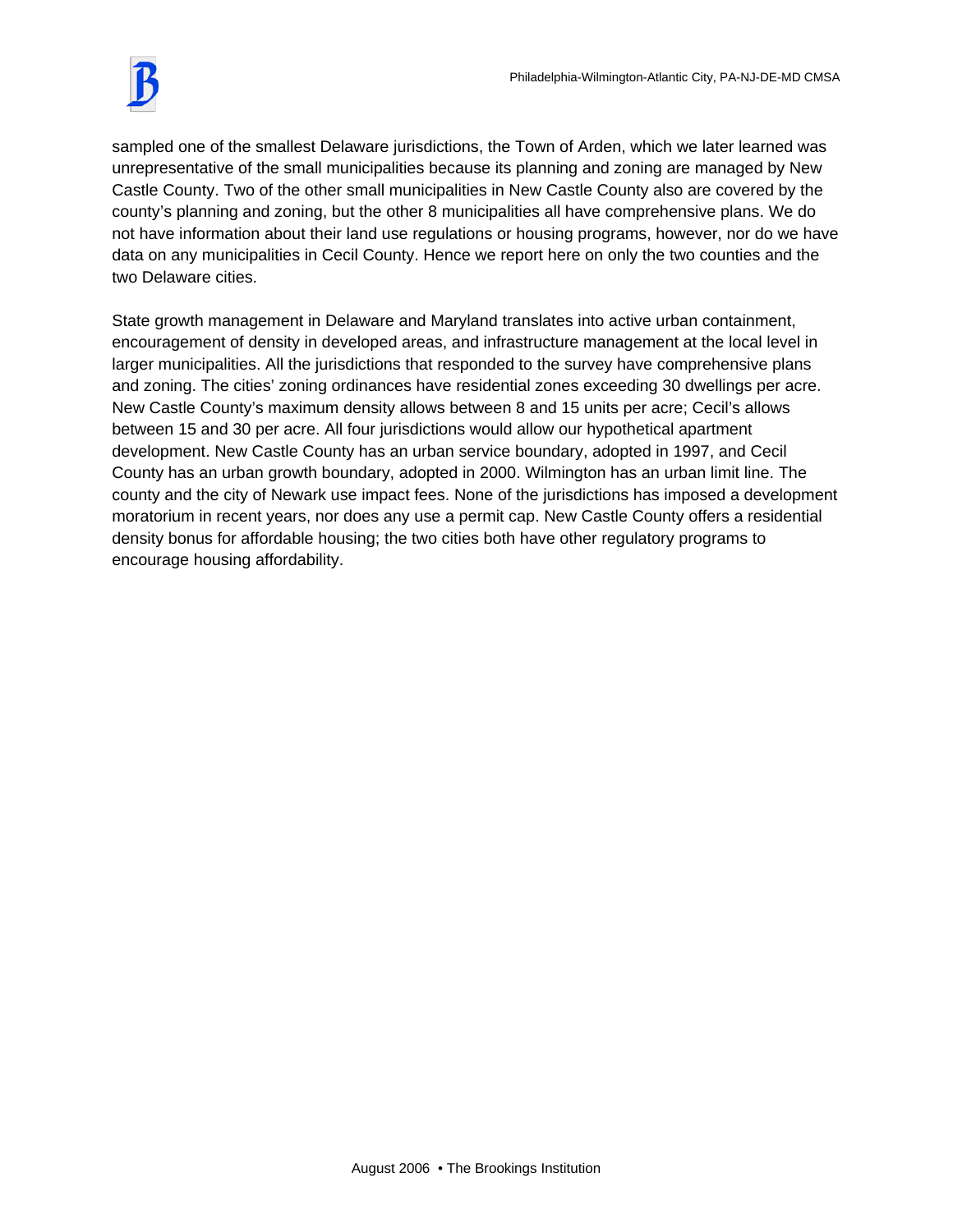sampled one of the smallest Delaware jurisdictions, the Town of Arden, which we later learned was unrepresentative of the small municipalities because its planning and zoning are managed by New Castle County. Two of the other small municipalities in New Castle County also are covered by the county's planning and zoning, but the other 8 municipalities all have comprehensive plans. We do not have information about their land use regulations or housing programs, however, nor do we have data on any municipalities in Cecil County. Hence we report here on only the two counties and the two Delaware cities.

State growth management in Delaware and Maryland translates into active urban containment, encouragement of density in developed areas, and infrastructure management at the local level in larger municipalities. All the jurisdictions that responded to the survey have comprehensive plans and zoning. The cities' zoning ordinances have residential zones exceeding 30 dwellings per acre. New Castle County's maximum density allows between 8 and 15 units per acre; Cecil's allows between 15 and 30 per acre. All four jurisdictions would allow our hypothetical apartment development. New Castle County has an urban service boundary, adopted in 1997, and Cecil County has an urban growth boundary, adopted in 2000. Wilmington has an urban limit line. The county and the city of Newark use impact fees. None of the jurisdictions has imposed a development moratorium in recent years, nor does any use a permit cap. New Castle County offers a residential density bonus for affordable housing; the two cities both have other regulatory programs to encourage housing affordability.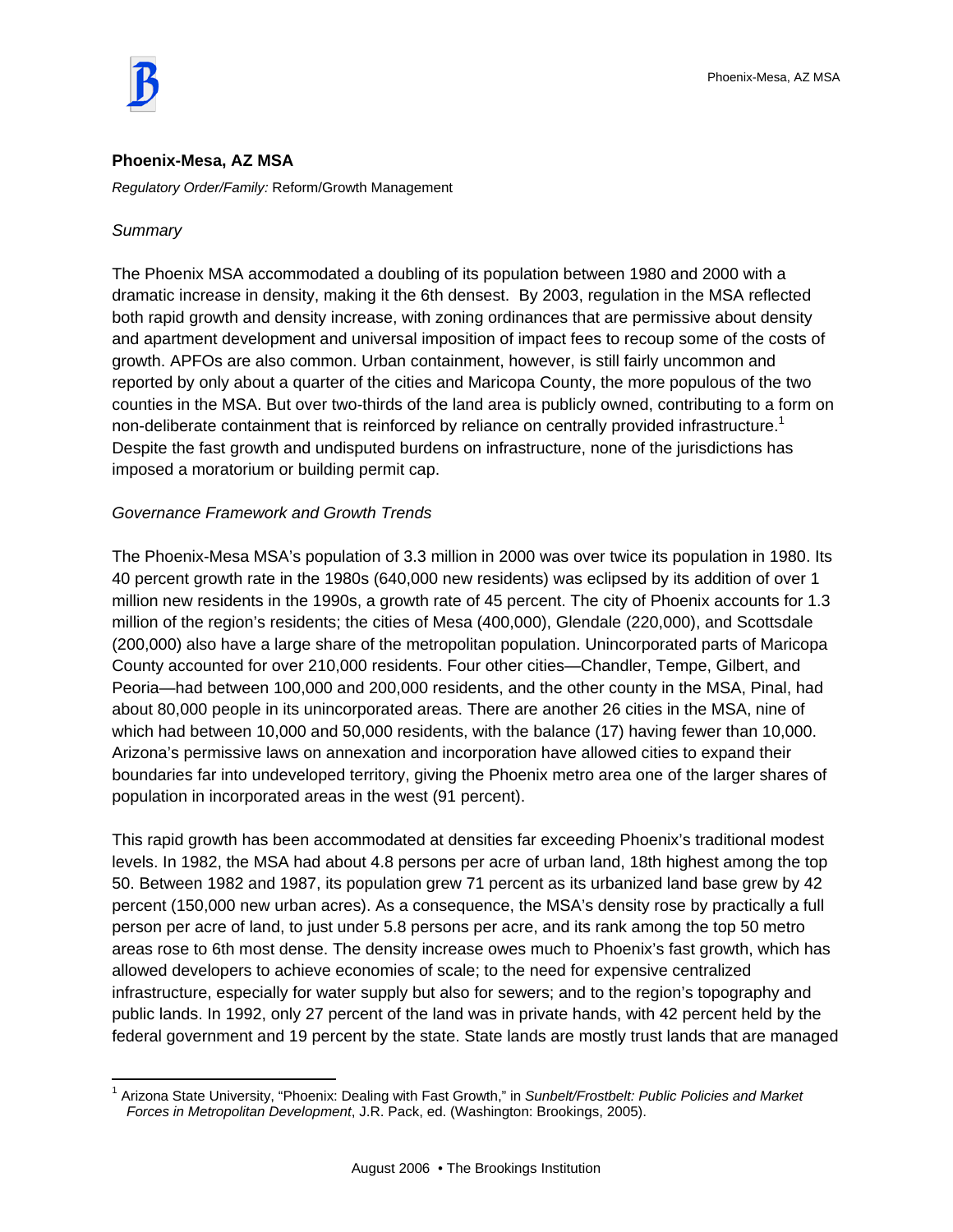#### **Phoenix-Mesa, AZ MSA**

*Regulatory Order/Family:* Reform/Growth Management

## *Summary*

 $\overline{a}$ 

The Phoenix MSA accommodated a doubling of its population between 1980 and 2000 with a dramatic increase in density, making it the 6th densest. By 2003, regulation in the MSA reflected both rapid growth and density increase, with zoning ordinances that are permissive about density and apartment development and universal imposition of impact fees to recoup some of the costs of growth. APFOs are also common. Urban containment, however, is still fairly uncommon and reported by only about a quarter of the cities and Maricopa County, the more populous of the two counties in the MSA. But over two-thirds of the land area is publicly owned, contributing to a form on non-deliberate containment that is reinforced by reliance on centrally provided infrastructure.<sup>1</sup> Despite the fast growth and undisputed burdens on infrastructure, none of the jurisdictions has imposed a moratorium or building permit cap.

## *Governance Framework and Growth Trends*

The Phoenix-Mesa MSA's population of 3.3 million in 2000 was over twice its population in 1980. Its 40 percent growth rate in the 1980s (640,000 new residents) was eclipsed by its addition of over 1 million new residents in the 1990s, a growth rate of 45 percent. The city of Phoenix accounts for 1.3 million of the region's residents; the cities of Mesa (400,000), Glendale (220,000), and Scottsdale (200,000) also have a large share of the metropolitan population. Unincorporated parts of Maricopa County accounted for over 210,000 residents. Four other cities—Chandler, Tempe, Gilbert, and Peoria—had between 100,000 and 200,000 residents, and the other county in the MSA, Pinal, had about 80,000 people in its unincorporated areas. There are another 26 cities in the MSA, nine of which had between 10,000 and 50,000 residents, with the balance (17) having fewer than 10,000. Arizona's permissive laws on annexation and incorporation have allowed cities to expand their boundaries far into undeveloped territory, giving the Phoenix metro area one of the larger shares of population in incorporated areas in the west (91 percent).

This rapid growth has been accommodated at densities far exceeding Phoenix's traditional modest levels. In 1982, the MSA had about 4.8 persons per acre of urban land, 18th highest among the top 50. Between 1982 and 1987, its population grew 71 percent as its urbanized land base grew by 42 percent (150,000 new urban acres). As a consequence, the MSA's density rose by practically a full person per acre of land, to just under 5.8 persons per acre, and its rank among the top 50 metro areas rose to 6th most dense. The density increase owes much to Phoenix's fast growth, which has allowed developers to achieve economies of scale; to the need for expensive centralized infrastructure, especially for water supply but also for sewers; and to the region's topography and public lands. In 1992, only 27 percent of the land was in private hands, with 42 percent held by the federal government and 19 percent by the state. State lands are mostly trust lands that are managed

<sup>1</sup> Arizona State University, "Phoenix: Dealing with Fast Growth," in *Sunbelt/Frostbelt: Public Policies and Market Forces in Metropolitan Development*, J.R. Pack, ed. (Washington: Brookings, 2005).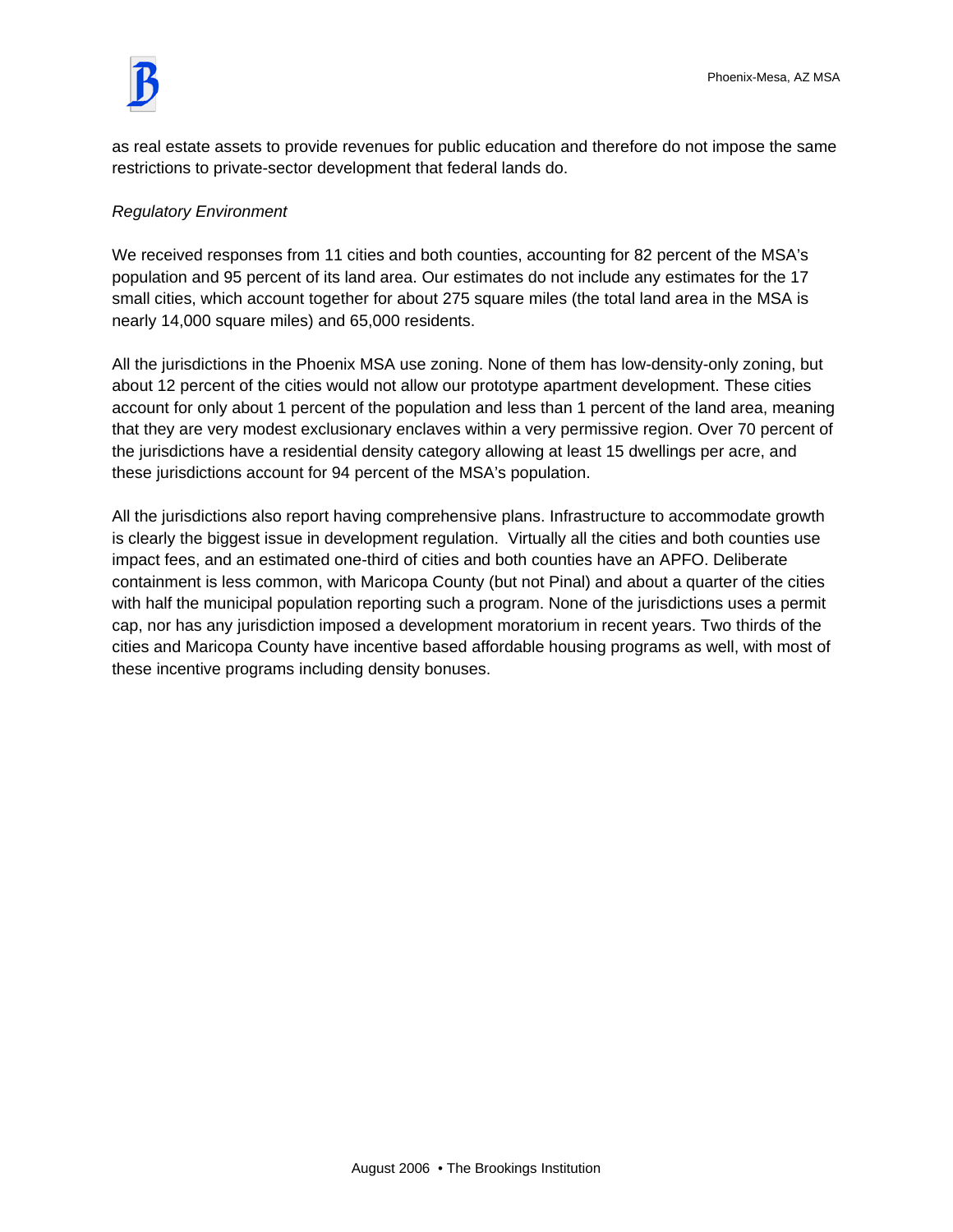

as real estate assets to provide revenues for public education and therefore do not impose the same restrictions to private-sector development that federal lands do.

# *Regulatory Environment*

We received responses from 11 cities and both counties, accounting for 82 percent of the MSA's population and 95 percent of its land area. Our estimates do not include any estimates for the 17 small cities, which account together for about 275 square miles (the total land area in the MSA is nearly 14,000 square miles) and 65,000 residents.

All the jurisdictions in the Phoenix MSA use zoning. None of them has low-density-only zoning, but about 12 percent of the cities would not allow our prototype apartment development. These cities account for only about 1 percent of the population and less than 1 percent of the land area, meaning that they are very modest exclusionary enclaves within a very permissive region. Over 70 percent of the jurisdictions have a residential density category allowing at least 15 dwellings per acre, and these jurisdictions account for 94 percent of the MSA's population.

All the jurisdictions also report having comprehensive plans. Infrastructure to accommodate growth is clearly the biggest issue in development regulation. Virtually all the cities and both counties use impact fees, and an estimated one-third of cities and both counties have an APFO. Deliberate containment is less common, with Maricopa County (but not Pinal) and about a quarter of the cities with half the municipal population reporting such a program. None of the jurisdictions uses a permit cap, nor has any jurisdiction imposed a development moratorium in recent years. Two thirds of the cities and Maricopa County have incentive based affordable housing programs as well, with most of these incentive programs including density bonuses.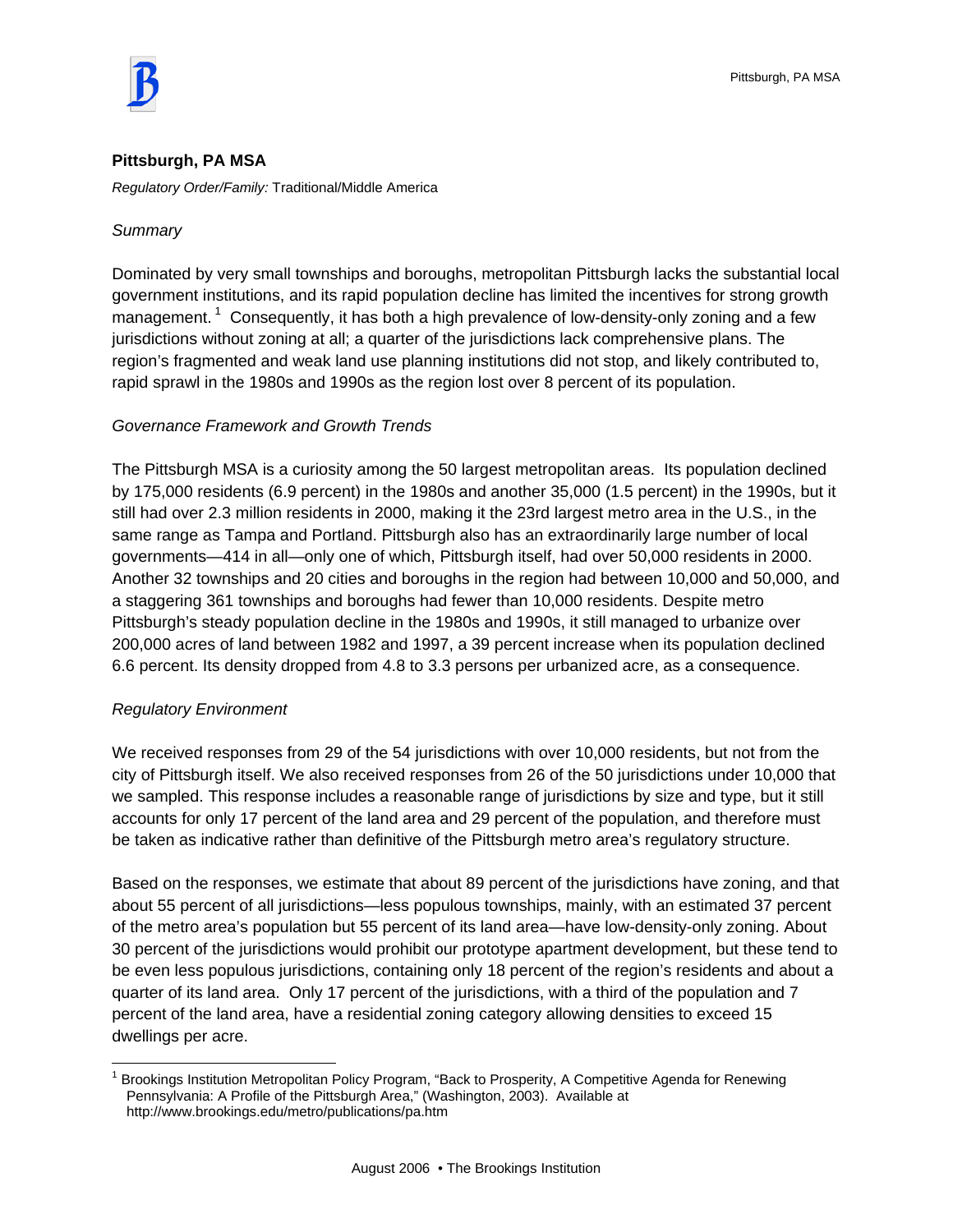

## **Pittsburgh, PA MSA**

*Regulatory Order/Family:* Traditional/Middle America

## *Summary*

Dominated by very small townships and boroughs, metropolitan Pittsburgh lacks the substantial local government institutions, and its rapid population decline has limited the incentives for strong growth management.<sup>1</sup> Consequently, it has both a high prevalence of low-density-only zoning and a few jurisdictions without zoning at all; a quarter of the jurisdictions lack comprehensive plans. The region's fragmented and weak land use planning institutions did not stop, and likely contributed to, rapid sprawl in the 1980s and 1990s as the region lost over 8 percent of its population.

## *Governance Framework and Growth Trends*

The Pittsburgh MSA is a curiosity among the 50 largest metropolitan areas. Its population declined by 175,000 residents (6.9 percent) in the 1980s and another 35,000 (1.5 percent) in the 1990s, but it still had over 2.3 million residents in 2000, making it the 23rd largest metro area in the U.S., in the same range as Tampa and Portland. Pittsburgh also has an extraordinarily large number of local governments—414 in all—only one of which, Pittsburgh itself, had over 50,000 residents in 2000. Another 32 townships and 20 cities and boroughs in the region had between 10,000 and 50,000, and a staggering 361 townships and boroughs had fewer than 10,000 residents. Despite metro Pittsburgh's steady population decline in the 1980s and 1990s, it still managed to urbanize over 200,000 acres of land between 1982 and 1997, a 39 percent increase when its population declined 6.6 percent. Its density dropped from 4.8 to 3.3 persons per urbanized acre, as a consequence.

## *Regulatory Environment*

 $\overline{a}$ 

We received responses from 29 of the 54 jurisdictions with over 10,000 residents, but not from the city of Pittsburgh itself. We also received responses from 26 of the 50 jurisdictions under 10,000 that we sampled. This response includes a reasonable range of jurisdictions by size and type, but it still accounts for only 17 percent of the land area and 29 percent of the population, and therefore must be taken as indicative rather than definitive of the Pittsburgh metro area's regulatory structure.

Based on the responses, we estimate that about 89 percent of the jurisdictions have zoning, and that about 55 percent of all jurisdictions—less populous townships, mainly, with an estimated 37 percent of the metro area's population but 55 percent of its land area—have low-density-only zoning. About 30 percent of the jurisdictions would prohibit our prototype apartment development, but these tend to be even less populous jurisdictions, containing only 18 percent of the region's residents and about a quarter of its land area. Only 17 percent of the jurisdictions, with a third of the population and 7 percent of the land area, have a residential zoning category allowing densities to exceed 15 dwellings per acre.

<sup>&</sup>lt;sup>1</sup> Brookings Institution Metropolitan Policy Program, "Back to Prosperity, A Competitive Agenda for Renewing Pennsylvania: A Profile of the Pittsburgh Area," (Washington, 2003). Available at http://www.brookings.edu/metro/publications/pa.htm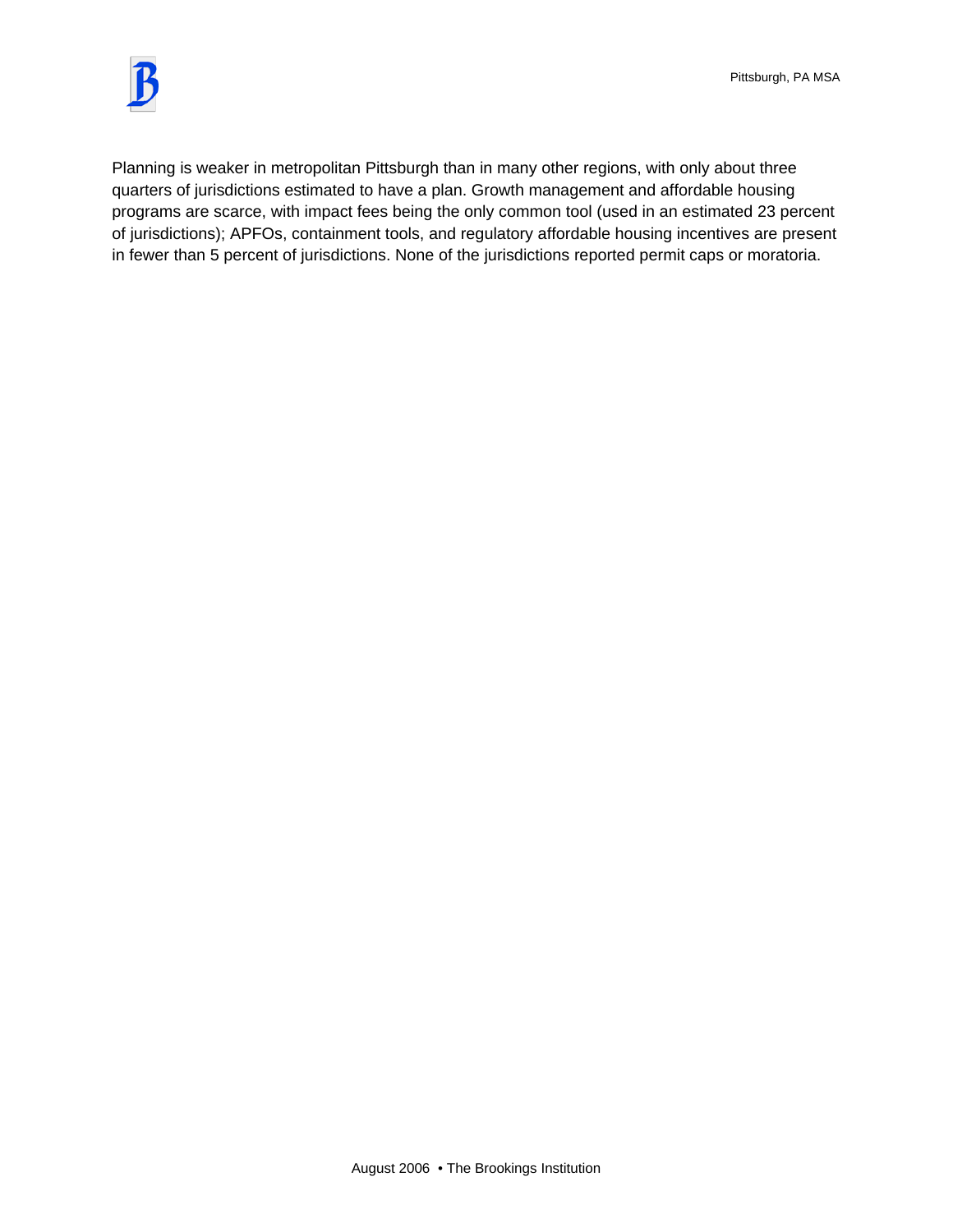

Planning is weaker in metropolitan Pittsburgh than in many other regions, with only about three quarters of jurisdictions estimated to have a plan. Growth management and affordable housing programs are scarce, with impact fees being the only common tool (used in an estimated 23 percent of jurisdictions); APFOs, containment tools, and regulatory affordable housing incentives are present in fewer than 5 percent of jurisdictions. None of the jurisdictions reported permit caps or moratoria.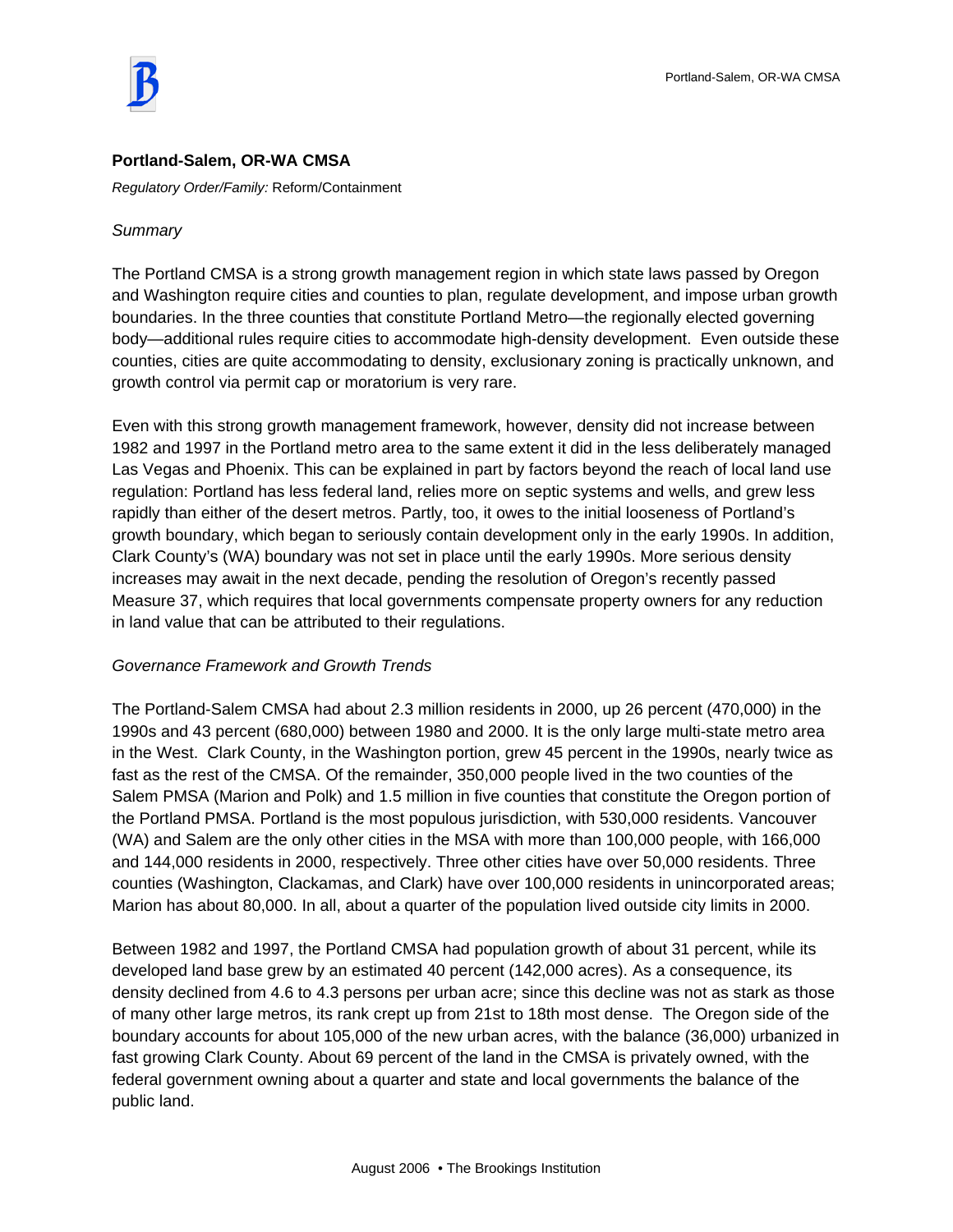



## **Portland-Salem, OR-WA CMSA**

*Regulatory Order/Family:* Reform/Containment

## *Summary*

The Portland CMSA is a strong growth management region in which state laws passed by Oregon and Washington require cities and counties to plan, regulate development, and impose urban growth boundaries. In the three counties that constitute Portland Metro—the regionally elected governing body—additional rules require cities to accommodate high-density development. Even outside these counties, cities are quite accommodating to density, exclusionary zoning is practically unknown, and growth control via permit cap or moratorium is very rare.

Even with this strong growth management framework, however, density did not increase between 1982 and 1997 in the Portland metro area to the same extent it did in the less deliberately managed Las Vegas and Phoenix. This can be explained in part by factors beyond the reach of local land use regulation: Portland has less federal land, relies more on septic systems and wells, and grew less rapidly than either of the desert metros. Partly, too, it owes to the initial looseness of Portland's growth boundary, which began to seriously contain development only in the early 1990s. In addition, Clark County's (WA) boundary was not set in place until the early 1990s. More serious density increases may await in the next decade, pending the resolution of Oregon's recently passed Measure 37, which requires that local governments compensate property owners for any reduction in land value that can be attributed to their regulations.

## *Governance Framework and Growth Trends*

The Portland-Salem CMSA had about 2.3 million residents in 2000, up 26 percent (470,000) in the 1990s and 43 percent (680,000) between 1980 and 2000. It is the only large multi-state metro area in the West. Clark County, in the Washington portion, grew 45 percent in the 1990s, nearly twice as fast as the rest of the CMSA. Of the remainder, 350,000 people lived in the two counties of the Salem PMSA (Marion and Polk) and 1.5 million in five counties that constitute the Oregon portion of the Portland PMSA. Portland is the most populous jurisdiction, with 530,000 residents. Vancouver (WA) and Salem are the only other cities in the MSA with more than 100,000 people, with 166,000 and 144,000 residents in 2000, respectively. Three other cities have over 50,000 residents. Three counties (Washington, Clackamas, and Clark) have over 100,000 residents in unincorporated areas; Marion has about 80,000. In all, about a quarter of the population lived outside city limits in 2000.

Between 1982 and 1997, the Portland CMSA had population growth of about 31 percent, while its developed land base grew by an estimated 40 percent (142,000 acres). As a consequence, its density declined from 4.6 to 4.3 persons per urban acre; since this decline was not as stark as those of many other large metros, its rank crept up from 21st to 18th most dense. The Oregon side of the boundary accounts for about 105,000 of the new urban acres, with the balance (36,000) urbanized in fast growing Clark County. About 69 percent of the land in the CMSA is privately owned, with the federal government owning about a quarter and state and local governments the balance of the public land.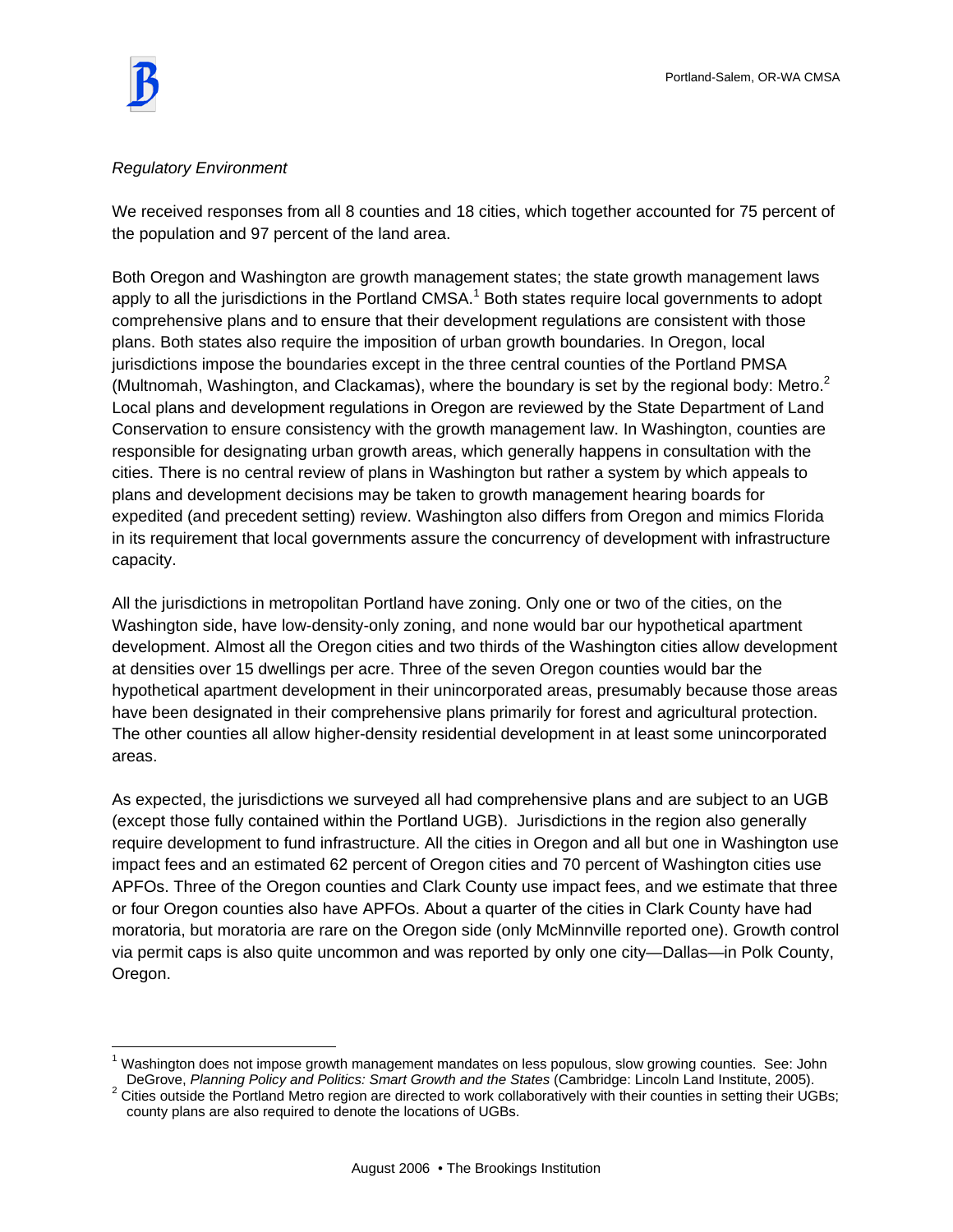$\overline{a}$ 

## *Regulatory Environment*

We received responses from all 8 counties and 18 cities, which together accounted for 75 percent of the population and 97 percent of the land area.

Both Oregon and Washington are growth management states; the state growth management laws apply to all the jurisdictions in the Portland CMSA.<sup>1</sup> Both states require local governments to adopt comprehensive plans and to ensure that their development regulations are consistent with those plans. Both states also require the imposition of urban growth boundaries. In Oregon, local jurisdictions impose the boundaries except in the three central counties of the Portland PMSA (Multnomah, Washington, and Clackamas), where the boundary is set by the regional body: Metro. $^2$ Local plans and development regulations in Oregon are reviewed by the State Department of Land Conservation to ensure consistency with the growth management law. In Washington, counties are responsible for designating urban growth areas, which generally happens in consultation with the cities. There is no central review of plans in Washington but rather a system by which appeals to plans and development decisions may be taken to growth management hearing boards for expedited (and precedent setting) review. Washington also differs from Oregon and mimics Florida in its requirement that local governments assure the concurrency of development with infrastructure capacity.

All the jurisdictions in metropolitan Portland have zoning. Only one or two of the cities, on the Washington side, have low-density-only zoning, and none would bar our hypothetical apartment development. Almost all the Oregon cities and two thirds of the Washington cities allow development at densities over 15 dwellings per acre. Three of the seven Oregon counties would bar the hypothetical apartment development in their unincorporated areas, presumably because those areas have been designated in their comprehensive plans primarily for forest and agricultural protection. The other counties all allow higher-density residential development in at least some unincorporated areas.

As expected, the jurisdictions we surveyed all had comprehensive plans and are subject to an UGB (except those fully contained within the Portland UGB). Jurisdictions in the region also generally require development to fund infrastructure. All the cities in Oregon and all but one in Washington use impact fees and an estimated 62 percent of Oregon cities and 70 percent of Washington cities use APFOs. Three of the Oregon counties and Clark County use impact fees, and we estimate that three or four Oregon counties also have APFOs. About a quarter of the cities in Clark County have had moratoria, but moratoria are rare on the Oregon side (only McMinnville reported one). Growth control via permit caps is also quite uncommon and was reported by only one city—Dallas—in Polk County, Oregon.

<sup>&</sup>lt;sup>1</sup> Washington does not impose growth management mandates on less populous, slow growing counties. See: John DeGrove, *Planning Policy and Politics: Smart Growth and the States* (Cambridge: Lincoln Land Institute, 2005). 2

 $2$  Cities outside the Portland Metro region are directed to work collaboratively with their counties in setting their UGBs; county plans are also required to denote the locations of UGBs.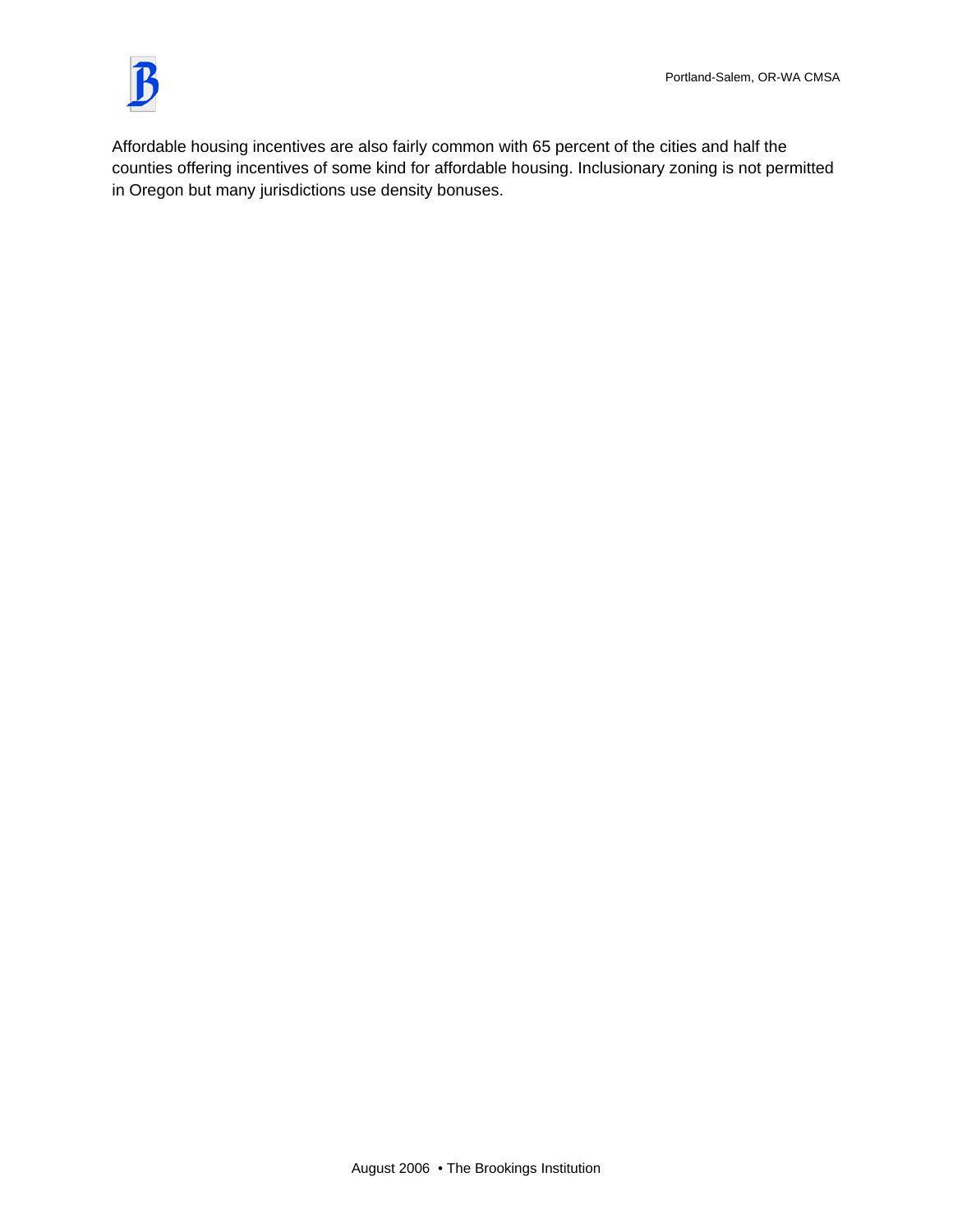

Affordable housing incentives are also fairly common with 65 percent of the cities and half the counties offering incentives of some kind for affordable housing. Inclusionary zoning is not permitted in Oregon but many jurisdictions use density bonuses.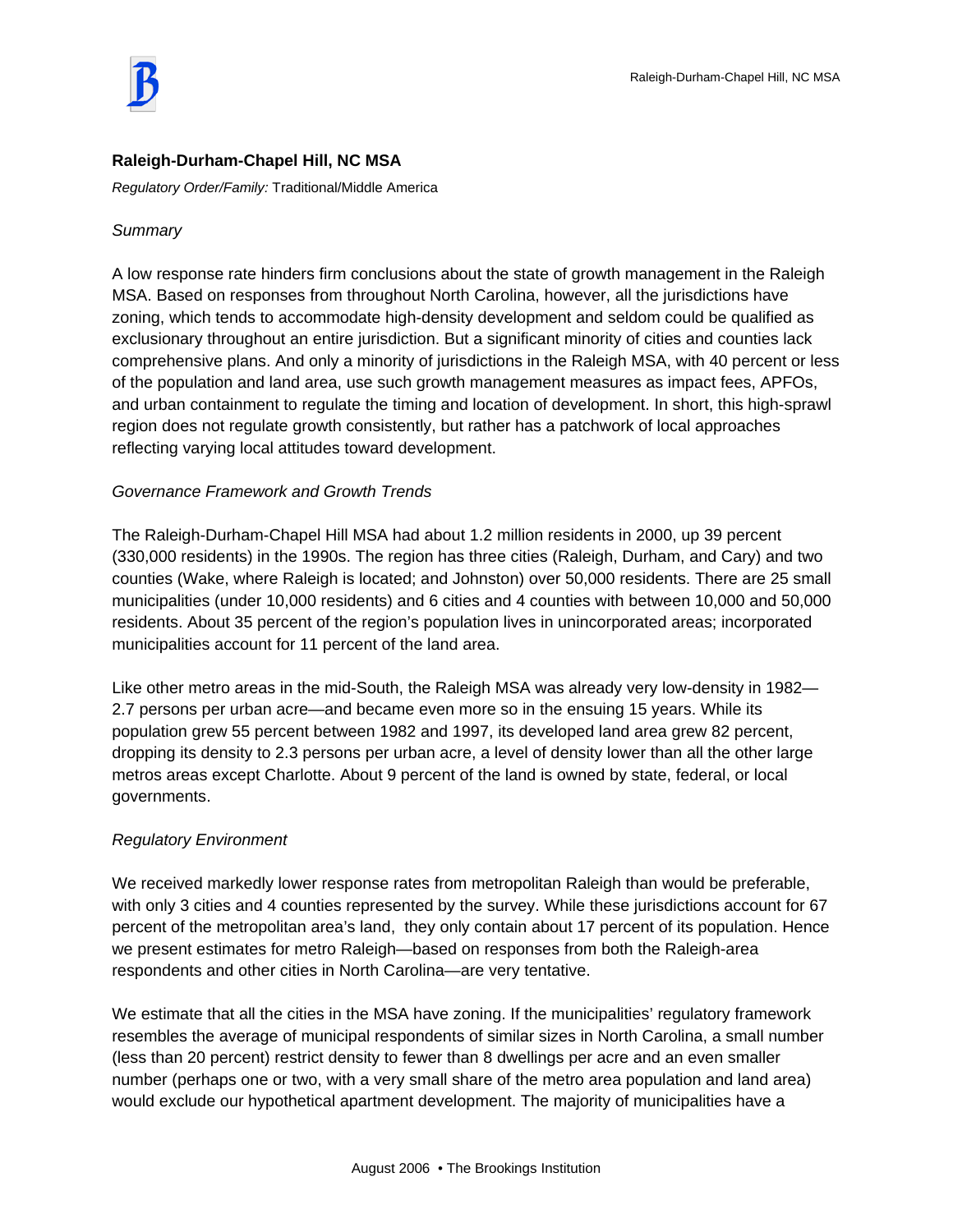

# **Raleigh-Durham-Chapel Hill, NC MSA**

*Regulatory Order/Family:* Traditional/Middle America

## *Summary*

A low response rate hinders firm conclusions about the state of growth management in the Raleigh MSA. Based on responses from throughout North Carolina, however, all the jurisdictions have zoning, which tends to accommodate high-density development and seldom could be qualified as exclusionary throughout an entire jurisdiction. But a significant minority of cities and counties lack comprehensive plans. And only a minority of jurisdictions in the Raleigh MSA, with 40 percent or less of the population and land area, use such growth management measures as impact fees, APFOs, and urban containment to regulate the timing and location of development. In short, this high-sprawl region does not regulate growth consistently, but rather has a patchwork of local approaches reflecting varying local attitudes toward development.

# *Governance Framework and Growth Trends*

The Raleigh-Durham-Chapel Hill MSA had about 1.2 million residents in 2000, up 39 percent (330,000 residents) in the 1990s. The region has three cities (Raleigh, Durham, and Cary) and two counties (Wake, where Raleigh is located; and Johnston) over 50,000 residents. There are 25 small municipalities (under 10,000 residents) and 6 cities and 4 counties with between 10,000 and 50,000 residents. About 35 percent of the region's population lives in unincorporated areas; incorporated municipalities account for 11 percent of the land area.

Like other metro areas in the mid-South, the Raleigh MSA was already very low-density in 1982— 2.7 persons per urban acre—and became even more so in the ensuing 15 years. While its population grew 55 percent between 1982 and 1997, its developed land area grew 82 percent, dropping its density to 2.3 persons per urban acre, a level of density lower than all the other large metros areas except Charlotte. About 9 percent of the land is owned by state, federal, or local governments.

## *Regulatory Environment*

We received markedly lower response rates from metropolitan Raleigh than would be preferable, with only 3 cities and 4 counties represented by the survey. While these jurisdictions account for 67 percent of the metropolitan area's land, they only contain about 17 percent of its population. Hence we present estimates for metro Raleigh—based on responses from both the Raleigh-area respondents and other cities in North Carolina—are very tentative.

We estimate that all the cities in the MSA have zoning. If the municipalities' regulatory framework resembles the average of municipal respondents of similar sizes in North Carolina, a small number (less than 20 percent) restrict density to fewer than 8 dwellings per acre and an even smaller number (perhaps one or two, with a very small share of the metro area population and land area) would exclude our hypothetical apartment development. The majority of municipalities have a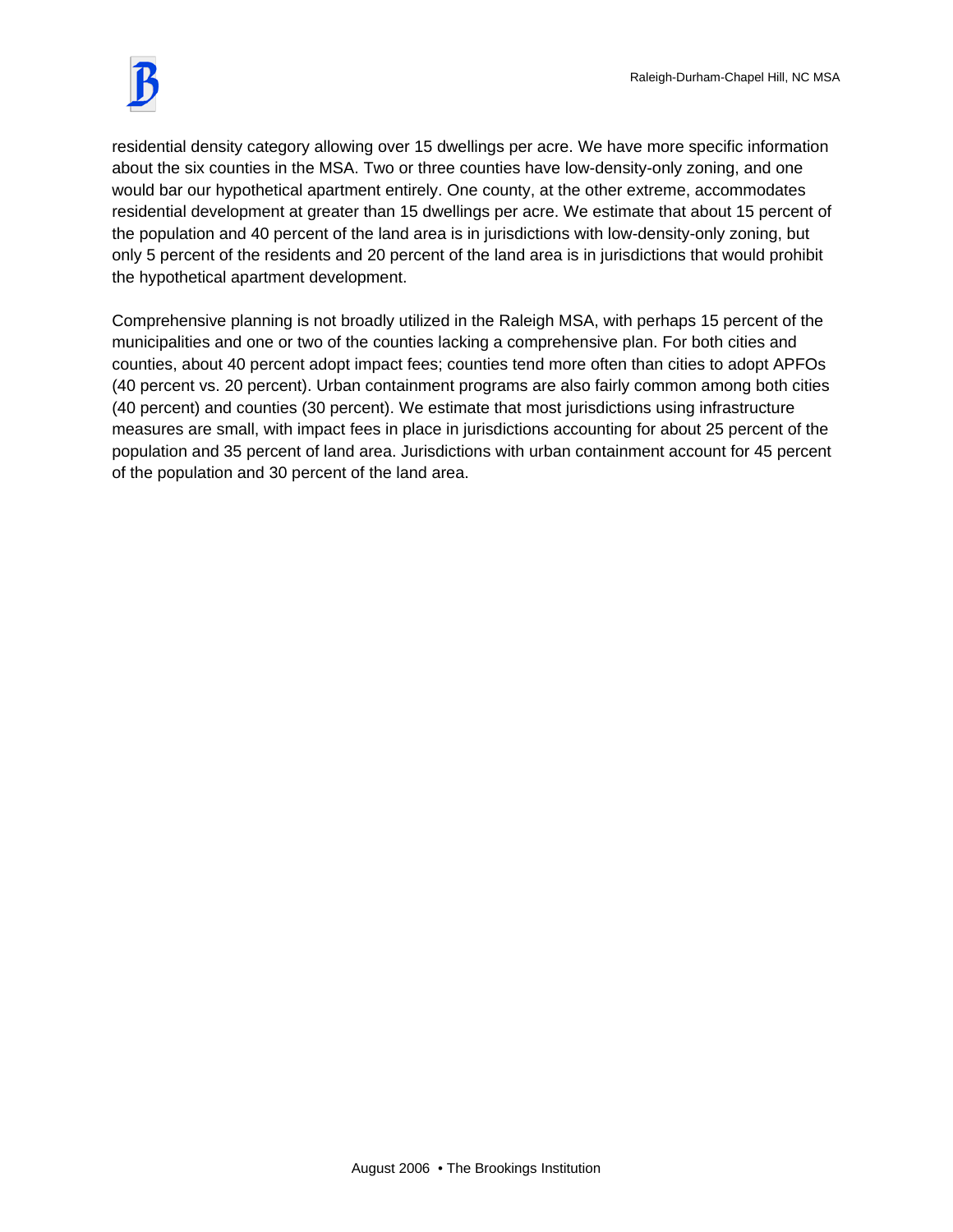residential density category allowing over 15 dwellings per acre. We have more specific information about the six counties in the MSA. Two or three counties have low-density-only zoning, and one would bar our hypothetical apartment entirely. One county, at the other extreme, accommodates residential development at greater than 15 dwellings per acre. We estimate that about 15 percent of the population and 40 percent of the land area is in jurisdictions with low-density-only zoning, but only 5 percent of the residents and 20 percent of the land area is in jurisdictions that would prohibit the hypothetical apartment development.

Comprehensive planning is not broadly utilized in the Raleigh MSA, with perhaps 15 percent of the municipalities and one or two of the counties lacking a comprehensive plan. For both cities and counties, about 40 percent adopt impact fees; counties tend more often than cities to adopt APFOs (40 percent vs. 20 percent). Urban containment programs are also fairly common among both cities (40 percent) and counties (30 percent). We estimate that most jurisdictions using infrastructure measures are small, with impact fees in place in jurisdictions accounting for about 25 percent of the population and 35 percent of land area. Jurisdictions with urban containment account for 45 percent of the population and 30 percent of the land area.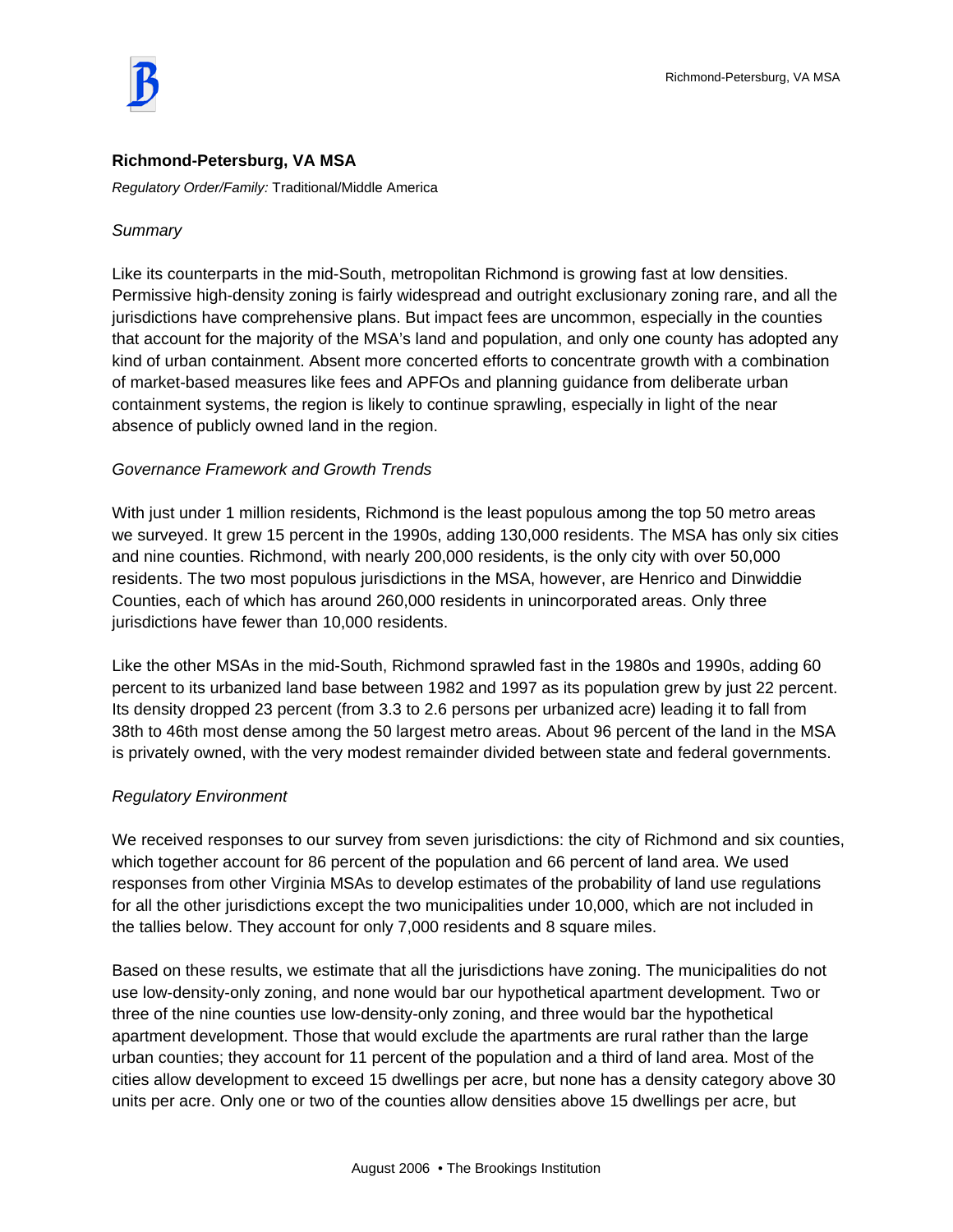## **Richmond-Petersburg, VA MSA**

*Regulatory Order/Family:* Traditional/Middle America

## *Summary*

Like its counterparts in the mid-South, metropolitan Richmond is growing fast at low densities. Permissive high-density zoning is fairly widespread and outright exclusionary zoning rare, and all the jurisdictions have comprehensive plans. But impact fees are uncommon, especially in the counties that account for the majority of the MSA's land and population, and only one county has adopted any kind of urban containment. Absent more concerted efforts to concentrate growth with a combination of market-based measures like fees and APFOs and planning guidance from deliberate urban containment systems, the region is likely to continue sprawling, especially in light of the near absence of publicly owned land in the region.

## *Governance Framework and Growth Trends*

With just under 1 million residents, Richmond is the least populous among the top 50 metro areas we surveyed. It grew 15 percent in the 1990s, adding 130,000 residents. The MSA has only six cities and nine counties. Richmond, with nearly 200,000 residents, is the only city with over 50,000 residents. The two most populous jurisdictions in the MSA, however, are Henrico and Dinwiddie Counties, each of which has around 260,000 residents in unincorporated areas. Only three jurisdictions have fewer than 10,000 residents.

Like the other MSAs in the mid-South, Richmond sprawled fast in the 1980s and 1990s, adding 60 percent to its urbanized land base between 1982 and 1997 as its population grew by just 22 percent. Its density dropped 23 percent (from 3.3 to 2.6 persons per urbanized acre) leading it to fall from 38th to 46th most dense among the 50 largest metro areas. About 96 percent of the land in the MSA is privately owned, with the very modest remainder divided between state and federal governments.

#### *Regulatory Environment*

We received responses to our survey from seven jurisdictions: the city of Richmond and six counties, which together account for 86 percent of the population and 66 percent of land area. We used responses from other Virginia MSAs to develop estimates of the probability of land use regulations for all the other jurisdictions except the two municipalities under 10,000, which are not included in the tallies below. They account for only 7,000 residents and 8 square miles.

Based on these results, we estimate that all the jurisdictions have zoning. The municipalities do not use low-density-only zoning, and none would bar our hypothetical apartment development. Two or three of the nine counties use low-density-only zoning, and three would bar the hypothetical apartment development. Those that would exclude the apartments are rural rather than the large urban counties; they account for 11 percent of the population and a third of land area. Most of the cities allow development to exceed 15 dwellings per acre, but none has a density category above 30 units per acre. Only one or two of the counties allow densities above 15 dwellings per acre, but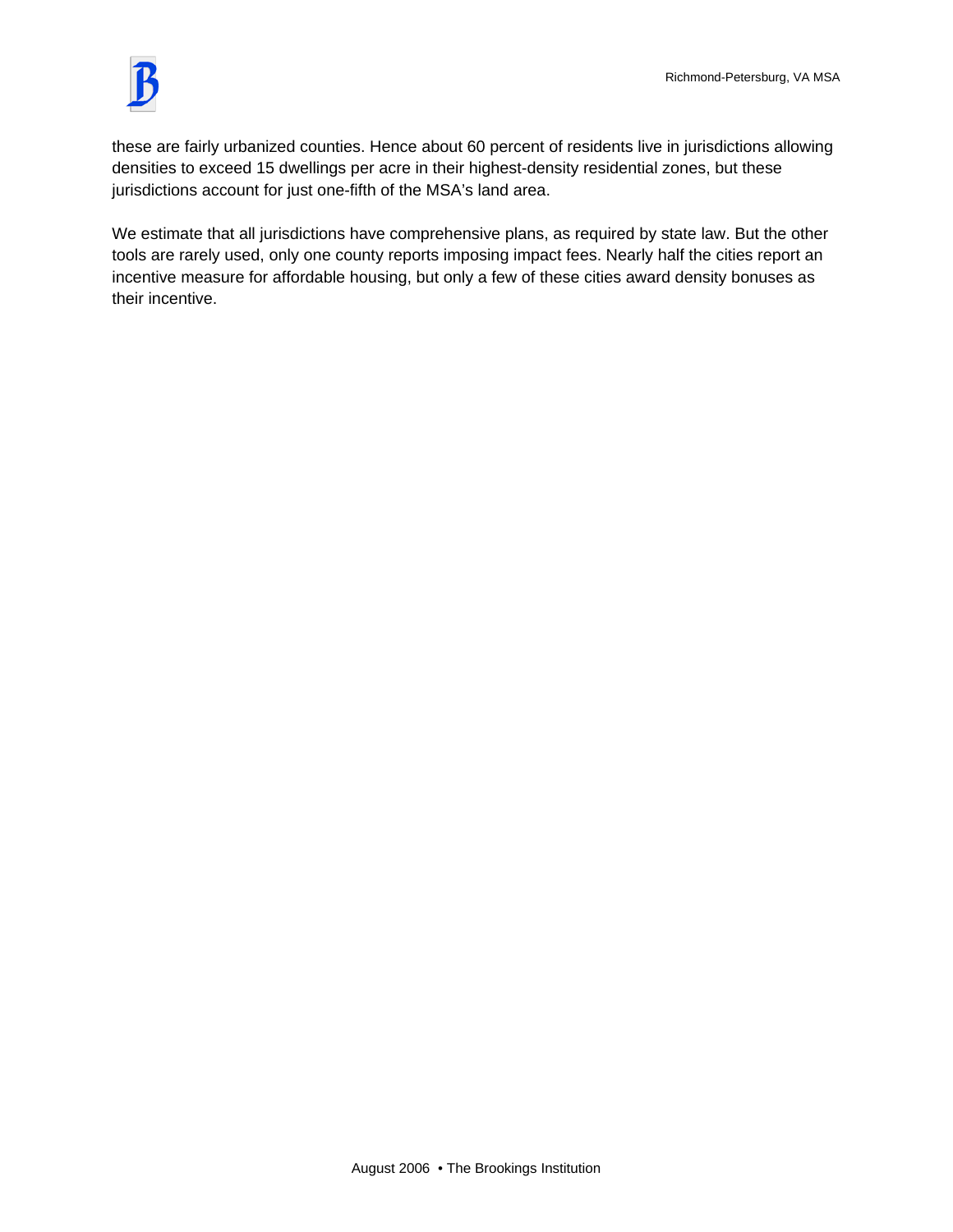

these are fairly urbanized counties. Hence about 60 percent of residents live in jurisdictions allowing densities to exceed 15 dwellings per acre in their highest-density residential zones, but these jurisdictions account for just one-fifth of the MSA's land area.

We estimate that all jurisdictions have comprehensive plans, as required by state law. But the other tools are rarely used, only one county reports imposing impact fees. Nearly half the cities report an incentive measure for affordable housing, but only a few of these cities award density bonuses as their incentive.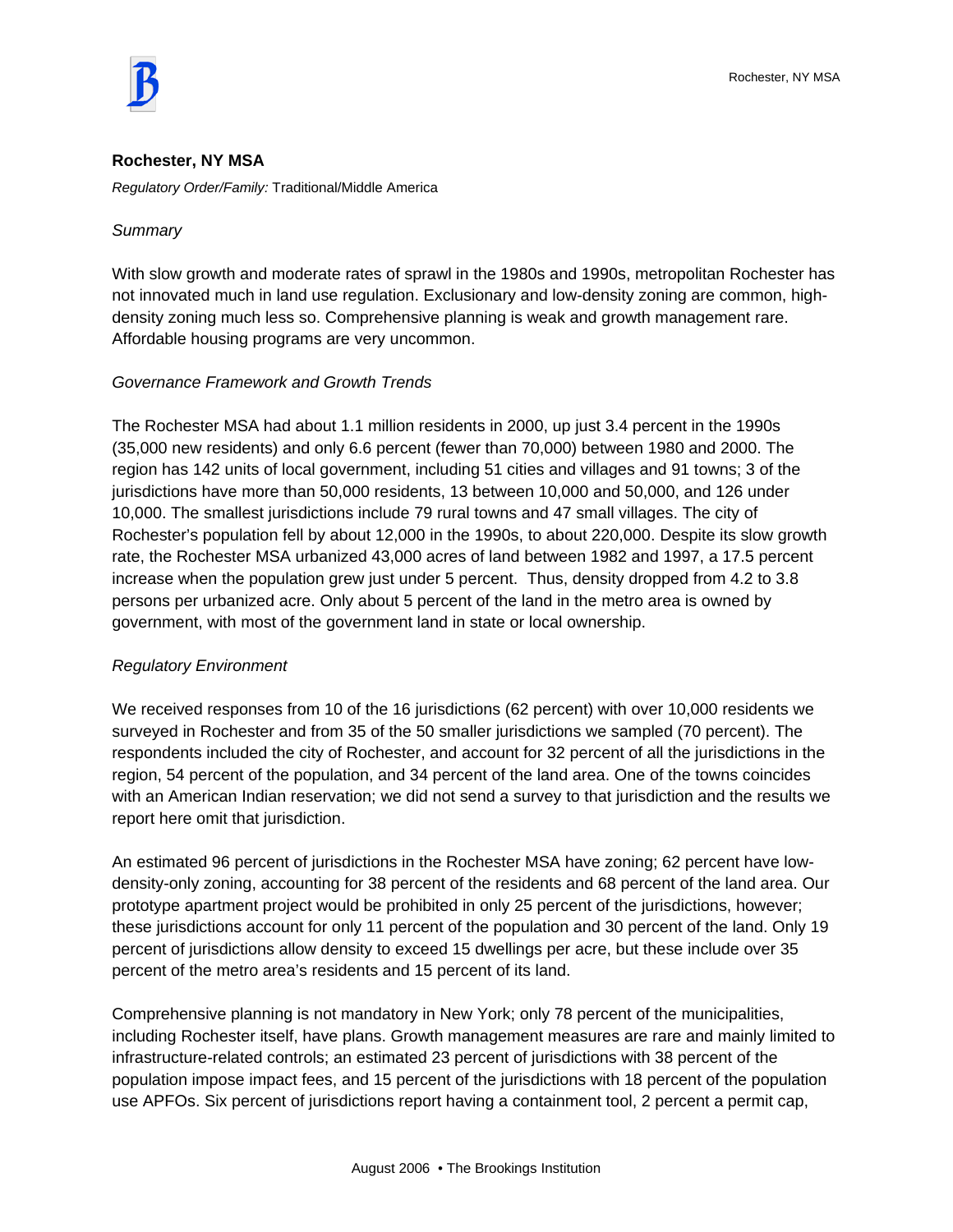

#### **Rochester, NY MSA**

*Regulatory Order/Family:* Traditional/Middle America

#### *Summary*

With slow growth and moderate rates of sprawl in the 1980s and 1990s, metropolitan Rochester has not innovated much in land use regulation. Exclusionary and low-density zoning are common, highdensity zoning much less so. Comprehensive planning is weak and growth management rare. Affordable housing programs are very uncommon.

#### *Governance Framework and Growth Trends*

The Rochester MSA had about 1.1 million residents in 2000, up just 3.4 percent in the 1990s (35,000 new residents) and only 6.6 percent (fewer than 70,000) between 1980 and 2000. The region has 142 units of local government, including 51 cities and villages and 91 towns; 3 of the jurisdictions have more than 50,000 residents, 13 between 10,000 and 50,000, and 126 under 10,000. The smallest jurisdictions include 79 rural towns and 47 small villages. The city of Rochester's population fell by about 12,000 in the 1990s, to about 220,000. Despite its slow growth rate, the Rochester MSA urbanized 43,000 acres of land between 1982 and 1997, a 17.5 percent increase when the population grew just under 5 percent. Thus, density dropped from 4.2 to 3.8 persons per urbanized acre. Only about 5 percent of the land in the metro area is owned by government, with most of the government land in state or local ownership.

#### *Regulatory Environment*

We received responses from 10 of the 16 jurisdictions (62 percent) with over 10,000 residents we surveyed in Rochester and from 35 of the 50 smaller jurisdictions we sampled (70 percent). The respondents included the city of Rochester, and account for 32 percent of all the jurisdictions in the region, 54 percent of the population, and 34 percent of the land area. One of the towns coincides with an American Indian reservation; we did not send a survey to that jurisdiction and the results we report here omit that jurisdiction.

An estimated 96 percent of jurisdictions in the Rochester MSA have zoning; 62 percent have lowdensity-only zoning, accounting for 38 percent of the residents and 68 percent of the land area. Our prototype apartment project would be prohibited in only 25 percent of the jurisdictions, however; these jurisdictions account for only 11 percent of the population and 30 percent of the land. Only 19 percent of jurisdictions allow density to exceed 15 dwellings per acre, but these include over 35 percent of the metro area's residents and 15 percent of its land.

Comprehensive planning is not mandatory in New York; only 78 percent of the municipalities, including Rochester itself, have plans. Growth management measures are rare and mainly limited to infrastructure-related controls; an estimated 23 percent of jurisdictions with 38 percent of the population impose impact fees, and 15 percent of the jurisdictions with 18 percent of the population use APFOs. Six percent of jurisdictions report having a containment tool, 2 percent a permit cap,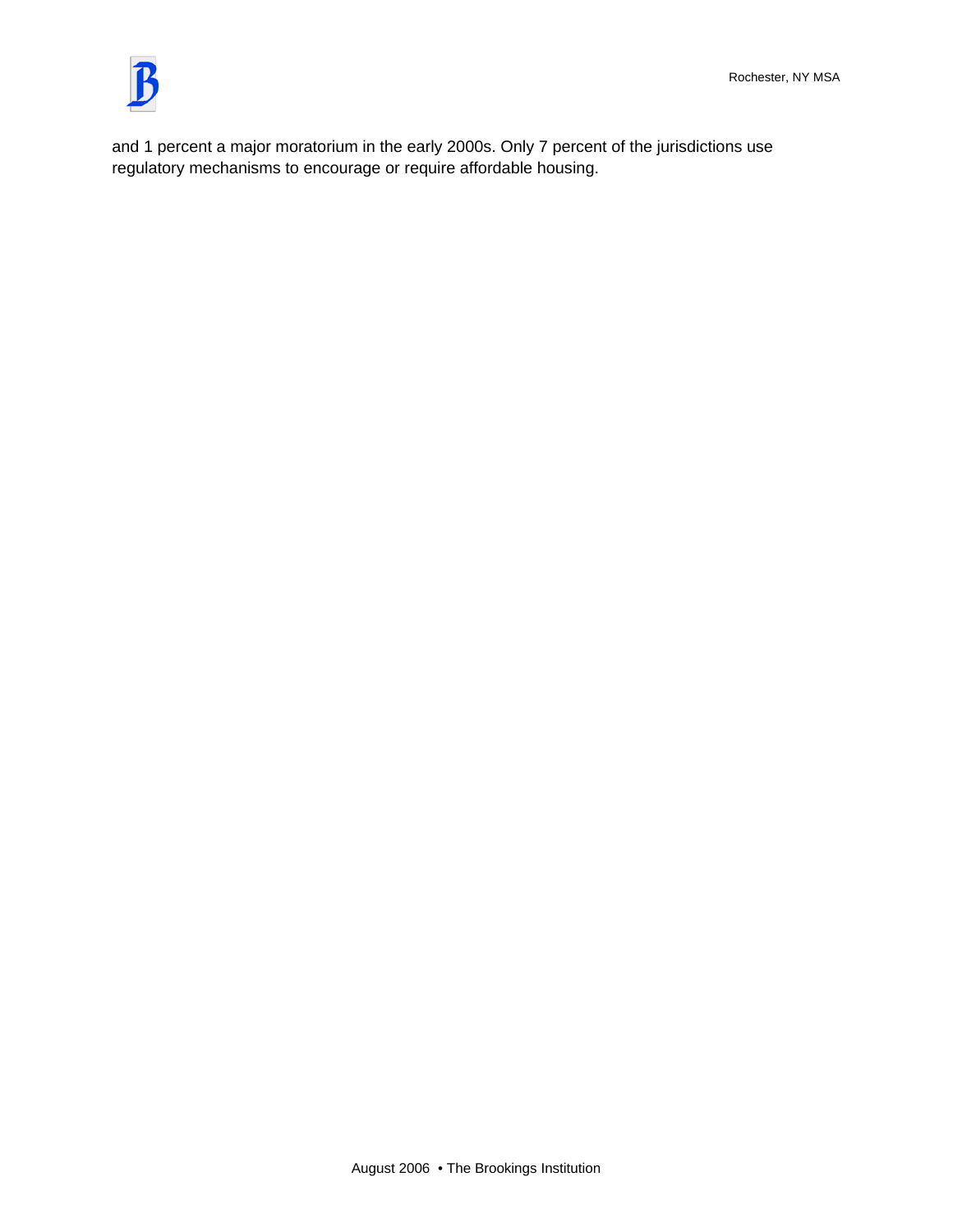

and 1 percent a major moratorium in the early 2000s. Only 7 percent of the jurisdictions use regulatory mechanisms to encourage or require affordable housing.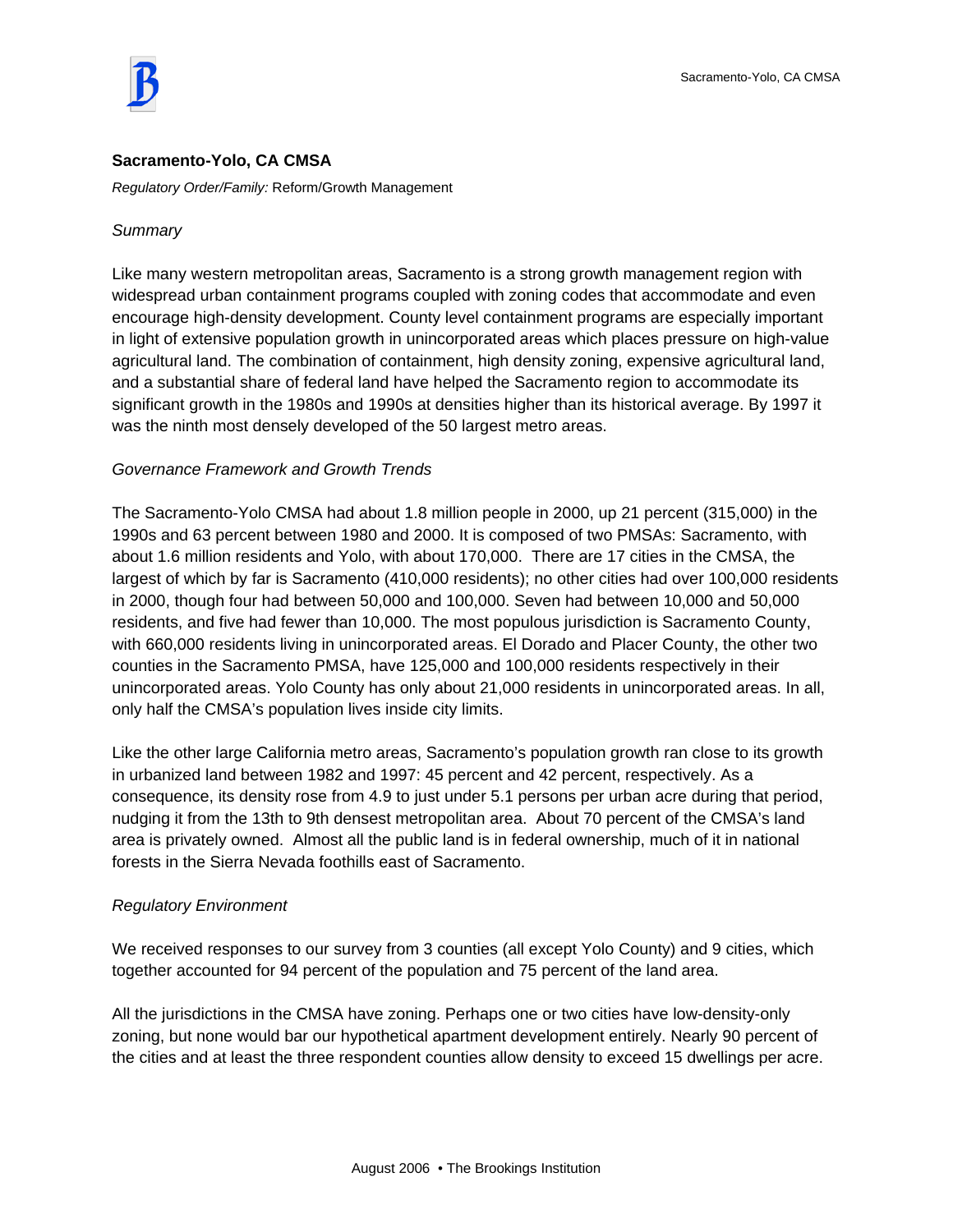

#### **Sacramento-Yolo, CA CMSA**

*Regulatory Order/Family:* Reform/Growth Management

#### *Summary*

Like many western metropolitan areas, Sacramento is a strong growth management region with widespread urban containment programs coupled with zoning codes that accommodate and even encourage high-density development. County level containment programs are especially important in light of extensive population growth in unincorporated areas which places pressure on high-value agricultural land. The combination of containment, high density zoning, expensive agricultural land, and a substantial share of federal land have helped the Sacramento region to accommodate its significant growth in the 1980s and 1990s at densities higher than its historical average. By 1997 it was the ninth most densely developed of the 50 largest metro areas.

#### *Governance Framework and Growth Trends*

The Sacramento-Yolo CMSA had about 1.8 million people in 2000, up 21 percent (315,000) in the 1990s and 63 percent between 1980 and 2000. It is composed of two PMSAs: Sacramento, with about 1.6 million residents and Yolo, with about 170,000. There are 17 cities in the CMSA, the largest of which by far is Sacramento (410,000 residents); no other cities had over 100,000 residents in 2000, though four had between 50,000 and 100,000. Seven had between 10,000 and 50,000 residents, and five had fewer than 10,000. The most populous jurisdiction is Sacramento County, with 660,000 residents living in unincorporated areas. El Dorado and Placer County, the other two counties in the Sacramento PMSA, have 125,000 and 100,000 residents respectively in their unincorporated areas. Yolo County has only about 21,000 residents in unincorporated areas. In all, only half the CMSA's population lives inside city limits.

Like the other large California metro areas, Sacramento's population growth ran close to its growth in urbanized land between 1982 and 1997: 45 percent and 42 percent, respectively. As a consequence, its density rose from 4.9 to just under 5.1 persons per urban acre during that period, nudging it from the 13th to 9th densest metropolitan area. About 70 percent of the CMSA's land area is privately owned. Almost all the public land is in federal ownership, much of it in national forests in the Sierra Nevada foothills east of Sacramento.

#### *Regulatory Environment*

We received responses to our survey from 3 counties (all except Yolo County) and 9 cities, which together accounted for 94 percent of the population and 75 percent of the land area.

All the jurisdictions in the CMSA have zoning. Perhaps one or two cities have low-density-only zoning, but none would bar our hypothetical apartment development entirely. Nearly 90 percent of the cities and at least the three respondent counties allow density to exceed 15 dwellings per acre.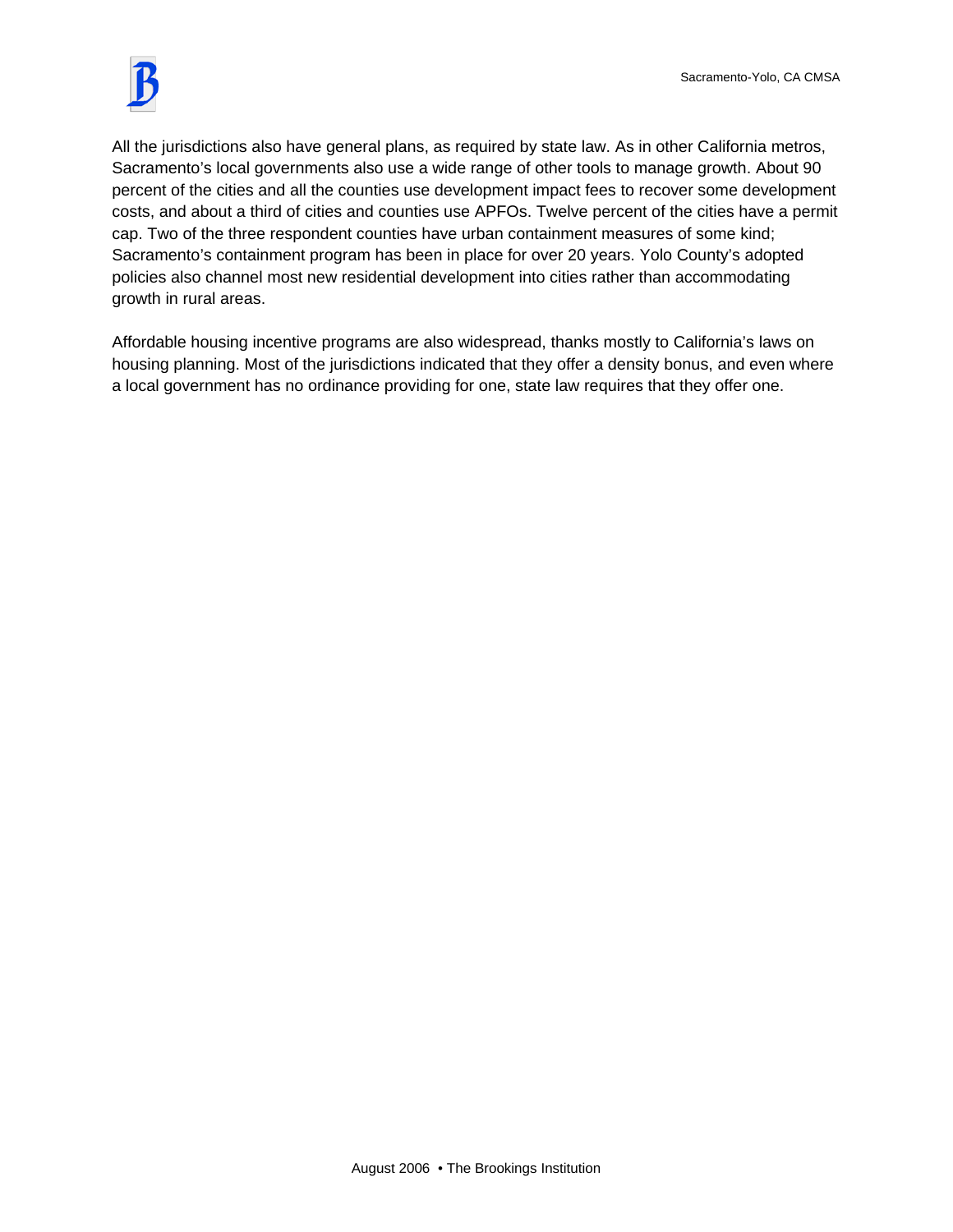

All the jurisdictions also have general plans, as required by state law. As in other California metros, Sacramento's local governments also use a wide range of other tools to manage growth. About 90 percent of the cities and all the counties use development impact fees to recover some development costs, and about a third of cities and counties use APFOs. Twelve percent of the cities have a permit cap. Two of the three respondent counties have urban containment measures of some kind; Sacramento's containment program has been in place for over 20 years. Yolo County's adopted policies also channel most new residential development into cities rather than accommodating growth in rural areas.

Affordable housing incentive programs are also widespread, thanks mostly to California's laws on housing planning. Most of the jurisdictions indicated that they offer a density bonus, and even where a local government has no ordinance providing for one, state law requires that they offer one.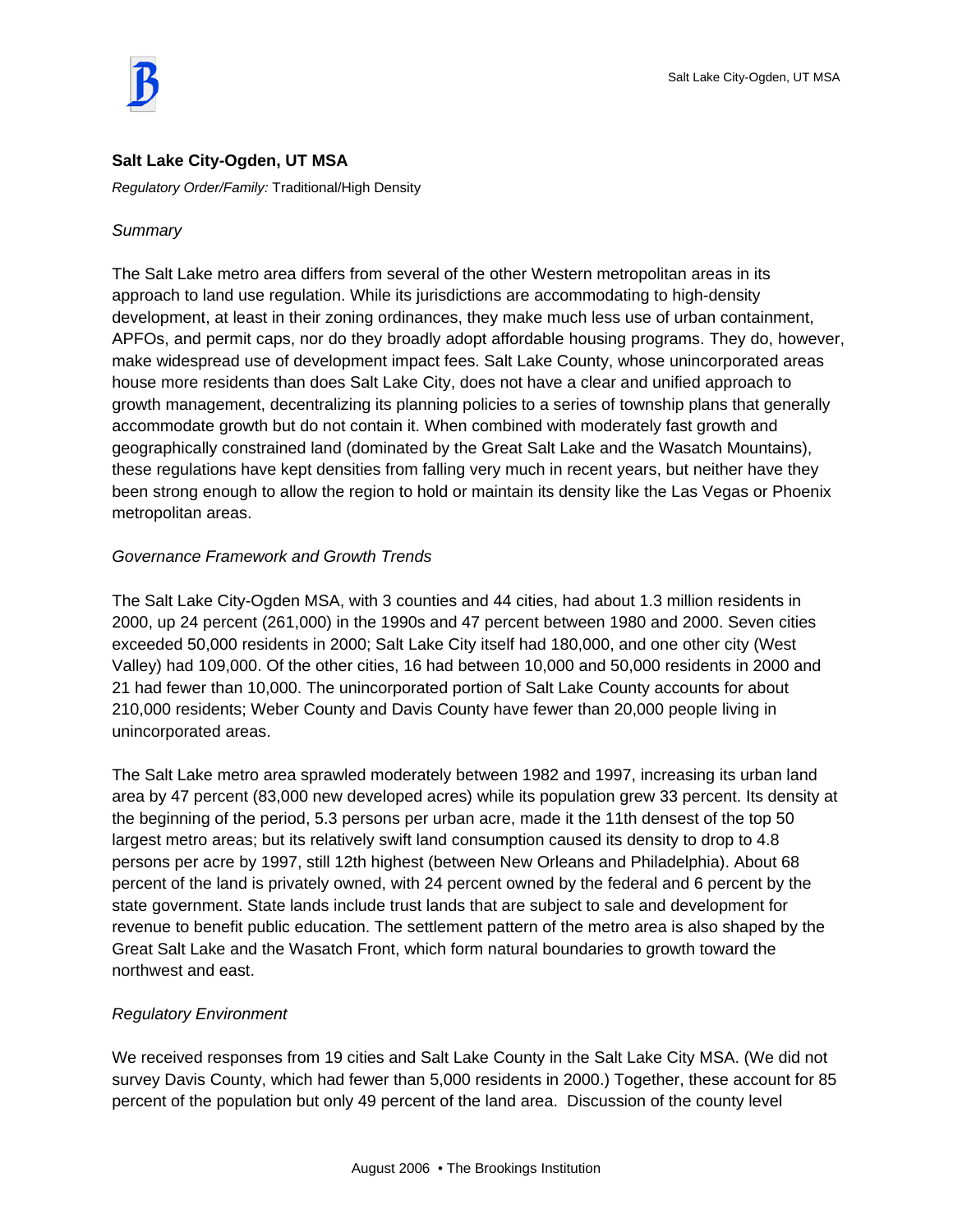

## **Salt Lake City-Ogden, UT MSA**

*Regulatory Order/Family:* Traditional/High Density

## *Summary*

The Salt Lake metro area differs from several of the other Western metropolitan areas in its approach to land use regulation. While its jurisdictions are accommodating to high-density development, at least in their zoning ordinances, they make much less use of urban containment, APFOs, and permit caps, nor do they broadly adopt affordable housing programs. They do, however, make widespread use of development impact fees. Salt Lake County, whose unincorporated areas house more residents than does Salt Lake City, does not have a clear and unified approach to growth management, decentralizing its planning policies to a series of township plans that generally accommodate growth but do not contain it. When combined with moderately fast growth and geographically constrained land (dominated by the Great Salt Lake and the Wasatch Mountains), these regulations have kept densities from falling very much in recent years, but neither have they been strong enough to allow the region to hold or maintain its density like the Las Vegas or Phoenix metropolitan areas.

# *Governance Framework and Growth Trends*

The Salt Lake City-Ogden MSA, with 3 counties and 44 cities, had about 1.3 million residents in 2000, up 24 percent (261,000) in the 1990s and 47 percent between 1980 and 2000. Seven cities exceeded 50,000 residents in 2000; Salt Lake City itself had 180,000, and one other city (West Valley) had 109,000. Of the other cities, 16 had between 10,000 and 50,000 residents in 2000 and 21 had fewer than 10,000. The unincorporated portion of Salt Lake County accounts for about 210,000 residents; Weber County and Davis County have fewer than 20,000 people living in unincorporated areas.

The Salt Lake metro area sprawled moderately between 1982 and 1997, increasing its urban land area by 47 percent (83,000 new developed acres) while its population grew 33 percent. Its density at the beginning of the period, 5.3 persons per urban acre, made it the 11th densest of the top 50 largest metro areas; but its relatively swift land consumption caused its density to drop to 4.8 persons per acre by 1997, still 12th highest (between New Orleans and Philadelphia). About 68 percent of the land is privately owned, with 24 percent owned by the federal and 6 percent by the state government. State lands include trust lands that are subject to sale and development for revenue to benefit public education. The settlement pattern of the metro area is also shaped by the Great Salt Lake and the Wasatch Front, which form natural boundaries to growth toward the northwest and east.

## *Regulatory Environment*

We received responses from 19 cities and Salt Lake County in the Salt Lake City MSA. (We did not survey Davis County, which had fewer than 5,000 residents in 2000.) Together, these account for 85 percent of the population but only 49 percent of the land area. Discussion of the county level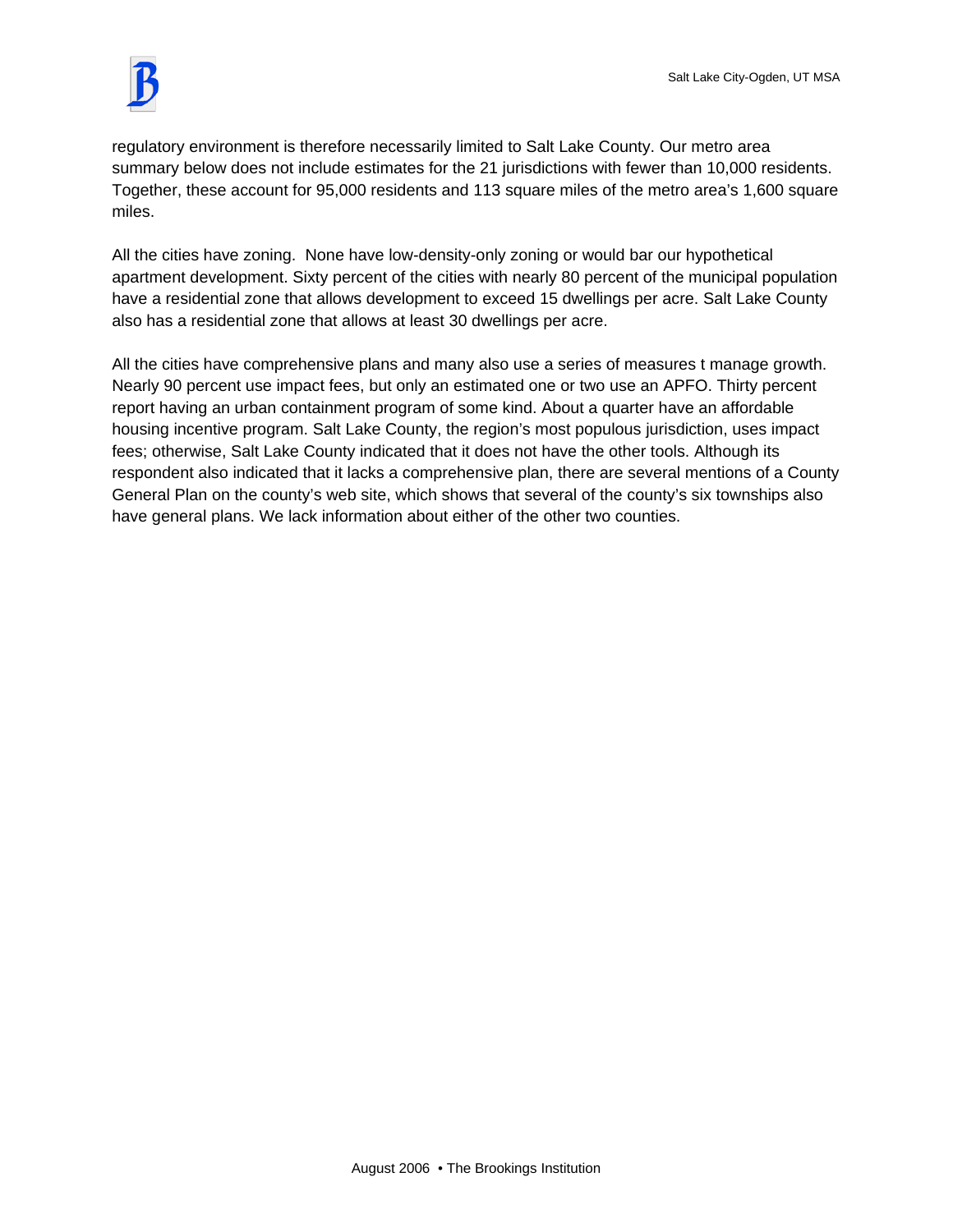

regulatory environment is therefore necessarily limited to Salt Lake County. Our metro area summary below does not include estimates for the 21 jurisdictions with fewer than 10,000 residents. Together, these account for 95,000 residents and 113 square miles of the metro area's 1,600 square miles.

All the cities have zoning. None have low-density-only zoning or would bar our hypothetical apartment development. Sixty percent of the cities with nearly 80 percent of the municipal population have a residential zone that allows development to exceed 15 dwellings per acre. Salt Lake County also has a residential zone that allows at least 30 dwellings per acre.

All the cities have comprehensive plans and many also use a series of measures t manage growth. Nearly 90 percent use impact fees, but only an estimated one or two use an APFO. Thirty percent report having an urban containment program of some kind. About a quarter have an affordable housing incentive program. Salt Lake County, the region's most populous jurisdiction, uses impact fees; otherwise, Salt Lake County indicated that it does not have the other tools. Although its respondent also indicated that it lacks a comprehensive plan, there are several mentions of a County General Plan on the county's web site, which shows that several of the county's six townships also have general plans. We lack information about either of the other two counties.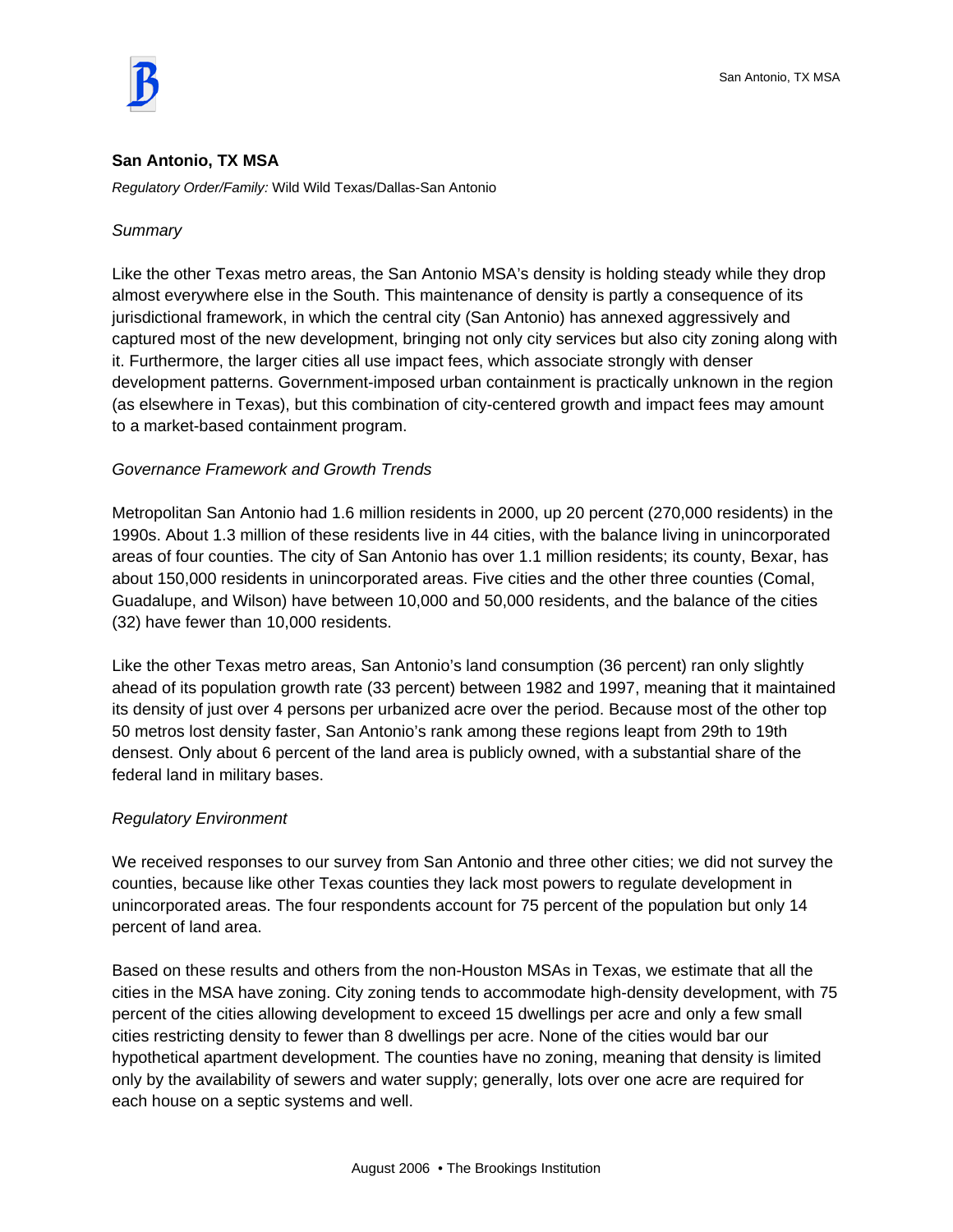

## **San Antonio, TX MSA**

*Regulatory Order/Family:* Wild Wild Texas/Dallas-San Antonio

## *Summary*

Like the other Texas metro areas, the San Antonio MSA's density is holding steady while they drop almost everywhere else in the South. This maintenance of density is partly a consequence of its jurisdictional framework, in which the central city (San Antonio) has annexed aggressively and captured most of the new development, bringing not only city services but also city zoning along with it. Furthermore, the larger cities all use impact fees, which associate strongly with denser development patterns. Government-imposed urban containment is practically unknown in the region (as elsewhere in Texas), but this combination of city-centered growth and impact fees may amount to a market-based containment program.

## *Governance Framework and Growth Trends*

Metropolitan San Antonio had 1.6 million residents in 2000, up 20 percent (270,000 residents) in the 1990s. About 1.3 million of these residents live in 44 cities, with the balance living in unincorporated areas of four counties. The city of San Antonio has over 1.1 million residents; its county, Bexar, has about 150,000 residents in unincorporated areas. Five cities and the other three counties (Comal, Guadalupe, and Wilson) have between 10,000 and 50,000 residents, and the balance of the cities (32) have fewer than 10,000 residents.

Like the other Texas metro areas, San Antonio's land consumption (36 percent) ran only slightly ahead of its population growth rate (33 percent) between 1982 and 1997, meaning that it maintained its density of just over 4 persons per urbanized acre over the period. Because most of the other top 50 metros lost density faster, San Antonio's rank among these regions leapt from 29th to 19th densest. Only about 6 percent of the land area is publicly owned, with a substantial share of the federal land in military bases.

## *Regulatory Environment*

We received responses to our survey from San Antonio and three other cities; we did not survey the counties, because like other Texas counties they lack most powers to regulate development in unincorporated areas. The four respondents account for 75 percent of the population but only 14 percent of land area.

Based on these results and others from the non-Houston MSAs in Texas, we estimate that all the cities in the MSA have zoning. City zoning tends to accommodate high-density development, with 75 percent of the cities allowing development to exceed 15 dwellings per acre and only a few small cities restricting density to fewer than 8 dwellings per acre. None of the cities would bar our hypothetical apartment development. The counties have no zoning, meaning that density is limited only by the availability of sewers and water supply; generally, lots over one acre are required for each house on a septic systems and well.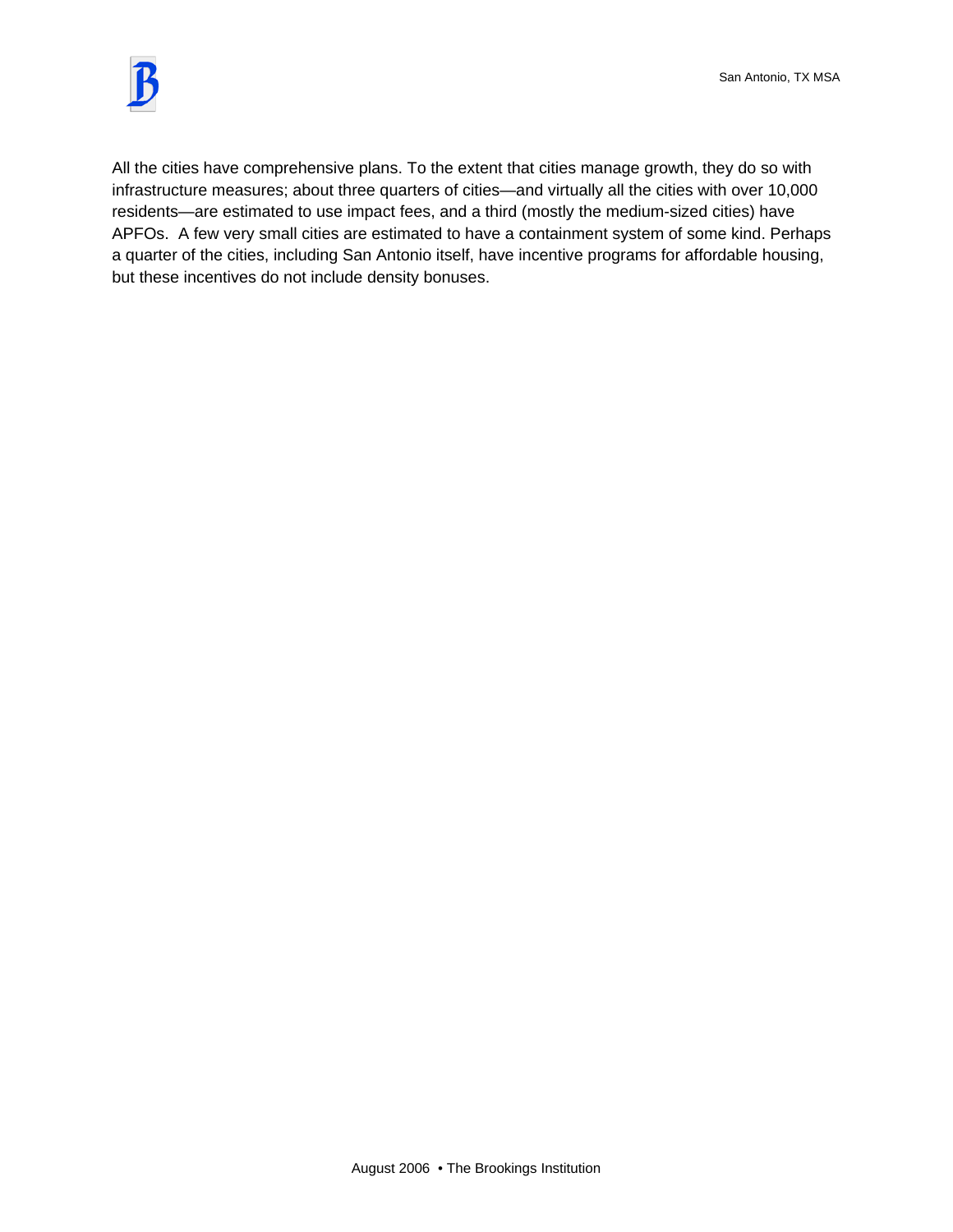

All the cities have comprehensive plans. To the extent that cities manage growth, they do so with infrastructure measures; about three quarters of cities—and virtually all the cities with over 10,000 residents—are estimated to use impact fees, and a third (mostly the medium-sized cities) have APFOs. A few very small cities are estimated to have a containment system of some kind. Perhaps a quarter of the cities, including San Antonio itself, have incentive programs for affordable housing, but these incentives do not include density bonuses.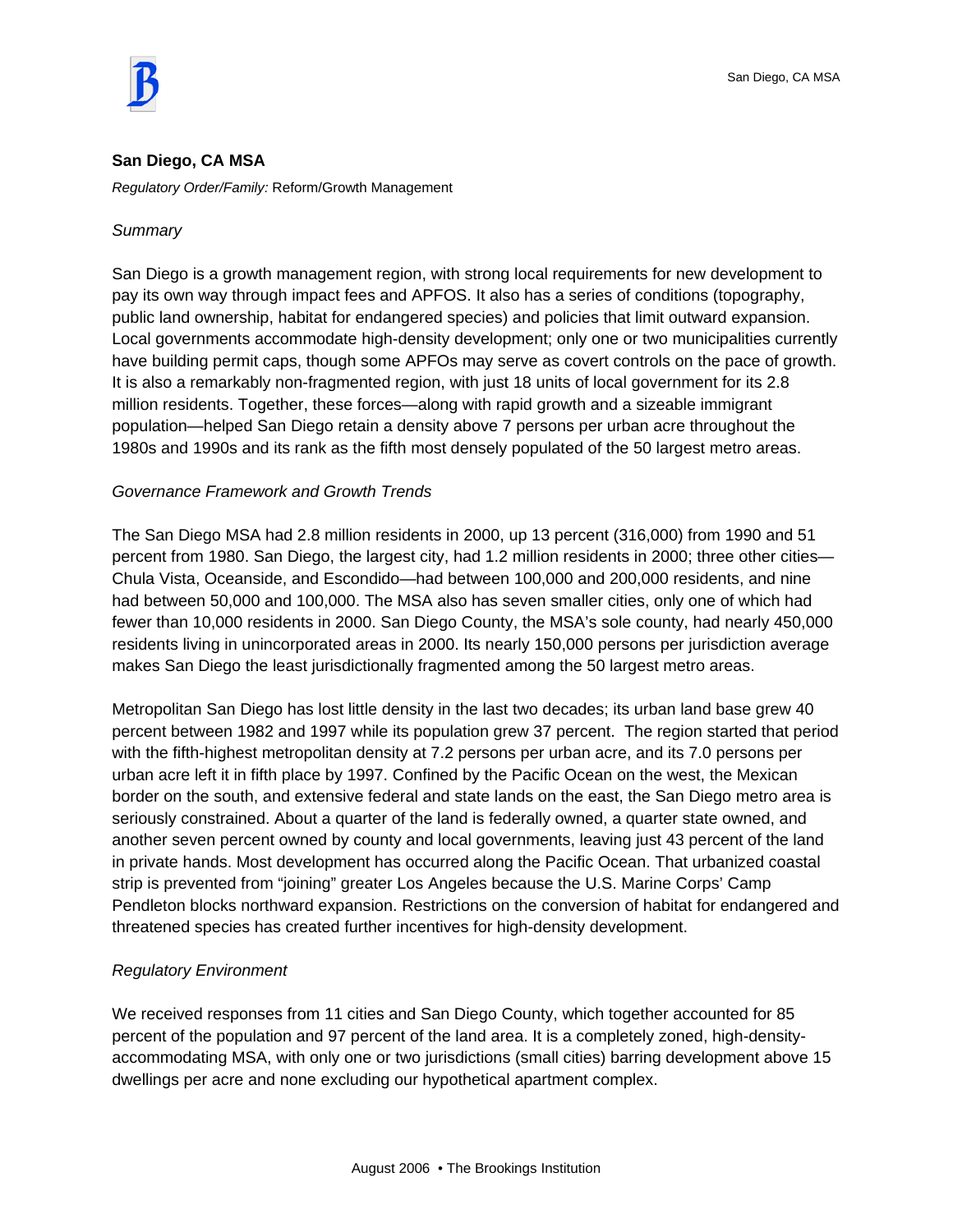

## **San Diego, CA MSA**

*Regulatory Order/Family:* Reform/Growth Management

## *Summary*

San Diego is a growth management region, with strong local requirements for new development to pay its own way through impact fees and APFOS. It also has a series of conditions (topography, public land ownership, habitat for endangered species) and policies that limit outward expansion. Local governments accommodate high-density development; only one or two municipalities currently have building permit caps, though some APFOs may serve as covert controls on the pace of growth. It is also a remarkably non-fragmented region, with just 18 units of local government for its 2.8 million residents. Together, these forces—along with rapid growth and a sizeable immigrant population—helped San Diego retain a density above 7 persons per urban acre throughout the 1980s and 1990s and its rank as the fifth most densely populated of the 50 largest metro areas.

## *Governance Framework and Growth Trends*

The San Diego MSA had 2.8 million residents in 2000, up 13 percent (316,000) from 1990 and 51 percent from 1980. San Diego, the largest city, had 1.2 million residents in 2000; three other cities— Chula Vista, Oceanside, and Escondido—had between 100,000 and 200,000 residents, and nine had between 50,000 and 100,000. The MSA also has seven smaller cities, only one of which had fewer than 10,000 residents in 2000. San Diego County, the MSA's sole county, had nearly 450,000 residents living in unincorporated areas in 2000. Its nearly 150,000 persons per jurisdiction average makes San Diego the least jurisdictionally fragmented among the 50 largest metro areas.

Metropolitan San Diego has lost little density in the last two decades; its urban land base grew 40 percent between 1982 and 1997 while its population grew 37 percent. The region started that period with the fifth-highest metropolitan density at 7.2 persons per urban acre, and its 7.0 persons per urban acre left it in fifth place by 1997. Confined by the Pacific Ocean on the west, the Mexican border on the south, and extensive federal and state lands on the east, the San Diego metro area is seriously constrained. About a quarter of the land is federally owned, a quarter state owned, and another seven percent owned by county and local governments, leaving just 43 percent of the land in private hands. Most development has occurred along the Pacific Ocean. That urbanized coastal strip is prevented from "joining" greater Los Angeles because the U.S. Marine Corps' Camp Pendleton blocks northward expansion. Restrictions on the conversion of habitat for endangered and threatened species has created further incentives for high-density development.

## *Regulatory Environment*

We received responses from 11 cities and San Diego County, which together accounted for 85 percent of the population and 97 percent of the land area. It is a completely zoned, high-densityaccommodating MSA, with only one or two jurisdictions (small cities) barring development above 15 dwellings per acre and none excluding our hypothetical apartment complex.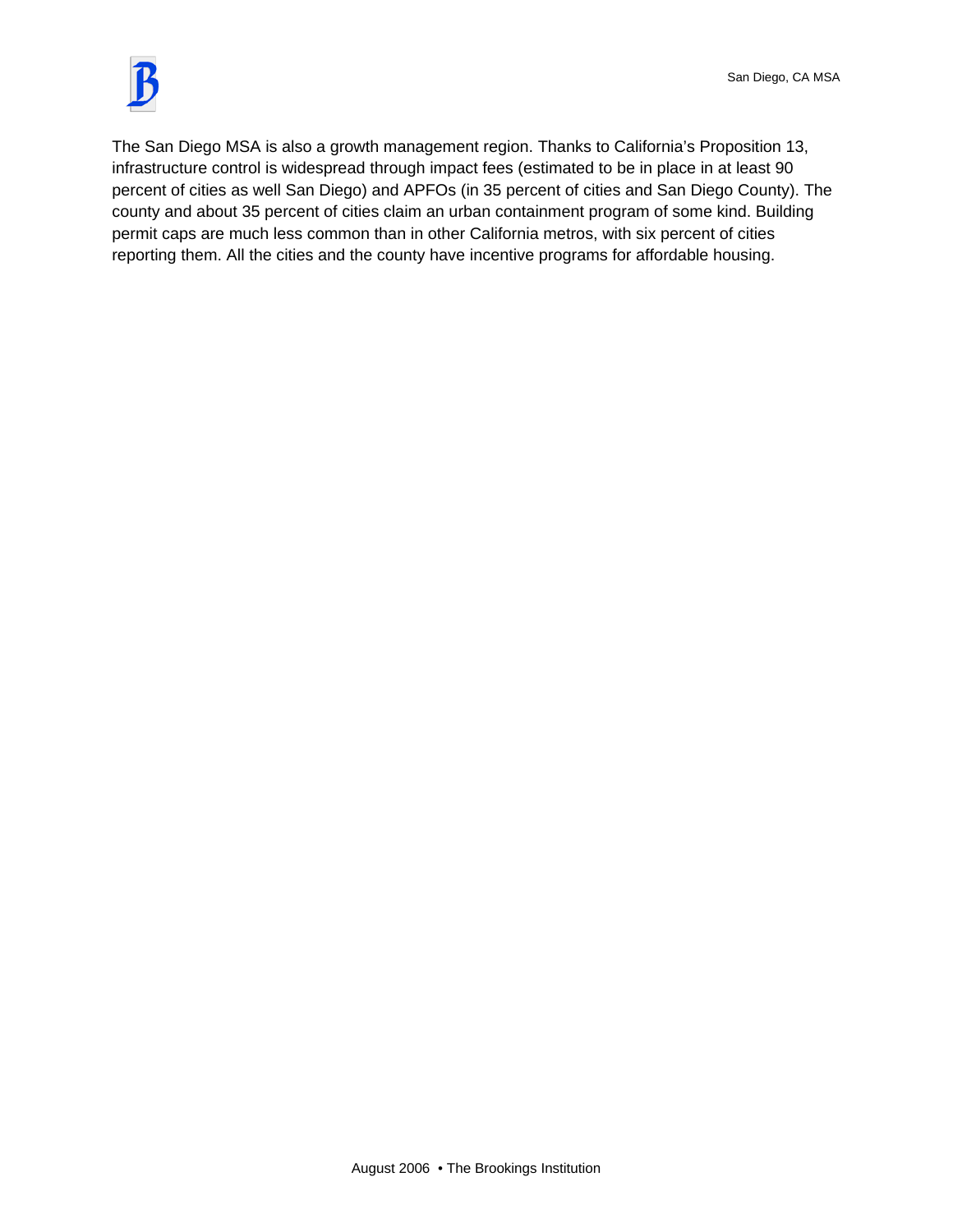

The San Diego MSA is also a growth management region. Thanks to California's Proposition 13, infrastructure control is widespread through impact fees (estimated to be in place in at least 90 percent of cities as well San Diego) and APFOs (in 35 percent of cities and San Diego County). The county and about 35 percent of cities claim an urban containment program of some kind. Building permit caps are much less common than in other California metros, with six percent of cities reporting them. All the cities and the county have incentive programs for affordable housing.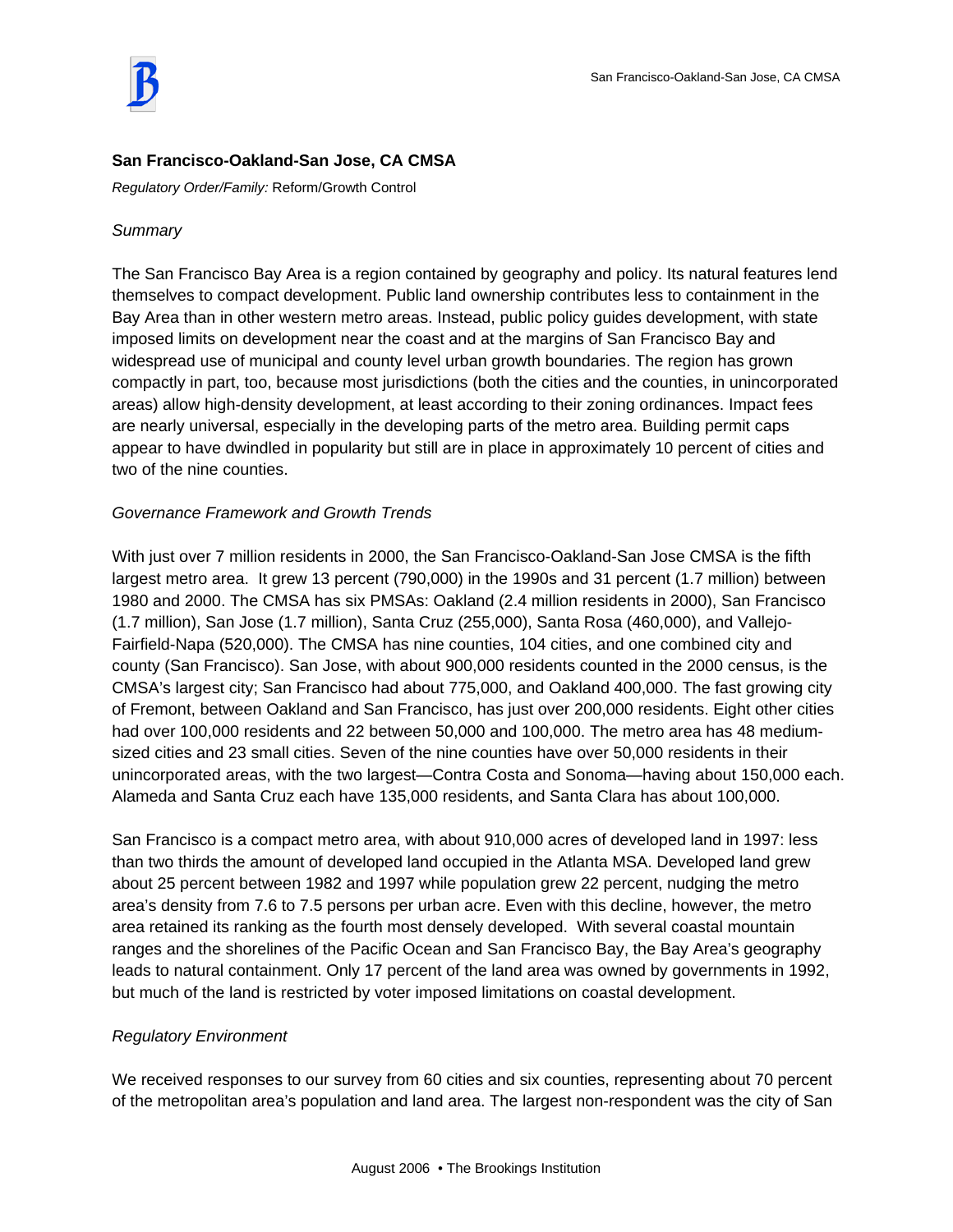

# **San Francisco-Oakland-San Jose, CA CMSA**

*Regulatory Order/Family:* Reform/Growth Control

## *Summary*

The San Francisco Bay Area is a region contained by geography and policy. Its natural features lend themselves to compact development. Public land ownership contributes less to containment in the Bay Area than in other western metro areas. Instead, public policy guides development, with state imposed limits on development near the coast and at the margins of San Francisco Bay and widespread use of municipal and county level urban growth boundaries. The region has grown compactly in part, too, because most jurisdictions (both the cities and the counties, in unincorporated areas) allow high-density development, at least according to their zoning ordinances. Impact fees are nearly universal, especially in the developing parts of the metro area. Building permit caps appear to have dwindled in popularity but still are in place in approximately 10 percent of cities and two of the nine counties.

# *Governance Framework and Growth Trends*

With just over 7 million residents in 2000, the San Francisco-Oakland-San Jose CMSA is the fifth largest metro area. It grew 13 percent (790,000) in the 1990s and 31 percent (1.7 million) between 1980 and 2000. The CMSA has six PMSAs: Oakland (2.4 million residents in 2000), San Francisco (1.7 million), San Jose (1.7 million), Santa Cruz (255,000), Santa Rosa (460,000), and Vallejo-Fairfield-Napa (520,000). The CMSA has nine counties, 104 cities, and one combined city and county (San Francisco). San Jose, with about 900,000 residents counted in the 2000 census, is the CMSA's largest city; San Francisco had about 775,000, and Oakland 400,000. The fast growing city of Fremont, between Oakland and San Francisco, has just over 200,000 residents. Eight other cities had over 100,000 residents and 22 between 50,000 and 100,000. The metro area has 48 mediumsized cities and 23 small cities. Seven of the nine counties have over 50,000 residents in their unincorporated areas, with the two largest—Contra Costa and Sonoma—having about 150,000 each. Alameda and Santa Cruz each have 135,000 residents, and Santa Clara has about 100,000.

San Francisco is a compact metro area, with about 910,000 acres of developed land in 1997: less than two thirds the amount of developed land occupied in the Atlanta MSA. Developed land grew about 25 percent between 1982 and 1997 while population grew 22 percent, nudging the metro area's density from 7.6 to 7.5 persons per urban acre. Even with this decline, however, the metro area retained its ranking as the fourth most densely developed. With several coastal mountain ranges and the shorelines of the Pacific Ocean and San Francisco Bay, the Bay Area's geography leads to natural containment. Only 17 percent of the land area was owned by governments in 1992, but much of the land is restricted by voter imposed limitations on coastal development.

## *Regulatory Environment*

We received responses to our survey from 60 cities and six counties, representing about 70 percent of the metropolitan area's population and land area. The largest non-respondent was the city of San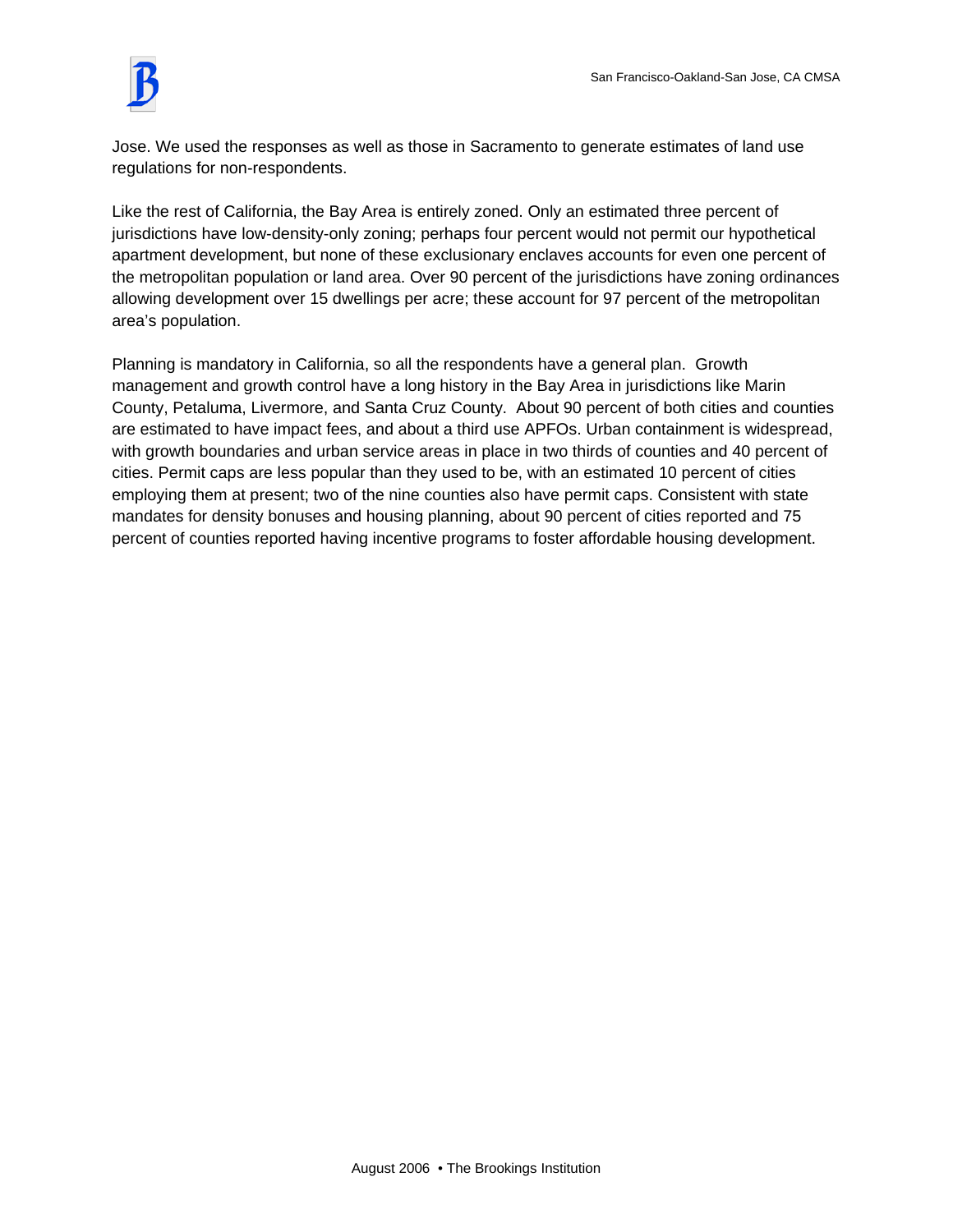Jose. We used the responses as well as those in Sacramento to generate estimates of land use regulations for non-respondents.

Like the rest of California, the Bay Area is entirely zoned. Only an estimated three percent of jurisdictions have low-density-only zoning; perhaps four percent would not permit our hypothetical apartment development, but none of these exclusionary enclaves accounts for even one percent of the metropolitan population or land area. Over 90 percent of the jurisdictions have zoning ordinances allowing development over 15 dwellings per acre; these account for 97 percent of the metropolitan area's population.

Planning is mandatory in California, so all the respondents have a general plan. Growth management and growth control have a long history in the Bay Area in jurisdictions like Marin County, Petaluma, Livermore, and Santa Cruz County. About 90 percent of both cities and counties are estimated to have impact fees, and about a third use APFOs. Urban containment is widespread, with growth boundaries and urban service areas in place in two thirds of counties and 40 percent of cities. Permit caps are less popular than they used to be, with an estimated 10 percent of cities employing them at present; two of the nine counties also have permit caps. Consistent with state mandates for density bonuses and housing planning, about 90 percent of cities reported and 75 percent of counties reported having incentive programs to foster affordable housing development.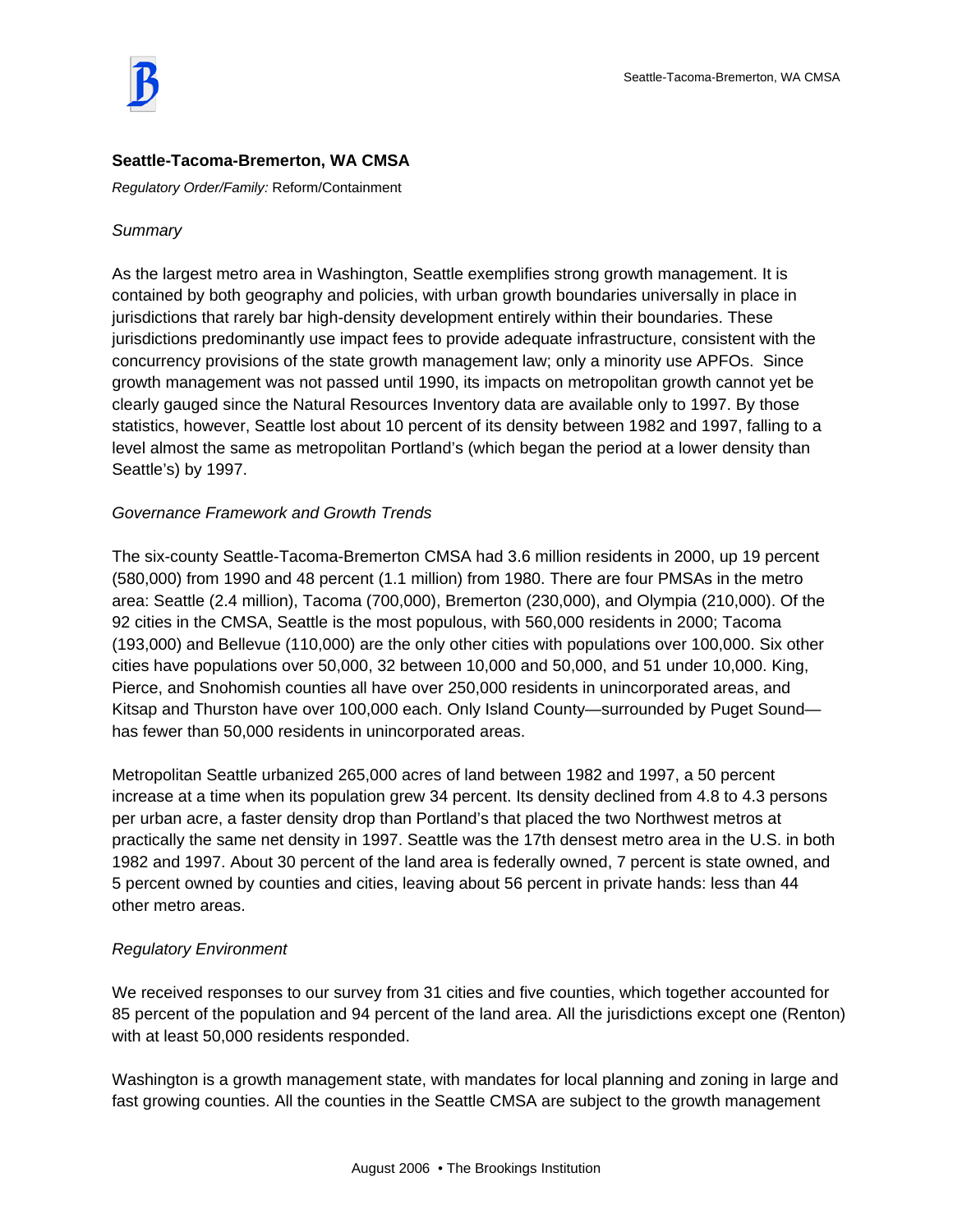

## **Seattle-Tacoma-Bremerton, WA CMSA**

*Regulatory Order/Family:* Reform/Containment

## *Summary*

As the largest metro area in Washington, Seattle exemplifies strong growth management. It is contained by both geography and policies, with urban growth boundaries universally in place in jurisdictions that rarely bar high-density development entirely within their boundaries. These jurisdictions predominantly use impact fees to provide adequate infrastructure, consistent with the concurrency provisions of the state growth management law; only a minority use APFOs. Since growth management was not passed until 1990, its impacts on metropolitan growth cannot yet be clearly gauged since the Natural Resources Inventory data are available only to 1997. By those statistics, however, Seattle lost about 10 percent of its density between 1982 and 1997, falling to a level almost the same as metropolitan Portland's (which began the period at a lower density than Seattle's) by 1997.

## *Governance Framework and Growth Trends*

The six-county Seattle-Tacoma-Bremerton CMSA had 3.6 million residents in 2000, up 19 percent (580,000) from 1990 and 48 percent (1.1 million) from 1980. There are four PMSAs in the metro area: Seattle (2.4 million), Tacoma (700,000), Bremerton (230,000), and Olympia (210,000). Of the 92 cities in the CMSA, Seattle is the most populous, with 560,000 residents in 2000; Tacoma (193,000) and Bellevue (110,000) are the only other cities with populations over 100,000. Six other cities have populations over 50,000, 32 between 10,000 and 50,000, and 51 under 10,000. King, Pierce, and Snohomish counties all have over 250,000 residents in unincorporated areas, and Kitsap and Thurston have over 100,000 each. Only Island County—surrounded by Puget Sound has fewer than 50,000 residents in unincorporated areas.

Metropolitan Seattle urbanized 265,000 acres of land between 1982 and 1997, a 50 percent increase at a time when its population grew 34 percent. Its density declined from 4.8 to 4.3 persons per urban acre, a faster density drop than Portland's that placed the two Northwest metros at practically the same net density in 1997. Seattle was the 17th densest metro area in the U.S. in both 1982 and 1997. About 30 percent of the land area is federally owned, 7 percent is state owned, and 5 percent owned by counties and cities, leaving about 56 percent in private hands: less than 44 other metro areas.

## *Regulatory Environment*

We received responses to our survey from 31 cities and five counties, which together accounted for 85 percent of the population and 94 percent of the land area. All the jurisdictions except one (Renton) with at least 50,000 residents responded.

Washington is a growth management state, with mandates for local planning and zoning in large and fast growing counties. All the counties in the Seattle CMSA are subject to the growth management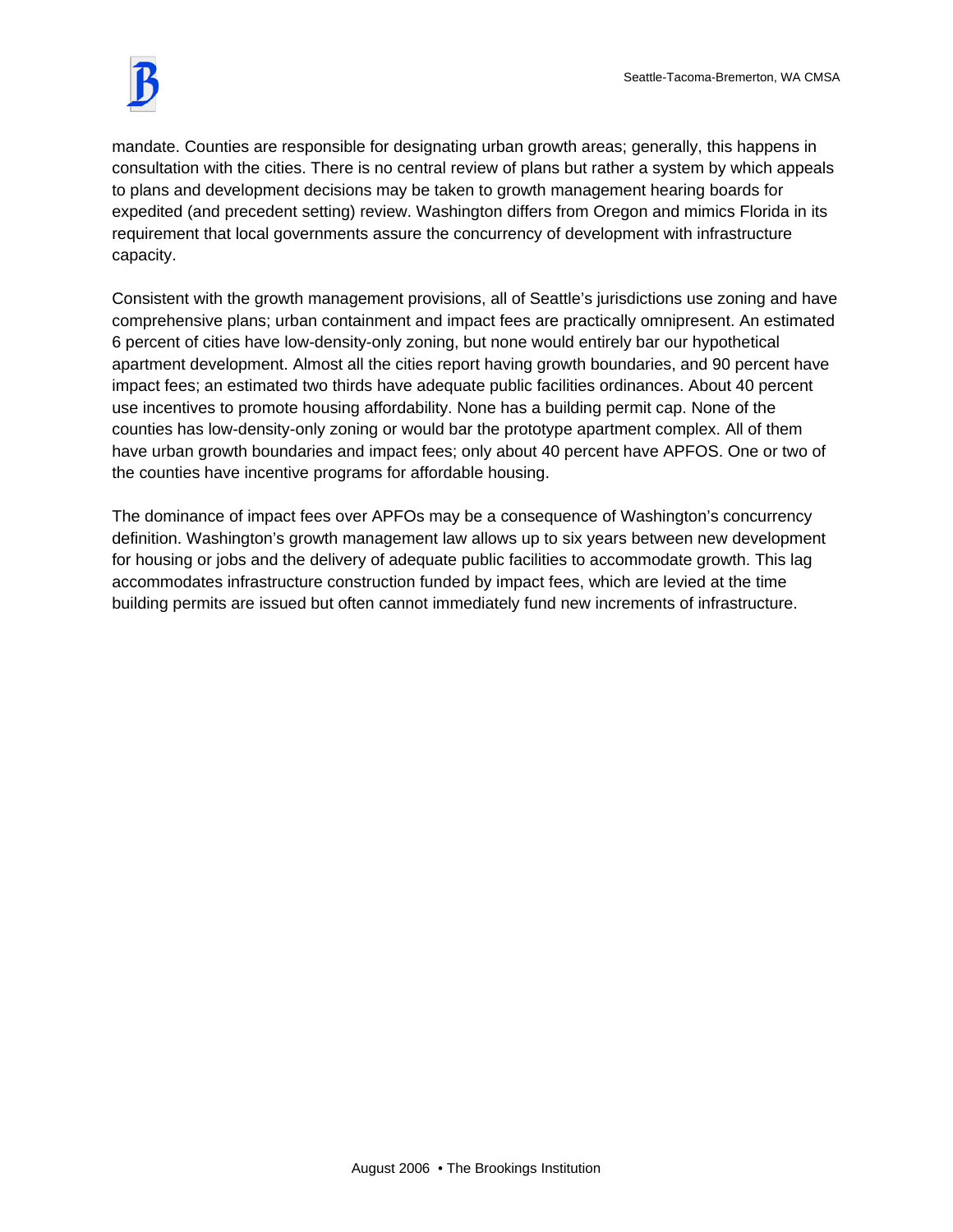

mandate. Counties are responsible for designating urban growth areas; generally, this happens in consultation with the cities. There is no central review of plans but rather a system by which appeals to plans and development decisions may be taken to growth management hearing boards for expedited (and precedent setting) review. Washington differs from Oregon and mimics Florida in its requirement that local governments assure the concurrency of development with infrastructure capacity.

Consistent with the growth management provisions, all of Seattle's jurisdictions use zoning and have comprehensive plans; urban containment and impact fees are practically omnipresent. An estimated 6 percent of cities have low-density-only zoning, but none would entirely bar our hypothetical apartment development. Almost all the cities report having growth boundaries, and 90 percent have impact fees; an estimated two thirds have adequate public facilities ordinances. About 40 percent use incentives to promote housing affordability. None has a building permit cap. None of the counties has low-density-only zoning or would bar the prototype apartment complex. All of them have urban growth boundaries and impact fees; only about 40 percent have APFOS. One or two of the counties have incentive programs for affordable housing.

The dominance of impact fees over APFOs may be a consequence of Washington's concurrency definition. Washington's growth management law allows up to six years between new development for housing or jobs and the delivery of adequate public facilities to accommodate growth. This lag accommodates infrastructure construction funded by impact fees, which are levied at the time building permits are issued but often cannot immediately fund new increments of infrastructure.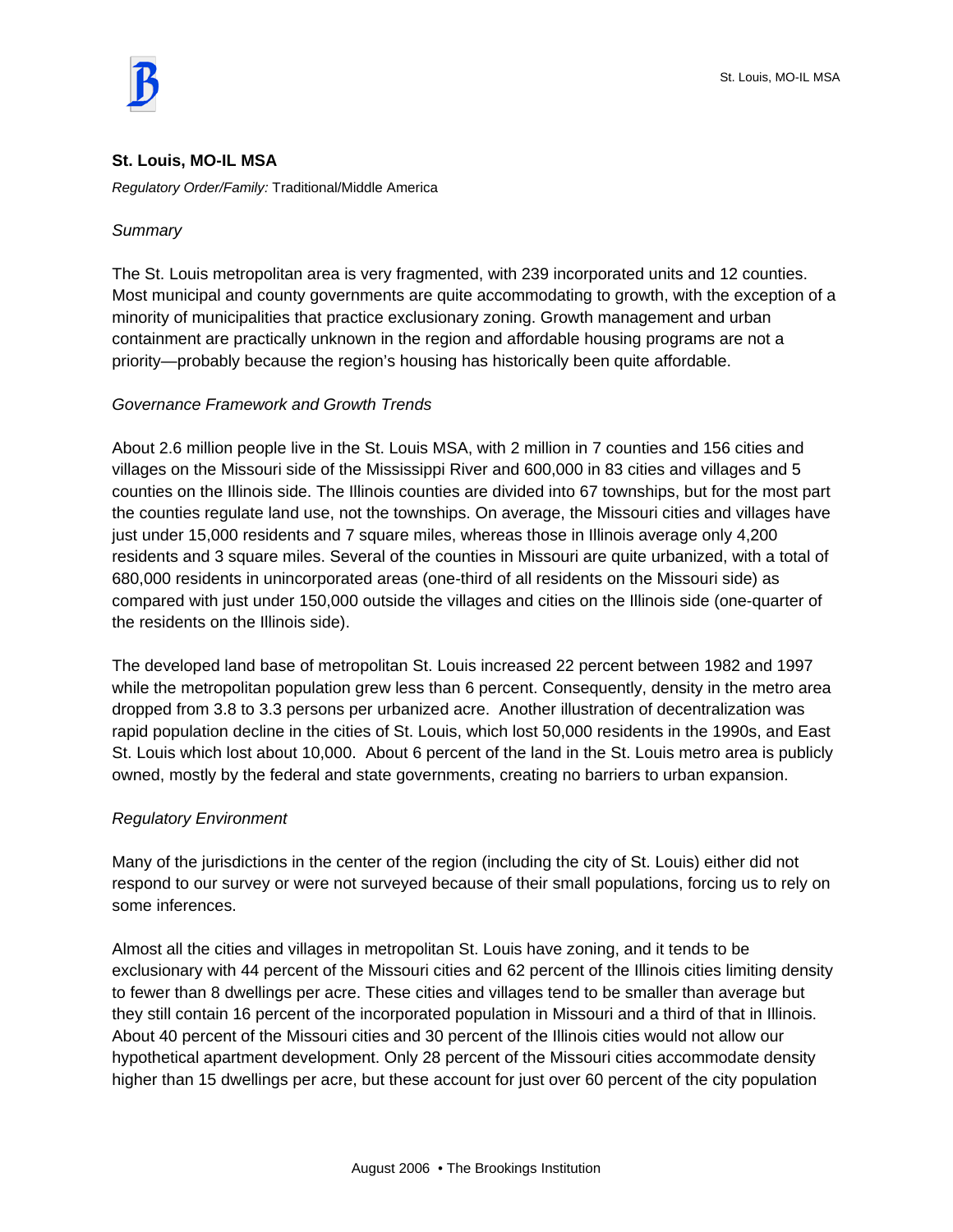

#### **St. Louis, MO-IL MSA**

*Regulatory Order/Family:* Traditional/Middle America

#### *Summary*

The St. Louis metropolitan area is very fragmented, with 239 incorporated units and 12 counties. Most municipal and county governments are quite accommodating to growth, with the exception of a minority of municipalities that practice exclusionary zoning. Growth management and urban containment are practically unknown in the region and affordable housing programs are not a priority—probably because the region's housing has historically been quite affordable.

## *Governance Framework and Growth Trends*

About 2.6 million people live in the St. Louis MSA, with 2 million in 7 counties and 156 cities and villages on the Missouri side of the Mississippi River and 600,000 in 83 cities and villages and 5 counties on the Illinois side. The Illinois counties are divided into 67 townships, but for the most part the counties regulate land use, not the townships. On average, the Missouri cities and villages have just under 15,000 residents and 7 square miles, whereas those in Illinois average only 4,200 residents and 3 square miles. Several of the counties in Missouri are quite urbanized, with a total of 680,000 residents in unincorporated areas (one-third of all residents on the Missouri side) as compared with just under 150,000 outside the villages and cities on the Illinois side (one-quarter of the residents on the Illinois side).

The developed land base of metropolitan St. Louis increased 22 percent between 1982 and 1997 while the metropolitan population grew less than 6 percent. Consequently, density in the metro area dropped from 3.8 to 3.3 persons per urbanized acre. Another illustration of decentralization was rapid population decline in the cities of St. Louis, which lost 50,000 residents in the 1990s, and East St. Louis which lost about 10,000. About 6 percent of the land in the St. Louis metro area is publicly owned, mostly by the federal and state governments, creating no barriers to urban expansion.

## *Regulatory Environment*

Many of the jurisdictions in the center of the region (including the city of St. Louis) either did not respond to our survey or were not surveyed because of their small populations, forcing us to rely on some inferences.

Almost all the cities and villages in metropolitan St. Louis have zoning, and it tends to be exclusionary with 44 percent of the Missouri cities and 62 percent of the Illinois cities limiting density to fewer than 8 dwellings per acre. These cities and villages tend to be smaller than average but they still contain 16 percent of the incorporated population in Missouri and a third of that in Illinois. About 40 percent of the Missouri cities and 30 percent of the Illinois cities would not allow our hypothetical apartment development. Only 28 percent of the Missouri cities accommodate density higher than 15 dwellings per acre, but these account for just over 60 percent of the city population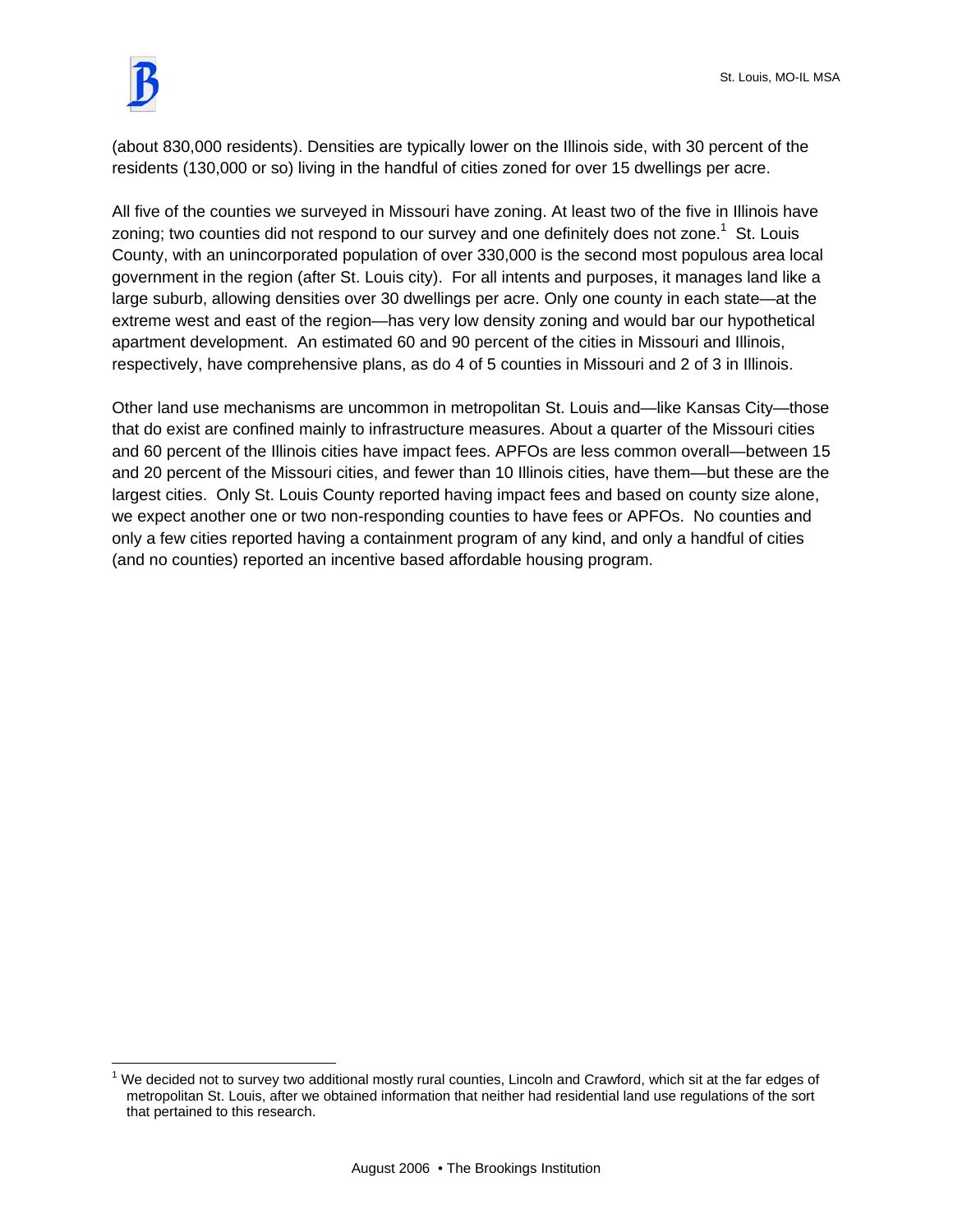$\overline{a}$ 

(about 830,000 residents). Densities are typically lower on the Illinois side, with 30 percent of the residents (130,000 or so) living in the handful of cities zoned for over 15 dwellings per acre.

All five of the counties we surveyed in Missouri have zoning. At least two of the five in Illinois have zoning; two counties did not respond to our survey and one definitely does not zone.<sup>1</sup> St. Louis County, with an unincorporated population of over 330,000 is the second most populous area local government in the region (after St. Louis city). For all intents and purposes, it manages land like a large suburb, allowing densities over 30 dwellings per acre. Only one county in each state—at the extreme west and east of the region—has very low density zoning and would bar our hypothetical apartment development. An estimated 60 and 90 percent of the cities in Missouri and Illinois, respectively, have comprehensive plans, as do 4 of 5 counties in Missouri and 2 of 3 in Illinois.

Other land use mechanisms are uncommon in metropolitan St. Louis and—like Kansas City—those that do exist are confined mainly to infrastructure measures. About a quarter of the Missouri cities and 60 percent of the Illinois cities have impact fees. APFOs are less common overall—between 15 and 20 percent of the Missouri cities, and fewer than 10 Illinois cities, have them—but these are the largest cities. Only St. Louis County reported having impact fees and based on county size alone, we expect another one or two non-responding counties to have fees or APFOs. No counties and only a few cities reported having a containment program of any kind, and only a handful of cities (and no counties) reported an incentive based affordable housing program.

 $1$  We decided not to survey two additional mostly rural counties, Lincoln and Crawford, which sit at the far edges of metropolitan St. Louis, after we obtained information that neither had residential land use regulations of the sort that pertained to this research.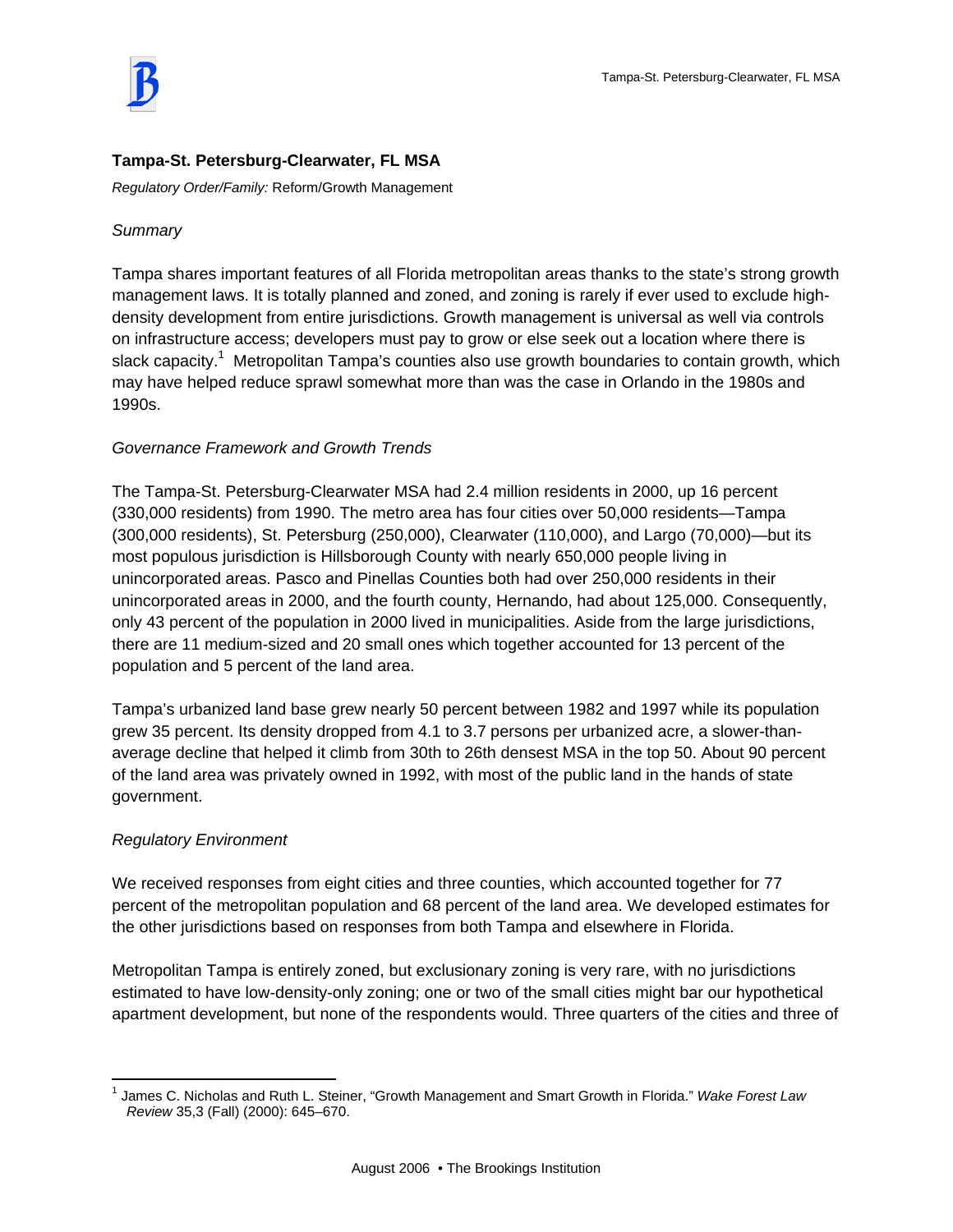

# **Tampa-St. Petersburg-Clearwater, FL MSA**

*Regulatory Order/Family:* Reform/Growth Management

## *Summary*

Tampa shares important features of all Florida metropolitan areas thanks to the state's strong growth management laws. It is totally planned and zoned, and zoning is rarely if ever used to exclude highdensity development from entire jurisdictions. Growth management is universal as well via controls on infrastructure access; developers must pay to grow or else seek out a location where there is slack capacity.<sup>1</sup> Metropolitan Tampa's counties also use growth boundaries to contain growth, which may have helped reduce sprawl somewhat more than was the case in Orlando in the 1980s and 1990s.

# *Governance Framework and Growth Trends*

The Tampa-St. Petersburg-Clearwater MSA had 2.4 million residents in 2000, up 16 percent (330,000 residents) from 1990. The metro area has four cities over 50,000 residents—Tampa (300,000 residents), St. Petersburg (250,000), Clearwater (110,000), and Largo (70,000)—but its most populous jurisdiction is Hillsborough County with nearly 650,000 people living in unincorporated areas. Pasco and Pinellas Counties both had over 250,000 residents in their unincorporated areas in 2000, and the fourth county, Hernando, had about 125,000. Consequently, only 43 percent of the population in 2000 lived in municipalities. Aside from the large jurisdictions, there are 11 medium-sized and 20 small ones which together accounted for 13 percent of the population and 5 percent of the land area.

Tampa's urbanized land base grew nearly 50 percent between 1982 and 1997 while its population grew 35 percent. Its density dropped from 4.1 to 3.7 persons per urbanized acre, a slower-thanaverage decline that helped it climb from 30th to 26th densest MSA in the top 50. About 90 percent of the land area was privately owned in 1992, with most of the public land in the hands of state government.

## *Regulatory Environment*

We received responses from eight cities and three counties, which accounted together for 77 percent of the metropolitan population and 68 percent of the land area. We developed estimates for the other jurisdictions based on responses from both Tampa and elsewhere in Florida.

Metropolitan Tampa is entirely zoned, but exclusionary zoning is very rare, with no jurisdictions estimated to have low-density-only zoning; one or two of the small cities might bar our hypothetical apartment development, but none of the respondents would. Three quarters of the cities and three of

 $\overline{a}$ 1 James C. Nicholas and Ruth L. Steiner, "Growth Management and Smart Growth in Florida." *Wake Forest Law Review* 35,3 (Fall) (2000): 645–670.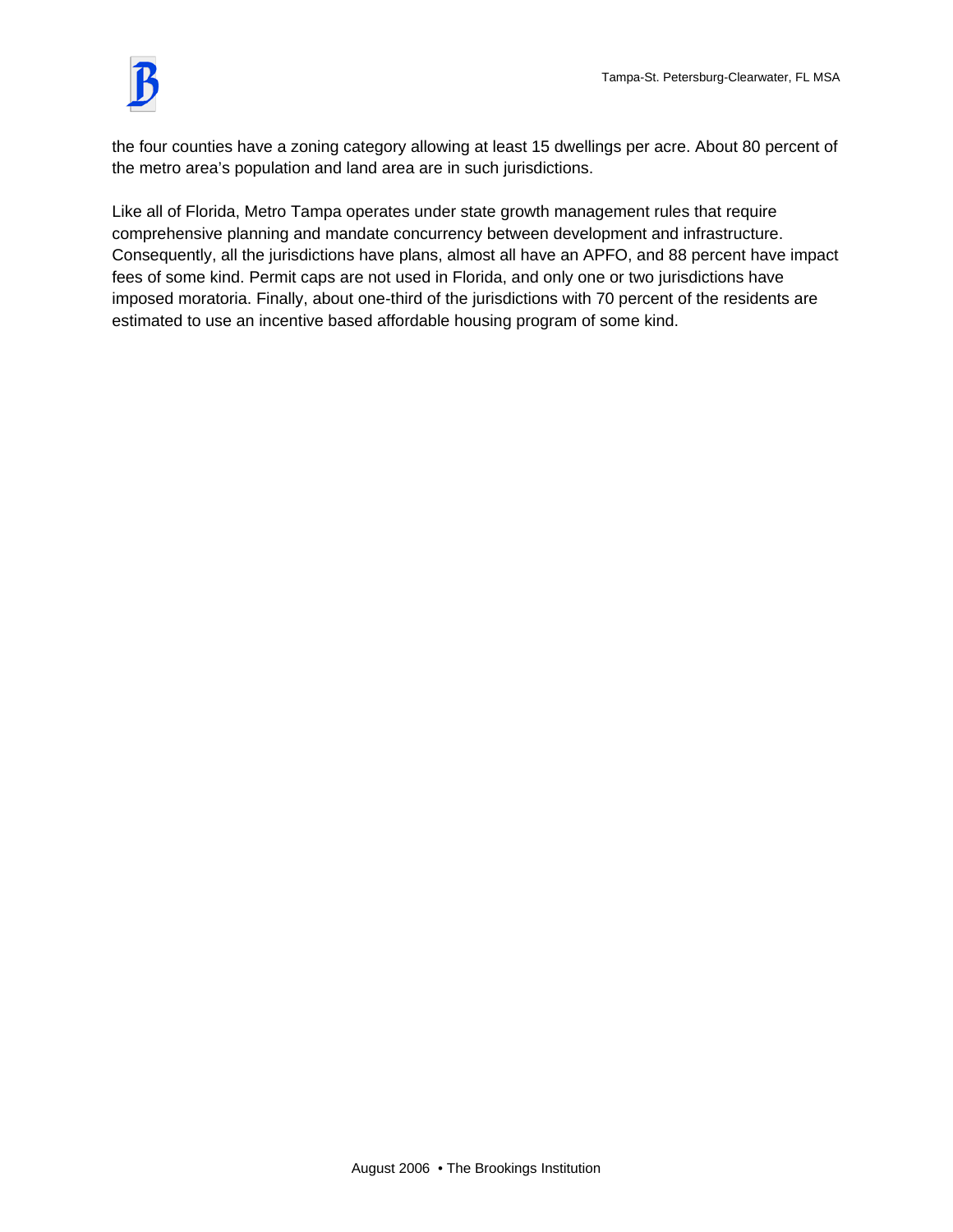

the four counties have a zoning category allowing at least 15 dwellings per acre. About 80 percent of the metro area's population and land area are in such jurisdictions.

Like all of Florida, Metro Tampa operates under state growth management rules that require comprehensive planning and mandate concurrency between development and infrastructure. Consequently, all the jurisdictions have plans, almost all have an APFO, and 88 percent have impact fees of some kind. Permit caps are not used in Florida, and only one or two jurisdictions have imposed moratoria. Finally, about one-third of the jurisdictions with 70 percent of the residents are estimated to use an incentive based affordable housing program of some kind.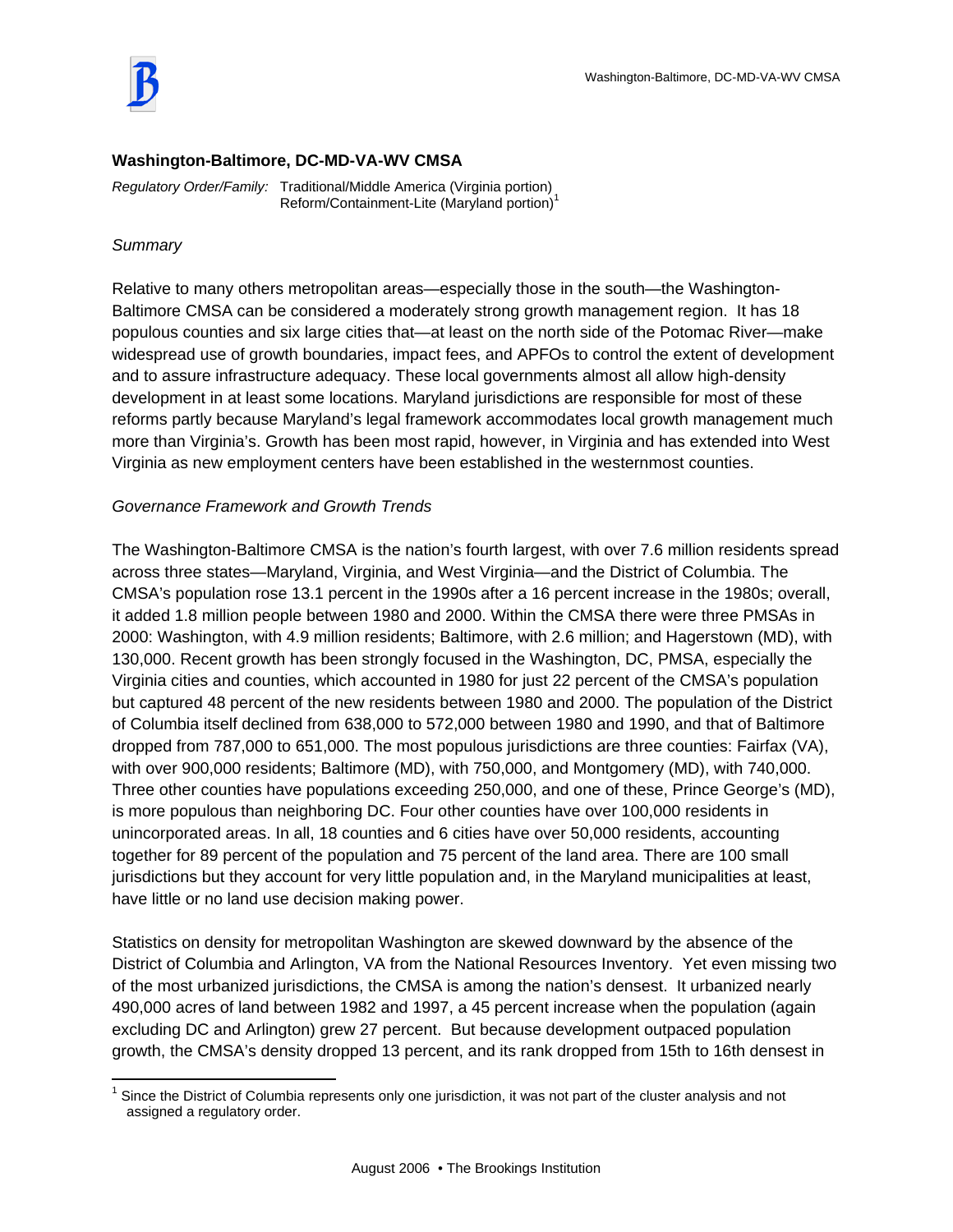

#### **Washington-Baltimore, DC-MD-VA-WV CMSA**

*Regulatory Order/Family:* Traditional/Middle America (Virginia portion) Reform/Containment-Lite (Maryland portion)<sup>1</sup>

#### *Summary*

Relative to many others metropolitan areas—especially those in the south—the Washington-Baltimore CMSA can be considered a moderately strong growth management region. It has 18 populous counties and six large cities that—at least on the north side of the Potomac River—make widespread use of growth boundaries, impact fees, and APFOs to control the extent of development and to assure infrastructure adequacy. These local governments almost all allow high-density development in at least some locations. Maryland jurisdictions are responsible for most of these reforms partly because Maryland's legal framework accommodates local growth management much more than Virginia's. Growth has been most rapid, however, in Virginia and has extended into West Virginia as new employment centers have been established in the westernmost counties.

#### *Governance Framework and Growth Trends*

The Washington-Baltimore CMSA is the nation's fourth largest, with over 7.6 million residents spread across three states—Maryland, Virginia, and West Virginia—and the District of Columbia. The CMSA's population rose 13.1 percent in the 1990s after a 16 percent increase in the 1980s; overall, it added 1.8 million people between 1980 and 2000. Within the CMSA there were three PMSAs in 2000: Washington, with 4.9 million residents; Baltimore, with 2.6 million; and Hagerstown (MD), with 130,000. Recent growth has been strongly focused in the Washington, DC, PMSA, especially the Virginia cities and counties, which accounted in 1980 for just 22 percent of the CMSA's population but captured 48 percent of the new residents between 1980 and 2000. The population of the District of Columbia itself declined from 638,000 to 572,000 between 1980 and 1990, and that of Baltimore dropped from 787,000 to 651,000. The most populous jurisdictions are three counties: Fairfax (VA), with over 900,000 residents; Baltimore (MD), with 750,000, and Montgomery (MD), with 740,000. Three other counties have populations exceeding 250,000, and one of these, Prince George's (MD), is more populous than neighboring DC. Four other counties have over 100,000 residents in unincorporated areas. In all, 18 counties and 6 cities have over 50,000 residents, accounting together for 89 percent of the population and 75 percent of the land area. There are 100 small jurisdictions but they account for very little population and, in the Maryland municipalities at least, have little or no land use decision making power.

Statistics on density for metropolitan Washington are skewed downward by the absence of the District of Columbia and Arlington, VA from the National Resources Inventory. Yet even missing two of the most urbanized jurisdictions, the CMSA is among the nation's densest. It urbanized nearly 490,000 acres of land between 1982 and 1997, a 45 percent increase when the population (again excluding DC and Arlington) grew 27 percent. But because development outpaced population growth, the CMSA's density dropped 13 percent, and its rank dropped from 15th to 16th densest in

 1 Since the District of Columbia represents only one jurisdiction, it was not part of the cluster analysis and not assigned a regulatory order.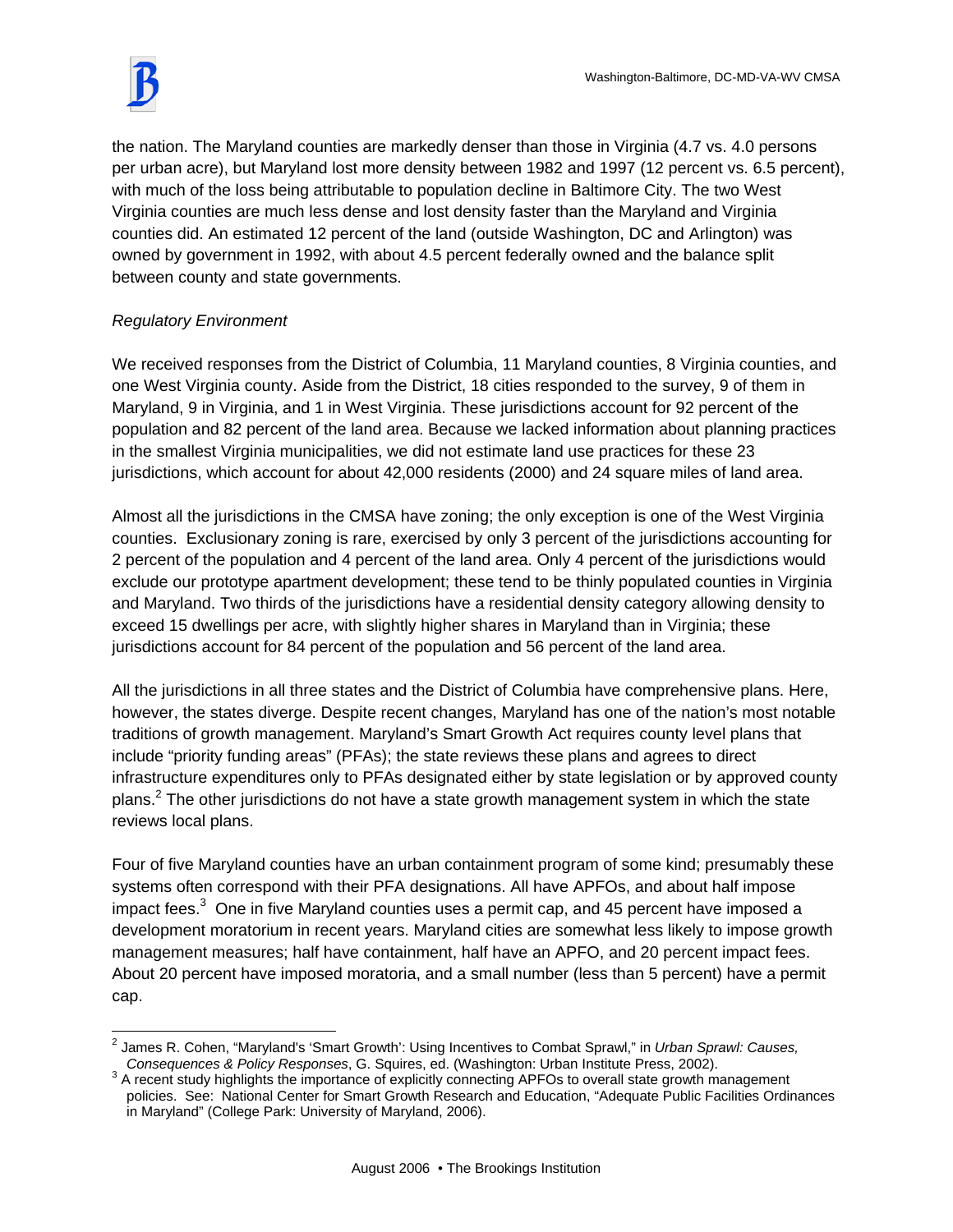the nation. The Maryland counties are markedly denser than those in Virginia (4.7 vs. 4.0 persons per urban acre), but Maryland lost more density between 1982 and 1997 (12 percent vs. 6.5 percent), with much of the loss being attributable to population decline in Baltimore City. The two West Virginia counties are much less dense and lost density faster than the Maryland and Virginia counties did. An estimated 12 percent of the land (outside Washington, DC and Arlington) was owned by government in 1992, with about 4.5 percent federally owned and the balance split between county and state governments.

# *Regulatory Environment*

We received responses from the District of Columbia, 11 Maryland counties, 8 Virginia counties, and one West Virginia county. Aside from the District, 18 cities responded to the survey, 9 of them in Maryland, 9 in Virginia, and 1 in West Virginia. These jurisdictions account for 92 percent of the population and 82 percent of the land area. Because we lacked information about planning practices in the smallest Virginia municipalities, we did not estimate land use practices for these 23 jurisdictions, which account for about 42,000 residents (2000) and 24 square miles of land area.

Almost all the jurisdictions in the CMSA have zoning; the only exception is one of the West Virginia counties. Exclusionary zoning is rare, exercised by only 3 percent of the jurisdictions accounting for 2 percent of the population and 4 percent of the land area. Only 4 percent of the jurisdictions would exclude our prototype apartment development; these tend to be thinly populated counties in Virginia and Maryland. Two thirds of the jurisdictions have a residential density category allowing density to exceed 15 dwellings per acre, with slightly higher shares in Maryland than in Virginia; these jurisdictions account for 84 percent of the population and 56 percent of the land area.

All the jurisdictions in all three states and the District of Columbia have comprehensive plans. Here, however, the states diverge. Despite recent changes, Maryland has one of the nation's most notable traditions of growth management. Maryland's Smart Growth Act requires county level plans that include "priority funding areas" (PFAs); the state reviews these plans and agrees to direct infrastructure expenditures only to PFAs designated either by state legislation or by approved county plans.<sup>2</sup> The other jurisdictions do not have a state growth management system in which the state reviews local plans.

Four of five Maryland counties have an urban containment program of some kind; presumably these systems often correspond with their PFA designations. All have APFOs, and about half impose impact fees.<sup>3</sup> One in five Maryland counties uses a permit cap, and 45 percent have imposed a development moratorium in recent years. Maryland cities are somewhat less likely to impose growth management measures; half have containment, half have an APFO, and 20 percent impact fees. About 20 percent have imposed moratoria, and a small number (less than 5 percent) have a permit cap.

 $\overline{a}$ 2 James R. Cohen, "Maryland's 'Smart Growth': Using Incentives to Combat Sprawl," in *Urban Sprawl: Causes,* 

Consequences & Policy Responses, G. Squires, ed. (Washington: Urban Institute Press, 2002).<br><sup>3</sup> A recent study highlights the importance of explicitly connecting APFOs to overall state growth management policies. See: National Center for Smart Growth Research and Education, "Adequate Public Facilities Ordinances in Maryland" (College Park: University of Maryland, 2006).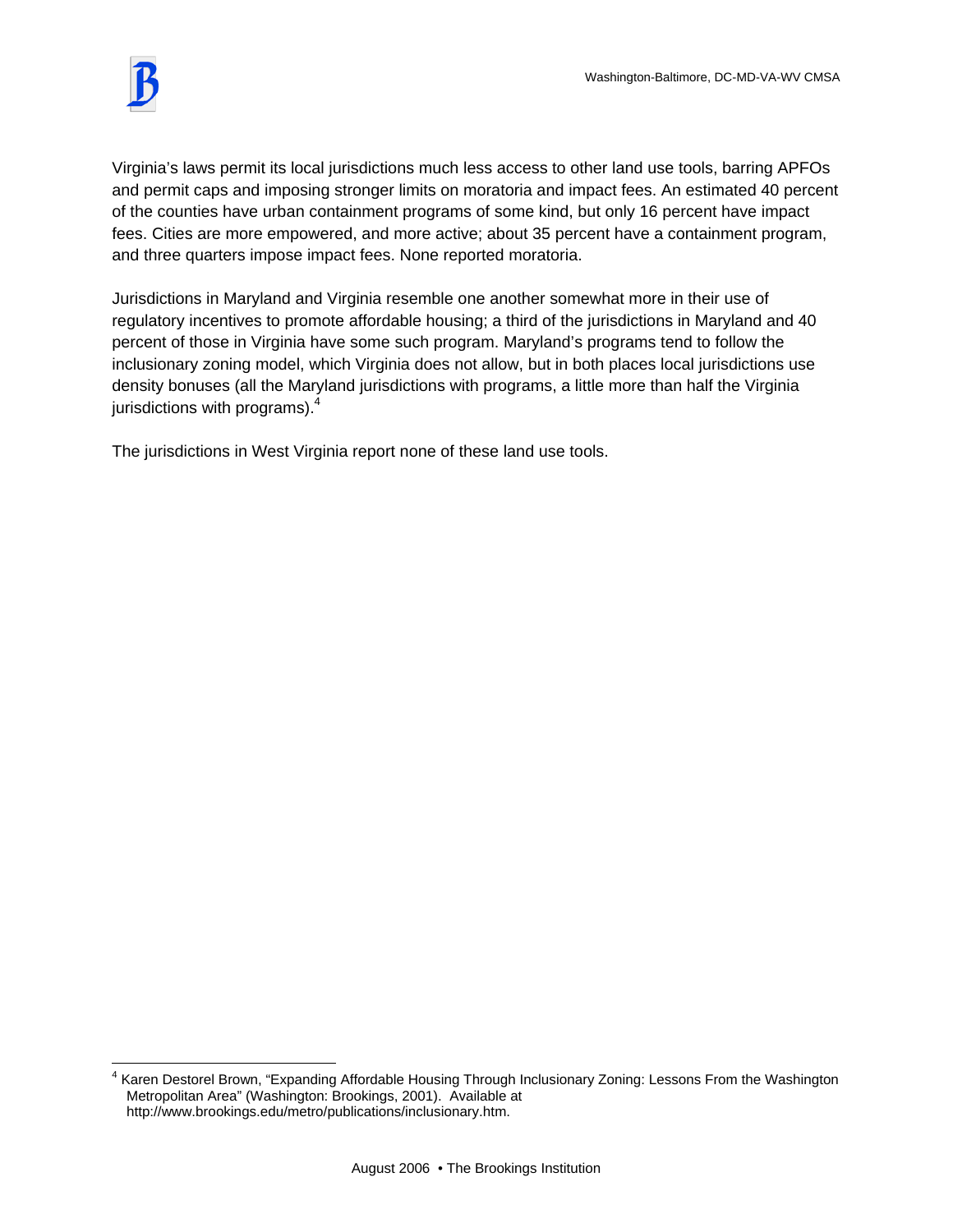$\overline{a}$ 

Virginia's laws permit its local jurisdictions much less access to other land use tools, barring APFOs and permit caps and imposing stronger limits on moratoria and impact fees. An estimated 40 percent of the counties have urban containment programs of some kind, but only 16 percent have impact fees. Cities are more empowered, and more active; about 35 percent have a containment program, and three quarters impose impact fees. None reported moratoria.

Jurisdictions in Maryland and Virginia resemble one another somewhat more in their use of regulatory incentives to promote affordable housing; a third of the jurisdictions in Maryland and 40 percent of those in Virginia have some such program. Maryland's programs tend to follow the inclusionary zoning model, which Virginia does not allow, but in both places local jurisdictions use density bonuses (all the Maryland jurisdictions with programs, a little more than half the Virginia jurisdictions with programs).<sup>4</sup>

The jurisdictions in West Virginia report none of these land use tools.

<sup>&</sup>lt;sup>4</sup> Karen Destorel Brown, "Expanding Affordable Housing Through Inclusionary Zoning: Lessons From the Washington Metropolitan Area" (Washington: Brookings, 2001). Available at http://www.brookings.edu/metro/publications/inclusionary.htm.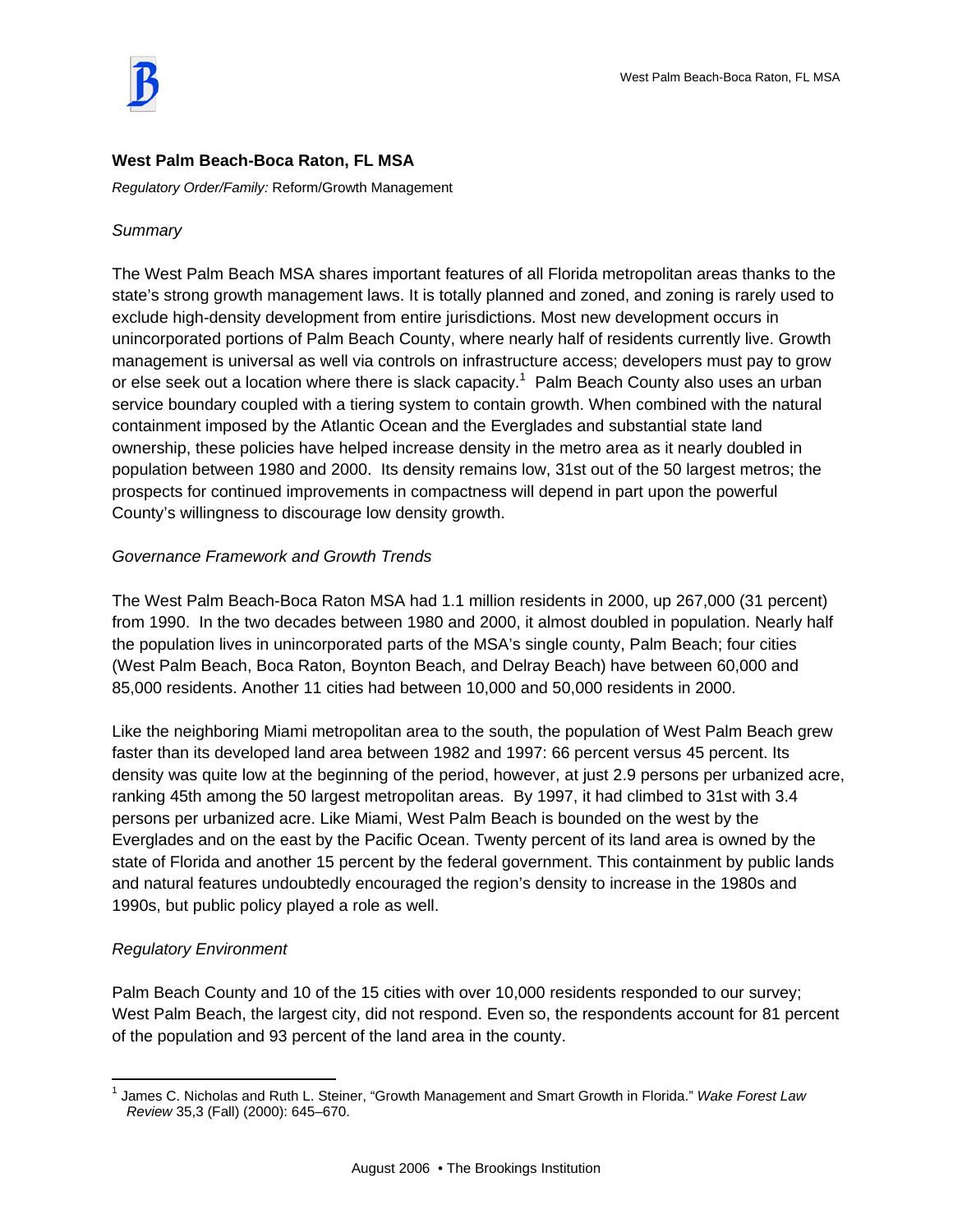

## **West Palm Beach-Boca Raton, FL MSA**

*Regulatory Order/Family:* Reform/Growth Management

## *Summary*

The West Palm Beach MSA shares important features of all Florida metropolitan areas thanks to the state's strong growth management laws. It is totally planned and zoned, and zoning is rarely used to exclude high-density development from entire jurisdictions. Most new development occurs in unincorporated portions of Palm Beach County, where nearly half of residents currently live. Growth management is universal as well via controls on infrastructure access; developers must pay to grow or else seek out a location where there is slack capacity.<sup>1</sup> Palm Beach County also uses an urban service boundary coupled with a tiering system to contain growth. When combined with the natural containment imposed by the Atlantic Ocean and the Everglades and substantial state land ownership, these policies have helped increase density in the metro area as it nearly doubled in population between 1980 and 2000. Its density remains low, 31st out of the 50 largest metros; the prospects for continued improvements in compactness will depend in part upon the powerful County's willingness to discourage low density growth.

# *Governance Framework and Growth Trends*

The West Palm Beach-Boca Raton MSA had 1.1 million residents in 2000, up 267,000 (31 percent) from 1990. In the two decades between 1980 and 2000, it almost doubled in population. Nearly half the population lives in unincorporated parts of the MSA's single county, Palm Beach; four cities (West Palm Beach, Boca Raton, Boynton Beach, and Delray Beach) have between 60,000 and 85,000 residents. Another 11 cities had between 10,000 and 50,000 residents in 2000.

Like the neighboring Miami metropolitan area to the south, the population of West Palm Beach grew faster than its developed land area between 1982 and 1997: 66 percent versus 45 percent. Its density was quite low at the beginning of the period, however, at just 2.9 persons per urbanized acre, ranking 45th among the 50 largest metropolitan areas. By 1997, it had climbed to 31st with 3.4 persons per urbanized acre. Like Miami, West Palm Beach is bounded on the west by the Everglades and on the east by the Pacific Ocean. Twenty percent of its land area is owned by the state of Florida and another 15 percent by the federal government. This containment by public lands and natural features undoubtedly encouraged the region's density to increase in the 1980s and 1990s, but public policy played a role as well.

### *Regulatory Environment*

 $\overline{a}$ 

Palm Beach County and 10 of the 15 cities with over 10,000 residents responded to our survey; West Palm Beach, the largest city, did not respond. Even so, the respondents account for 81 percent of the population and 93 percent of the land area in the county.

<sup>1</sup> James C. Nicholas and Ruth L. Steiner, "Growth Management and Smart Growth in Florida." *Wake Forest Law Review* 35,3 (Fall) (2000): 645–670.